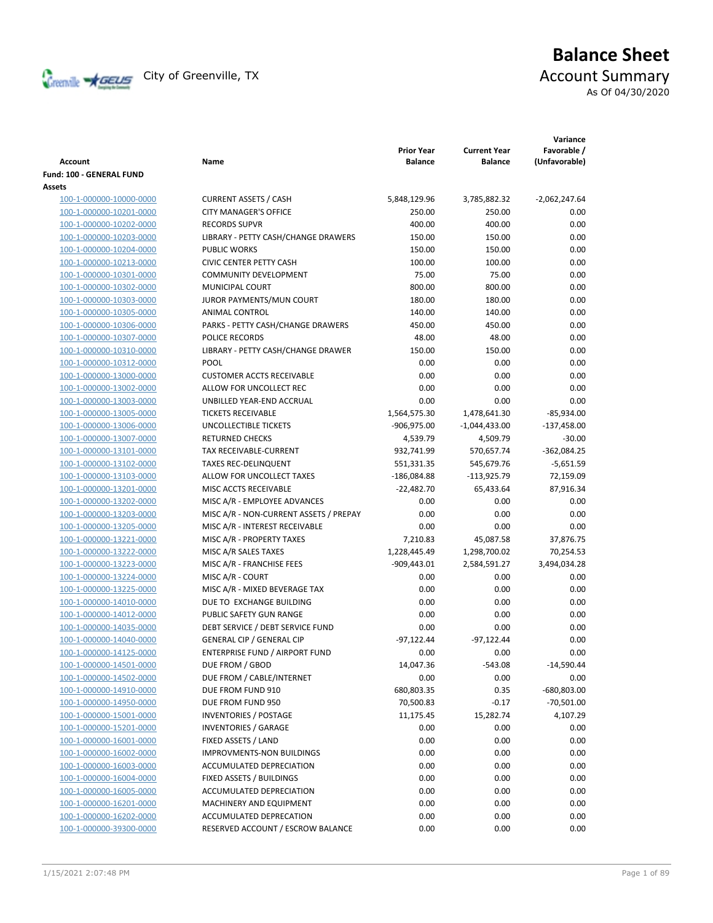

# **Balance Sheet** Creenville Strategy City of Greenville, TX Account Summary

As Of 04/30/2020

| <b>Account</b>           | Name                                   | <b>Prior Year</b><br><b>Balance</b> | <b>Current Year</b><br><b>Balance</b> | Variance<br>Favorable /<br>(Unfavorable) |
|--------------------------|----------------------------------------|-------------------------------------|---------------------------------------|------------------------------------------|
| Fund: 100 - GENERAL FUND |                                        |                                     |                                       |                                          |
| Assets                   |                                        |                                     |                                       |                                          |
| 100-1-000000-10000-0000  | <b>CURRENT ASSETS / CASH</b>           | 5,848,129.96                        | 3,785,882.32                          | $-2,062,247.64$                          |
| 100-1-000000-10201-0000  | <b>CITY MANAGER'S OFFICE</b>           | 250.00                              | 250.00                                | 0.00                                     |
| 100-1-000000-10202-0000  | <b>RECORDS SUPVR</b>                   | 400.00                              | 400.00                                | 0.00                                     |
| 100-1-000000-10203-0000  | LIBRARY - PETTY CASH/CHANGE DRAWERS    | 150.00                              | 150.00                                | 0.00                                     |
| 100-1-000000-10204-0000  | <b>PUBLIC WORKS</b>                    | 150.00                              | 150.00                                | 0.00                                     |
| 100-1-000000-10213-0000  | <b>CIVIC CENTER PETTY CASH</b>         | 100.00                              | 100.00                                | 0.00                                     |
| 100-1-000000-10301-0000  | <b>COMMUNITY DEVELOPMENT</b>           | 75.00                               | 75.00                                 | 0.00                                     |
| 100-1-000000-10302-0000  | MUNICIPAL COURT                        | 800.00                              | 800.00                                | 0.00                                     |
| 100-1-000000-10303-0000  | JUROR PAYMENTS/MUN COURT               | 180.00                              | 180.00                                | 0.00                                     |
| 100-1-000000-10305-0000  | ANIMAL CONTROL                         | 140.00                              | 140.00                                | 0.00                                     |
| 100-1-000000-10306-0000  | PARKS - PETTY CASH/CHANGE DRAWERS      | 450.00                              | 450.00                                | 0.00                                     |
| 100-1-000000-10307-0000  | POLICE RECORDS                         | 48.00                               | 48.00                                 | 0.00                                     |
| 100-1-000000-10310-0000  | LIBRARY - PETTY CASH/CHANGE DRAWER     | 150.00                              | 150.00                                | 0.00                                     |
| 100-1-000000-10312-0000  | POOL                                   | 0.00                                | 0.00                                  | 0.00                                     |
| 100-1-000000-13000-0000  | <b>CUSTOMER ACCTS RECEIVABLE</b>       | 0.00                                | 0.00                                  | 0.00                                     |
| 100-1-000000-13002-0000  | ALLOW FOR UNCOLLECT REC                | 0.00                                | 0.00                                  | 0.00                                     |
| 100-1-000000-13003-0000  | UNBILLED YEAR-END ACCRUAL              | 0.00                                | 0.00                                  | 0.00                                     |
| 100-1-000000-13005-0000  | <b>TICKETS RECEIVABLE</b>              | 1,564,575.30                        | 1,478,641.30                          | $-85,934.00$                             |
| 100-1-000000-13006-0000  | UNCOLLECTIBLE TICKETS                  | -906,975.00                         | -1,044,433.00                         | $-137,458.00$                            |
| 100-1-000000-13007-0000  | <b>RETURNED CHECKS</b>                 | 4,539.79                            | 4,509.79                              | $-30.00$                                 |
| 100-1-000000-13101-0000  | TAX RECEIVABLE-CURRENT                 | 932,741.99                          | 570,657.74                            | $-362,084.25$                            |
| 100-1-000000-13102-0000  | <b>TAXES REC-DELINQUENT</b>            | 551,331.35                          | 545,679.76                            | $-5,651.59$                              |
| 100-1-000000-13103-0000  | ALLOW FOR UNCOLLECT TAXES              | $-186,084.88$                       | $-113,925.79$                         | 72,159.09                                |
| 100-1-000000-13201-0000  | MISC ACCTS RECEIVABLE                  | $-22,482.70$                        | 65,433.64                             | 87,916.34                                |
| 100-1-000000-13202-0000  | MISC A/R - EMPLOYEE ADVANCES           | 0.00                                | 0.00                                  | 0.00                                     |
| 100-1-000000-13203-0000  | MISC A/R - NON-CURRENT ASSETS / PREPAY | 0.00                                | 0.00                                  | 0.00                                     |
| 100-1-000000-13205-0000  | MISC A/R - INTEREST RECEIVABLE         | 0.00                                | 0.00                                  | 0.00                                     |
| 100-1-000000-13221-0000  | MISC A/R - PROPERTY TAXES              | 7,210.83                            | 45,087.58                             | 37,876.75                                |
| 100-1-000000-13222-0000  | MISC A/R SALES TAXES                   | 1,228,445.49                        | 1,298,700.02                          | 70,254.53                                |
| 100-1-000000-13223-0000  | MISC A/R - FRANCHISE FEES              | $-909,443.01$                       | 2,584,591.27                          | 3,494,034.28                             |
| 100-1-000000-13224-0000  | MISC A/R - COURT                       | 0.00                                | 0.00                                  | 0.00                                     |
| 100-1-000000-13225-0000  | MISC A/R - MIXED BEVERAGE TAX          | 0.00                                | 0.00                                  | 0.00                                     |
| 100-1-000000-14010-0000  | DUE TO EXCHANGE BUILDING               | 0.00                                | 0.00                                  | 0.00                                     |
| 100-1-000000-14012-0000  | PUBLIC SAFETY GUN RANGE                | 0.00                                | 0.00                                  | 0.00                                     |
| 100-1-000000-14035-0000  | DEBT SERVICE / DEBT SERVICE FUND       | 0.00                                | 0.00                                  | 0.00                                     |
| 100-1-000000-14040-0000  | GENERAL CIP / GENERAL CIP              | $-97,122.44$                        | $-97,122.44$                          | 0.00                                     |
| 100-1-000000-14125-0000  | ENTERPRISE FUND / AIRPORT FUND         | 0.00                                | 0.00                                  | 0.00                                     |
| 100-1-000000-14501-0000  | DUE FROM / GBOD                        | 14,047.36                           | $-543.08$                             | $-14,590.44$                             |
| 100-1-000000-14502-0000  | DUE FROM / CABLE/INTERNET              | 0.00                                | 0.00                                  | 0.00                                     |
| 100-1-000000-14910-0000  | DUE FROM FUND 910                      | 680,803.35                          | 0.35                                  | -680,803.00                              |
| 100-1-000000-14950-0000  | DUE FROM FUND 950                      | 70,500.83                           | $-0.17$                               | $-70,501.00$                             |
| 100-1-000000-15001-0000  | <b>INVENTORIES / POSTAGE</b>           | 11,175.45                           | 15,282.74                             | 4,107.29                                 |
| 100-1-000000-15201-0000  | <b>INVENTORIES / GARAGE</b>            | 0.00                                | 0.00                                  | 0.00                                     |
| 100-1-000000-16001-0000  | FIXED ASSETS / LAND                    | 0.00                                | 0.00                                  | 0.00                                     |
| 100-1-000000-16002-0000  | IMPROVMENTS-NON BUILDINGS              | 0.00                                | 0.00                                  | 0.00                                     |
| 100-1-000000-16003-0000  | ACCUMULATED DEPRECIATION               | 0.00                                | 0.00                                  | 0.00                                     |
| 100-1-000000-16004-0000  | FIXED ASSETS / BUILDINGS               | 0.00                                | 0.00                                  | 0.00                                     |
| 100-1-000000-16005-0000  | ACCUMULATED DEPRECIATION               | 0.00                                | 0.00                                  | 0.00                                     |
| 100-1-000000-16201-0000  | MACHINERY AND EQUIPMENT                | 0.00                                | 0.00                                  | 0.00                                     |
| 100-1-000000-16202-0000  | ACCUMULATED DEPRECATION                | 0.00                                | 0.00                                  | 0.00                                     |
| 100-1-000000-39300-0000  | RESERVED ACCOUNT / ESCROW BALANCE      | 0.00                                | 0.00                                  | 0.00                                     |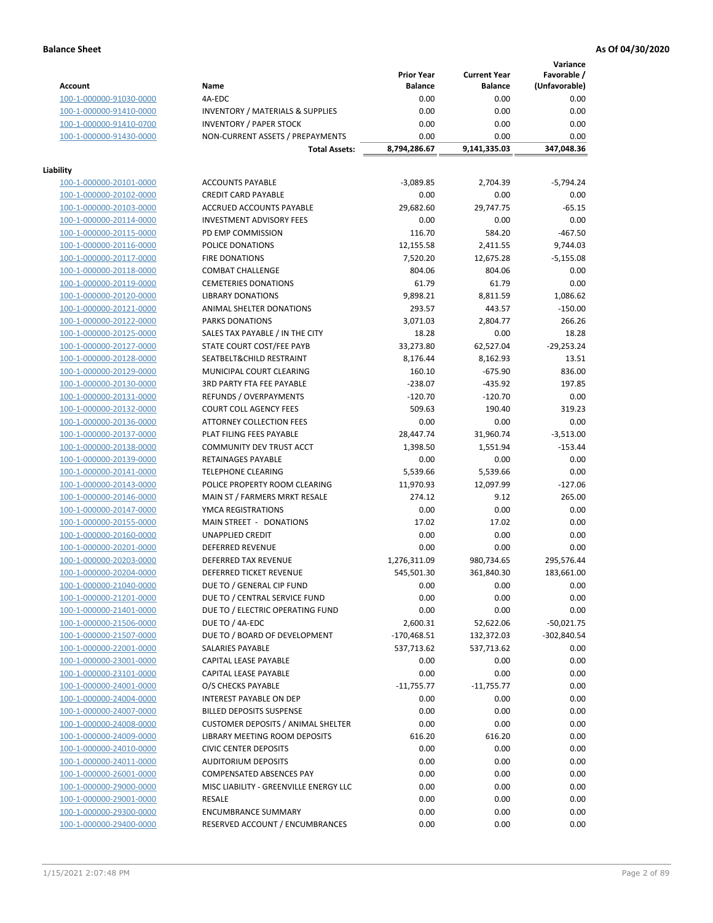**Variance**

|                         |                                                     | <b>Prior Year</b> | <b>Current Year</b> | Favorable /   |
|-------------------------|-----------------------------------------------------|-------------------|---------------------|---------------|
| <b>Account</b>          | Name                                                | <b>Balance</b>    | <b>Balance</b>      | (Unfavorable) |
| 100-1-000000-91030-0000 | 4A-EDC                                              | 0.00              | 0.00                | 0.00          |
| 100-1-000000-91410-0000 | <b>INVENTORY / MATERIALS &amp; SUPPLIES</b>         | 0.00              | 0.00                | 0.00          |
| 100-1-000000-91410-0700 | <b>INVENTORY / PAPER STOCK</b>                      | 0.00              | 0.00                | 0.00          |
| 100-1-000000-91430-0000 | NON-CURRENT ASSETS / PREPAYMENTS                    | 0.00              | 0.00                | 0.00          |
|                         | <b>Total Assets:</b>                                | 8,794,286.67      | 9,141,335.03        | 347,048.36    |
|                         |                                                     |                   |                     |               |
| Liability               |                                                     |                   |                     |               |
| 100-1-000000-20101-0000 | <b>ACCOUNTS PAYABLE</b>                             | $-3,089.85$       | 2,704.39            | $-5,794.24$   |
| 100-1-000000-20102-0000 | <b>CREDIT CARD PAYABLE</b>                          | 0.00              | 0.00                | 0.00          |
| 100-1-000000-20103-0000 | ACCRUED ACCOUNTS PAYABLE                            | 29,682.60         | 29,747.75           | $-65.15$      |
| 100-1-000000-20114-0000 | <b>INVESTMENT ADVISORY FEES</b>                     | 0.00              | 0.00                | 0.00          |
| 100-1-000000-20115-0000 | PD EMP COMMISSION                                   | 116.70            | 584.20              | $-467.50$     |
| 100-1-000000-20116-0000 | POLICE DONATIONS                                    | 12,155.58         | 2,411.55            | 9,744.03      |
| 100-1-000000-20117-0000 | <b>FIRE DONATIONS</b>                               | 7,520.20          | 12,675.28           | $-5,155.08$   |
| 100-1-000000-20118-0000 | <b>COMBAT CHALLENGE</b>                             | 804.06            | 804.06              | 0.00          |
| 100-1-000000-20119-0000 | <b>CEMETERIES DONATIONS</b>                         | 61.79             | 61.79               | 0.00          |
| 100-1-000000-20120-0000 | <b>LIBRARY DONATIONS</b>                            | 9,898.21          | 8,811.59            | 1,086.62      |
| 100-1-000000-20121-0000 | ANIMAL SHELTER DONATIONS                            | 293.57            | 443.57              | $-150.00$     |
| 100-1-000000-20122-0000 | <b>PARKS DONATIONS</b>                              | 3,071.03          | 2,804.77            | 266.26        |
| 100-1-000000-20125-0000 | SALES TAX PAYABLE / IN THE CITY                     | 18.28             | 0.00                | 18.28         |
| 100-1-000000-20127-0000 | STATE COURT COST/FEE PAYB                           | 33,273.80         | 62,527.04           | $-29,253.24$  |
| 100-1-000000-20128-0000 | SEATBELT&CHILD RESTRAINT                            | 8,176.44          | 8,162.93            | 13.51         |
| 100-1-000000-20129-0000 | MUNICIPAL COURT CLEARING                            | 160.10            | $-675.90$           | 836.00        |
| 100-1-000000-20130-0000 | 3RD PARTY FTA FEE PAYABLE                           | $-238.07$         | $-435.92$           | 197.85        |
| 100-1-000000-20131-0000 | REFUNDS / OVERPAYMENTS                              | $-120.70$         | $-120.70$           | 0.00          |
| 100-1-000000-20132-0000 | <b>COURT COLL AGENCY FEES</b>                       | 509.63            | 190.40              | 319.23        |
| 100-1-000000-20136-0000 | <b>ATTORNEY COLLECTION FEES</b>                     | 0.00              | 0.00                | 0.00          |
| 100-1-000000-20137-0000 | PLAT FILING FEES PAYABLE                            | 28,447.74         | 31,960.74           | $-3,513.00$   |
| 100-1-000000-20138-0000 | COMMUNITY DEV TRUST ACCT                            | 1,398.50          | 1,551.94            | $-153.44$     |
| 100-1-000000-20139-0000 | RETAINAGES PAYABLE                                  | 0.00              | 0.00                | 0.00          |
| 100-1-000000-20141-0000 | <b>TELEPHONE CLEARING</b>                           | 5,539.66          | 5,539.66            | 0.00          |
| 100-1-000000-20143-0000 | POLICE PROPERTY ROOM CLEARING                       | 11,970.93         | 12,097.99           | $-127.06$     |
| 100-1-000000-20146-0000 | MAIN ST / FARMERS MRKT RESALE                       | 274.12            | 9.12                | 265.00        |
| 100-1-000000-20147-0000 | YMCA REGISTRATIONS                                  | 0.00              | 0.00                | 0.00          |
| 100-1-000000-20155-0000 | MAIN STREET - DONATIONS                             | 17.02             | 17.02               | 0.00          |
| 100-1-000000-20160-0000 | <b>UNAPPLIED CREDIT</b>                             | 0.00              | 0.00                | 0.00          |
| 100-1-000000-20201-0000 | <b>DEFERRED REVENUE</b>                             | 0.00              | 0.00                | 0.00          |
| 100-1-000000-20203-0000 | DEFERRED TAX REVENUE                                | 1,276,311.09      | 980,734.65          | 295,576.44    |
| 100-1-000000-20204-0000 | DEFERRED TICKET REVENUE                             | 545,501.30        | 361,840.30          | 183,661.00    |
| 100-1-000000-21040-0000 | DUE TO / GENERAL CIP FUND                           | 0.00              | 0.00                | 0.00          |
| 100-1-000000-21201-0000 | DUE TO / CENTRAL SERVICE FUND                       | 0.00              | 0.00                | 0.00          |
|                         |                                                     |                   |                     |               |
| 100-1-000000-21401-0000 | DUE TO / ELECTRIC OPERATING FUND<br>DUE TO / 4A-EDC | 0.00              | 0.00                | 0.00          |
| 100-1-000000-21506-0000 |                                                     | 2,600.31          | 52,622.06           | $-50,021.75$  |
| 100-1-000000-21507-0000 | DUE TO / BOARD OF DEVELOPMENT                       | $-170,468.51$     | 132,372.03          | $-302,840.54$ |
| 100-1-000000-22001-0000 | <b>SALARIES PAYABLE</b>                             | 537,713.62        | 537,713.62          | 0.00          |
| 100-1-000000-23001-0000 | CAPITAL LEASE PAYABLE                               | 0.00              | 0.00                | 0.00          |
| 100-1-000000-23101-0000 | CAPITAL LEASE PAYABLE                               | 0.00              | 0.00                | 0.00          |
| 100-1-000000-24001-0000 | O/S CHECKS PAYABLE                                  | $-11,755.77$      | $-11,755.77$        | 0.00          |
| 100-1-000000-24004-0000 | INTEREST PAYABLE ON DEP                             | 0.00              | 0.00                | 0.00          |
| 100-1-000000-24007-0000 | <b>BILLED DEPOSITS SUSPENSE</b>                     | 0.00              | 0.00                | 0.00          |
| 100-1-000000-24008-0000 | <b>CUSTOMER DEPOSITS / ANIMAL SHELTER</b>           | 0.00              | 0.00                | 0.00          |
| 100-1-000000-24009-0000 | LIBRARY MEETING ROOM DEPOSITS                       | 616.20            | 616.20              | 0.00          |
| 100-1-000000-24010-0000 | <b>CIVIC CENTER DEPOSITS</b>                        | 0.00              | 0.00                | 0.00          |
| 100-1-000000-24011-0000 | <b>AUDITORIUM DEPOSITS</b>                          | 0.00              | 0.00                | 0.00          |
| 100-1-000000-26001-0000 | COMPENSATED ABSENCES PAY                            | 0.00              | 0.00                | 0.00          |
| 100-1-000000-29000-0000 | MISC LIABILITY - GREENVILLE ENERGY LLC              | 0.00              | 0.00                | 0.00          |
| 100-1-000000-29001-0000 | <b>RESALE</b>                                       | 0.00              | 0.00                | 0.00          |
| 100-1-000000-29300-0000 | <b>ENCUMBRANCE SUMMARY</b>                          | 0.00              | 0.00                | 0.00          |
| 100-1-000000-29400-0000 | RESERVED ACCOUNT / ENCUMBRANCES                     | 0.00              | 0.00                | 0.00          |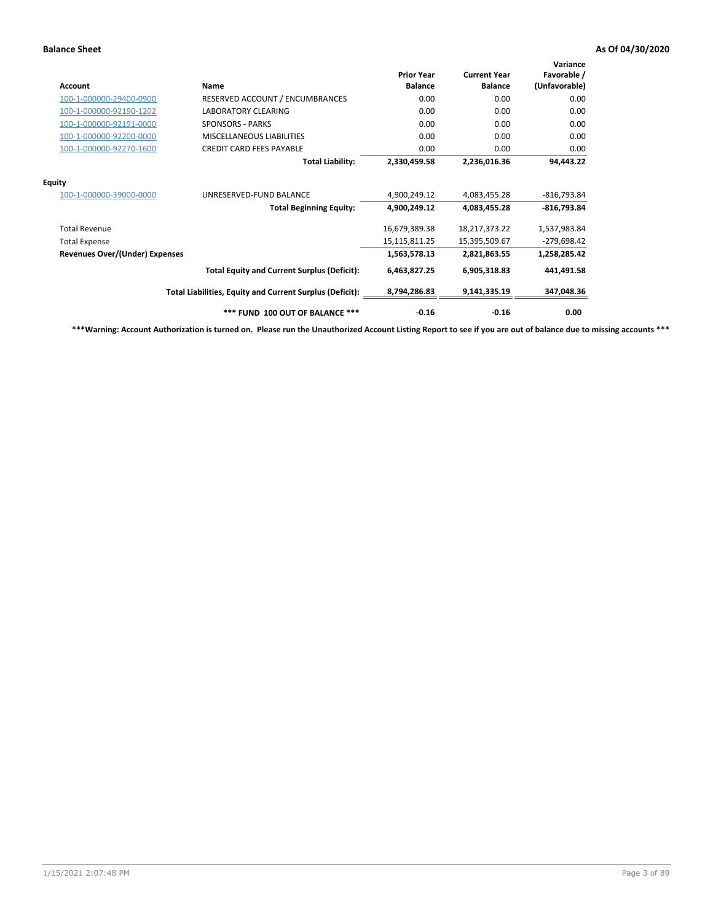| <b>Account</b>                        | Name                                                     | <b>Prior Year</b><br><b>Balance</b> | <b>Current Year</b><br><b>Balance</b> | Variance<br>Favorable /<br>(Unfavorable) |
|---------------------------------------|----------------------------------------------------------|-------------------------------------|---------------------------------------|------------------------------------------|
| 100-1-000000-29400-0900               | RESERVED ACCOUNT / ENCUMBRANCES                          | 0.00                                | 0.00                                  | 0.00                                     |
| 100-1-000000-92190-1202               | LABORATORY CLEARING                                      | 0.00                                | 0.00                                  | 0.00                                     |
| 100-1-000000-92191-0000               | <b>SPONSORS - PARKS</b>                                  | 0.00                                | 0.00                                  | 0.00                                     |
| 100-1-000000-92200-0000               | MISCELLANEOUS LIABILITIES                                | 0.00                                | 0.00                                  | 0.00                                     |
| 100-1-000000-92270-1600               | <b>CREDIT CARD FEES PAYABLE</b>                          | 0.00                                | 0.00                                  | 0.00                                     |
|                                       | <b>Total Liability:</b>                                  | 2,330,459.58                        | 2,236,016.36                          | 94,443.22                                |
| <b>Equity</b>                         |                                                          |                                     |                                       |                                          |
| 100-1-000000-39000-0000               | UNRESERVED-FUND BALANCE                                  | 4,900,249.12                        | 4,083,455.28                          | $-816,793.84$                            |
|                                       | <b>Total Beginning Equity:</b>                           | 4,900,249.12                        | 4,083,455.28                          | $-816,793.84$                            |
| <b>Total Revenue</b>                  |                                                          | 16,679,389.38                       | 18,217,373.22                         | 1,537,983.84                             |
| <b>Total Expense</b>                  |                                                          | 15,115,811.25                       | 15,395,509.67                         | $-279,698.42$                            |
| <b>Revenues Over/(Under) Expenses</b> |                                                          | 1,563,578.13                        | 2,821,863.55                          | 1,258,285.42                             |
|                                       | <b>Total Equity and Current Surplus (Deficit):</b>       | 6,463,827.25                        | 6,905,318.83                          | 441,491.58                               |
|                                       | Total Liabilities, Equity and Current Surplus (Deficit): | 8,794,286.83                        | 9,141,335.19                          | 347,048.36                               |
|                                       | *** FUND 100 OUT OF BALANCE ***                          | $-0.16$                             | $-0.16$                               | 0.00                                     |

**\*\*\*Warning: Account Authorization is turned on. Please run the Unauthorized Account Listing Report to see if you are out of balance due to missing accounts \*\*\***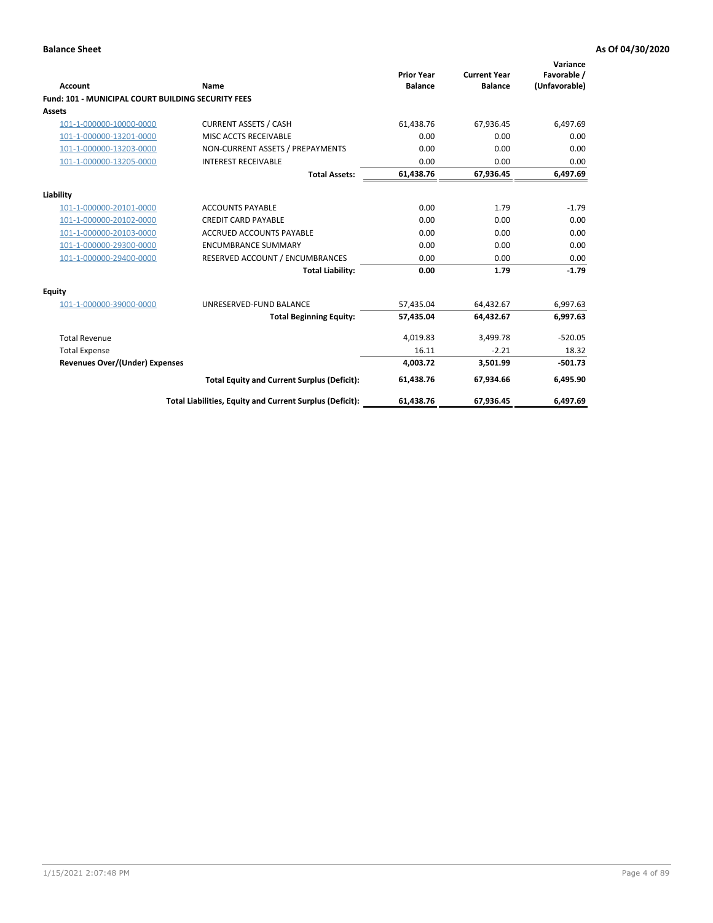| Account                                                   | Name                                                     | <b>Prior Year</b><br><b>Balance</b> | <b>Current Year</b><br><b>Balance</b> | Variance<br>Favorable /<br>(Unfavorable) |
|-----------------------------------------------------------|----------------------------------------------------------|-------------------------------------|---------------------------------------|------------------------------------------|
| <b>Fund: 101 - MUNICIPAL COURT BUILDING SECURITY FEES</b> |                                                          |                                     |                                       |                                          |
| Assets                                                    |                                                          |                                     |                                       |                                          |
| 101-1-000000-10000-0000                                   | <b>CURRENT ASSETS / CASH</b>                             | 61,438.76                           | 67,936.45                             | 6,497.69                                 |
| 101-1-000000-13201-0000                                   | MISC ACCTS RECEIVABLE                                    | 0.00                                | 0.00                                  | 0.00                                     |
| 101-1-000000-13203-0000                                   | NON-CURRENT ASSETS / PREPAYMENTS                         | 0.00                                | 0.00                                  | 0.00                                     |
| 101-1-000000-13205-0000                                   | <b>INTEREST RECEIVABLE</b>                               | 0.00                                | 0.00                                  | 0.00                                     |
|                                                           | <b>Total Assets:</b>                                     | 61,438.76                           | 67,936.45                             | 6,497.69                                 |
| Liability                                                 |                                                          |                                     |                                       |                                          |
| 101-1-000000-20101-0000                                   | <b>ACCOUNTS PAYABLE</b>                                  | 0.00                                | 1.79                                  | $-1.79$                                  |
| 101-1-000000-20102-0000                                   | <b>CREDIT CARD PAYABLE</b>                               | 0.00                                | 0.00                                  | 0.00                                     |
| 101-1-000000-20103-0000                                   | <b>ACCRUED ACCOUNTS PAYABLE</b>                          | 0.00                                | 0.00                                  | 0.00                                     |
| 101-1-000000-29300-0000                                   | <b>ENCUMBRANCE SUMMARY</b>                               | 0.00                                | 0.00                                  | 0.00                                     |
| 101-1-000000-29400-0000                                   | RESERVED ACCOUNT / ENCUMBRANCES                          | 0.00                                | 0.00                                  | 0.00                                     |
|                                                           | <b>Total Liability:</b>                                  | 0.00                                | 1.79                                  | $-1.79$                                  |
| <b>Equity</b>                                             |                                                          |                                     |                                       |                                          |
| 101-1-000000-39000-0000                                   | UNRESERVED-FUND BALANCE                                  | 57,435.04                           | 64,432.67                             | 6,997.63                                 |
|                                                           | <b>Total Beginning Equity:</b>                           | 57,435.04                           | 64,432.67                             | 6,997.63                                 |
| <b>Total Revenue</b>                                      |                                                          | 4,019.83                            | 3,499.78                              | $-520.05$                                |
| <b>Total Expense</b>                                      |                                                          | 16.11                               | $-2.21$                               | 18.32                                    |
| Revenues Over/(Under) Expenses                            |                                                          | 4,003.72                            | 3,501.99                              | $-501.73$                                |
|                                                           | <b>Total Equity and Current Surplus (Deficit):</b>       | 61,438.76                           | 67,934.66                             | 6,495.90                                 |
|                                                           | Total Liabilities, Equity and Current Surplus (Deficit): | 61,438.76                           | 67,936.45                             | 6,497.69                                 |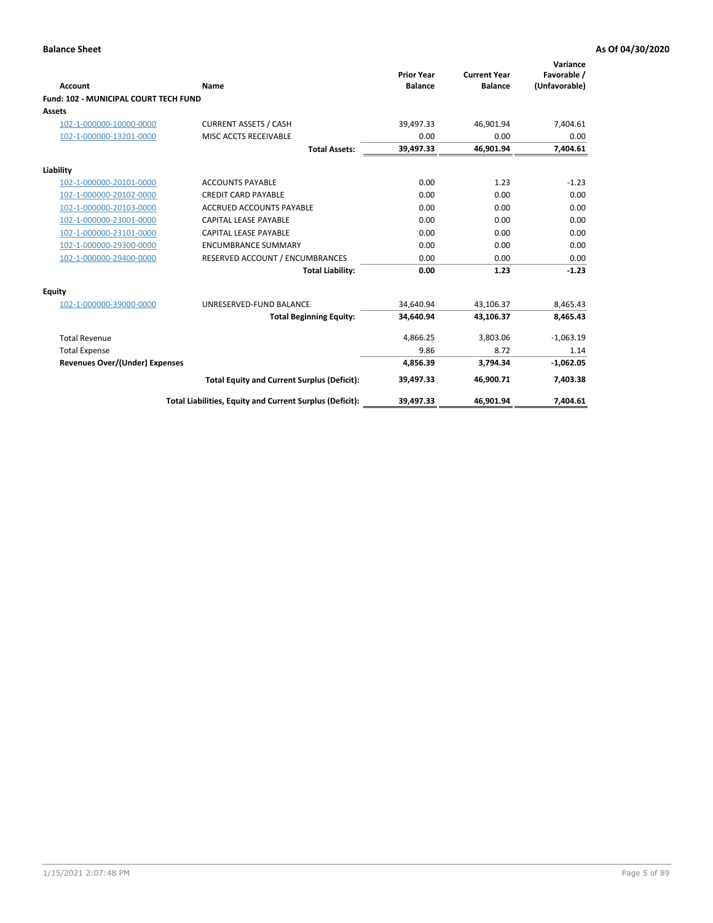| Account                                      | Name                                                     | <b>Prior Year</b><br><b>Balance</b> | <b>Current Year</b><br><b>Balance</b> | Variance<br>Favorable /<br>(Unfavorable) |
|----------------------------------------------|----------------------------------------------------------|-------------------------------------|---------------------------------------|------------------------------------------|
| <b>Fund: 102 - MUNICIPAL COURT TECH FUND</b> |                                                          |                                     |                                       |                                          |
| Assets                                       |                                                          |                                     |                                       |                                          |
| 102-1-000000-10000-0000                      | <b>CURRENT ASSETS / CASH</b>                             | 39,497.33                           | 46,901.94                             | 7,404.61                                 |
| 102-1-000000-13201-0000                      | MISC ACCTS RECEIVABLE                                    | 0.00                                | 0.00                                  | 0.00                                     |
|                                              | <b>Total Assets:</b>                                     | 39,497.33                           | 46,901.94                             | 7,404.61                                 |
| Liability                                    |                                                          |                                     |                                       |                                          |
| 102-1-000000-20101-0000                      | <b>ACCOUNTS PAYABLE</b>                                  | 0.00                                | 1.23                                  | $-1.23$                                  |
| 102-1-000000-20102-0000                      | <b>CREDIT CARD PAYABLE</b>                               | 0.00                                | 0.00                                  | 0.00                                     |
| 102-1-000000-20103-0000                      | <b>ACCRUED ACCOUNTS PAYABLE</b>                          | 0.00                                | 0.00                                  | 0.00                                     |
| 102-1-000000-23001-0000                      | <b>CAPITAL LEASE PAYABLE</b>                             | 0.00                                | 0.00                                  | 0.00                                     |
| 102-1-000000-23101-0000                      | <b>CAPITAL LEASE PAYABLE</b>                             | 0.00                                | 0.00                                  | 0.00                                     |
| 102-1-000000-29300-0000                      | <b>ENCUMBRANCE SUMMARY</b>                               | 0.00                                | 0.00                                  | 0.00                                     |
| 102-1-000000-29400-0000                      | RESERVED ACCOUNT / ENCUMBRANCES                          | 0.00                                | 0.00                                  | 0.00                                     |
|                                              | <b>Total Liability:</b>                                  | 0.00                                | 1.23                                  | $-1.23$                                  |
| <b>Equity</b>                                |                                                          |                                     |                                       |                                          |
| 102-1-000000-39000-0000                      | UNRESERVED-FUND BALANCE                                  | 34,640.94                           | 43,106.37                             | 8,465.43                                 |
|                                              | <b>Total Beginning Equity:</b>                           | 34,640.94                           | 43,106.37                             | 8,465.43                                 |
| <b>Total Revenue</b>                         |                                                          | 4,866.25                            | 3,803.06                              | $-1,063.19$                              |
| <b>Total Expense</b>                         |                                                          | 9.86                                | 8.72                                  | 1.14                                     |
| <b>Revenues Over/(Under) Expenses</b>        |                                                          | 4,856.39                            | 3.794.34                              | $-1,062.05$                              |
|                                              | <b>Total Equity and Current Surplus (Deficit):</b>       | 39,497.33                           | 46,900.71                             | 7,403.38                                 |
|                                              | Total Liabilities, Equity and Current Surplus (Deficit): | 39,497.33                           | 46,901.94                             | 7,404.61                                 |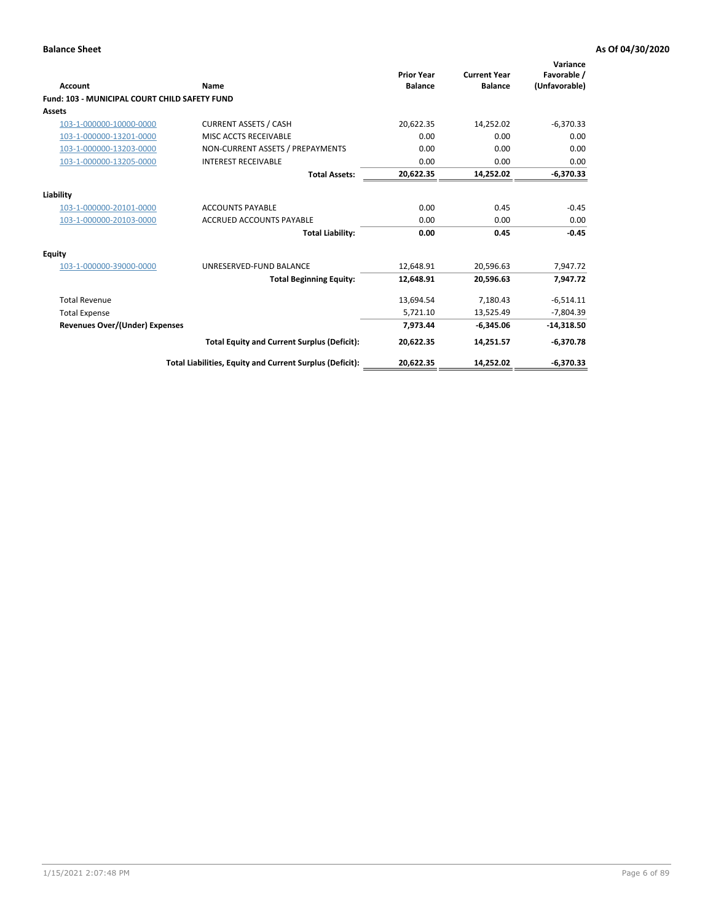| <b>Account</b>                                       | Name                                                     | <b>Prior Year</b><br><b>Balance</b> | <b>Current Year</b><br><b>Balance</b> | Variance<br>Favorable /<br>(Unfavorable) |
|------------------------------------------------------|----------------------------------------------------------|-------------------------------------|---------------------------------------|------------------------------------------|
| <b>Fund: 103 - MUNICIPAL COURT CHILD SAFETY FUND</b> |                                                          |                                     |                                       |                                          |
| <b>Assets</b>                                        |                                                          |                                     |                                       |                                          |
| 103-1-000000-10000-0000                              | <b>CURRENT ASSETS / CASH</b>                             | 20,622.35                           | 14,252.02                             | $-6,370.33$                              |
| 103-1-000000-13201-0000                              | MISC ACCTS RECEIVABLE                                    | 0.00                                | 0.00                                  | 0.00                                     |
| 103-1-000000-13203-0000                              | NON-CURRENT ASSETS / PREPAYMENTS                         | 0.00                                | 0.00                                  | 0.00                                     |
| 103-1-000000-13205-0000                              | <b>INTEREST RECEIVABLE</b>                               | 0.00                                | 0.00                                  | 0.00                                     |
|                                                      | <b>Total Assets:</b>                                     | 20,622.35                           | 14,252.02                             | $-6,370.33$                              |
| Liability                                            |                                                          |                                     |                                       |                                          |
| 103-1-000000-20101-0000                              | <b>ACCOUNTS PAYABLE</b>                                  | 0.00                                | 0.45                                  | $-0.45$                                  |
| 103-1-000000-20103-0000                              | <b>ACCRUED ACCOUNTS PAYABLE</b>                          | 0.00                                | 0.00                                  | 0.00                                     |
|                                                      | <b>Total Liability:</b>                                  | 0.00                                | 0.45                                  | $-0.45$                                  |
| Equity                                               |                                                          |                                     |                                       |                                          |
| 103-1-000000-39000-0000                              | UNRESERVED-FUND BALANCE                                  | 12,648.91                           | 20,596.63                             | 7,947.72                                 |
|                                                      | <b>Total Beginning Equity:</b>                           | 12,648.91                           | 20.596.63                             | 7.947.72                                 |
| <b>Total Revenue</b>                                 |                                                          | 13,694.54                           | 7,180.43                              | $-6,514.11$                              |
| <b>Total Expense</b>                                 |                                                          | 5,721.10                            | 13,525.49                             | $-7,804.39$                              |
| <b>Revenues Over/(Under) Expenses</b>                |                                                          | 7.973.44                            | $-6.345.06$                           | $-14,318.50$                             |
|                                                      | <b>Total Equity and Current Surplus (Deficit):</b>       | 20,622.35                           | 14,251.57                             | $-6,370.78$                              |
|                                                      | Total Liabilities, Equity and Current Surplus (Deficit): | 20,622.35                           | 14,252.02                             | $-6,370.33$                              |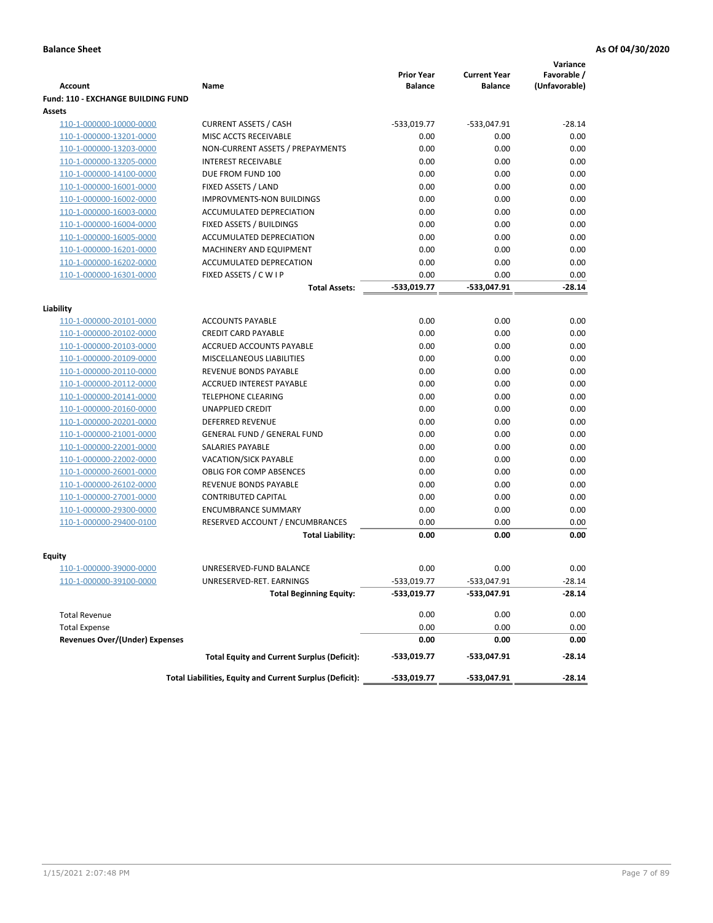|                                           |                                                          |                                     |                                       | Variance                     |
|-------------------------------------------|----------------------------------------------------------|-------------------------------------|---------------------------------------|------------------------------|
| <b>Account</b>                            | Name                                                     | <b>Prior Year</b><br><b>Balance</b> | <b>Current Year</b><br><b>Balance</b> | Favorable /<br>(Unfavorable) |
| <b>Fund: 110 - EXCHANGE BUILDING FUND</b> |                                                          |                                     |                                       |                              |
| Assets                                    |                                                          |                                     |                                       |                              |
| 110-1-000000-10000-0000                   | <b>CURRENT ASSETS / CASH</b>                             | -533,019.77                         | -533,047.91                           | $-28.14$                     |
| 110-1-000000-13201-0000                   | MISC ACCTS RECEIVABLE                                    | 0.00                                | 0.00                                  | 0.00                         |
| 110-1-000000-13203-0000                   | NON-CURRENT ASSETS / PREPAYMENTS                         | 0.00                                | 0.00                                  | 0.00                         |
| 110-1-000000-13205-0000                   | <b>INTEREST RECEIVABLE</b>                               | 0.00                                | 0.00                                  | 0.00                         |
| 110-1-000000-14100-0000                   | DUE FROM FUND 100                                        | 0.00                                | 0.00                                  | 0.00                         |
| 110-1-000000-16001-0000                   | FIXED ASSETS / LAND                                      | 0.00                                | 0.00                                  | 0.00                         |
| 110-1-000000-16002-0000                   | <b>IMPROVMENTS-NON BUILDINGS</b>                         | 0.00                                | 0.00                                  | 0.00                         |
| 110-1-000000-16003-0000                   | ACCUMULATED DEPRECIATION                                 | 0.00                                | 0.00                                  | 0.00                         |
| 110-1-000000-16004-0000                   | FIXED ASSETS / BUILDINGS                                 | 0.00                                | 0.00                                  | 0.00                         |
| 110-1-000000-16005-0000                   | ACCUMULATED DEPRECIATION                                 | 0.00                                | 0.00                                  | 0.00                         |
| 110-1-000000-16201-0000                   | <b>MACHINERY AND EQUIPMENT</b>                           | 0.00                                | 0.00                                  | 0.00                         |
| 110-1-000000-16202-0000                   | ACCUMULATED DEPRECATION                                  | 0.00                                | 0.00                                  | 0.00                         |
| 110-1-000000-16301-0000                   | FIXED ASSETS / C W I P                                   | 0.00                                | 0.00                                  | 0.00                         |
|                                           | <b>Total Assets:</b>                                     | $-533,019.77$                       | -533,047.91                           | $-28.14$                     |
|                                           |                                                          |                                     |                                       |                              |
| Liability<br>110-1-000000-20101-0000      | <b>ACCOUNTS PAYABLE</b>                                  | 0.00                                | 0.00                                  | 0.00                         |
| 110-1-000000-20102-0000                   | <b>CREDIT CARD PAYABLE</b>                               | 0.00                                | 0.00                                  | 0.00                         |
| 110-1-000000-20103-0000                   | ACCRUED ACCOUNTS PAYABLE                                 | 0.00                                | 0.00                                  | 0.00                         |
| 110-1-000000-20109-0000                   | MISCELLANEOUS LIABILITIES                                | 0.00                                | 0.00                                  | 0.00                         |
| 110-1-000000-20110-0000                   | REVENUE BONDS PAYABLE                                    | 0.00                                | 0.00                                  | 0.00                         |
| 110-1-000000-20112-0000                   | <b>ACCRUED INTEREST PAYABLE</b>                          | 0.00                                | 0.00                                  | 0.00                         |
| 110-1-000000-20141-0000                   | <b>TELEPHONE CLEARING</b>                                | 0.00                                | 0.00                                  | 0.00                         |
| 110-1-000000-20160-0000                   | <b>UNAPPLIED CREDIT</b>                                  | 0.00                                | 0.00                                  | 0.00                         |
| 110-1-000000-20201-0000                   | <b>DEFERRED REVENUE</b>                                  | 0.00                                | 0.00                                  | 0.00                         |
| 110-1-000000-21001-0000                   | <b>GENERAL FUND / GENERAL FUND</b>                       | 0.00                                | 0.00                                  | 0.00                         |
| 110-1-000000-22001-0000                   | SALARIES PAYABLE                                         | 0.00                                | 0.00                                  | 0.00                         |
| 110-1-000000-22002-0000                   | <b>VACATION/SICK PAYABLE</b>                             | 0.00                                | 0.00                                  | 0.00                         |
| 110-1-000000-26001-0000                   | <b>OBLIG FOR COMP ABSENCES</b>                           | 0.00                                | 0.00                                  | 0.00                         |
| 110-1-000000-26102-0000                   | REVENUE BONDS PAYABLE                                    | 0.00                                | 0.00                                  | 0.00                         |
| 110-1-000000-27001-0000                   | <b>CONTRIBUTED CAPITAL</b>                               | 0.00                                | 0.00                                  | 0.00                         |
| 110-1-000000-29300-0000                   | <b>ENCUMBRANCE SUMMARY</b>                               | 0.00                                | 0.00                                  | 0.00                         |
| 110-1-000000-29400-0100                   | RESERVED ACCOUNT / ENCUMBRANCES                          | 0.00                                | 0.00                                  | 0.00                         |
|                                           | <b>Total Liability:</b>                                  | 0.00                                | 0.00                                  | 0.00                         |
|                                           |                                                          |                                     |                                       |                              |
| <b>Equity</b>                             |                                                          |                                     |                                       |                              |
| 110-1-000000-39000-0000                   | UNRESERVED-FUND BALANCE                                  | 0.00                                | 0.00                                  | 0.00                         |
| <u>110-1-000000-39100-0000</u>            | UNRESERVED-RET. EARNINGS                                 | -533,019.77                         | $-533,047.91$                         | $-28.14$                     |
|                                           | <b>Total Beginning Equity:</b>                           | -533,019.77                         | -533,047.91                           | $-28.14$                     |
| <b>Total Revenue</b>                      |                                                          | 0.00                                | 0.00                                  | 0.00                         |
| <b>Total Expense</b>                      |                                                          | 0.00                                | 0.00                                  | 0.00                         |
| <b>Revenues Over/(Under) Expenses</b>     |                                                          | 0.00                                | 0.00                                  | 0.00                         |
|                                           | <b>Total Equity and Current Surplus (Deficit):</b>       | -533,019.77                         | -533,047.91                           | -28.14                       |
|                                           | Total Liabilities, Equity and Current Surplus (Deficit): | -533,019.77                         | -533,047.91                           | $-28.14$                     |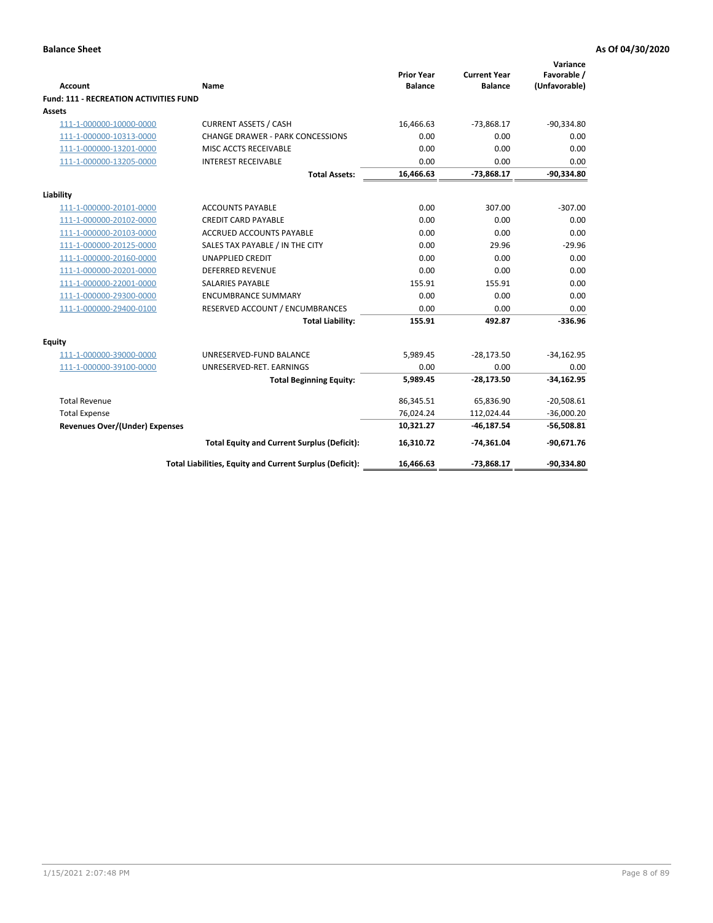|                                               |                                                          | <b>Prior Year</b> | <b>Current Year</b> | Variance<br>Favorable / |
|-----------------------------------------------|----------------------------------------------------------|-------------------|---------------------|-------------------------|
| Account                                       | Name                                                     | <b>Balance</b>    | <b>Balance</b>      | (Unfavorable)           |
| <b>Fund: 111 - RECREATION ACTIVITIES FUND</b> |                                                          |                   |                     |                         |
| Assets                                        |                                                          |                   |                     |                         |
| 111-1-000000-10000-0000                       | <b>CURRENT ASSETS / CASH</b>                             | 16,466.63         | $-73,868.17$        | $-90,334.80$            |
| 111-1-000000-10313-0000                       | <b>CHANGE DRAWER - PARK CONCESSIONS</b>                  | 0.00              | 0.00                | 0.00                    |
| 111-1-000000-13201-0000                       | MISC ACCTS RECEIVABLE                                    | 0.00              | 0.00                | 0.00                    |
| 111-1-000000-13205-0000                       | <b>INTEREST RECEIVABLE</b>                               | 0.00              | 0.00                | 0.00                    |
|                                               | <b>Total Assets:</b>                                     | 16,466.63         | $-73,868.17$        | $-90,334.80$            |
| Liability                                     |                                                          |                   |                     |                         |
| 111-1-000000-20101-0000                       | <b>ACCOUNTS PAYABLE</b>                                  | 0.00              | 307.00              | $-307.00$               |
| 111-1-000000-20102-0000                       | <b>CREDIT CARD PAYABLE</b>                               | 0.00              | 0.00                | 0.00                    |
| 111-1-000000-20103-0000                       | ACCRUED ACCOUNTS PAYABLE                                 | 0.00              | 0.00                | 0.00                    |
| 111-1-000000-20125-0000                       | SALES TAX PAYABLE / IN THE CITY                          | 0.00              | 29.96               | $-29.96$                |
| 111-1-000000-20160-0000                       | <b>UNAPPLIED CREDIT</b>                                  | 0.00              | 0.00                | 0.00                    |
| 111-1-000000-20201-0000                       | <b>DEFERRED REVENUE</b>                                  | 0.00              | 0.00                | 0.00                    |
| 111-1-000000-22001-0000                       | <b>SALARIES PAYABLE</b>                                  | 155.91            | 155.91              | 0.00                    |
| 111-1-000000-29300-0000                       | <b>ENCUMBRANCE SUMMARY</b>                               | 0.00              | 0.00                | 0.00                    |
| 111-1-000000-29400-0100                       | RESERVED ACCOUNT / ENCUMBRANCES                          | 0.00              | 0.00                | 0.00                    |
|                                               | <b>Total Liability:</b>                                  | 155.91            | 492.87              | $-336.96$               |
| <b>Equity</b>                                 |                                                          |                   |                     |                         |
| 111-1-000000-39000-0000                       | UNRESERVED-FUND BALANCE                                  | 5,989.45          | $-28,173.50$        | $-34,162.95$            |
| 111-1-000000-39100-0000                       | UNRESERVED-RET. EARNINGS                                 | 0.00              | 0.00                | 0.00                    |
|                                               | <b>Total Beginning Equity:</b>                           | 5,989.45          | $-28,173.50$        | $-34,162.95$            |
| <b>Total Revenue</b>                          |                                                          | 86,345.51         | 65,836.90           | $-20,508.61$            |
| <b>Total Expense</b>                          |                                                          | 76,024.24         | 112,024.44          | $-36,000.20$            |
| <b>Revenues Over/(Under) Expenses</b>         |                                                          | 10,321.27         | $-46,187.54$        | $-56,508.81$            |
|                                               | <b>Total Equity and Current Surplus (Deficit):</b>       | 16,310.72         | $-74,361.04$        | $-90,671.76$            |
|                                               | Total Liabilities, Equity and Current Surplus (Deficit): | 16,466.63         | $-73,868.17$        | $-90,334.80$            |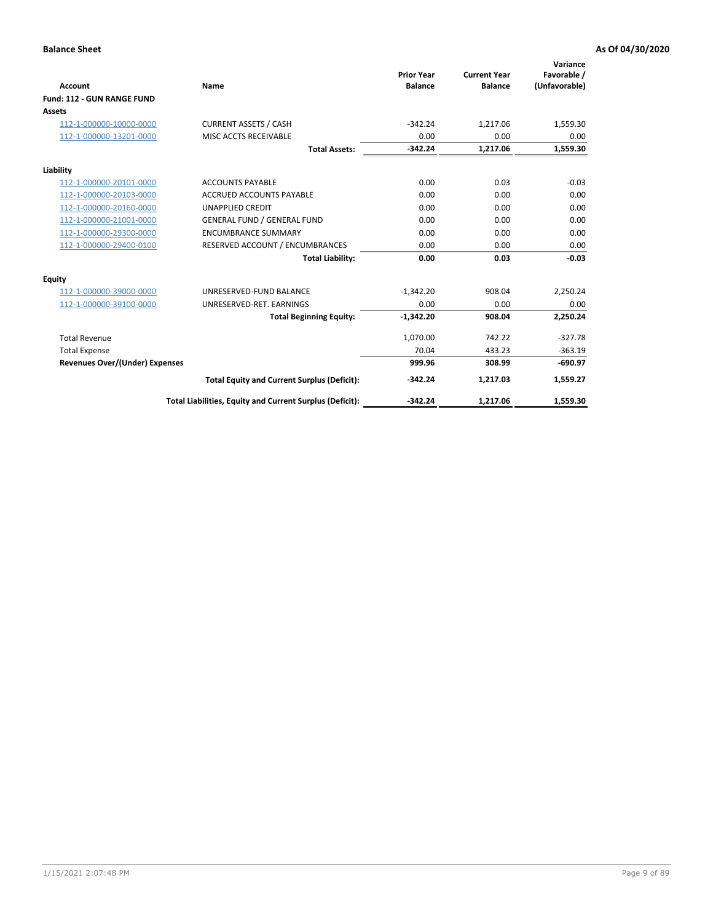|                                       |                                                          |                                     |                                       | Variance                     |
|---------------------------------------|----------------------------------------------------------|-------------------------------------|---------------------------------------|------------------------------|
| <b>Account</b>                        | Name                                                     | <b>Prior Year</b><br><b>Balance</b> | <b>Current Year</b><br><b>Balance</b> | Favorable /<br>(Unfavorable) |
| Fund: 112 - GUN RANGE FUND            |                                                          |                                     |                                       |                              |
| <b>Assets</b>                         |                                                          |                                     |                                       |                              |
| 112-1-000000-10000-0000               | <b>CURRENT ASSETS / CASH</b>                             | $-342.24$                           | 1,217.06                              | 1,559.30                     |
| 112-1-000000-13201-0000               | MISC ACCTS RECEIVABLE                                    | 0.00                                | 0.00                                  | 0.00                         |
|                                       | <b>Total Assets:</b>                                     | $-342.24$                           | 1,217.06                              | 1,559.30                     |
| Liability                             |                                                          |                                     |                                       |                              |
| 112-1-000000-20101-0000               | <b>ACCOUNTS PAYABLE</b>                                  | 0.00                                | 0.03                                  | $-0.03$                      |
| 112-1-000000-20103-0000               | <b>ACCRUED ACCOUNTS PAYABLE</b>                          | 0.00                                | 0.00                                  | 0.00                         |
| 112-1-000000-20160-0000               | <b>UNAPPLIED CREDIT</b>                                  | 0.00                                | 0.00                                  | 0.00                         |
| 112-1-000000-21001-0000               | <b>GENERAL FUND / GENERAL FUND</b>                       | 0.00                                | 0.00                                  | 0.00                         |
| 112-1-000000-29300-0000               | <b>ENCUMBRANCE SUMMARY</b>                               | 0.00                                | 0.00                                  | 0.00                         |
| 112-1-000000-29400-0100               | RESERVED ACCOUNT / ENCUMBRANCES                          | 0.00                                | 0.00                                  | 0.00                         |
|                                       | <b>Total Liability:</b>                                  | 0.00                                | 0.03                                  | $-0.03$                      |
| Equity                                |                                                          |                                     |                                       |                              |
| 112-1-000000-39000-0000               | UNRESERVED-FUND BALANCE                                  | $-1,342.20$                         | 908.04                                | 2,250.24                     |
| 112-1-000000-39100-0000               | UNRESERVED-RET. EARNINGS                                 | 0.00                                | 0.00                                  | 0.00                         |
|                                       | <b>Total Beginning Equity:</b>                           | $-1,342.20$                         | 908.04                                | 2,250.24                     |
| <b>Total Revenue</b>                  |                                                          | 1,070.00                            | 742.22                                | $-327.78$                    |
| <b>Total Expense</b>                  |                                                          | 70.04                               | 433.23                                | $-363.19$                    |
| <b>Revenues Over/(Under) Expenses</b> |                                                          | 999.96                              | 308.99                                | $-690.97$                    |
|                                       | <b>Total Equity and Current Surplus (Deficit):</b>       | $-342.24$                           | 1.217.03                              | 1,559.27                     |
|                                       | Total Liabilities, Equity and Current Surplus (Deficit): | $-342.24$                           | 1,217.06                              | 1,559.30                     |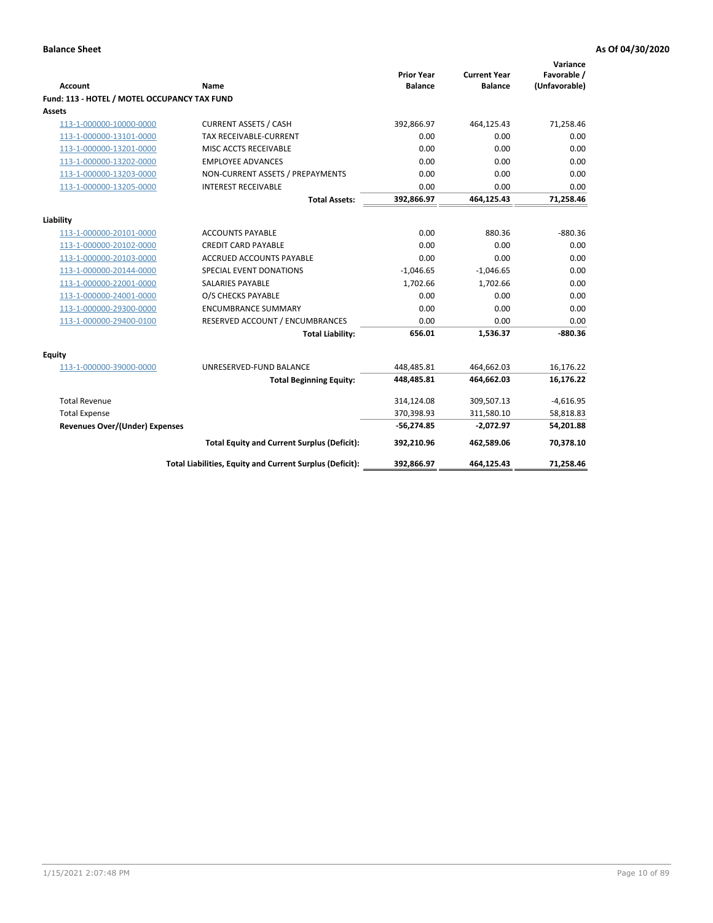| <b>Account</b>                               | <b>Name</b>                                              | <b>Prior Year</b><br><b>Balance</b> | <b>Current Year</b><br><b>Balance</b> | Variance<br>Favorable /<br>(Unfavorable) |
|----------------------------------------------|----------------------------------------------------------|-------------------------------------|---------------------------------------|------------------------------------------|
| Fund: 113 - HOTEL / MOTEL OCCUPANCY TAX FUND |                                                          |                                     |                                       |                                          |
| Assets                                       |                                                          |                                     |                                       |                                          |
| 113-1-000000-10000-0000                      | <b>CURRENT ASSETS / CASH</b>                             | 392,866.97                          | 464,125.43                            | 71,258.46                                |
| 113-1-000000-13101-0000                      | <b>TAX RECEIVABLE-CURRENT</b>                            | 0.00                                | 0.00                                  | 0.00                                     |
| 113-1-000000-13201-0000                      | MISC ACCTS RECEIVABLE                                    | 0.00                                | 0.00                                  | 0.00                                     |
| 113-1-000000-13202-0000                      | <b>EMPLOYEE ADVANCES</b>                                 | 0.00                                | 0.00                                  | 0.00                                     |
| 113-1-000000-13203-0000                      | NON-CURRENT ASSETS / PREPAYMENTS                         | 0.00                                | 0.00                                  | 0.00                                     |
| 113-1-000000-13205-0000                      | <b>INTEREST RECEIVABLE</b>                               | 0.00                                | 0.00                                  | 0.00                                     |
|                                              | <b>Total Assets:</b>                                     | 392,866.97                          | 464,125.43                            | 71,258.46                                |
|                                              |                                                          |                                     |                                       |                                          |
| Liability                                    |                                                          |                                     |                                       |                                          |
| 113-1-000000-20101-0000                      | <b>ACCOUNTS PAYABLE</b>                                  | 0.00                                | 880.36                                | $-880.36$                                |
| 113-1-000000-20102-0000                      | <b>CREDIT CARD PAYABLE</b>                               | 0.00                                | 0.00                                  | 0.00                                     |
| 113-1-000000-20103-0000                      | ACCRUED ACCOUNTS PAYABLE                                 | 0.00                                | 0.00                                  | 0.00                                     |
| 113-1-000000-20144-0000                      | SPECIAL EVENT DONATIONS                                  | $-1,046.65$                         | $-1,046.65$                           | 0.00                                     |
| 113-1-000000-22001-0000                      | <b>SALARIES PAYABLE</b>                                  | 1,702.66                            | 1,702.66                              | 0.00                                     |
| 113-1-000000-24001-0000                      | O/S CHECKS PAYABLE                                       | 0.00                                | 0.00                                  | 0.00                                     |
| 113-1-000000-29300-0000                      | <b>ENCUMBRANCE SUMMARY</b>                               | 0.00                                | 0.00                                  | 0.00                                     |
| 113-1-000000-29400-0100                      | RESERVED ACCOUNT / ENCUMBRANCES                          | 0.00                                | 0.00                                  | 0.00                                     |
|                                              | <b>Total Liability:</b>                                  | 656.01                              | 1,536.37                              | $-880.36$                                |
| Equity                                       |                                                          |                                     |                                       |                                          |
| 113-1-000000-39000-0000                      | UNRESERVED-FUND BALANCE                                  | 448,485.81                          | 464,662.03                            | 16,176.22                                |
|                                              | <b>Total Beginning Equity:</b>                           | 448,485.81                          | 464,662.03                            | 16,176.22                                |
| <b>Total Revenue</b>                         |                                                          | 314,124.08                          | 309,507.13                            | $-4,616.95$                              |
| <b>Total Expense</b>                         |                                                          | 370,398.93                          | 311,580.10                            | 58,818.83                                |
| Revenues Over/(Under) Expenses               |                                                          | $-56,274.85$                        | $-2,072.97$                           | 54,201.88                                |
|                                              | <b>Total Equity and Current Surplus (Deficit):</b>       | 392,210.96                          | 462,589.06                            | 70,378.10                                |
|                                              | Total Liabilities, Equity and Current Surplus (Deficit): | 392,866.97                          | 464,125.43                            | 71,258.46                                |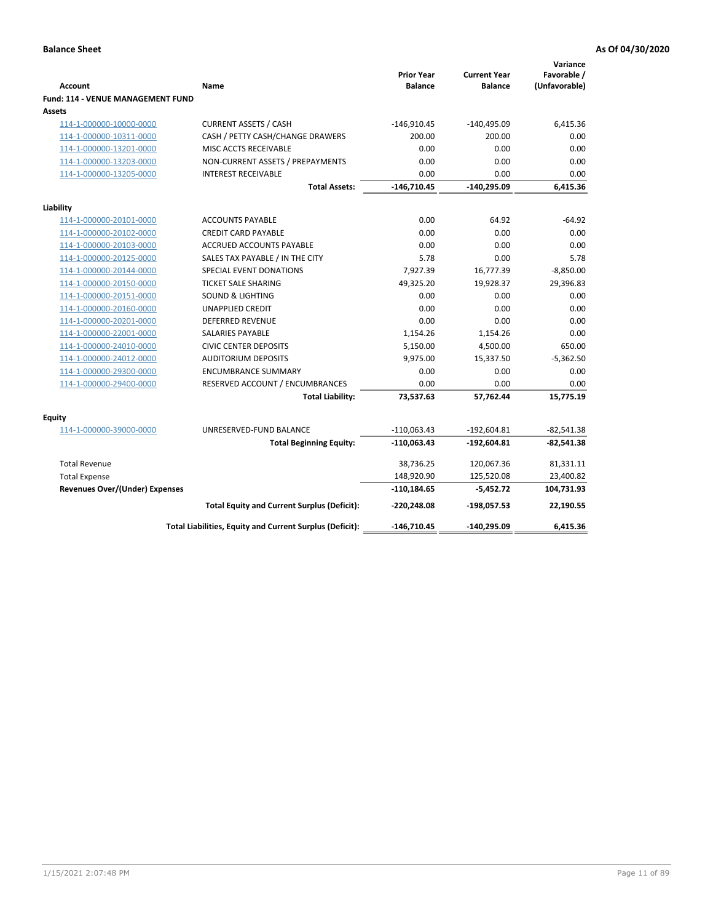| <b>Account</b>                              | <b>Name</b>                                              | <b>Prior Year</b><br><b>Balance</b> | <b>Current Year</b><br><b>Balance</b> | Variance<br>Favorable /<br>(Unfavorable) |
|---------------------------------------------|----------------------------------------------------------|-------------------------------------|---------------------------------------|------------------------------------------|
| Fund: 114 - VENUE MANAGEMENT FUND<br>Assets |                                                          |                                     |                                       |                                          |
| 114-1-000000-10000-0000                     | <b>CURRENT ASSETS / CASH</b>                             | $-146,910.45$                       | $-140,495.09$                         | 6,415.36                                 |
| 114-1-000000-10311-0000                     | CASH / PETTY CASH/CHANGE DRAWERS                         | 200.00                              | 200.00                                | 0.00                                     |
| 114-1-000000-13201-0000                     | MISC ACCTS RECEIVABLE                                    | 0.00                                | 0.00                                  | 0.00                                     |
| 114-1-000000-13203-0000                     | NON-CURRENT ASSETS / PREPAYMENTS                         | 0.00                                | 0.00                                  | 0.00                                     |
| 114-1-000000-13205-0000                     | <b>INTEREST RECEIVABLE</b>                               | 0.00                                | 0.00                                  | 0.00                                     |
|                                             | <b>Total Assets:</b>                                     | $-146,710.45$                       | $-140,295.09$                         | 6,415.36                                 |
| Liability                                   |                                                          |                                     |                                       |                                          |
| 114-1-000000-20101-0000                     | <b>ACCOUNTS PAYABLE</b>                                  | 0.00                                | 64.92                                 | $-64.92$                                 |
| 114-1-000000-20102-0000                     | <b>CREDIT CARD PAYABLE</b>                               | 0.00                                | 0.00                                  | 0.00                                     |
| 114-1-000000-20103-0000                     | <b>ACCRUED ACCOUNTS PAYABLE</b>                          | 0.00                                | 0.00                                  | 0.00                                     |
| 114-1-000000-20125-0000                     | SALES TAX PAYABLE / IN THE CITY                          | 5.78                                | 0.00                                  | 5.78                                     |
| 114-1-000000-20144-0000                     | SPECIAL EVENT DONATIONS                                  | 7,927.39                            | 16,777.39                             | $-8,850.00$                              |
| 114-1-000000-20150-0000                     | <b>TICKET SALE SHARING</b>                               | 49,325.20                           | 19,928.37                             | 29,396.83                                |
| 114-1-000000-20151-0000                     | <b>SOUND &amp; LIGHTING</b>                              | 0.00                                | 0.00                                  | 0.00                                     |
| 114-1-000000-20160-0000                     | <b>UNAPPLIED CREDIT</b>                                  | 0.00                                | 0.00                                  | 0.00                                     |
| 114-1-000000-20201-0000                     | <b>DEFERRED REVENUE</b>                                  | 0.00                                | 0.00                                  | 0.00                                     |
| 114-1-000000-22001-0000                     | SALARIES PAYABLE                                         | 1,154.26                            | 1,154.26                              | 0.00                                     |
| 114-1-000000-24010-0000                     | <b>CIVIC CENTER DEPOSITS</b>                             | 5,150.00                            | 4,500.00                              | 650.00                                   |
| 114-1-000000-24012-0000                     | <b>AUDITORIUM DEPOSITS</b>                               | 9,975.00                            | 15,337.50                             | $-5,362.50$                              |
| 114-1-000000-29300-0000                     | <b>ENCUMBRANCE SUMMARY</b>                               | 0.00                                | 0.00                                  | 0.00                                     |
| 114-1-000000-29400-0000                     | RESERVED ACCOUNT / ENCUMBRANCES                          | 0.00                                | 0.00                                  | 0.00                                     |
|                                             | <b>Total Liability:</b>                                  | 73,537.63                           | 57,762.44                             | 15,775.19                                |
| Equity                                      |                                                          |                                     |                                       |                                          |
| 114-1-000000-39000-0000                     | UNRESERVED-FUND BALANCE                                  | $-110,063.43$                       | $-192,604.81$                         | $-82,541.38$                             |
|                                             | <b>Total Beginning Equity:</b>                           | $-110,063.43$                       | $-192,604.81$                         | $-82,541.38$                             |
| <b>Total Revenue</b>                        |                                                          | 38,736.25                           | 120,067.36                            | 81,331.11                                |
| <b>Total Expense</b>                        |                                                          | 148,920.90                          | 125,520.08                            | 23,400.82                                |
| <b>Revenues Over/(Under) Expenses</b>       |                                                          | $-110,184.65$                       | $-5,452.72$                           | 104,731.93                               |
|                                             | <b>Total Equity and Current Surplus (Deficit):</b>       | -220,248.08                         | -198,057.53                           | 22,190.55                                |
|                                             | Total Liabilities, Equity and Current Surplus (Deficit): | -146,710.45                         | $-140,295.09$                         | 6,415.36                                 |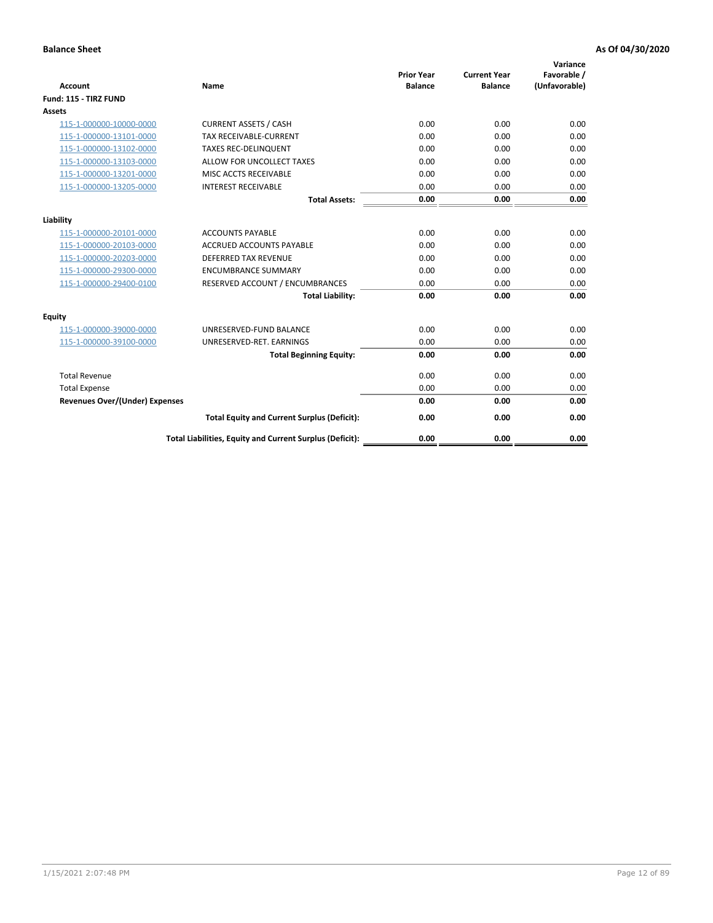| <b>Account</b>                        | <b>Name</b>                                              | <b>Prior Year</b><br><b>Balance</b> | <b>Current Year</b><br><b>Balance</b> | Variance<br>Favorable /<br>(Unfavorable) |
|---------------------------------------|----------------------------------------------------------|-------------------------------------|---------------------------------------|------------------------------------------|
| Fund: 115 - TIRZ FUND                 |                                                          |                                     |                                       |                                          |
| <b>Assets</b>                         |                                                          |                                     |                                       |                                          |
| 115-1-000000-10000-0000               | <b>CURRENT ASSETS / CASH</b>                             | 0.00                                | 0.00                                  | 0.00                                     |
| 115-1-000000-13101-0000               | <b>TAX RECEIVABLE-CURRENT</b>                            | 0.00                                | 0.00                                  | 0.00                                     |
| 115-1-000000-13102-0000               | <b>TAXES REC-DELINQUENT</b>                              | 0.00                                | 0.00                                  | 0.00                                     |
| 115-1-000000-13103-0000               | ALLOW FOR UNCOLLECT TAXES                                | 0.00                                | 0.00                                  | 0.00                                     |
| 115-1-000000-13201-0000               | MISC ACCTS RECEIVABLE                                    | 0.00                                | 0.00                                  | 0.00                                     |
| 115-1-000000-13205-0000               | <b>INTEREST RECEIVABLE</b>                               | 0.00                                | 0.00                                  | 0.00                                     |
|                                       | <b>Total Assets:</b>                                     | 0.00                                | 0.00                                  | 0.00                                     |
| Liability                             |                                                          |                                     |                                       |                                          |
| 115-1-000000-20101-0000               | <b>ACCOUNTS PAYABLE</b>                                  | 0.00                                | 0.00                                  | 0.00                                     |
| 115-1-000000-20103-0000               | <b>ACCRUED ACCOUNTS PAYABLE</b>                          | 0.00                                | 0.00                                  | 0.00                                     |
| 115-1-000000-20203-0000               | <b>DEFERRED TAX REVENUE</b>                              | 0.00                                | 0.00                                  | 0.00                                     |
| 115-1-000000-29300-0000               | <b>ENCUMBRANCE SUMMARY</b>                               | 0.00                                | 0.00                                  | 0.00                                     |
| 115-1-000000-29400-0100               | RESERVED ACCOUNT / ENCUMBRANCES                          | 0.00                                | 0.00                                  | 0.00                                     |
|                                       | <b>Total Liability:</b>                                  | 0.00                                | 0.00                                  | 0.00                                     |
| Equity                                |                                                          |                                     |                                       |                                          |
| 115-1-000000-39000-0000               | UNRESERVED-FUND BALANCE                                  | 0.00                                | 0.00                                  | 0.00                                     |
| 115-1-000000-39100-0000               | UNRESERVED-RET. EARNINGS                                 | 0.00                                | 0.00                                  | 0.00                                     |
|                                       | <b>Total Beginning Equity:</b>                           | 0.00                                | 0.00                                  | 0.00                                     |
| <b>Total Revenue</b>                  |                                                          | 0.00                                | 0.00                                  | 0.00                                     |
| <b>Total Expense</b>                  |                                                          | 0.00                                | 0.00                                  | 0.00                                     |
| <b>Revenues Over/(Under) Expenses</b> |                                                          | 0.00                                | 0.00                                  | 0.00                                     |
|                                       | <b>Total Equity and Current Surplus (Deficit):</b>       | 0.00                                | 0.00                                  | 0.00                                     |
|                                       | Total Liabilities, Equity and Current Surplus (Deficit): | 0.00                                | 0.00                                  | 0.00                                     |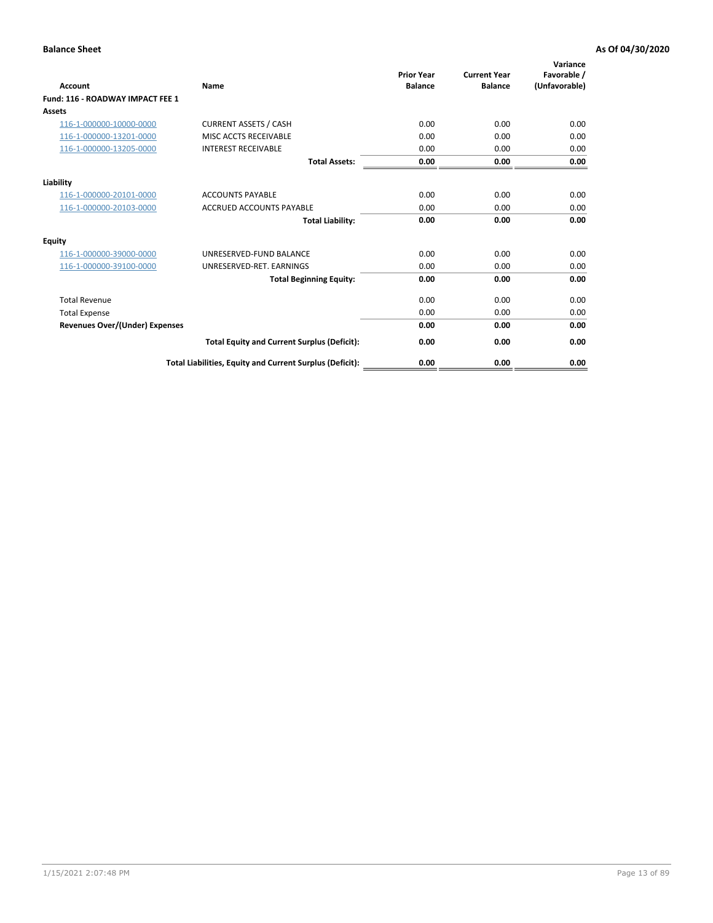| Account                               | Name                                                     | <b>Prior Year</b><br><b>Balance</b> | <b>Current Year</b><br><b>Balance</b> | Variance<br>Favorable /<br>(Unfavorable) |
|---------------------------------------|----------------------------------------------------------|-------------------------------------|---------------------------------------|------------------------------------------|
| Fund: 116 - ROADWAY IMPACT FEE 1      |                                                          |                                     |                                       |                                          |
| Assets                                |                                                          |                                     |                                       |                                          |
| 116-1-000000-10000-0000               | <b>CURRENT ASSETS / CASH</b>                             | 0.00                                | 0.00                                  | 0.00                                     |
| 116-1-000000-13201-0000               | MISC ACCTS RECEIVABLE                                    | 0.00                                | 0.00                                  | 0.00                                     |
| 116-1-000000-13205-0000               | <b>INTEREST RECEIVABLE</b>                               | 0.00                                | 0.00                                  | 0.00                                     |
|                                       | <b>Total Assets:</b>                                     | 0.00                                | 0.00                                  | 0.00                                     |
| Liability                             |                                                          |                                     |                                       |                                          |
| 116-1-000000-20101-0000               | <b>ACCOUNTS PAYABLE</b>                                  | 0.00                                | 0.00                                  | 0.00                                     |
| 116-1-000000-20103-0000               | <b>ACCRUED ACCOUNTS PAYABLE</b>                          | 0.00                                | 0.00                                  | 0.00                                     |
|                                       | <b>Total Liability:</b>                                  | 0.00                                | 0.00                                  | 0.00                                     |
| Equity                                |                                                          |                                     |                                       |                                          |
| 116-1-000000-39000-0000               | UNRESERVED-FUND BALANCE                                  | 0.00                                | 0.00                                  | 0.00                                     |
| 116-1-000000-39100-0000               | UNRESERVED-RET. EARNINGS                                 | 0.00                                | 0.00                                  | 0.00                                     |
|                                       | <b>Total Beginning Equity:</b>                           | 0.00                                | 0.00                                  | 0.00                                     |
| <b>Total Revenue</b>                  |                                                          | 0.00                                | 0.00                                  | 0.00                                     |
| <b>Total Expense</b>                  |                                                          | 0.00                                | 0.00                                  | 0.00                                     |
| <b>Revenues Over/(Under) Expenses</b> |                                                          | 0.00                                | 0.00                                  | 0.00                                     |
|                                       | <b>Total Equity and Current Surplus (Deficit):</b>       | 0.00                                | 0.00                                  | 0.00                                     |
|                                       | Total Liabilities, Equity and Current Surplus (Deficit): | 0.00                                | 0.00                                  | 0.00                                     |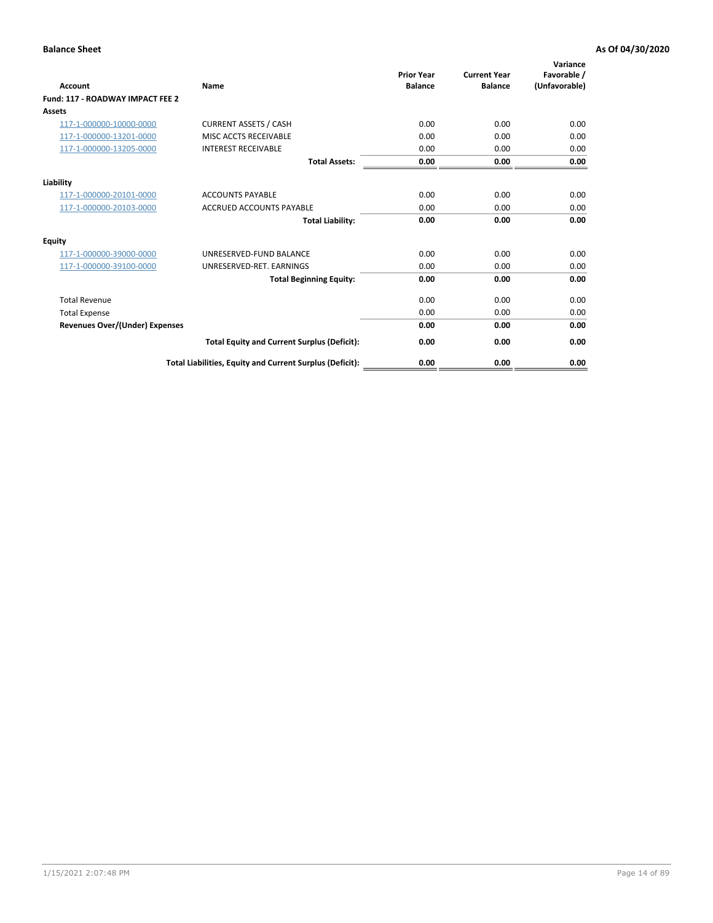| Account                               | Name                                                     | <b>Prior Year</b><br><b>Balance</b> | <b>Current Year</b><br><b>Balance</b> | Variance<br>Favorable /<br>(Unfavorable) |
|---------------------------------------|----------------------------------------------------------|-------------------------------------|---------------------------------------|------------------------------------------|
| Fund: 117 - ROADWAY IMPACT FEE 2      |                                                          |                                     |                                       |                                          |
| Assets                                |                                                          |                                     |                                       |                                          |
| 117-1-000000-10000-0000               | <b>CURRENT ASSETS / CASH</b>                             | 0.00                                | 0.00                                  | 0.00                                     |
| 117-1-000000-13201-0000               | MISC ACCTS RECEIVABLE                                    | 0.00                                | 0.00                                  | 0.00                                     |
| 117-1-000000-13205-0000               | <b>INTEREST RECEIVABLE</b>                               | 0.00                                | 0.00                                  | 0.00                                     |
|                                       | <b>Total Assets:</b>                                     | 0.00                                | 0.00                                  | 0.00                                     |
| Liability                             |                                                          |                                     |                                       |                                          |
| 117-1-000000-20101-0000               | <b>ACCOUNTS PAYABLE</b>                                  | 0.00                                | 0.00                                  | 0.00                                     |
| 117-1-000000-20103-0000               | <b>ACCRUED ACCOUNTS PAYABLE</b>                          | 0.00                                | 0.00                                  | 0.00                                     |
|                                       | <b>Total Liability:</b>                                  | 0.00                                | 0.00                                  | 0.00                                     |
| Equity                                |                                                          |                                     |                                       |                                          |
| 117-1-000000-39000-0000               | UNRESERVED-FUND BALANCE                                  | 0.00                                | 0.00                                  | 0.00                                     |
| 117-1-000000-39100-0000               | UNRESERVED-RET. EARNINGS                                 | 0.00                                | 0.00                                  | 0.00                                     |
|                                       | <b>Total Beginning Equity:</b>                           | 0.00                                | 0.00                                  | 0.00                                     |
| <b>Total Revenue</b>                  |                                                          | 0.00                                | 0.00                                  | 0.00                                     |
| <b>Total Expense</b>                  |                                                          | 0.00                                | 0.00                                  | 0.00                                     |
| <b>Revenues Over/(Under) Expenses</b> |                                                          | 0.00                                | 0.00                                  | 0.00                                     |
|                                       | <b>Total Equity and Current Surplus (Deficit):</b>       | 0.00                                | 0.00                                  | 0.00                                     |
|                                       | Total Liabilities, Equity and Current Surplus (Deficit): | 0.00                                | 0.00                                  | 0.00                                     |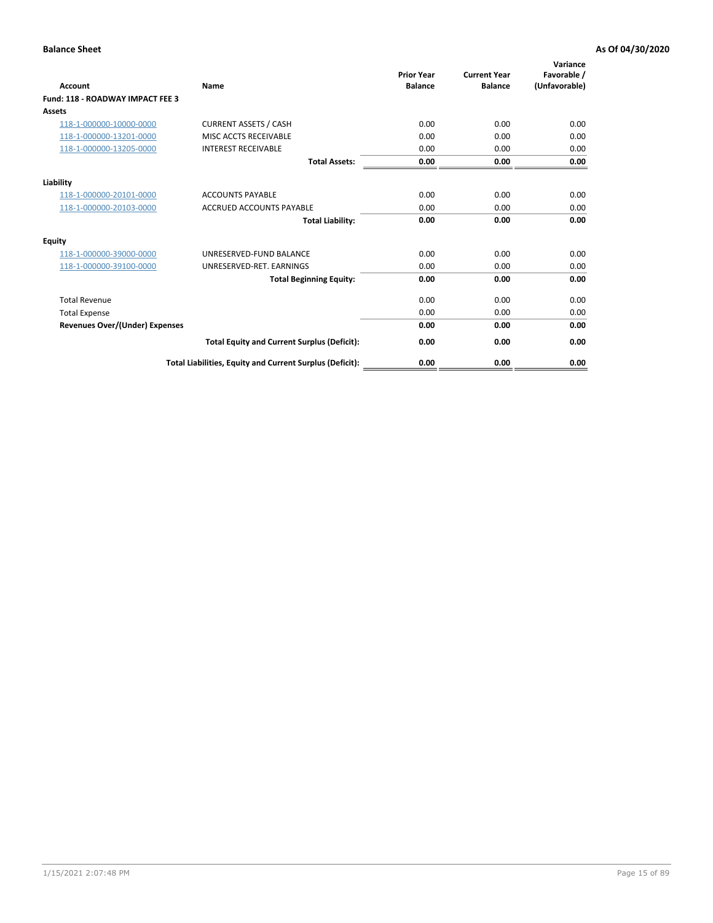| Account                                 | Name                                                     | <b>Prior Year</b><br><b>Balance</b> | <b>Current Year</b><br><b>Balance</b> | Variance<br>Favorable /<br>(Unfavorable) |
|-----------------------------------------|----------------------------------------------------------|-------------------------------------|---------------------------------------|------------------------------------------|
| <b>Fund: 118 - ROADWAY IMPACT FEE 3</b> |                                                          |                                     |                                       |                                          |
| Assets                                  |                                                          |                                     |                                       |                                          |
| 118-1-000000-10000-0000                 | <b>CURRENT ASSETS / CASH</b>                             | 0.00                                | 0.00                                  | 0.00                                     |
| 118-1-000000-13201-0000                 | MISC ACCTS RECEIVABLE                                    | 0.00                                | 0.00                                  | 0.00                                     |
| 118-1-000000-13205-0000                 | <b>INTEREST RECEIVABLE</b>                               | 0.00                                | 0.00                                  | 0.00                                     |
|                                         | <b>Total Assets:</b>                                     | 0.00                                | 0.00                                  | 0.00                                     |
| Liability                               |                                                          |                                     |                                       |                                          |
| 118-1-000000-20101-0000                 | <b>ACCOUNTS PAYABLE</b>                                  | 0.00                                | 0.00                                  | 0.00                                     |
| 118-1-000000-20103-0000                 | <b>ACCRUED ACCOUNTS PAYABLE</b>                          | 0.00                                | 0.00                                  | 0.00                                     |
|                                         | <b>Total Liability:</b>                                  | 0.00                                | 0.00                                  | 0.00                                     |
| Equity                                  |                                                          |                                     |                                       |                                          |
| 118-1-000000-39000-0000                 | UNRESERVED-FUND BALANCE                                  | 0.00                                | 0.00                                  | 0.00                                     |
| 118-1-000000-39100-0000                 | UNRESERVED-RET. EARNINGS                                 | 0.00                                | 0.00                                  | 0.00                                     |
|                                         | <b>Total Beginning Equity:</b>                           | 0.00                                | 0.00                                  | 0.00                                     |
| <b>Total Revenue</b>                    |                                                          | 0.00                                | 0.00                                  | 0.00                                     |
| <b>Total Expense</b>                    |                                                          | 0.00                                | 0.00                                  | 0.00                                     |
| <b>Revenues Over/(Under) Expenses</b>   |                                                          | 0.00                                | 0.00                                  | 0.00                                     |
|                                         | <b>Total Equity and Current Surplus (Deficit):</b>       | 0.00                                | 0.00                                  | 0.00                                     |
|                                         | Total Liabilities, Equity and Current Surplus (Deficit): | 0.00                                | 0.00                                  | 0.00                                     |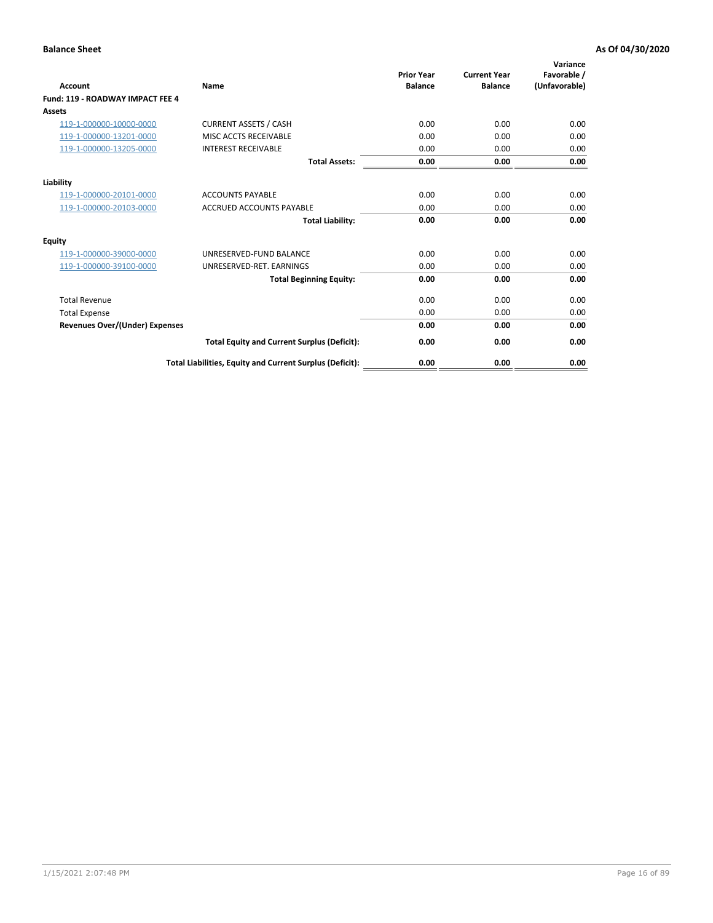| Account                                 | Name                                                     | <b>Prior Year</b><br><b>Balance</b> | <b>Current Year</b><br><b>Balance</b> | Variance<br>Favorable /<br>(Unfavorable) |
|-----------------------------------------|----------------------------------------------------------|-------------------------------------|---------------------------------------|------------------------------------------|
| <b>Fund: 119 - ROADWAY IMPACT FEE 4</b> |                                                          |                                     |                                       |                                          |
| Assets                                  |                                                          |                                     |                                       |                                          |
| 119-1-000000-10000-0000                 | <b>CURRENT ASSETS / CASH</b>                             | 0.00                                | 0.00                                  | 0.00                                     |
| 119-1-000000-13201-0000                 | MISC ACCTS RECEIVABLE                                    | 0.00                                | 0.00                                  | 0.00                                     |
| 119-1-000000-13205-0000                 | <b>INTEREST RECEIVABLE</b>                               | 0.00                                | 0.00                                  | 0.00                                     |
|                                         | <b>Total Assets:</b>                                     | 0.00                                | 0.00                                  | 0.00                                     |
| Liability                               |                                                          |                                     |                                       |                                          |
| 119-1-000000-20101-0000                 | <b>ACCOUNTS PAYABLE</b>                                  | 0.00                                | 0.00                                  | 0.00                                     |
| 119-1-000000-20103-0000                 | <b>ACCRUED ACCOUNTS PAYABLE</b>                          | 0.00                                | 0.00                                  | 0.00                                     |
|                                         | <b>Total Liability:</b>                                  | 0.00                                | 0.00                                  | 0.00                                     |
| Equity                                  |                                                          |                                     |                                       |                                          |
| 119-1-000000-39000-0000                 | UNRESERVED-FUND BALANCE                                  | 0.00                                | 0.00                                  | 0.00                                     |
| 119-1-000000-39100-0000                 | UNRESERVED-RET. EARNINGS                                 | 0.00                                | 0.00                                  | 0.00                                     |
|                                         | <b>Total Beginning Equity:</b>                           | 0.00                                | 0.00                                  | 0.00                                     |
| <b>Total Revenue</b>                    |                                                          | 0.00                                | 0.00                                  | 0.00                                     |
| <b>Total Expense</b>                    |                                                          | 0.00                                | 0.00                                  | 0.00                                     |
| <b>Revenues Over/(Under) Expenses</b>   |                                                          | 0.00                                | 0.00                                  | 0.00                                     |
|                                         | <b>Total Equity and Current Surplus (Deficit):</b>       | 0.00                                | 0.00                                  | 0.00                                     |
|                                         | Total Liabilities, Equity and Current Surplus (Deficit): | 0.00                                | 0.00                                  | 0.00                                     |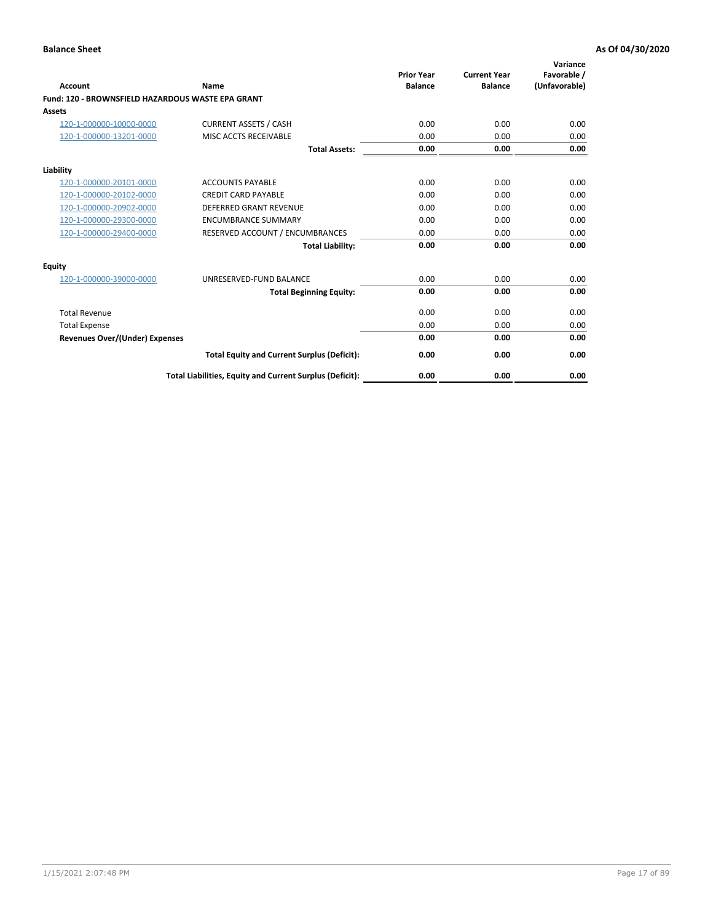| Account                                           | Name                                                     | <b>Prior Year</b><br><b>Balance</b> | <b>Current Year</b><br><b>Balance</b> | Variance<br>Favorable /<br>(Unfavorable) |
|---------------------------------------------------|----------------------------------------------------------|-------------------------------------|---------------------------------------|------------------------------------------|
| Fund: 120 - BROWNSFIELD HAZARDOUS WASTE EPA GRANT |                                                          |                                     |                                       |                                          |
| <b>Assets</b>                                     |                                                          |                                     |                                       |                                          |
| 120-1-000000-10000-0000                           | <b>CURRENT ASSETS / CASH</b>                             | 0.00                                | 0.00                                  | 0.00                                     |
| 120-1-000000-13201-0000                           | MISC ACCTS RECEIVABLE                                    | 0.00                                | 0.00                                  | 0.00                                     |
|                                                   | <b>Total Assets:</b>                                     | 0.00                                | 0.00                                  | 0.00                                     |
| Liability                                         |                                                          |                                     |                                       |                                          |
| 120-1-000000-20101-0000                           | <b>ACCOUNTS PAYABLE</b>                                  | 0.00                                | 0.00                                  | 0.00                                     |
| 120-1-000000-20102-0000                           | <b>CREDIT CARD PAYABLE</b>                               | 0.00                                | 0.00                                  | 0.00                                     |
| 120-1-000000-20902-0000                           | <b>DEFERRED GRANT REVENUE</b>                            | 0.00                                | 0.00                                  | 0.00                                     |
| 120-1-000000-29300-0000                           | <b>ENCUMBRANCE SUMMARY</b>                               | 0.00                                | 0.00                                  | 0.00                                     |
| 120-1-000000-29400-0000                           | RESERVED ACCOUNT / ENCUMBRANCES                          | 0.00                                | 0.00                                  | 0.00                                     |
|                                                   | <b>Total Liability:</b>                                  | 0.00                                | 0.00                                  | 0.00                                     |
| Equity                                            |                                                          |                                     |                                       |                                          |
| 120-1-000000-39000-0000                           | UNRESERVED-FUND BALANCE                                  | 0.00                                | 0.00                                  | 0.00                                     |
|                                                   | <b>Total Beginning Equity:</b>                           | 0.00                                | 0.00                                  | 0.00                                     |
| <b>Total Revenue</b>                              |                                                          | 0.00                                | 0.00                                  | 0.00                                     |
| <b>Total Expense</b>                              |                                                          | 0.00                                | 0.00                                  | 0.00                                     |
| <b>Revenues Over/(Under) Expenses</b>             |                                                          | 0.00                                | 0.00                                  | 0.00                                     |
|                                                   | <b>Total Equity and Current Surplus (Deficit):</b>       | 0.00                                | 0.00                                  | 0.00                                     |
|                                                   | Total Liabilities, Equity and Current Surplus (Deficit): | 0.00                                | 0.00                                  | 0.00                                     |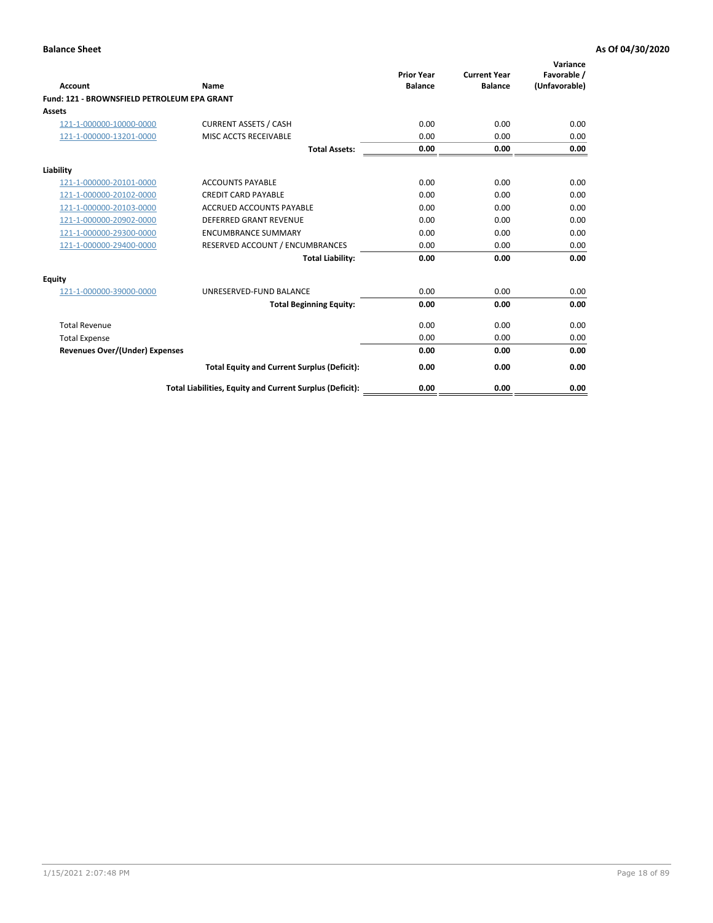| Account                                     | Name                                                     | <b>Prior Year</b><br><b>Balance</b> | <b>Current Year</b><br><b>Balance</b> | Variance<br>Favorable /<br>(Unfavorable) |
|---------------------------------------------|----------------------------------------------------------|-------------------------------------|---------------------------------------|------------------------------------------|
| Fund: 121 - BROWNSFIELD PETROLEUM EPA GRANT |                                                          |                                     |                                       |                                          |
| <b>Assets</b>                               |                                                          |                                     |                                       |                                          |
| 121-1-000000-10000-0000                     | <b>CURRENT ASSETS / CASH</b>                             | 0.00                                | 0.00                                  | 0.00                                     |
| 121-1-000000-13201-0000                     | MISC ACCTS RECEIVABLE                                    | 0.00                                | 0.00                                  | 0.00                                     |
|                                             | <b>Total Assets:</b>                                     | 0.00                                | 0.00                                  | 0.00                                     |
| Liability                                   |                                                          |                                     |                                       |                                          |
| 121-1-000000-20101-0000                     | <b>ACCOUNTS PAYABLE</b>                                  | 0.00                                | 0.00                                  | 0.00                                     |
| 121-1-000000-20102-0000                     | <b>CREDIT CARD PAYABLE</b>                               | 0.00                                | 0.00                                  | 0.00                                     |
| 121-1-000000-20103-0000                     | <b>ACCRUED ACCOUNTS PAYABLE</b>                          | 0.00                                | 0.00                                  | 0.00                                     |
| 121-1-000000-20902-0000                     | <b>DEFERRED GRANT REVENUE</b>                            | 0.00                                | 0.00                                  | 0.00                                     |
| 121-1-000000-29300-0000                     | <b>ENCUMBRANCE SUMMARY</b>                               | 0.00                                | 0.00                                  | 0.00                                     |
| 121-1-000000-29400-0000                     | RESERVED ACCOUNT / ENCUMBRANCES                          | 0.00                                | 0.00                                  | 0.00                                     |
|                                             | <b>Total Liability:</b>                                  | 0.00                                | 0.00                                  | 0.00                                     |
| <b>Equity</b>                               |                                                          |                                     |                                       |                                          |
| 121-1-000000-39000-0000                     | UNRESERVED-FUND BALANCE                                  | 0.00                                | 0.00                                  | 0.00                                     |
|                                             | <b>Total Beginning Equity:</b>                           | 0.00                                | 0.00                                  | 0.00                                     |
| <b>Total Revenue</b>                        |                                                          | 0.00                                | 0.00                                  | 0.00                                     |
| <b>Total Expense</b>                        |                                                          | 0.00                                | 0.00                                  | 0.00                                     |
| <b>Revenues Over/(Under) Expenses</b>       |                                                          | 0.00                                | 0.00                                  | 0.00                                     |
|                                             | <b>Total Equity and Current Surplus (Deficit):</b>       | 0.00                                | 0.00                                  | 0.00                                     |
|                                             | Total Liabilities, Equity and Current Surplus (Deficit): | 0.00                                | 0.00                                  | 0.00                                     |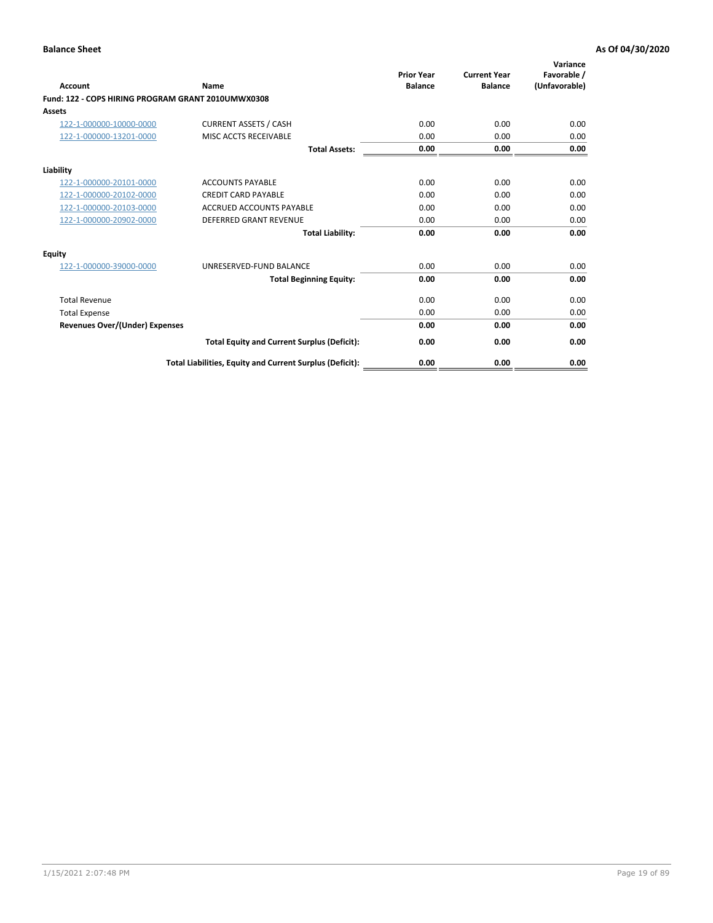| <b>Account</b>                                     | Name                                                     | <b>Prior Year</b><br><b>Balance</b> | <b>Current Year</b><br><b>Balance</b> | Variance<br>Favorable /<br>(Unfavorable) |
|----------------------------------------------------|----------------------------------------------------------|-------------------------------------|---------------------------------------|------------------------------------------|
| Fund: 122 - COPS HIRING PROGRAM GRANT 2010UMWX0308 |                                                          |                                     |                                       |                                          |
| Assets                                             |                                                          |                                     |                                       |                                          |
| 122-1-000000-10000-0000                            | <b>CURRENT ASSETS / CASH</b>                             | 0.00                                | 0.00                                  | 0.00                                     |
| 122-1-000000-13201-0000                            | MISC ACCTS RECEIVABLE                                    | 0.00                                | 0.00                                  | 0.00                                     |
|                                                    | <b>Total Assets:</b>                                     | 0.00                                | 0.00                                  | 0.00                                     |
| Liability                                          |                                                          |                                     |                                       |                                          |
| 122-1-000000-20101-0000                            | <b>ACCOUNTS PAYABLE</b>                                  | 0.00                                | 0.00                                  | 0.00                                     |
| 122-1-000000-20102-0000                            | <b>CREDIT CARD PAYABLE</b>                               | 0.00                                | 0.00                                  | 0.00                                     |
| 122-1-000000-20103-0000                            | <b>ACCRUED ACCOUNTS PAYABLE</b>                          | 0.00                                | 0.00                                  | 0.00                                     |
| 122-1-000000-20902-0000                            | <b>DEFERRED GRANT REVENUE</b>                            | 0.00                                | 0.00                                  | 0.00                                     |
|                                                    | <b>Total Liability:</b>                                  | 0.00                                | 0.00                                  | 0.00                                     |
| Equity                                             |                                                          |                                     |                                       |                                          |
| 122-1-000000-39000-0000                            | UNRESERVED-FUND BALANCE                                  | 0.00                                | 0.00                                  | 0.00                                     |
|                                                    | <b>Total Beginning Equity:</b>                           | 0.00                                | 0.00                                  | 0.00                                     |
| <b>Total Revenue</b>                               |                                                          | 0.00                                | 0.00                                  | 0.00                                     |
| <b>Total Expense</b>                               |                                                          | 0.00                                | 0.00                                  | 0.00                                     |
| <b>Revenues Over/(Under) Expenses</b>              |                                                          | 0.00                                | 0.00                                  | 0.00                                     |
|                                                    | <b>Total Equity and Current Surplus (Deficit):</b>       | 0.00                                | 0.00                                  | 0.00                                     |
|                                                    | Total Liabilities, Equity and Current Surplus (Deficit): | 0.00                                | 0.00                                  | 0.00                                     |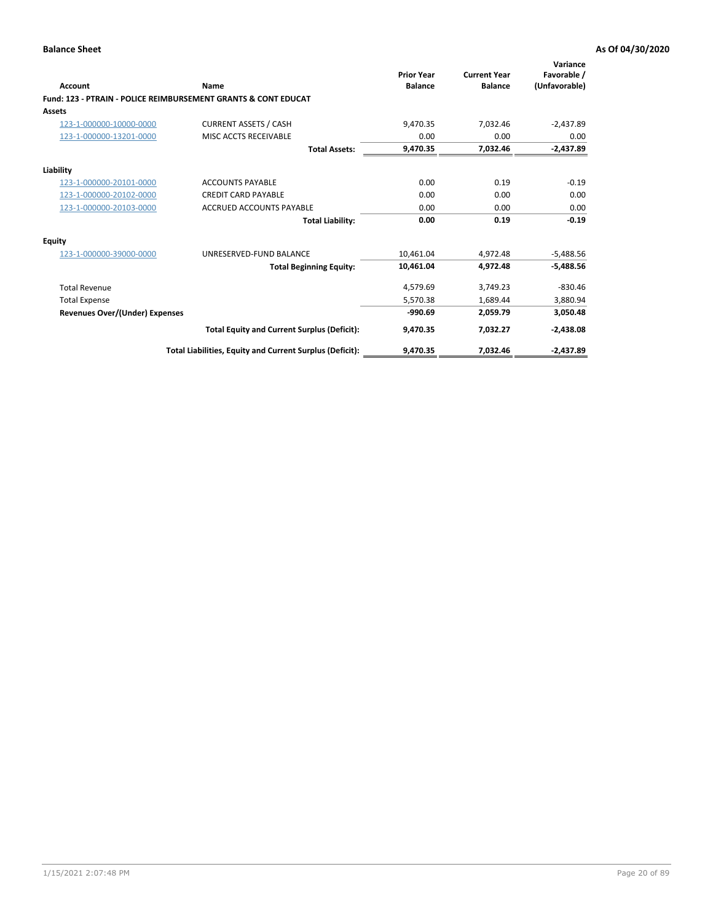| Account                        | Name                                                           | <b>Prior Year</b><br><b>Balance</b> | <b>Current Year</b><br><b>Balance</b> | Variance<br>Favorable /<br>(Unfavorable) |
|--------------------------------|----------------------------------------------------------------|-------------------------------------|---------------------------------------|------------------------------------------|
|                                | Fund: 123 - PTRAIN - POLICE REIMBURSEMENT GRANTS & CONT EDUCAT |                                     |                                       |                                          |
| Assets                         |                                                                |                                     |                                       |                                          |
| 123-1-000000-10000-0000        | <b>CURRENT ASSETS / CASH</b>                                   | 9,470.35                            | 7,032.46                              | $-2,437.89$                              |
| 123-1-000000-13201-0000        | MISC ACCTS RECEIVABLE                                          | 0.00                                | 0.00                                  | 0.00                                     |
|                                | <b>Total Assets:</b>                                           | 9,470.35                            | 7,032.46                              | $-2,437.89$                              |
| Liability                      |                                                                |                                     |                                       |                                          |
| 123-1-000000-20101-0000        | <b>ACCOUNTS PAYABLE</b>                                        | 0.00                                | 0.19                                  | $-0.19$                                  |
| 123-1-000000-20102-0000        | <b>CREDIT CARD PAYABLE</b>                                     | 0.00                                | 0.00                                  | 0.00                                     |
| 123-1-000000-20103-0000        | <b>ACCRUED ACCOUNTS PAYABLE</b>                                | 0.00                                | 0.00                                  | 0.00                                     |
|                                | <b>Total Liability:</b>                                        | 0.00                                | 0.19                                  | $-0.19$                                  |
| Equity                         |                                                                |                                     |                                       |                                          |
| 123-1-000000-39000-0000        | UNRESERVED-FUND BALANCE                                        | 10.461.04                           | 4,972.48                              | $-5,488.56$                              |
|                                | <b>Total Beginning Equity:</b>                                 | 10,461.04                           | 4,972.48                              | $-5,488.56$                              |
| <b>Total Revenue</b>           |                                                                | 4,579.69                            | 3,749.23                              | $-830.46$                                |
| <b>Total Expense</b>           |                                                                | 5.570.38                            | 1,689.44                              | 3,880.94                                 |
| Revenues Over/(Under) Expenses |                                                                | $-990.69$                           | 2,059.79                              | 3,050.48                                 |
|                                | <b>Total Equity and Current Surplus (Deficit):</b>             | 9,470.35                            | 7,032.27                              | $-2,438.08$                              |
|                                | Total Liabilities, Equity and Current Surplus (Deficit):       | 9,470.35                            | 7,032.46                              | $-2,437.89$                              |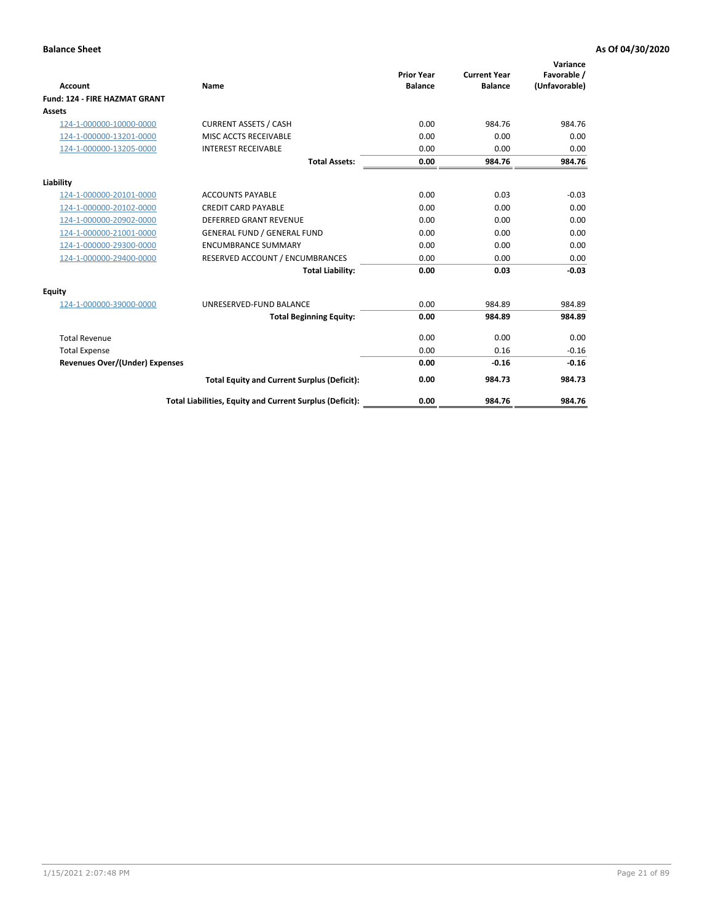|                                      |                                                          | <b>Prior Year</b> | <b>Current Year</b> | Variance<br>Favorable / |
|--------------------------------------|----------------------------------------------------------|-------------------|---------------------|-------------------------|
| <b>Account</b>                       | <b>Name</b>                                              | <b>Balance</b>    | <b>Balance</b>      | (Unfavorable)           |
| <b>Fund: 124 - FIRE HAZMAT GRANT</b> |                                                          |                   |                     |                         |
| <b>Assets</b>                        |                                                          |                   |                     |                         |
| 124-1-000000-10000-0000              | <b>CURRENT ASSETS / CASH</b>                             | 0.00              | 984.76              | 984.76                  |
| 124-1-000000-13201-0000              | MISC ACCTS RECEIVABLE                                    | 0.00              | 0.00                | 0.00                    |
| 124-1-000000-13205-0000              | <b>INTEREST RECEIVABLE</b>                               | 0.00              | 0.00                | 0.00                    |
|                                      | <b>Total Assets:</b>                                     | 0.00              | 984.76              | 984.76                  |
| Liability                            |                                                          |                   |                     |                         |
| 124-1-000000-20101-0000              | <b>ACCOUNTS PAYABLE</b>                                  | 0.00              | 0.03                | $-0.03$                 |
| 124-1-000000-20102-0000              | <b>CREDIT CARD PAYABLE</b>                               | 0.00              | 0.00                | 0.00                    |
| 124-1-000000-20902-0000              | <b>DEFERRED GRANT REVENUE</b>                            | 0.00              | 0.00                | 0.00                    |
| 124-1-000000-21001-0000              | <b>GENERAL FUND / GENERAL FUND</b>                       | 0.00              | 0.00                | 0.00                    |
| 124-1-000000-29300-0000              | <b>ENCUMBRANCE SUMMARY</b>                               | 0.00              | 0.00                | 0.00                    |
| 124-1-000000-29400-0000              | RESERVED ACCOUNT / ENCUMBRANCES                          | 0.00              | 0.00                | 0.00                    |
|                                      | <b>Total Liability:</b>                                  | 0.00              | 0.03                | $-0.03$                 |
| <b>Equity</b>                        |                                                          |                   |                     |                         |
| 124-1-000000-39000-0000              | UNRESERVED-FUND BALANCE                                  | 0.00              | 984.89              | 984.89                  |
|                                      | <b>Total Beginning Equity:</b>                           | 0.00              | 984.89              | 984.89                  |
| <b>Total Revenue</b>                 |                                                          | 0.00              | 0.00                | 0.00                    |
| <b>Total Expense</b>                 |                                                          | 0.00              | 0.16                | $-0.16$                 |
| Revenues Over/(Under) Expenses       |                                                          | 0.00              | $-0.16$             | $-0.16$                 |
|                                      | <b>Total Equity and Current Surplus (Deficit):</b>       | 0.00              | 984.73              | 984.73                  |
|                                      | Total Liabilities, Equity and Current Surplus (Deficit): | 0.00              | 984.76              | 984.76                  |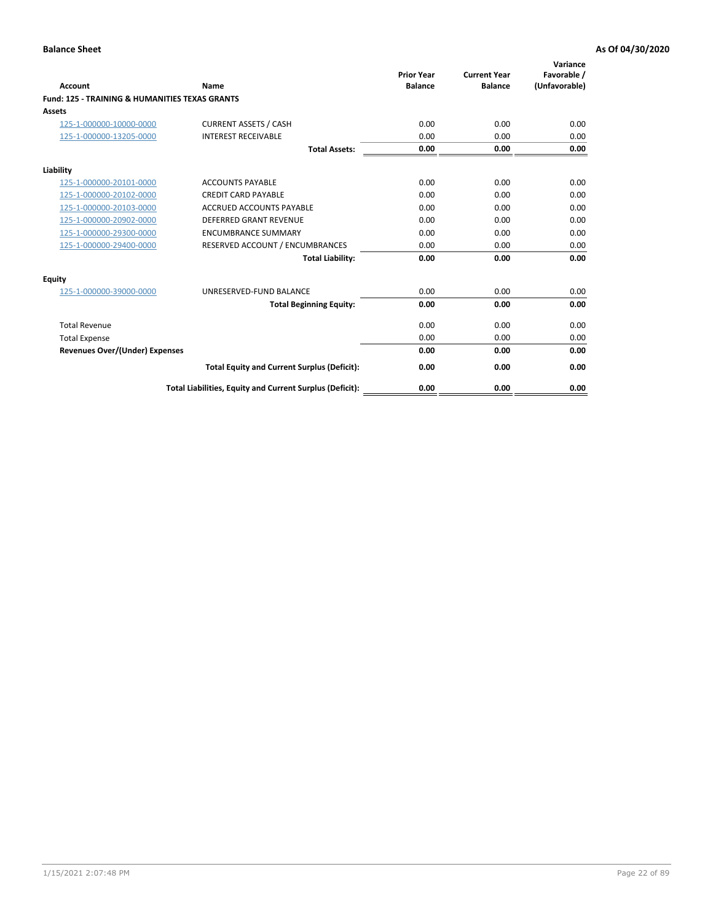| Account                                                   | Name                                                     | <b>Prior Year</b><br><b>Balance</b> | <b>Current Year</b><br><b>Balance</b> | Variance<br>Favorable /<br>(Unfavorable) |
|-----------------------------------------------------------|----------------------------------------------------------|-------------------------------------|---------------------------------------|------------------------------------------|
| <b>Fund: 125 - TRAINING &amp; HUMANITIES TEXAS GRANTS</b> |                                                          |                                     |                                       |                                          |
| <b>Assets</b>                                             |                                                          |                                     |                                       |                                          |
| 125-1-000000-10000-0000                                   | <b>CURRENT ASSETS / CASH</b>                             | 0.00                                | 0.00                                  | 0.00                                     |
| 125-1-000000-13205-0000                                   | <b>INTEREST RECEIVABLE</b>                               | 0.00                                | 0.00                                  | 0.00                                     |
|                                                           | <b>Total Assets:</b>                                     | 0.00                                | 0.00                                  | 0.00                                     |
| Liability                                                 |                                                          |                                     |                                       |                                          |
| 125-1-000000-20101-0000                                   | <b>ACCOUNTS PAYABLE</b>                                  | 0.00                                | 0.00                                  | 0.00                                     |
| 125-1-000000-20102-0000                                   | <b>CREDIT CARD PAYABLE</b>                               | 0.00                                | 0.00                                  | 0.00                                     |
| 125-1-000000-20103-0000                                   | <b>ACCRUED ACCOUNTS PAYABLE</b>                          | 0.00                                | 0.00                                  | 0.00                                     |
| 125-1-000000-20902-0000                                   | <b>DEFERRED GRANT REVENUE</b>                            | 0.00                                | 0.00                                  | 0.00                                     |
| 125-1-000000-29300-0000                                   | <b>ENCUMBRANCE SUMMARY</b>                               | 0.00                                | 0.00                                  | 0.00                                     |
| 125-1-000000-29400-0000                                   | RESERVED ACCOUNT / ENCUMBRANCES                          | 0.00                                | 0.00                                  | 0.00                                     |
|                                                           | <b>Total Liability:</b>                                  | 0.00                                | 0.00                                  | 0.00                                     |
| <b>Equity</b>                                             |                                                          |                                     |                                       |                                          |
| 125-1-000000-39000-0000                                   | UNRESERVED-FUND BALANCE                                  | 0.00                                | 0.00                                  | 0.00                                     |
|                                                           | <b>Total Beginning Equity:</b>                           | 0.00                                | 0.00                                  | 0.00                                     |
| <b>Total Revenue</b>                                      |                                                          | 0.00                                | 0.00                                  | 0.00                                     |
| <b>Total Expense</b>                                      |                                                          | 0.00                                | 0.00                                  | 0.00                                     |
| <b>Revenues Over/(Under) Expenses</b>                     |                                                          | 0.00                                | 0.00                                  | 0.00                                     |
|                                                           | <b>Total Equity and Current Surplus (Deficit):</b>       | 0.00                                | 0.00                                  | 0.00                                     |
|                                                           | Total Liabilities, Equity and Current Surplus (Deficit): | 0.00                                | 0.00                                  | 0.00                                     |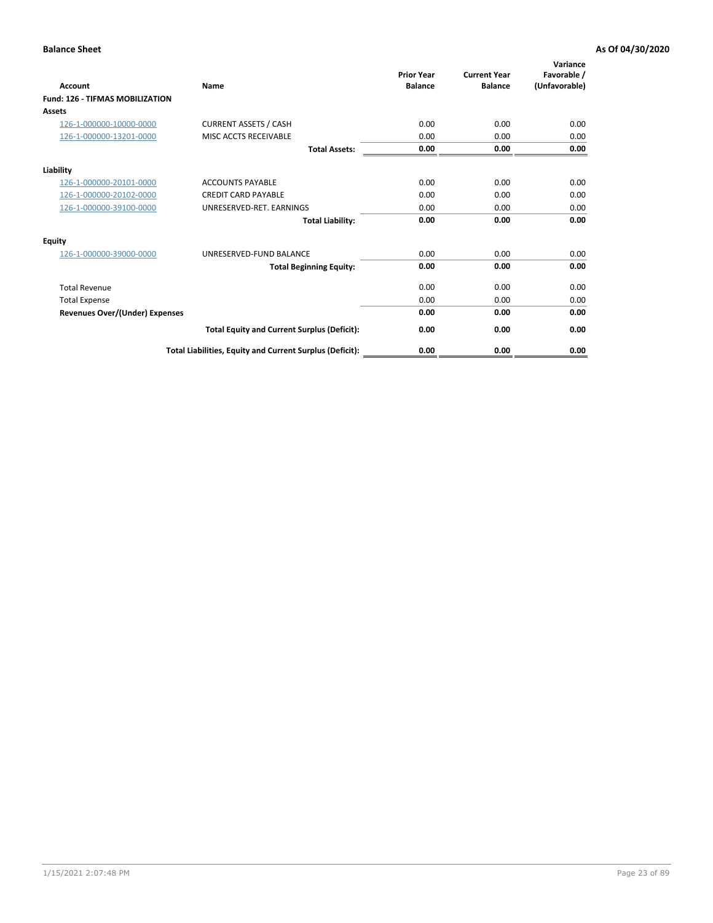| <b>Account</b>                         | Name                                                     | <b>Prior Year</b><br><b>Balance</b> | <b>Current Year</b><br><b>Balance</b> | Variance<br>Favorable /<br>(Unfavorable) |
|----------------------------------------|----------------------------------------------------------|-------------------------------------|---------------------------------------|------------------------------------------|
| <b>Fund: 126 - TIFMAS MOBILIZATION</b> |                                                          |                                     |                                       |                                          |
| Assets                                 |                                                          |                                     |                                       |                                          |
| 126-1-000000-10000-0000                | <b>CURRENT ASSETS / CASH</b>                             | 0.00                                | 0.00                                  | 0.00                                     |
| 126-1-000000-13201-0000                | MISC ACCTS RECEIVABLE                                    | 0.00                                | 0.00                                  | 0.00                                     |
|                                        | <b>Total Assets:</b>                                     | 0.00                                | 0.00                                  | 0.00                                     |
| Liability                              |                                                          |                                     |                                       |                                          |
| 126-1-000000-20101-0000                | <b>ACCOUNTS PAYABLE</b>                                  | 0.00                                | 0.00                                  | 0.00                                     |
| 126-1-000000-20102-0000                | <b>CREDIT CARD PAYABLE</b>                               | 0.00                                | 0.00                                  | 0.00                                     |
| 126-1-000000-39100-0000                | UNRESERVED-RET. EARNINGS                                 | 0.00                                | 0.00                                  | 0.00                                     |
|                                        | <b>Total Liability:</b>                                  | 0.00                                | 0.00                                  | 0.00                                     |
| Equity                                 |                                                          |                                     |                                       |                                          |
| 126-1-000000-39000-0000                | UNRESERVED-FUND BALANCE                                  | 0.00                                | 0.00                                  | 0.00                                     |
|                                        | <b>Total Beginning Equity:</b>                           | 0.00                                | 0.00                                  | 0.00                                     |
| <b>Total Revenue</b>                   |                                                          | 0.00                                | 0.00                                  | 0.00                                     |
| <b>Total Expense</b>                   |                                                          | 0.00                                | 0.00                                  | 0.00                                     |
| Revenues Over/(Under) Expenses         |                                                          | 0.00                                | 0.00                                  | 0.00                                     |
|                                        | <b>Total Equity and Current Surplus (Deficit):</b>       | 0.00                                | 0.00                                  | 0.00                                     |
|                                        | Total Liabilities, Equity and Current Surplus (Deficit): | 0.00                                | 0.00                                  | 0.00                                     |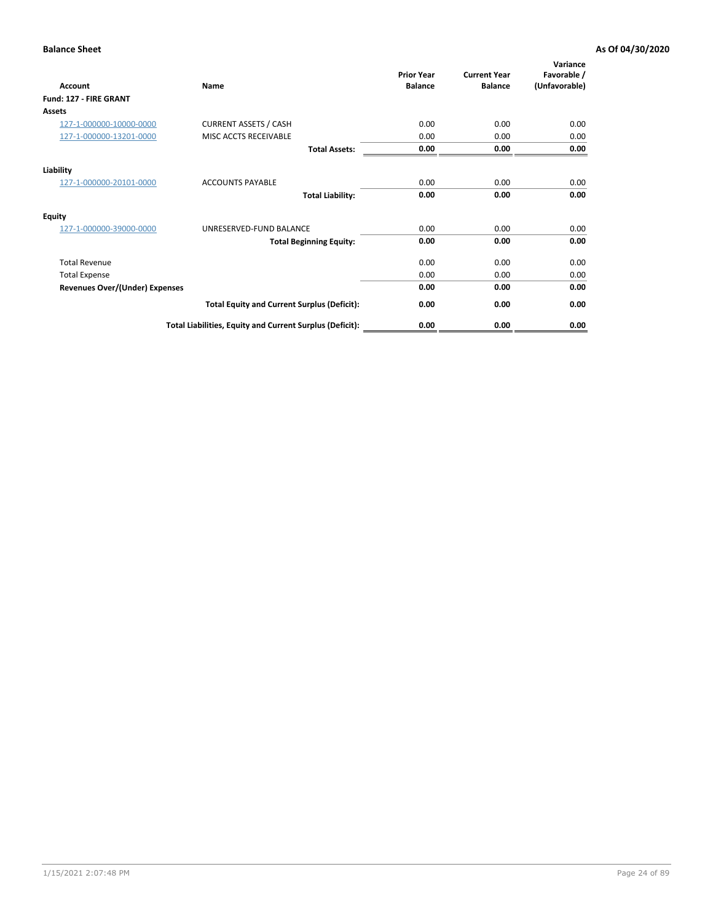| <b>Account</b>                        | Name                                                     | <b>Prior Year</b><br><b>Balance</b> | <b>Current Year</b><br><b>Balance</b> | Variance<br>Favorable /<br>(Unfavorable) |
|---------------------------------------|----------------------------------------------------------|-------------------------------------|---------------------------------------|------------------------------------------|
| Fund: 127 - FIRE GRANT                |                                                          |                                     |                                       |                                          |
| Assets                                |                                                          |                                     |                                       |                                          |
| 127-1-000000-10000-0000               | <b>CURRENT ASSETS / CASH</b>                             | 0.00                                | 0.00                                  | 0.00                                     |
| 127-1-000000-13201-0000               | MISC ACCTS RECEIVABLE                                    | 0.00                                | 0.00                                  | 0.00                                     |
|                                       | <b>Total Assets:</b>                                     | 0.00                                | 0.00                                  | 0.00                                     |
| Liability                             |                                                          |                                     |                                       |                                          |
| 127-1-000000-20101-0000               | <b>ACCOUNTS PAYABLE</b>                                  | 0.00                                | 0.00                                  | 0.00                                     |
|                                       | <b>Total Liability:</b>                                  | 0.00                                | 0.00                                  | 0.00                                     |
| <b>Equity</b>                         |                                                          |                                     |                                       |                                          |
| 127-1-000000-39000-0000               | UNRESERVED-FUND BALANCE                                  | 0.00                                | 0.00                                  | 0.00                                     |
|                                       | <b>Total Beginning Equity:</b>                           | 0.00                                | 0.00                                  | 0.00                                     |
| <b>Total Revenue</b>                  |                                                          | 0.00                                | 0.00                                  | 0.00                                     |
| <b>Total Expense</b>                  |                                                          | 0.00                                | 0.00                                  | 0.00                                     |
| <b>Revenues Over/(Under) Expenses</b> |                                                          | 0.00                                | 0.00                                  | 0.00                                     |
|                                       | <b>Total Equity and Current Surplus (Deficit):</b>       | 0.00                                | 0.00                                  | 0.00                                     |
|                                       | Total Liabilities, Equity and Current Surplus (Deficit): | 0.00                                | 0.00                                  | 0.00                                     |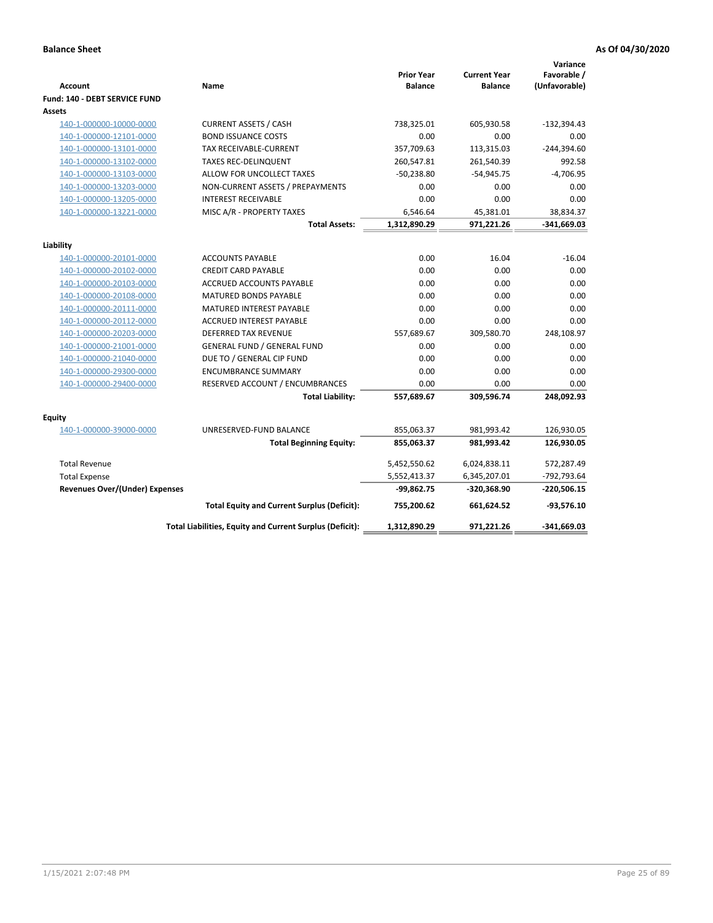| <b>Account</b>                        | Name                                                     | <b>Prior Year</b><br><b>Balance</b> | <b>Current Year</b><br><b>Balance</b> | Variance<br>Favorable /<br>(Unfavorable) |
|---------------------------------------|----------------------------------------------------------|-------------------------------------|---------------------------------------|------------------------------------------|
| Fund: 140 - DEBT SERVICE FUND         |                                                          |                                     |                                       |                                          |
| Assets                                |                                                          |                                     |                                       |                                          |
| 140-1-000000-10000-0000               | <b>CURRENT ASSETS / CASH</b>                             | 738,325.01                          | 605,930.58                            | $-132,394.43$                            |
| 140-1-000000-12101-0000               | <b>BOND ISSUANCE COSTS</b>                               | 0.00                                | 0.00                                  | 0.00                                     |
| 140-1-000000-13101-0000               | <b>TAX RECEIVABLE-CURRENT</b>                            | 357,709.63                          | 113,315.03                            | $-244,394.60$                            |
| 140-1-000000-13102-0000               | <b>TAXES REC-DELINQUENT</b>                              | 260,547.81                          | 261,540.39                            | 992.58                                   |
| 140-1-000000-13103-0000               | ALLOW FOR UNCOLLECT TAXES                                | $-50,238.80$                        | $-54,945.75$                          | $-4,706.95$                              |
| 140-1-000000-13203-0000               | NON-CURRENT ASSETS / PREPAYMENTS                         | 0.00                                | 0.00                                  | 0.00                                     |
| 140-1-000000-13205-0000               | <b>INTEREST RECEIVABLE</b>                               | 0.00                                | 0.00                                  | 0.00                                     |
| 140-1-000000-13221-0000               | MISC A/R - PROPERTY TAXES                                | 6,546.64                            | 45,381.01                             | 38,834.37                                |
|                                       | <b>Total Assets:</b>                                     | 1,312,890.29                        | 971,221.26                            | $-341,669.03$                            |
| Liability                             |                                                          |                                     |                                       |                                          |
| 140-1-000000-20101-0000               | <b>ACCOUNTS PAYABLE</b>                                  | 0.00                                | 16.04                                 | $-16.04$                                 |
| 140-1-000000-20102-0000               | <b>CREDIT CARD PAYABLE</b>                               | 0.00                                | 0.00                                  | 0.00                                     |
| 140-1-000000-20103-0000               | ACCRUED ACCOUNTS PAYABLE                                 | 0.00                                | 0.00                                  | 0.00                                     |
| 140-1-000000-20108-0000               | <b>MATURED BONDS PAYABLE</b>                             | 0.00                                | 0.00                                  | 0.00                                     |
| 140-1-000000-20111-0000               | MATURED INTEREST PAYABLE                                 | 0.00                                | 0.00                                  | 0.00                                     |
| 140-1-000000-20112-0000               | <b>ACCRUED INTEREST PAYABLE</b>                          | 0.00                                | 0.00                                  | 0.00                                     |
| 140-1-000000-20203-0000               | <b>DEFERRED TAX REVENUE</b>                              | 557,689.67                          | 309,580.70                            | 248,108.97                               |
| 140-1-000000-21001-0000               | <b>GENERAL FUND / GENERAL FUND</b>                       | 0.00                                | 0.00                                  | 0.00                                     |
| 140-1-000000-21040-0000               | DUE TO / GENERAL CIP FUND                                | 0.00                                | 0.00                                  | 0.00                                     |
| 140-1-000000-29300-0000               | <b>ENCUMBRANCE SUMMARY</b>                               | 0.00                                | 0.00                                  | 0.00                                     |
| 140-1-000000-29400-0000               | RESERVED ACCOUNT / ENCUMBRANCES                          | 0.00                                | 0.00                                  | 0.00                                     |
|                                       | <b>Total Liability:</b>                                  | 557,689.67                          | 309,596.74                            | 248,092.93                               |
| Equity                                |                                                          |                                     |                                       |                                          |
| 140-1-000000-39000-0000               | UNRESERVED-FUND BALANCE                                  | 855,063.37                          | 981,993.42                            | 126,930.05                               |
|                                       | <b>Total Beginning Equity:</b>                           | 855,063.37                          | 981,993.42                            | 126,930.05                               |
| <b>Total Revenue</b>                  |                                                          | 5,452,550.62                        | 6,024,838.11                          | 572,287.49                               |
| <b>Total Expense</b>                  |                                                          | 5,552,413.37                        | 6,345,207.01                          | -792,793.64                              |
| <b>Revenues Over/(Under) Expenses</b> |                                                          | $-99,862.75$                        | -320,368.90                           | $-220,506.15$                            |
|                                       | <b>Total Equity and Current Surplus (Deficit):</b>       | 755,200.62                          | 661,624.52                            | $-93,576.10$                             |
|                                       | Total Liabilities, Equity and Current Surplus (Deficit): | 1,312,890.29                        | 971,221.26                            | $-341,669.03$                            |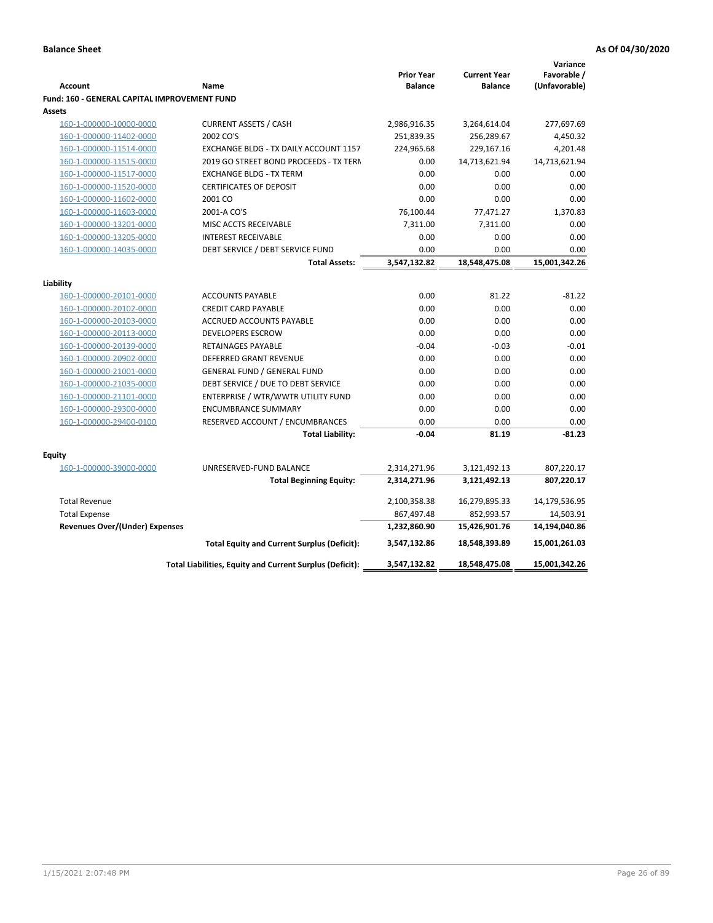|                                                     |                                                          |                   |                     | Variance      |
|-----------------------------------------------------|----------------------------------------------------------|-------------------|---------------------|---------------|
|                                                     |                                                          | <b>Prior Year</b> | <b>Current Year</b> | Favorable /   |
| <b>Account</b>                                      | Name                                                     | <b>Balance</b>    | <b>Balance</b>      | (Unfavorable) |
| <b>Fund: 160 - GENERAL CAPITAL IMPROVEMENT FUND</b> |                                                          |                   |                     |               |
| Assets                                              |                                                          |                   |                     |               |
| 160-1-000000-10000-0000                             | <b>CURRENT ASSETS / CASH</b>                             | 2,986,916.35      | 3,264,614.04        | 277,697.69    |
| 160-1-000000-11402-0000                             | 2002 CO'S                                                | 251,839.35        | 256,289.67          | 4,450.32      |
| 160-1-000000-11514-0000                             | EXCHANGE BLDG - TX DAILY ACCOUNT 1157                    | 224,965.68        | 229,167.16          | 4,201.48      |
| 160-1-000000-11515-0000                             | 2019 GO STREET BOND PROCEEDS - TX TERN                   | 0.00              | 14,713,621.94       | 14,713,621.94 |
| 160-1-000000-11517-0000                             | <b>EXCHANGE BLDG - TX TERM</b>                           | 0.00              | 0.00                | 0.00          |
| 160-1-000000-11520-0000                             | <b>CERTIFICATES OF DEPOSIT</b>                           | 0.00              | 0.00                | 0.00          |
| 160-1-000000-11602-0000                             | 2001 CO                                                  | 0.00              | 0.00                | 0.00          |
| 160-1-000000-11603-0000                             | 2001-A CO'S                                              | 76,100.44         | 77,471.27           | 1,370.83      |
| 160-1-000000-13201-0000                             | MISC ACCTS RECEIVABLE                                    | 7,311.00          | 7,311.00            | 0.00          |
| 160-1-000000-13205-0000                             | <b>INTEREST RECEIVABLE</b>                               | 0.00              | 0.00                | 0.00          |
| 160-1-000000-14035-0000                             | DEBT SERVICE / DEBT SERVICE FUND                         | 0.00              | 0.00                | 0.00          |
|                                                     | <b>Total Assets:</b>                                     | 3,547,132.82      | 18,548,475.08       | 15,001,342.26 |
| Liability                                           |                                                          |                   |                     |               |
| 160-1-000000-20101-0000                             | <b>ACCOUNTS PAYABLE</b>                                  | 0.00              | 81.22               | $-81.22$      |
| 160-1-000000-20102-0000                             | <b>CREDIT CARD PAYABLE</b>                               | 0.00              | 0.00                | 0.00          |
| 160-1-000000-20103-0000                             | ACCRUED ACCOUNTS PAYABLE                                 | 0.00              | 0.00                | 0.00          |
| 160-1-000000-20113-0000                             | <b>DEVELOPERS ESCROW</b>                                 | 0.00              | 0.00                | 0.00          |
| 160-1-000000-20139-0000                             | RETAINAGES PAYABLE                                       | $-0.04$           | $-0.03$             | $-0.01$       |
| 160-1-000000-20902-0000                             | <b>DEFERRED GRANT REVENUE</b>                            | 0.00              | 0.00                | 0.00          |
| 160-1-000000-21001-0000                             | <b>GENERAL FUND / GENERAL FUND</b>                       | 0.00              | 0.00                | 0.00          |
| 160-1-000000-21035-0000                             | DEBT SERVICE / DUE TO DEBT SERVICE                       | 0.00              | 0.00                | 0.00          |
| 160-1-000000-21101-0000                             | ENTERPRISE / WTR/WWTR UTILITY FUND                       | 0.00              | 0.00                | 0.00          |
| 160-1-000000-29300-0000                             | <b>ENCUMBRANCE SUMMARY</b>                               | 0.00              | 0.00                | 0.00          |
| 160-1-000000-29400-0100                             | RESERVED ACCOUNT / ENCUMBRANCES                          | 0.00              | 0.00                | 0.00          |
|                                                     | <b>Total Liability:</b>                                  | -0.04             | 81.19               | $-81.23$      |
|                                                     |                                                          |                   |                     |               |
| <b>Equity</b>                                       |                                                          |                   |                     |               |
| 160-1-000000-39000-0000                             | UNRESERVED-FUND BALANCE                                  | 2,314,271.96      | 3,121,492.13        | 807,220.17    |
|                                                     | <b>Total Beginning Equity:</b>                           | 2,314,271.96      | 3,121,492.13        | 807,220.17    |
| <b>Total Revenue</b>                                |                                                          | 2,100,358.38      | 16,279,895.33       | 14,179,536.95 |
| <b>Total Expense</b>                                |                                                          | 867,497.48        | 852,993.57          | 14,503.91     |
| <b>Revenues Over/(Under) Expenses</b>               |                                                          | 1,232,860.90      | 15,426,901.76       | 14,194,040.86 |
|                                                     | <b>Total Equity and Current Surplus (Deficit):</b>       | 3,547,132.86      | 18,548,393.89       | 15,001,261.03 |
|                                                     | Total Liabilities, Equity and Current Surplus (Deficit): | 3,547,132.82      | 18,548,475.08       | 15,001,342.26 |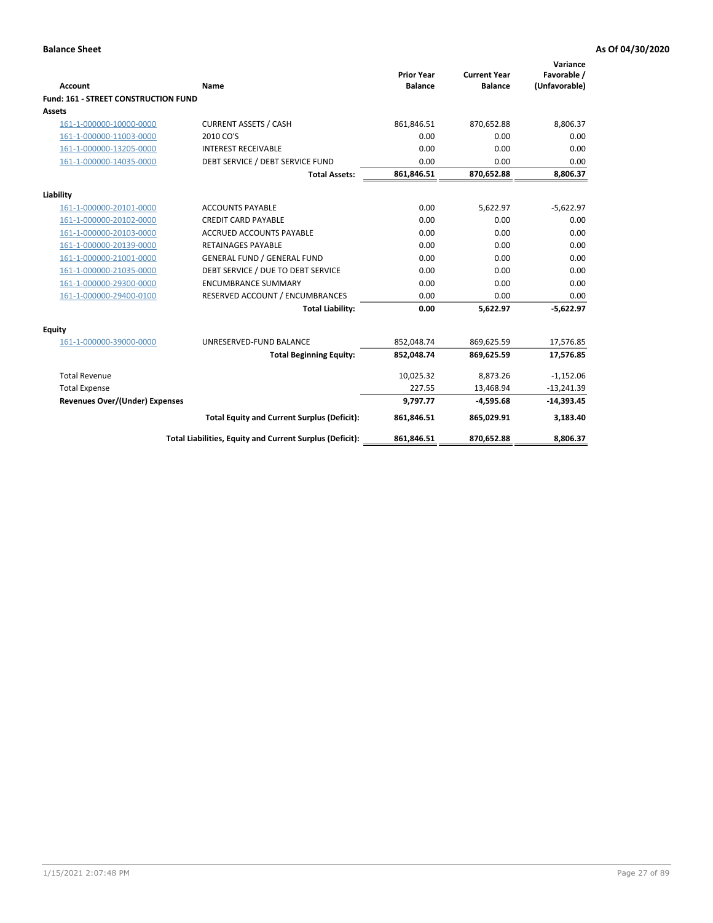| <b>Account</b>                       | Name                                                     | <b>Prior Year</b><br><b>Balance</b> | <b>Current Year</b><br><b>Balance</b> | Variance<br>Favorable /<br>(Unfavorable) |
|--------------------------------------|----------------------------------------------------------|-------------------------------------|---------------------------------------|------------------------------------------|
| Fund: 161 - STREET CONSTRUCTION FUND |                                                          |                                     |                                       |                                          |
| <b>Assets</b>                        |                                                          |                                     |                                       |                                          |
| 161-1-000000-10000-0000              | <b>CURRENT ASSETS / CASH</b>                             | 861,846.51                          | 870,652.88                            | 8,806.37                                 |
| 161-1-000000-11003-0000              | 2010 CO'S                                                | 0.00                                | 0.00                                  | 0.00                                     |
| 161-1-000000-13205-0000              | <b>INTEREST RECEIVABLE</b>                               | 0.00                                | 0.00                                  | 0.00                                     |
| 161-1-000000-14035-0000              | DEBT SERVICE / DEBT SERVICE FUND                         | 0.00                                | 0.00                                  | 0.00                                     |
|                                      | <b>Total Assets:</b>                                     | 861,846.51                          | 870,652.88                            | 8,806.37                                 |
| Liability                            |                                                          |                                     |                                       |                                          |
| 161-1-000000-20101-0000              | <b>ACCOUNTS PAYABLE</b>                                  | 0.00                                | 5,622.97                              | $-5,622.97$                              |
| 161-1-000000-20102-0000              | <b>CREDIT CARD PAYABLE</b>                               | 0.00                                | 0.00                                  | 0.00                                     |
| 161-1-000000-20103-0000              | <b>ACCRUED ACCOUNTS PAYABLE</b>                          | 0.00                                | 0.00                                  | 0.00                                     |
| 161-1-000000-20139-0000              | <b>RETAINAGES PAYABLE</b>                                | 0.00                                | 0.00                                  | 0.00                                     |
| 161-1-000000-21001-0000              | <b>GENERAL FUND / GENERAL FUND</b>                       | 0.00                                | 0.00                                  | 0.00                                     |
| 161-1-000000-21035-0000              | DEBT SERVICE / DUE TO DEBT SERVICE                       | 0.00                                | 0.00                                  | 0.00                                     |
| 161-1-000000-29300-0000              | <b>ENCUMBRANCE SUMMARY</b>                               | 0.00                                | 0.00                                  | 0.00                                     |
| 161-1-000000-29400-0100              | RESERVED ACCOUNT / ENCUMBRANCES                          | 0.00                                | 0.00                                  | 0.00                                     |
|                                      | <b>Total Liability:</b>                                  | 0.00                                | 5,622.97                              | $-5,622.97$                              |
| Equity                               |                                                          |                                     |                                       |                                          |
| 161-1-000000-39000-0000              | UNRESERVED-FUND BALANCE                                  | 852,048.74                          | 869,625.59                            | 17,576.85                                |
|                                      | <b>Total Beginning Equity:</b>                           | 852,048.74                          | 869,625.59                            | 17,576.85                                |
| <b>Total Revenue</b>                 |                                                          | 10,025.32                           | 8,873.26                              | $-1,152.06$                              |
| <b>Total Expense</b>                 |                                                          | 227.55                              | 13,468.94                             | $-13,241.39$                             |
| Revenues Over/(Under) Expenses       |                                                          | 9,797.77                            | $-4,595.68$                           | $-14,393.45$                             |
|                                      | <b>Total Equity and Current Surplus (Deficit):</b>       | 861,846.51                          | 865,029.91                            | 3,183.40                                 |
|                                      | Total Liabilities, Equity and Current Surplus (Deficit): | 861,846.51                          | 870,652.88                            | 8,806.37                                 |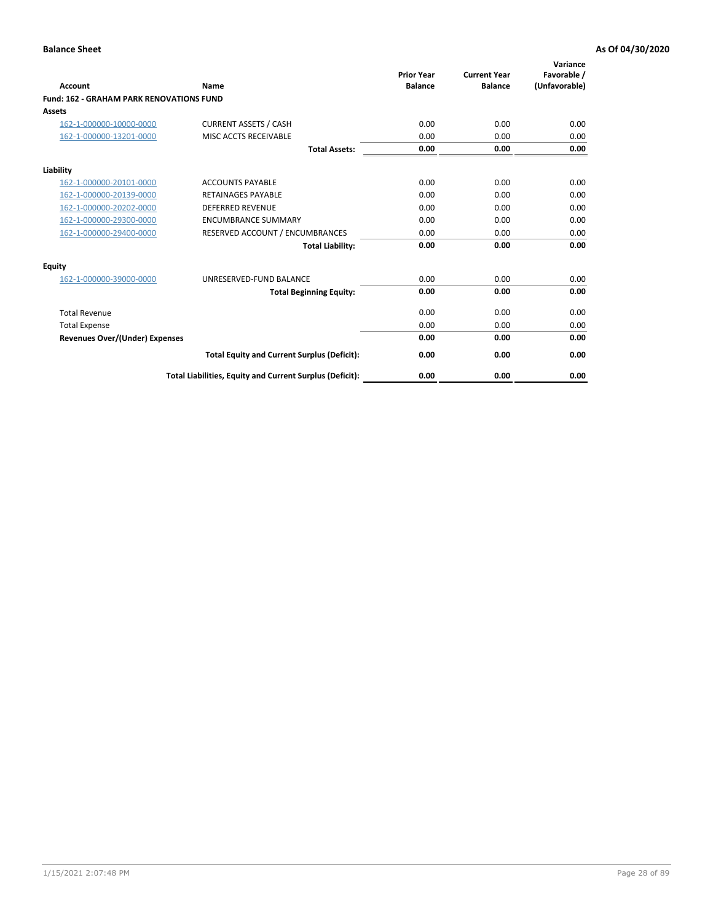| Account                                         | Name                                                     | <b>Prior Year</b><br><b>Balance</b> | <b>Current Year</b><br><b>Balance</b> | Variance<br>Favorable /<br>(Unfavorable) |
|-------------------------------------------------|----------------------------------------------------------|-------------------------------------|---------------------------------------|------------------------------------------|
| <b>Fund: 162 - GRAHAM PARK RENOVATIONS FUND</b> |                                                          |                                     |                                       |                                          |
| <b>Assets</b>                                   |                                                          |                                     |                                       |                                          |
| 162-1-000000-10000-0000                         | <b>CURRENT ASSETS / CASH</b>                             | 0.00                                | 0.00                                  | 0.00                                     |
| 162-1-000000-13201-0000                         | MISC ACCTS RECEIVABLE                                    | 0.00                                | 0.00                                  | 0.00                                     |
|                                                 | <b>Total Assets:</b>                                     | 0.00                                | 0.00                                  | 0.00                                     |
| Liability                                       |                                                          |                                     |                                       |                                          |
| 162-1-000000-20101-0000                         | <b>ACCOUNTS PAYABLE</b>                                  | 0.00                                | 0.00                                  | 0.00                                     |
| 162-1-000000-20139-0000                         | <b>RETAINAGES PAYABLE</b>                                | 0.00                                | 0.00                                  | 0.00                                     |
| 162-1-000000-20202-0000                         | <b>DEFERRED REVENUE</b>                                  | 0.00                                | 0.00                                  | 0.00                                     |
| 162-1-000000-29300-0000                         | <b>ENCUMBRANCE SUMMARY</b>                               | 0.00                                | 0.00                                  | 0.00                                     |
| 162-1-000000-29400-0000                         | RESERVED ACCOUNT / ENCUMBRANCES                          | 0.00                                | 0.00                                  | 0.00                                     |
|                                                 | <b>Total Liability:</b>                                  | 0.00                                | 0.00                                  | 0.00                                     |
| Equity                                          |                                                          |                                     |                                       |                                          |
| 162-1-000000-39000-0000                         | UNRESERVED-FUND BALANCE                                  | 0.00                                | 0.00                                  | 0.00                                     |
|                                                 | <b>Total Beginning Equity:</b>                           | 0.00                                | 0.00                                  | 0.00                                     |
| <b>Total Revenue</b>                            |                                                          | 0.00                                | 0.00                                  | 0.00                                     |
| <b>Total Expense</b>                            |                                                          | 0.00                                | 0.00                                  | 0.00                                     |
| <b>Revenues Over/(Under) Expenses</b>           |                                                          | 0.00                                | 0.00                                  | 0.00                                     |
|                                                 | <b>Total Equity and Current Surplus (Deficit):</b>       | 0.00                                | 0.00                                  | 0.00                                     |
|                                                 | Total Liabilities, Equity and Current Surplus (Deficit): | 0.00                                | 0.00                                  | 0.00                                     |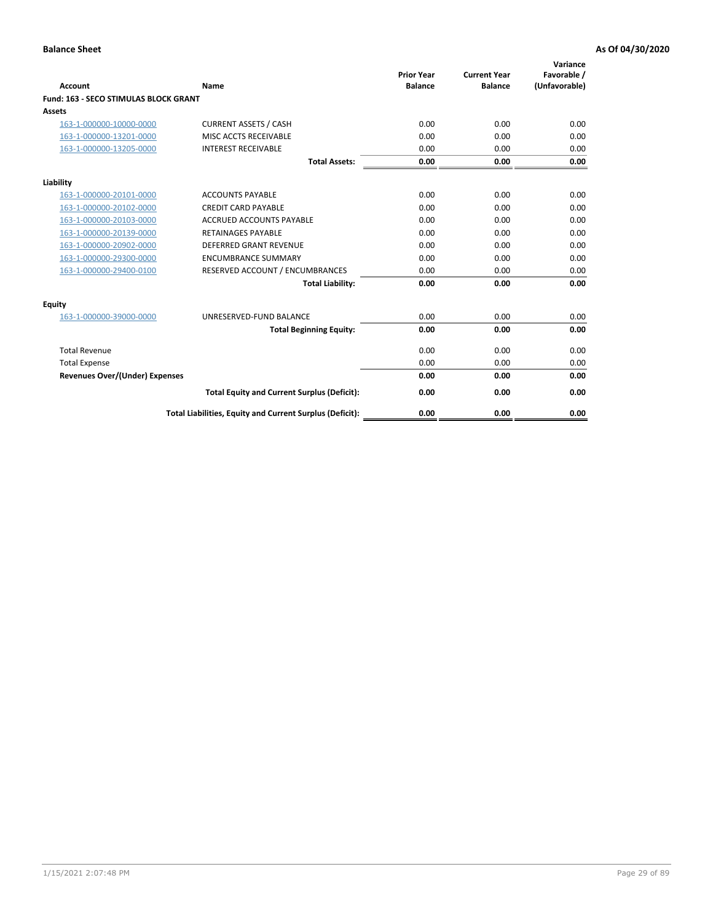| Account                               | Name                                                     | <b>Prior Year</b><br><b>Balance</b> | <b>Current Year</b><br><b>Balance</b> | Variance<br>Favorable /<br>(Unfavorable) |
|---------------------------------------|----------------------------------------------------------|-------------------------------------|---------------------------------------|------------------------------------------|
| Fund: 163 - SECO STIMULAS BLOCK GRANT |                                                          |                                     |                                       |                                          |
| <b>Assets</b>                         |                                                          |                                     |                                       |                                          |
| 163-1-000000-10000-0000               | <b>CURRENT ASSETS / CASH</b>                             | 0.00                                | 0.00                                  | 0.00                                     |
| 163-1-000000-13201-0000               | MISC ACCTS RECEIVABLE                                    | 0.00                                | 0.00                                  | 0.00                                     |
| 163-1-000000-13205-0000               | <b>INTEREST RECEIVABLE</b>                               | 0.00                                | 0.00                                  | 0.00                                     |
|                                       | <b>Total Assets:</b>                                     | 0.00                                | 0.00                                  | 0.00                                     |
| Liability                             |                                                          |                                     |                                       |                                          |
| 163-1-000000-20101-0000               | <b>ACCOUNTS PAYABLE</b>                                  | 0.00                                | 0.00                                  | 0.00                                     |
| 163-1-000000-20102-0000               | <b>CREDIT CARD PAYABLE</b>                               | 0.00                                | 0.00                                  | 0.00                                     |
| 163-1-000000-20103-0000               | <b>ACCRUED ACCOUNTS PAYABLE</b>                          | 0.00                                | 0.00                                  | 0.00                                     |
| 163-1-000000-20139-0000               | <b>RETAINAGES PAYABLE</b>                                | 0.00                                | 0.00                                  | 0.00                                     |
| 163-1-000000-20902-0000               | DEFERRED GRANT REVENUE                                   | 0.00                                | 0.00                                  | 0.00                                     |
| 163-1-000000-29300-0000               | <b>ENCUMBRANCE SUMMARY</b>                               | 0.00                                | 0.00                                  | 0.00                                     |
| 163-1-000000-29400-0100               | RESERVED ACCOUNT / ENCUMBRANCES                          | 0.00                                | 0.00                                  | 0.00                                     |
|                                       | <b>Total Liability:</b>                                  | 0.00                                | 0.00                                  | 0.00                                     |
| <b>Equity</b>                         |                                                          |                                     |                                       |                                          |
| 163-1-000000-39000-0000               | UNRESERVED-FUND BALANCE                                  | 0.00                                | 0.00                                  | 0.00                                     |
|                                       | <b>Total Beginning Equity:</b>                           | 0.00                                | 0.00                                  | 0.00                                     |
| <b>Total Revenue</b>                  |                                                          | 0.00                                | 0.00                                  | 0.00                                     |
| <b>Total Expense</b>                  |                                                          | 0.00                                | 0.00                                  | 0.00                                     |
| <b>Revenues Over/(Under) Expenses</b> |                                                          | 0.00                                | 0.00                                  | 0.00                                     |
|                                       | <b>Total Equity and Current Surplus (Deficit):</b>       | 0.00                                | 0.00                                  | 0.00                                     |
|                                       | Total Liabilities, Equity and Current Surplus (Deficit): | 0.00                                | 0.00                                  | 0.00                                     |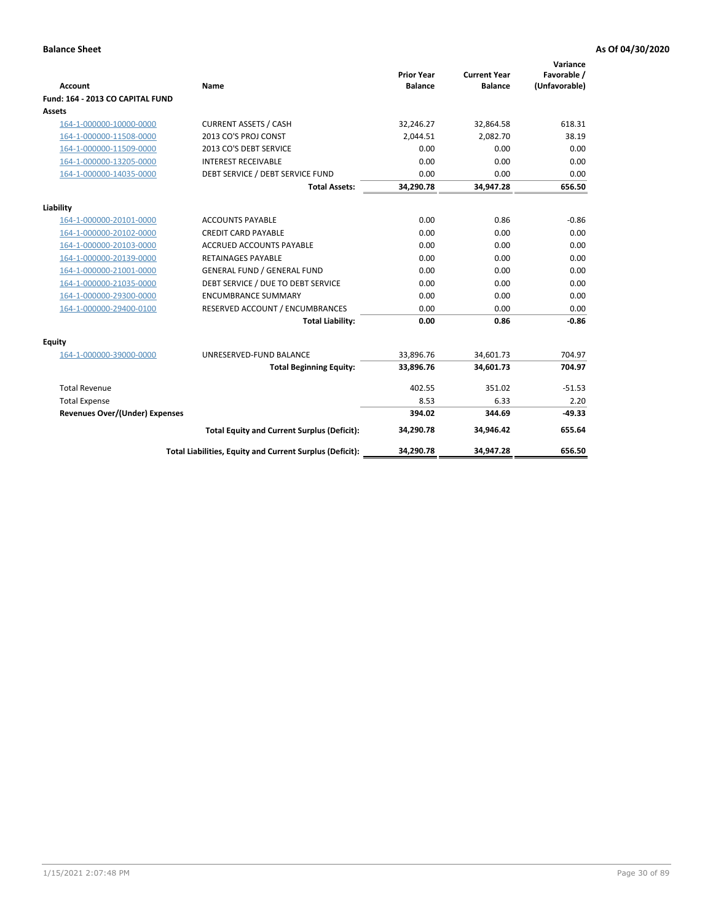| <b>Account</b>                        | <b>Name</b>                                              | <b>Prior Year</b><br><b>Balance</b> | <b>Current Year</b><br><b>Balance</b> | Variance<br>Favorable /<br>(Unfavorable) |
|---------------------------------------|----------------------------------------------------------|-------------------------------------|---------------------------------------|------------------------------------------|
| Fund: 164 - 2013 CO CAPITAL FUND      |                                                          |                                     |                                       |                                          |
| Assets                                |                                                          |                                     |                                       |                                          |
| 164-1-000000-10000-0000               | <b>CURRENT ASSETS / CASH</b>                             | 32,246.27                           | 32,864.58                             | 618.31                                   |
| 164-1-000000-11508-0000               | 2013 CO'S PROJ CONST                                     | 2,044.51                            | 2,082.70                              | 38.19                                    |
| 164-1-000000-11509-0000               | 2013 CO'S DEBT SERVICE                                   | 0.00                                | 0.00                                  | 0.00                                     |
| 164-1-000000-13205-0000               | <b>INTEREST RECEIVABLE</b>                               | 0.00                                | 0.00                                  | 0.00                                     |
| 164-1-000000-14035-0000               | DEBT SERVICE / DEBT SERVICE FUND                         | 0.00                                | 0.00                                  | 0.00                                     |
|                                       | <b>Total Assets:</b>                                     | 34,290.78                           | 34,947.28                             | 656.50                                   |
| Liability                             |                                                          |                                     |                                       |                                          |
| 164-1-000000-20101-0000               | <b>ACCOUNTS PAYABLE</b>                                  | 0.00                                | 0.86                                  | $-0.86$                                  |
| 164-1-000000-20102-0000               | <b>CREDIT CARD PAYABLE</b>                               | 0.00                                | 0.00                                  | 0.00                                     |
| 164-1-000000-20103-0000               | <b>ACCRUED ACCOUNTS PAYABLE</b>                          | 0.00                                | 0.00                                  | 0.00                                     |
| 164-1-000000-20139-0000               | <b>RETAINAGES PAYABLE</b>                                | 0.00                                | 0.00                                  | 0.00                                     |
| 164-1-000000-21001-0000               | <b>GENERAL FUND / GENERAL FUND</b>                       | 0.00                                | 0.00                                  | 0.00                                     |
| 164-1-000000-21035-0000               | DEBT SERVICE / DUE TO DEBT SERVICE                       | 0.00                                | 0.00                                  | 0.00                                     |
| 164-1-000000-29300-0000               | <b>ENCUMBRANCE SUMMARY</b>                               | 0.00                                | 0.00                                  | 0.00                                     |
| 164-1-000000-29400-0100               | RESERVED ACCOUNT / ENCUMBRANCES                          | 0.00                                | 0.00                                  | 0.00                                     |
|                                       | <b>Total Liability:</b>                                  | 0.00                                | 0.86                                  | $-0.86$                                  |
| Equity                                |                                                          |                                     |                                       |                                          |
| 164-1-000000-39000-0000               | UNRESERVED-FUND BALANCE                                  | 33,896.76                           | 34,601.73                             | 704.97                                   |
|                                       | <b>Total Beginning Equity:</b>                           | 33,896.76                           | 34,601.73                             | 704.97                                   |
| <b>Total Revenue</b>                  |                                                          | 402.55                              | 351.02                                | $-51.53$                                 |
| <b>Total Expense</b>                  |                                                          | 8.53                                | 6.33                                  | 2.20                                     |
| <b>Revenues Over/(Under) Expenses</b> |                                                          | 394.02                              | 344.69                                | $-49.33$                                 |
|                                       | <b>Total Equity and Current Surplus (Deficit):</b>       | 34,290.78                           | 34,946.42                             | 655.64                                   |
|                                       | Total Liabilities, Equity and Current Surplus (Deficit): | 34,290.78                           | 34,947.28                             | 656.50                                   |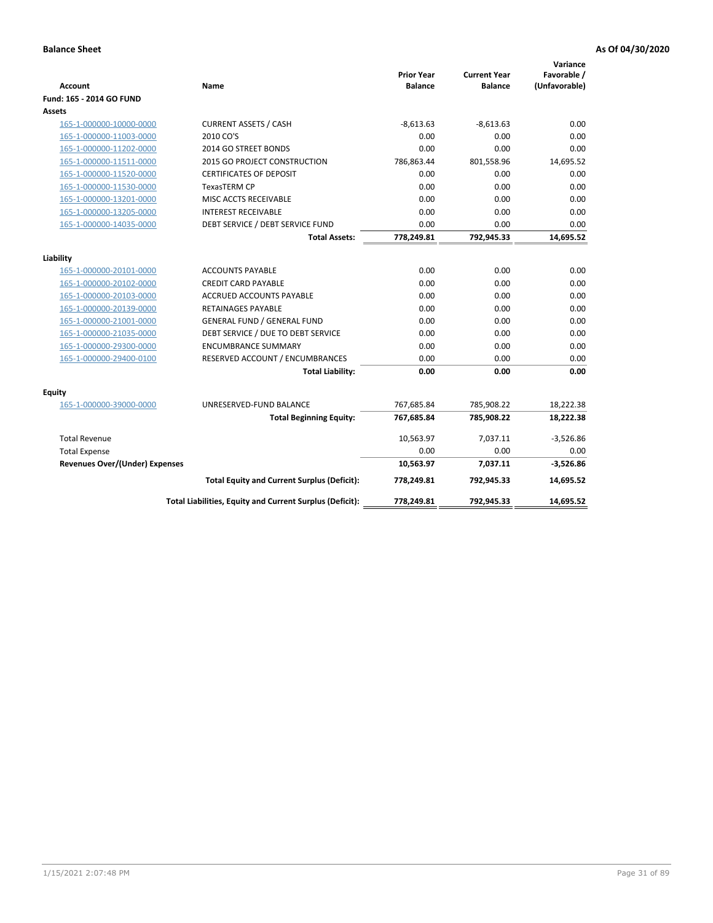| <b>Account</b>                        | Name                                                     | <b>Prior Year</b><br><b>Balance</b> | <b>Current Year</b><br><b>Balance</b> | Variance<br>Favorable /<br>(Unfavorable) |
|---------------------------------------|----------------------------------------------------------|-------------------------------------|---------------------------------------|------------------------------------------|
| Fund: 165 - 2014 GO FUND              |                                                          |                                     |                                       |                                          |
| Assets                                |                                                          |                                     |                                       |                                          |
| 165-1-000000-10000-0000               | <b>CURRENT ASSETS / CASH</b>                             | $-8,613.63$                         | $-8,613.63$                           | 0.00                                     |
| 165-1-000000-11003-0000               | 2010 CO'S                                                | 0.00                                | 0.00                                  | 0.00                                     |
| 165-1-000000-11202-0000               | 2014 GO STREET BONDS                                     | 0.00                                | 0.00                                  | 0.00                                     |
| 165-1-000000-11511-0000               | 2015 GO PROJECT CONSTRUCTION                             | 786,863.44                          | 801,558.96                            | 14,695.52                                |
| 165-1-000000-11520-0000               | <b>CERTIFICATES OF DEPOSIT</b>                           | 0.00                                | 0.00                                  | 0.00                                     |
| 165-1-000000-11530-0000               | <b>TexasTERM CP</b>                                      | 0.00                                | 0.00                                  | 0.00                                     |
| 165-1-000000-13201-0000               | MISC ACCTS RECEIVABLE                                    | 0.00                                | 0.00                                  | 0.00                                     |
| 165-1-000000-13205-0000               | <b>INTEREST RECEIVABLE</b>                               | 0.00                                | 0.00                                  | 0.00                                     |
| 165-1-000000-14035-0000               | DEBT SERVICE / DEBT SERVICE FUND                         | 0.00                                | 0.00                                  | 0.00                                     |
|                                       | <b>Total Assets:</b>                                     | 778,249.81                          | 792,945.33                            | 14,695.52                                |
| Liability                             |                                                          |                                     |                                       |                                          |
| 165-1-000000-20101-0000               | <b>ACCOUNTS PAYABLE</b>                                  | 0.00                                | 0.00                                  | 0.00                                     |
| 165-1-000000-20102-0000               | <b>CREDIT CARD PAYABLE</b>                               | 0.00                                | 0.00                                  | 0.00                                     |
| 165-1-000000-20103-0000               | <b>ACCRUED ACCOUNTS PAYABLE</b>                          | 0.00                                | 0.00                                  | 0.00                                     |
| 165-1-000000-20139-0000               | <b>RETAINAGES PAYABLE</b>                                | 0.00                                | 0.00                                  | 0.00                                     |
| 165-1-000000-21001-0000               | <b>GENERAL FUND / GENERAL FUND</b>                       | 0.00                                | 0.00                                  | 0.00                                     |
| 165-1-000000-21035-0000               | DEBT SERVICE / DUE TO DEBT SERVICE                       | 0.00                                | 0.00                                  | 0.00                                     |
| 165-1-000000-29300-0000               | <b>ENCUMBRANCE SUMMARY</b>                               | 0.00                                | 0.00                                  | 0.00                                     |
| 165-1-000000-29400-0100               | RESERVED ACCOUNT / ENCUMBRANCES                          | 0.00                                | 0.00                                  | 0.00                                     |
|                                       | <b>Total Liability:</b>                                  | 0.00                                | 0.00                                  | 0.00                                     |
| Fquity                                |                                                          |                                     |                                       |                                          |
| 165-1-000000-39000-0000               | UNRESERVED-FUND BALANCE                                  | 767,685.84                          | 785,908.22                            | 18,222.38                                |
|                                       | <b>Total Beginning Equity:</b>                           | 767,685.84                          | 785,908.22                            | 18,222.38                                |
| <b>Total Revenue</b>                  |                                                          | 10,563.97                           | 7,037.11                              | $-3,526.86$                              |
| <b>Total Expense</b>                  |                                                          | 0.00                                | 0.00                                  | 0.00                                     |
| <b>Revenues Over/(Under) Expenses</b> |                                                          | 10,563.97                           | 7,037.11                              | $-3,526.86$                              |
|                                       | <b>Total Equity and Current Surplus (Deficit):</b>       | 778,249.81                          | 792,945.33                            | 14,695.52                                |
|                                       | Total Liabilities, Equity and Current Surplus (Deficit): | 778,249.81                          | 792,945.33                            | 14.695.52                                |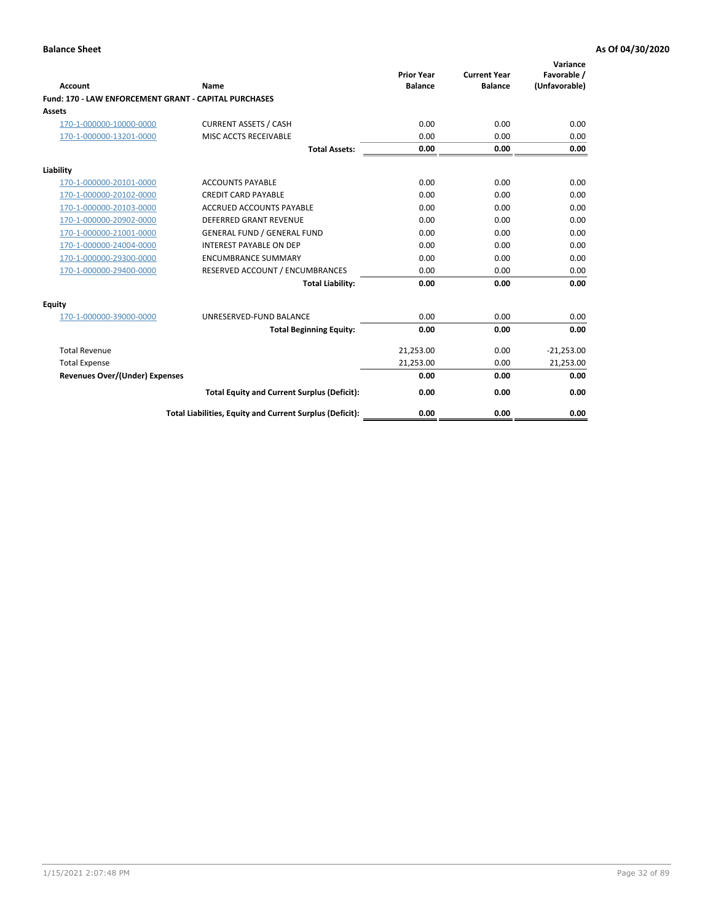| <b>Account</b>                                               | Name                                                     | <b>Prior Year</b><br><b>Balance</b> | <b>Current Year</b><br><b>Balance</b> | Variance<br>Favorable /<br>(Unfavorable) |
|--------------------------------------------------------------|----------------------------------------------------------|-------------------------------------|---------------------------------------|------------------------------------------|
| <b>Fund: 170 - LAW ENFORCEMENT GRANT - CAPITAL PURCHASES</b> |                                                          |                                     |                                       |                                          |
| Assets                                                       |                                                          |                                     |                                       |                                          |
| 170-1-000000-10000-0000                                      | <b>CURRENT ASSETS / CASH</b>                             | 0.00                                | 0.00                                  | 0.00                                     |
| 170-1-000000-13201-0000                                      | MISC ACCTS RECEIVABLE                                    | 0.00                                | 0.00                                  | 0.00                                     |
|                                                              | <b>Total Assets:</b>                                     | 0.00                                | 0.00                                  | 0.00                                     |
| Liability                                                    |                                                          |                                     |                                       |                                          |
| 170-1-000000-20101-0000                                      | <b>ACCOUNTS PAYABLE</b>                                  | 0.00                                | 0.00                                  | 0.00                                     |
| 170-1-000000-20102-0000                                      | <b>CREDIT CARD PAYABLE</b>                               | 0.00                                | 0.00                                  | 0.00                                     |
| 170-1-000000-20103-0000                                      | <b>ACCRUED ACCOUNTS PAYABLE</b>                          | 0.00                                | 0.00                                  | 0.00                                     |
| 170-1-000000-20902-0000                                      | <b>DEFERRED GRANT REVENUE</b>                            | 0.00                                | 0.00                                  | 0.00                                     |
| 170-1-000000-21001-0000                                      | <b>GENERAL FUND / GENERAL FUND</b>                       | 0.00                                | 0.00                                  | 0.00                                     |
| 170-1-000000-24004-0000                                      | <b>INTEREST PAYABLE ON DEP</b>                           | 0.00                                | 0.00                                  | 0.00                                     |
| 170-1-000000-29300-0000                                      | <b>ENCUMBRANCE SUMMARY</b>                               | 0.00                                | 0.00                                  | 0.00                                     |
| 170-1-000000-29400-0000                                      | RESERVED ACCOUNT / ENCUMBRANCES                          | 0.00                                | 0.00                                  | 0.00                                     |
|                                                              | <b>Total Liability:</b>                                  | 0.00                                | 0.00                                  | 0.00                                     |
| <b>Equity</b>                                                |                                                          |                                     |                                       |                                          |
| 170-1-000000-39000-0000                                      | UNRESERVED-FUND BALANCE                                  | 0.00                                | 0.00                                  | 0.00                                     |
|                                                              | <b>Total Beginning Equity:</b>                           | 0.00                                | 0.00                                  | 0.00                                     |
| <b>Total Revenue</b>                                         |                                                          | 21,253.00                           | 0.00                                  | $-21,253.00$                             |
| <b>Total Expense</b>                                         |                                                          | 21,253.00                           | 0.00                                  | 21,253.00                                |
| <b>Revenues Over/(Under) Expenses</b>                        |                                                          | 0.00                                | 0.00                                  | 0.00                                     |
|                                                              | <b>Total Equity and Current Surplus (Deficit):</b>       | 0.00                                | 0.00                                  | 0.00                                     |
|                                                              | Total Liabilities, Equity and Current Surplus (Deficit): | 0.00                                | 0.00                                  | 0.00                                     |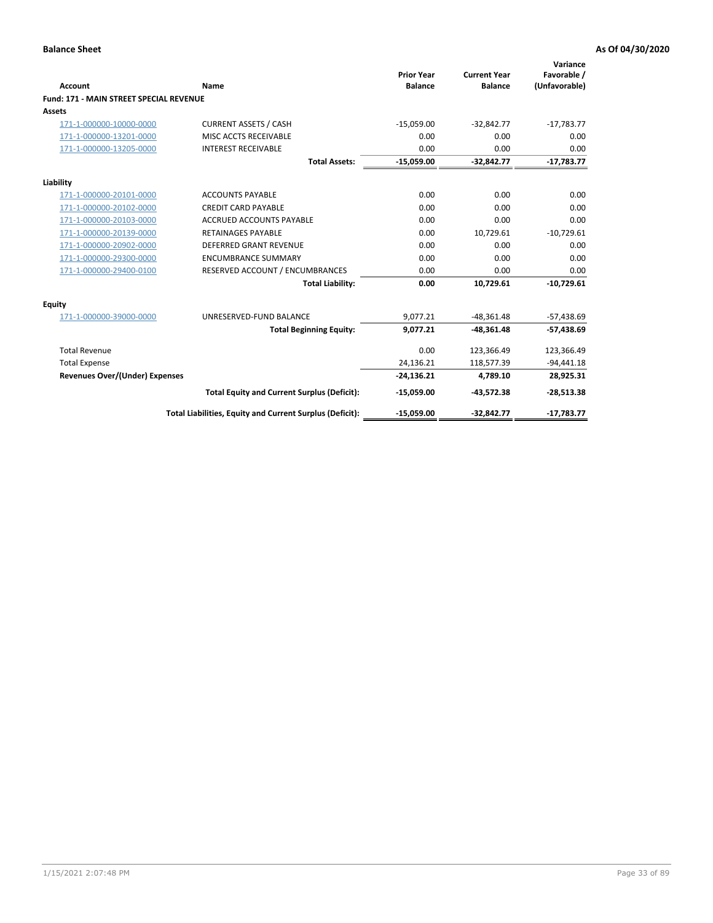|                                                |                                                          | <b>Prior Year</b> | <b>Current Year</b> | Variance<br>Favorable / |
|------------------------------------------------|----------------------------------------------------------|-------------------|---------------------|-------------------------|
| Account                                        | Name                                                     | <b>Balance</b>    | <b>Balance</b>      | (Unfavorable)           |
| <b>Fund: 171 - MAIN STREET SPECIAL REVENUE</b> |                                                          |                   |                     |                         |
| Assets                                         |                                                          |                   |                     |                         |
| 171-1-000000-10000-0000                        | <b>CURRENT ASSETS / CASH</b>                             | $-15,059.00$      | $-32,842.77$        | $-17,783.77$            |
| 171-1-000000-13201-0000                        | MISC ACCTS RECEIVABLE                                    | 0.00              | 0.00                | 0.00                    |
| 171-1-000000-13205-0000                        | <b>INTEREST RECEIVABLE</b>                               | 0.00              | 0.00                | 0.00                    |
|                                                | <b>Total Assets:</b>                                     | $-15,059.00$      | $-32,842.77$        | $-17,783.77$            |
| Liability                                      |                                                          |                   |                     |                         |
| 171-1-000000-20101-0000                        | <b>ACCOUNTS PAYABLE</b>                                  | 0.00              | 0.00                | 0.00                    |
| 171-1-000000-20102-0000                        | <b>CREDIT CARD PAYABLE</b>                               | 0.00              | 0.00                | 0.00                    |
| 171-1-000000-20103-0000                        | <b>ACCRUED ACCOUNTS PAYABLE</b>                          | 0.00              | 0.00                | 0.00                    |
| 171-1-000000-20139-0000                        | <b>RETAINAGES PAYABLE</b>                                | 0.00              | 10,729.61           | $-10,729.61$            |
| 171-1-000000-20902-0000                        | <b>DEFERRED GRANT REVENUE</b>                            | 0.00              | 0.00                | 0.00                    |
| 171-1-000000-29300-0000                        | <b>ENCUMBRANCE SUMMARY</b>                               | 0.00              | 0.00                | 0.00                    |
| 171-1-000000-29400-0100                        | RESERVED ACCOUNT / ENCUMBRANCES                          | 0.00              | 0.00                | 0.00                    |
|                                                | <b>Total Liability:</b>                                  | 0.00              | 10,729.61           | $-10,729.61$            |
| <b>Equity</b>                                  |                                                          |                   |                     |                         |
| 171-1-000000-39000-0000                        | UNRESERVED-FUND BALANCE                                  | 9,077.21          | $-48,361.48$        | $-57,438.69$            |
|                                                | <b>Total Beginning Equity:</b>                           | 9,077.21          | $-48,361.48$        | $-57,438.69$            |
| <b>Total Revenue</b>                           |                                                          | 0.00              | 123,366.49          | 123,366.49              |
| <b>Total Expense</b>                           |                                                          | 24,136.21         | 118,577.39          | $-94,441.18$            |
| <b>Revenues Over/(Under) Expenses</b>          |                                                          | $-24,136.21$      | 4,789.10            | 28,925.31               |
|                                                | <b>Total Equity and Current Surplus (Deficit):</b>       | $-15,059.00$      | $-43,572.38$        | $-28,513.38$            |
|                                                | Total Liabilities, Equity and Current Surplus (Deficit): | $-15,059.00$      | $-32,842.77$        | $-17,783.77$            |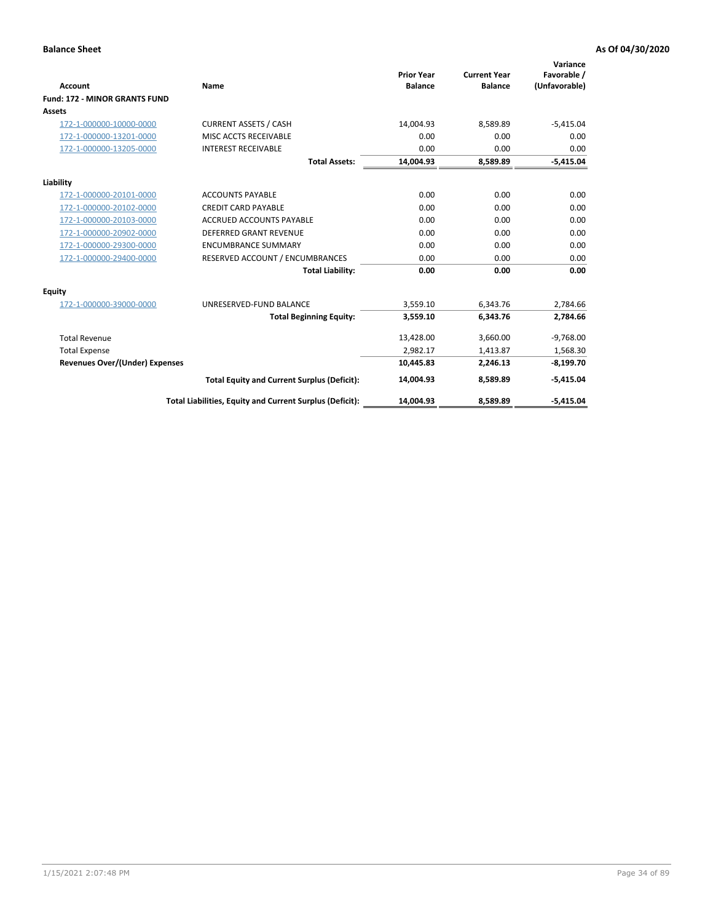|                                       |                                                          | <b>Prior Year</b> | <b>Current Year</b> | Variance<br>Favorable / |
|---------------------------------------|----------------------------------------------------------|-------------------|---------------------|-------------------------|
| <b>Account</b>                        | <b>Name</b>                                              | <b>Balance</b>    | <b>Balance</b>      | (Unfavorable)           |
| <b>Fund: 172 - MINOR GRANTS FUND</b>  |                                                          |                   |                     |                         |
| <b>Assets</b>                         |                                                          |                   |                     |                         |
| 172-1-000000-10000-0000               | <b>CURRENT ASSETS / CASH</b>                             | 14,004.93         | 8,589.89            | $-5,415.04$             |
| 172-1-000000-13201-0000               | MISC ACCTS RECEIVABLE                                    | 0.00              | 0.00                | 0.00                    |
| 172-1-000000-13205-0000               | <b>INTEREST RECEIVABLE</b>                               | 0.00              | 0.00                | 0.00                    |
|                                       | <b>Total Assets:</b>                                     | 14,004.93         | 8,589.89            | $-5,415.04$             |
| Liability                             |                                                          |                   |                     |                         |
| 172-1-000000-20101-0000               | <b>ACCOUNTS PAYABLE</b>                                  | 0.00              | 0.00                | 0.00                    |
| 172-1-000000-20102-0000               | <b>CREDIT CARD PAYABLE</b>                               | 0.00              | 0.00                | 0.00                    |
| 172-1-000000-20103-0000               | <b>ACCRUED ACCOUNTS PAYABLE</b>                          | 0.00              | 0.00                | 0.00                    |
| 172-1-000000-20902-0000               | DEFERRED GRANT REVENUE                                   | 0.00              | 0.00                | 0.00                    |
| 172-1-000000-29300-0000               | <b>ENCUMBRANCE SUMMARY</b>                               | 0.00              | 0.00                | 0.00                    |
| 172-1-000000-29400-0000               | RESERVED ACCOUNT / ENCUMBRANCES                          | 0.00              | 0.00                | 0.00                    |
|                                       | <b>Total Liability:</b>                                  | 0.00              | 0.00                | 0.00                    |
| Equity                                |                                                          |                   |                     |                         |
| 172-1-000000-39000-0000               | UNRESERVED-FUND BALANCE                                  | 3,559.10          | 6,343.76            | 2,784.66                |
|                                       | <b>Total Beginning Equity:</b>                           | 3,559.10          | 6,343.76            | 2,784.66                |
| <b>Total Revenue</b>                  |                                                          | 13,428.00         | 3,660.00            | $-9,768.00$             |
| <b>Total Expense</b>                  |                                                          | 2,982.17          | 1,413.87            | 1,568.30                |
| <b>Revenues Over/(Under) Expenses</b> |                                                          | 10,445.83         | 2,246.13            | $-8,199.70$             |
|                                       | <b>Total Equity and Current Surplus (Deficit):</b>       | 14,004.93         | 8,589.89            | $-5,415.04$             |
|                                       | Total Liabilities, Equity and Current Surplus (Deficit): | 14,004.93         | 8,589.89            | $-5,415.04$             |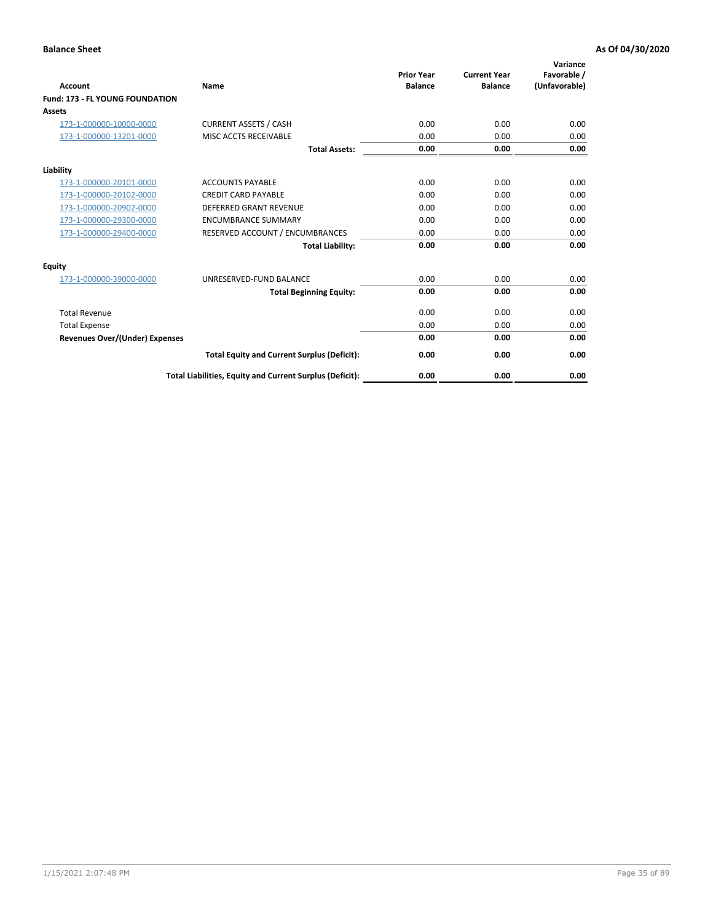| <b>Account</b>                         | <b>Name</b>                                              | <b>Prior Year</b><br><b>Balance</b> | <b>Current Year</b><br><b>Balance</b> | Variance<br>Favorable /<br>(Unfavorable) |
|----------------------------------------|----------------------------------------------------------|-------------------------------------|---------------------------------------|------------------------------------------|
| <b>Fund: 173 - FL YOUNG FOUNDATION</b> |                                                          |                                     |                                       |                                          |
| Assets                                 |                                                          |                                     |                                       |                                          |
| 173-1-000000-10000-0000                | <b>CURRENT ASSETS / CASH</b>                             | 0.00                                | 0.00                                  | 0.00                                     |
| 173-1-000000-13201-0000                | MISC ACCTS RECEIVABLE                                    | 0.00                                | 0.00                                  | 0.00                                     |
|                                        | <b>Total Assets:</b>                                     | 0.00                                | 0.00                                  | 0.00                                     |
| Liability                              |                                                          |                                     |                                       |                                          |
| 173-1-000000-20101-0000                | <b>ACCOUNTS PAYABLE</b>                                  | 0.00                                | 0.00                                  | 0.00                                     |
| 173-1-000000-20102-0000                | <b>CREDIT CARD PAYABLE</b>                               | 0.00                                | 0.00                                  | 0.00                                     |
| 173-1-000000-20902-0000                | <b>DEFERRED GRANT REVENUE</b>                            | 0.00                                | 0.00                                  | 0.00                                     |
| 173-1-000000-29300-0000                | <b>ENCUMBRANCE SUMMARY</b>                               | 0.00                                | 0.00                                  | 0.00                                     |
| 173-1-000000-29400-0000                | RESERVED ACCOUNT / ENCUMBRANCES                          | 0.00                                | 0.00                                  | 0.00                                     |
|                                        | <b>Total Liability:</b>                                  | 0.00                                | 0.00                                  | 0.00                                     |
| Equity                                 |                                                          |                                     |                                       |                                          |
| 173-1-000000-39000-0000                | UNRESERVED-FUND BALANCE                                  | 0.00                                | 0.00                                  | 0.00                                     |
|                                        | <b>Total Beginning Equity:</b>                           | 0.00                                | 0.00                                  | 0.00                                     |
| <b>Total Revenue</b>                   |                                                          | 0.00                                | 0.00                                  | 0.00                                     |
| <b>Total Expense</b>                   |                                                          | 0.00                                | 0.00                                  | 0.00                                     |
| <b>Revenues Over/(Under) Expenses</b>  |                                                          | 0.00                                | 0.00                                  | 0.00                                     |
|                                        | <b>Total Equity and Current Surplus (Deficit):</b>       | 0.00                                | 0.00                                  | 0.00                                     |
|                                        | Total Liabilities, Equity and Current Surplus (Deficit): | 0.00                                | 0.00                                  | 0.00                                     |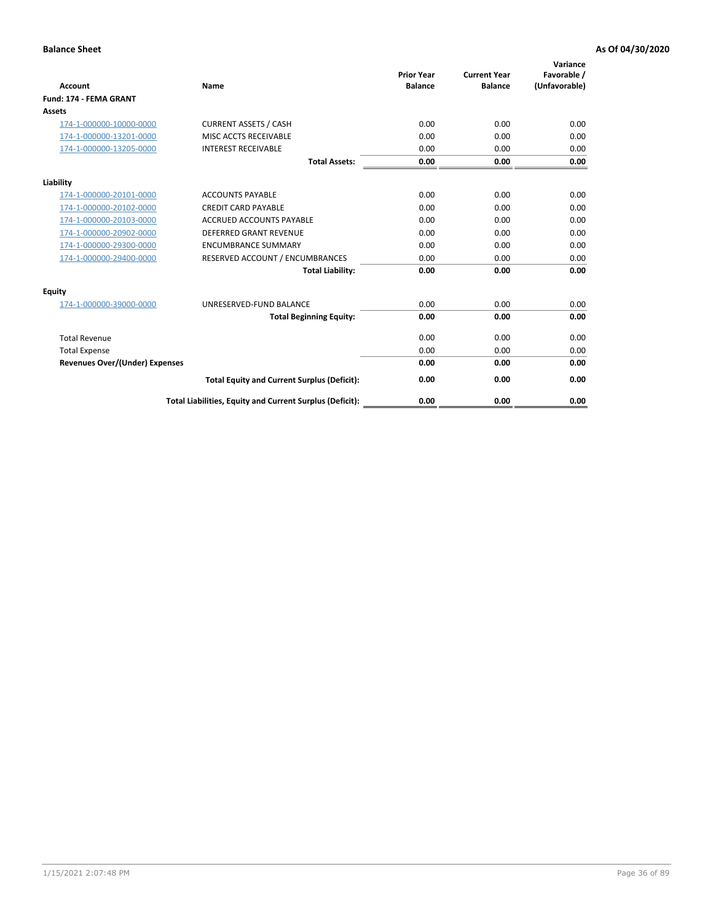| <b>Account</b>                        | Name                                                     | <b>Prior Year</b><br><b>Balance</b> | <b>Current Year</b><br><b>Balance</b> | Variance<br>Favorable /<br>(Unfavorable) |
|---------------------------------------|----------------------------------------------------------|-------------------------------------|---------------------------------------|------------------------------------------|
| <b>Fund: 174 - FEMA GRANT</b>         |                                                          |                                     |                                       |                                          |
| Assets                                |                                                          |                                     |                                       |                                          |
| 174-1-000000-10000-0000               | <b>CURRENT ASSETS / CASH</b>                             | 0.00                                | 0.00                                  | 0.00                                     |
| 174-1-000000-13201-0000               | MISC ACCTS RECEIVABLE                                    | 0.00                                | 0.00                                  | 0.00                                     |
| 174-1-000000-13205-0000               | <b>INTEREST RECEIVABLE</b>                               | 0.00                                | 0.00                                  | 0.00                                     |
|                                       | <b>Total Assets:</b>                                     | 0.00                                | 0.00                                  | 0.00                                     |
| Liability                             |                                                          |                                     |                                       |                                          |
| 174-1-000000-20101-0000               | <b>ACCOUNTS PAYABLE</b>                                  | 0.00                                | 0.00                                  | 0.00                                     |
| 174-1-000000-20102-0000               | <b>CREDIT CARD PAYABLE</b>                               | 0.00                                | 0.00                                  | 0.00                                     |
| 174-1-000000-20103-0000               | <b>ACCRUED ACCOUNTS PAYABLE</b>                          | 0.00                                | 0.00                                  | 0.00                                     |
| 174-1-000000-20902-0000               | <b>DEFERRED GRANT REVENUE</b>                            | 0.00                                | 0.00                                  | 0.00                                     |
| 174-1-000000-29300-0000               | <b>ENCUMBRANCE SUMMARY</b>                               | 0.00                                | 0.00                                  | 0.00                                     |
| 174-1-000000-29400-0000               | RESERVED ACCOUNT / ENCUMBRANCES                          | 0.00                                | 0.00                                  | 0.00                                     |
|                                       | <b>Total Liability:</b>                                  | 0.00                                | 0.00                                  | 0.00                                     |
| <b>Equity</b>                         |                                                          |                                     |                                       |                                          |
| 174-1-000000-39000-0000               | UNRESERVED-FUND BALANCE                                  | 0.00                                | 0.00                                  | 0.00                                     |
|                                       | <b>Total Beginning Equity:</b>                           | 0.00                                | 0.00                                  | 0.00                                     |
| <b>Total Revenue</b>                  |                                                          | 0.00                                | 0.00                                  | 0.00                                     |
| <b>Total Expense</b>                  |                                                          | 0.00                                | 0.00                                  | 0.00                                     |
| <b>Revenues Over/(Under) Expenses</b> |                                                          | 0.00                                | 0.00                                  | 0.00                                     |
|                                       | <b>Total Equity and Current Surplus (Deficit):</b>       | 0.00                                | 0.00                                  | 0.00                                     |
|                                       | Total Liabilities, Equity and Current Surplus (Deficit): | 0.00                                | 0.00                                  | 0.00                                     |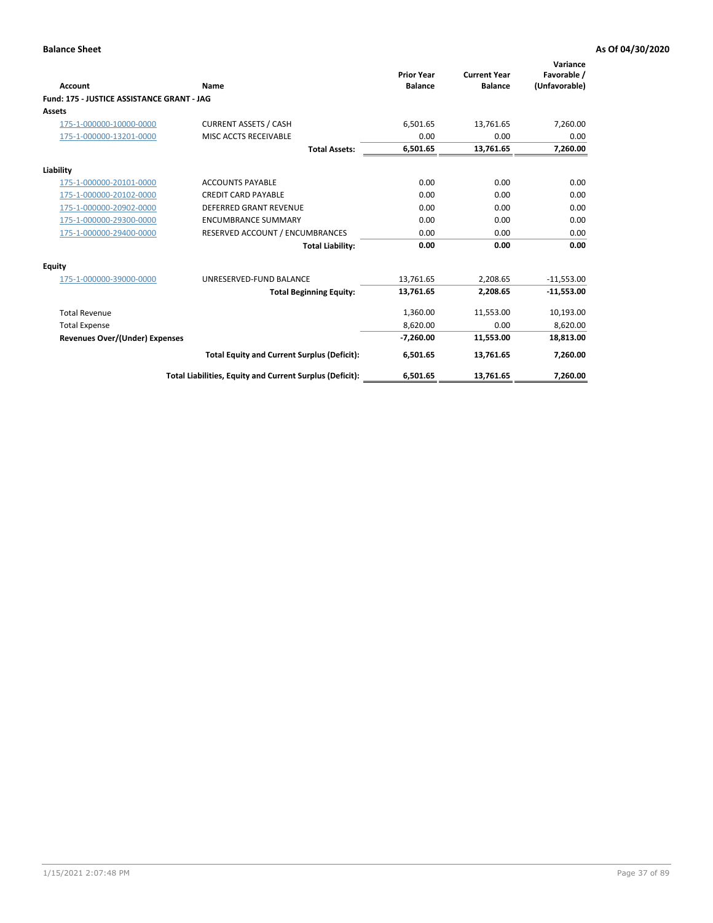| <b>Account</b>                             | Name                                                     | <b>Prior Year</b><br><b>Balance</b> | <b>Current Year</b><br><b>Balance</b> | Variance<br>Favorable /<br>(Unfavorable) |
|--------------------------------------------|----------------------------------------------------------|-------------------------------------|---------------------------------------|------------------------------------------|
| Fund: 175 - JUSTICE ASSISTANCE GRANT - JAG |                                                          |                                     |                                       |                                          |
| <b>Assets</b>                              |                                                          |                                     |                                       |                                          |
| 175-1-000000-10000-0000                    | <b>CURRENT ASSETS / CASH</b>                             | 6,501.65                            | 13,761.65                             | 7,260.00                                 |
| 175-1-000000-13201-0000                    | MISC ACCTS RECEIVABLE                                    | 0.00                                | 0.00                                  | 0.00                                     |
|                                            | <b>Total Assets:</b>                                     | 6,501.65                            | 13,761.65                             | 7,260.00                                 |
| Liability                                  |                                                          |                                     |                                       |                                          |
| 175-1-000000-20101-0000                    | <b>ACCOUNTS PAYABLE</b>                                  | 0.00                                | 0.00                                  | 0.00                                     |
| 175-1-000000-20102-0000                    | <b>CREDIT CARD PAYABLE</b>                               | 0.00                                | 0.00                                  | 0.00                                     |
| 175-1-000000-20902-0000                    | <b>DEFERRED GRANT REVENUE</b>                            | 0.00                                | 0.00                                  | 0.00                                     |
| 175-1-000000-29300-0000                    | <b>ENCUMBRANCE SUMMARY</b>                               | 0.00                                | 0.00                                  | 0.00                                     |
| 175-1-000000-29400-0000                    | RESERVED ACCOUNT / ENCUMBRANCES                          | 0.00                                | 0.00                                  | 0.00                                     |
|                                            | <b>Total Liability:</b>                                  | 0.00                                | 0.00                                  | 0.00                                     |
| Equity                                     |                                                          |                                     |                                       |                                          |
| 175-1-000000-39000-0000                    | UNRESERVED-FUND BALANCE                                  | 13,761.65                           | 2,208.65                              | $-11,553.00$                             |
|                                            | <b>Total Beginning Equity:</b>                           | 13,761.65                           | 2,208.65                              | $-11,553.00$                             |
| <b>Total Revenue</b>                       |                                                          | 1,360.00                            | 11,553.00                             | 10,193.00                                |
| <b>Total Expense</b>                       |                                                          | 8,620.00                            | 0.00                                  | 8,620.00                                 |
| Revenues Over/(Under) Expenses             |                                                          | $-7,260.00$                         | 11,553.00                             | 18,813.00                                |
|                                            | <b>Total Equity and Current Surplus (Deficit):</b>       | 6,501.65                            | 13,761.65                             | 7,260.00                                 |
|                                            | Total Liabilities, Equity and Current Surplus (Deficit): | 6,501.65                            | 13,761.65                             | 7,260.00                                 |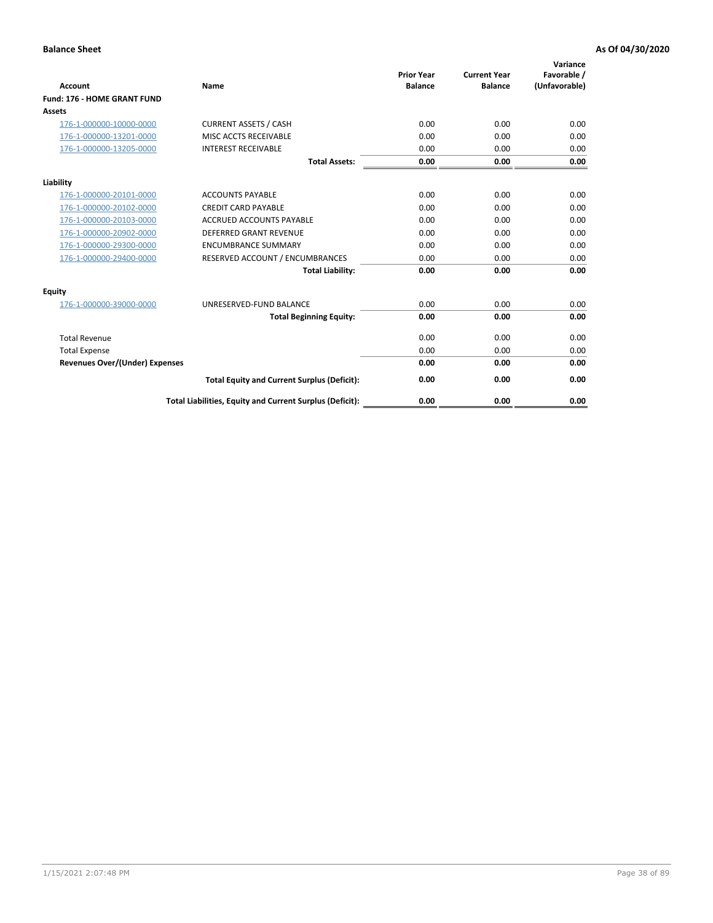| <b>Account</b>                        | Name                                                     | <b>Prior Year</b><br><b>Balance</b> | <b>Current Year</b><br><b>Balance</b> | Variance<br>Favorable /<br>(Unfavorable) |
|---------------------------------------|----------------------------------------------------------|-------------------------------------|---------------------------------------|------------------------------------------|
| Fund: 176 - HOME GRANT FUND           |                                                          |                                     |                                       |                                          |
| <b>Assets</b>                         |                                                          |                                     |                                       |                                          |
| 176-1-000000-10000-0000               | <b>CURRENT ASSETS / CASH</b>                             | 0.00                                | 0.00                                  | 0.00                                     |
| 176-1-000000-13201-0000               | MISC ACCTS RECEIVABLE                                    | 0.00                                | 0.00                                  | 0.00                                     |
| 176-1-000000-13205-0000               | <b>INTEREST RECEIVABLE</b>                               | 0.00                                | 0.00                                  | 0.00                                     |
|                                       | <b>Total Assets:</b>                                     | 0.00                                | 0.00                                  | 0.00                                     |
| Liability                             |                                                          |                                     |                                       |                                          |
| 176-1-000000-20101-0000               | <b>ACCOUNTS PAYABLE</b>                                  | 0.00                                | 0.00                                  | 0.00                                     |
| 176-1-000000-20102-0000               | <b>CREDIT CARD PAYABLE</b>                               | 0.00                                | 0.00                                  | 0.00                                     |
| 176-1-000000-20103-0000               | <b>ACCRUED ACCOUNTS PAYABLE</b>                          | 0.00                                | 0.00                                  | 0.00                                     |
| 176-1-000000-20902-0000               | <b>DEFERRED GRANT REVENUE</b>                            | 0.00                                | 0.00                                  | 0.00                                     |
| 176-1-000000-29300-0000               | <b>ENCUMBRANCE SUMMARY</b>                               | 0.00                                | 0.00                                  | 0.00                                     |
| 176-1-000000-29400-0000               | RESERVED ACCOUNT / ENCUMBRANCES                          | 0.00                                | 0.00                                  | 0.00                                     |
|                                       | <b>Total Liability:</b>                                  | 0.00                                | 0.00                                  | 0.00                                     |
| <b>Equity</b>                         |                                                          |                                     |                                       |                                          |
| 176-1-000000-39000-0000               | UNRESERVED-FUND BALANCE                                  | 0.00                                | 0.00                                  | 0.00                                     |
|                                       | <b>Total Beginning Equity:</b>                           | 0.00                                | 0.00                                  | 0.00                                     |
| <b>Total Revenue</b>                  |                                                          | 0.00                                | 0.00                                  | 0.00                                     |
| <b>Total Expense</b>                  |                                                          | 0.00                                | 0.00                                  | 0.00                                     |
| <b>Revenues Over/(Under) Expenses</b> |                                                          | 0.00                                | 0.00                                  | 0.00                                     |
|                                       | <b>Total Equity and Current Surplus (Deficit):</b>       | 0.00                                | 0.00                                  | 0.00                                     |
|                                       | Total Liabilities, Equity and Current Surplus (Deficit): | 0.00                                | 0.00                                  | 0.00                                     |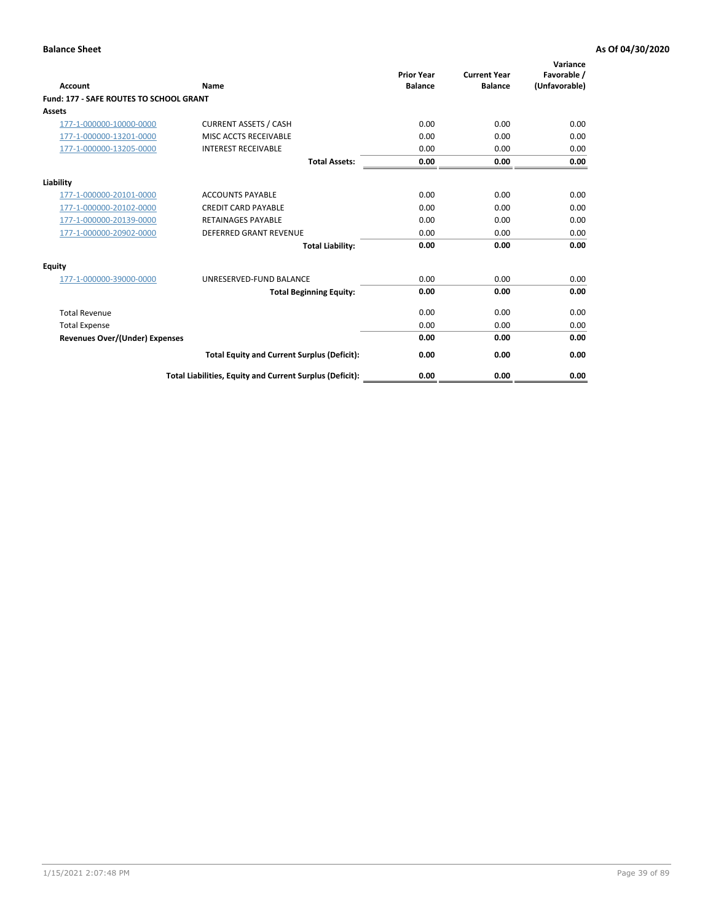| Account                                        | Name                                                     | <b>Prior Year</b><br><b>Balance</b> | <b>Current Year</b><br><b>Balance</b> | Variance<br>Favorable /<br>(Unfavorable) |
|------------------------------------------------|----------------------------------------------------------|-------------------------------------|---------------------------------------|------------------------------------------|
| <b>Fund: 177 - SAFE ROUTES TO SCHOOL GRANT</b> |                                                          |                                     |                                       |                                          |
| <b>Assets</b>                                  |                                                          |                                     |                                       |                                          |
| 177-1-000000-10000-0000                        | <b>CURRENT ASSETS / CASH</b>                             | 0.00                                | 0.00                                  | 0.00                                     |
| 177-1-000000-13201-0000                        | MISC ACCTS RECEIVABLE                                    | 0.00                                | 0.00                                  | 0.00                                     |
| 177-1-000000-13205-0000                        | <b>INTEREST RECEIVABLE</b>                               | 0.00                                | 0.00                                  | 0.00                                     |
|                                                | <b>Total Assets:</b>                                     | 0.00                                | 0.00                                  | 0.00                                     |
| Liability                                      |                                                          |                                     |                                       |                                          |
| 177-1-000000-20101-0000                        | <b>ACCOUNTS PAYABLE</b>                                  | 0.00                                | 0.00                                  | 0.00                                     |
| 177-1-000000-20102-0000                        | <b>CREDIT CARD PAYABLE</b>                               | 0.00                                | 0.00                                  | 0.00                                     |
| 177-1-000000-20139-0000                        | <b>RETAINAGES PAYABLE</b>                                | 0.00                                | 0.00                                  | 0.00                                     |
| 177-1-000000-20902-0000                        | <b>DEFERRED GRANT REVENUE</b>                            | 0.00                                | 0.00                                  | 0.00                                     |
|                                                | <b>Total Liability:</b>                                  | 0.00                                | 0.00                                  | 0.00                                     |
| Equity                                         |                                                          |                                     |                                       |                                          |
| 177-1-000000-39000-0000                        | UNRESERVED-FUND BALANCE                                  | 0.00                                | 0.00                                  | 0.00                                     |
|                                                | <b>Total Beginning Equity:</b>                           | 0.00                                | 0.00                                  | 0.00                                     |
| <b>Total Revenue</b>                           |                                                          | 0.00                                | 0.00                                  | 0.00                                     |
| <b>Total Expense</b>                           |                                                          | 0.00                                | 0.00                                  | 0.00                                     |
| Revenues Over/(Under) Expenses                 |                                                          | 0.00                                | 0.00                                  | 0.00                                     |
|                                                | <b>Total Equity and Current Surplus (Deficit):</b>       | 0.00                                | 0.00                                  | 0.00                                     |
|                                                | Total Liabilities, Equity and Current Surplus (Deficit): | 0.00                                | 0.00                                  | 0.00                                     |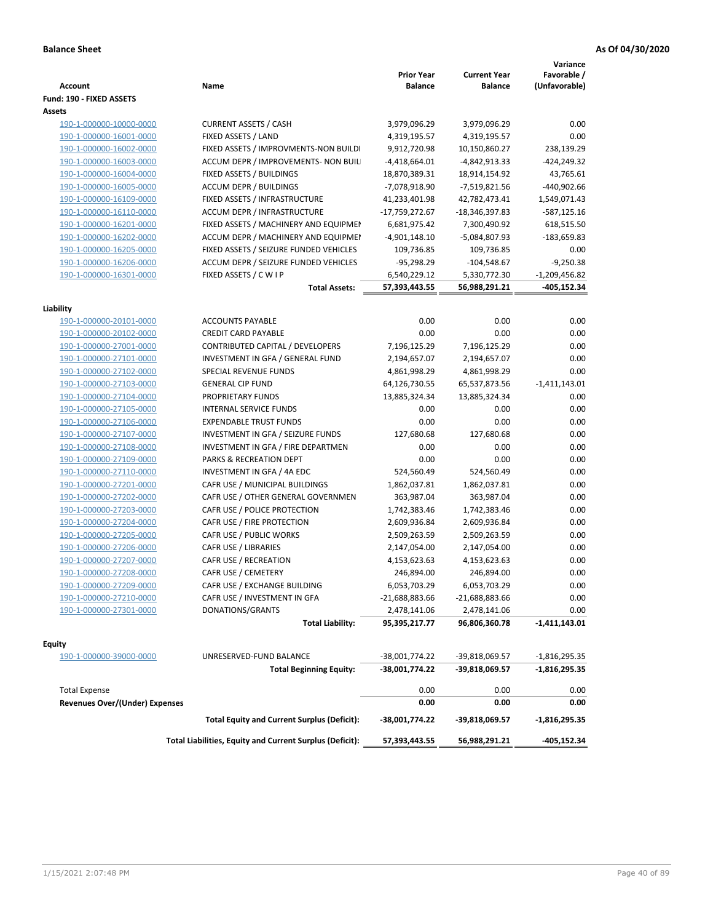| <b>Account</b>                        | Name                                                     | <b>Prior Year</b><br><b>Balance</b> | <b>Current Year</b><br><b>Balance</b> | Variance<br>Favorable /<br>(Unfavorable) |
|---------------------------------------|----------------------------------------------------------|-------------------------------------|---------------------------------------|------------------------------------------|
| Fund: 190 - FIXED ASSETS<br>Assets    |                                                          |                                     |                                       |                                          |
| 190-1-000000-10000-0000               | <b>CURRENT ASSETS / CASH</b>                             | 3,979,096.29                        | 3,979,096.29                          | 0.00                                     |
| 190-1-000000-16001-0000               | FIXED ASSETS / LAND                                      | 4,319,195.57                        | 4,319,195.57                          | 0.00                                     |
| 190-1-000000-16002-0000               | FIXED ASSETS / IMPROVMENTS-NON BUILDI                    | 9,912,720.98                        | 10,150,860.27                         | 238,139.29                               |
| 190-1-000000-16003-0000               | ACCUM DEPR / IMPROVEMENTS- NON BUIL                      | $-4,418,664.01$                     | -4,842,913.33                         | $-424,249.32$                            |
| 190-1-000000-16004-0000               | FIXED ASSETS / BUILDINGS                                 | 18,870,389.31                       | 18,914,154.92                         | 43,765.61                                |
| 190-1-000000-16005-0000               | <b>ACCUM DEPR / BUILDINGS</b>                            | -7,078,918.90                       | -7,519,821.56                         | -440,902.66                              |
| 190-1-000000-16109-0000               | FIXED ASSETS / INFRASTRUCTURE                            | 41,233,401.98                       | 42,782,473.41                         | 1,549,071.43                             |
| 190-1-000000-16110-0000               | ACCUM DEPR / INFRASTRUCTURE                              | -17,759,272.67                      | -18,346,397.83                        | -587,125.16                              |
| 190-1-000000-16201-0000               | FIXED ASSETS / MACHINERY AND EQUIPMEN                    | 6,681,975.42                        | 7,300,490.92                          | 618,515.50                               |
| 190-1-000000-16202-0000               | ACCUM DEPR / MACHINERY AND EQUIPMEI                      | $-4,901,148.10$                     | -5,084,807.93                         | -183,659.83                              |
| 190-1-000000-16205-0000               | FIXED ASSETS / SEIZURE FUNDED VEHICLES                   | 109,736.85                          | 109,736.85                            | 0.00                                     |
| 190-1-000000-16206-0000               | ACCUM DEPR / SEIZURE FUNDED VEHICLES                     | $-95,298.29$                        | $-104,548.67$                         | $-9,250.38$                              |
| 190-1-000000-16301-0000               | FIXED ASSETS / C W I P                                   | 6,540,229.12                        | 5,330,772.30                          | $-1,209,456.82$                          |
|                                       | <b>Total Assets:</b>                                     | 57,393,443.55                       | 56,988,291.21                         | -405,152.34                              |
| Liability                             |                                                          |                                     |                                       |                                          |
| 190-1-000000-20101-0000               | <b>ACCOUNTS PAYABLE</b>                                  | 0.00                                | 0.00                                  | 0.00                                     |
| 190-1-000000-20102-0000               | <b>CREDIT CARD PAYABLE</b>                               | 0.00                                | 0.00                                  | 0.00                                     |
| 190-1-000000-27001-0000               | CONTRIBUTED CAPITAL / DEVELOPERS                         | 7,196,125.29                        | 7,196,125.29                          | 0.00                                     |
| 190-1-000000-27101-0000               | INVESTMENT IN GFA / GENERAL FUND                         | 2,194,657.07                        | 2,194,657.07                          | 0.00                                     |
| 190-1-000000-27102-0000               | SPECIAL REVENUE FUNDS                                    | 4,861,998.29                        | 4,861,998.29                          | 0.00                                     |
| 190-1-000000-27103-0000               | <b>GENERAL CIP FUND</b>                                  | 64,126,730.55                       | 65,537,873.56                         | $-1,411,143.01$                          |
| 190-1-000000-27104-0000               | PROPRIETARY FUNDS                                        | 13,885,324.34                       | 13,885,324.34                         | 0.00                                     |
| 190-1-000000-27105-0000               | INTERNAL SERVICE FUNDS                                   | 0.00                                | 0.00                                  | 0.00                                     |
| 190-1-000000-27106-0000               | <b>EXPENDABLE TRUST FUNDS</b>                            | 0.00                                | 0.00                                  | 0.00                                     |
| 190-1-000000-27107-0000               | INVESTMENT IN GFA / SEIZURE FUNDS                        | 127,680.68                          | 127,680.68                            | 0.00                                     |
| 190-1-000000-27108-0000               | INVESTMENT IN GFA / FIRE DEPARTMEN                       | 0.00                                | 0.00                                  | 0.00                                     |
| 190-1-000000-27109-0000               | PARKS & RECREATION DEPT                                  | 0.00                                | 0.00                                  | 0.00                                     |
|                                       | INVESTMENT IN GFA / 4A EDC                               | 524,560.49                          | 524,560.49                            | 0.00                                     |
| 190-1-000000-27110-0000               |                                                          |                                     |                                       | 0.00                                     |
| 190-1-000000-27201-0000               | CAFR USE / MUNICIPAL BUILDINGS                           | 1,862,037.81                        | 1,862,037.81                          |                                          |
| 190-1-000000-27202-0000               | CAFR USE / OTHER GENERAL GOVERNMEN                       | 363,987.04                          | 363,987.04                            | 0.00                                     |
| 190-1-000000-27203-0000               | CAFR USE / POLICE PROTECTION                             | 1,742,383.46                        | 1,742,383.46                          | 0.00                                     |
| 190-1-000000-27204-0000               | CAFR USE / FIRE PROTECTION                               | 2,609,936.84                        | 2,609,936.84                          | 0.00                                     |
| 190-1-000000-27205-0000               | CAFR USE / PUBLIC WORKS                                  | 2,509,263.59                        | 2,509,263.59                          | 0.00                                     |
| 190-1-000000-27206-0000               | CAFR USE / LIBRARIES                                     | 2,147,054.00                        | 2,147,054.00                          | 0.00                                     |
| 190-1-000000-27207-0000               | CAFR USE / RECREATION                                    | 4,153,623.63                        | 4,153,623.63                          | 0.00                                     |
| 190-1-000000-27208-0000               | CAFR USE / CEMETERY                                      | 246,894.00                          | 246,894.00                            | 0.00                                     |
| 190-1-000000-27209-0000               | CAFR USE / EXCHANGE BUILDING                             | 6,053,703.29                        | 6,053,703.29                          | 0.00                                     |
| 190-1-000000-27210-0000               | CAFR USE / INVESTMENT IN GFA                             | -21,688,883.66                      | $-21,688,883.66$                      | 0.00                                     |
| 190-1-000000-27301-0000               | DONATIONS/GRANTS                                         | 2,478,141.06                        | 2,478,141.06                          | 0.00                                     |
|                                       | <b>Total Liability:</b>                                  | 95,395,217.77                       | 96,806,360.78                         | -1,411,143.01                            |
| <b>Equity</b>                         |                                                          |                                     |                                       |                                          |
| 190-1-000000-39000-0000               | UNRESERVED-FUND BALANCE                                  | -38,001,774.22                      | -39,818,069.57                        | $-1,816,295.35$                          |
|                                       | <b>Total Beginning Equity:</b>                           | -38,001,774.22                      | -39,818,069.57                        | -1,816,295.35                            |
| <b>Total Expense</b>                  |                                                          | 0.00                                | 0.00                                  | 0.00                                     |
| <b>Revenues Over/(Under) Expenses</b> |                                                          | 0.00                                | 0.00                                  | 0.00                                     |
|                                       | <b>Total Equity and Current Surplus (Deficit):</b>       | -38,001,774.22                      | -39,818,069.57                        | $-1,816,295.35$                          |
|                                       | Total Liabilities, Equity and Current Surplus (Deficit): | 57,393,443.55                       | 56,988,291.21                         | -405,152.34                              |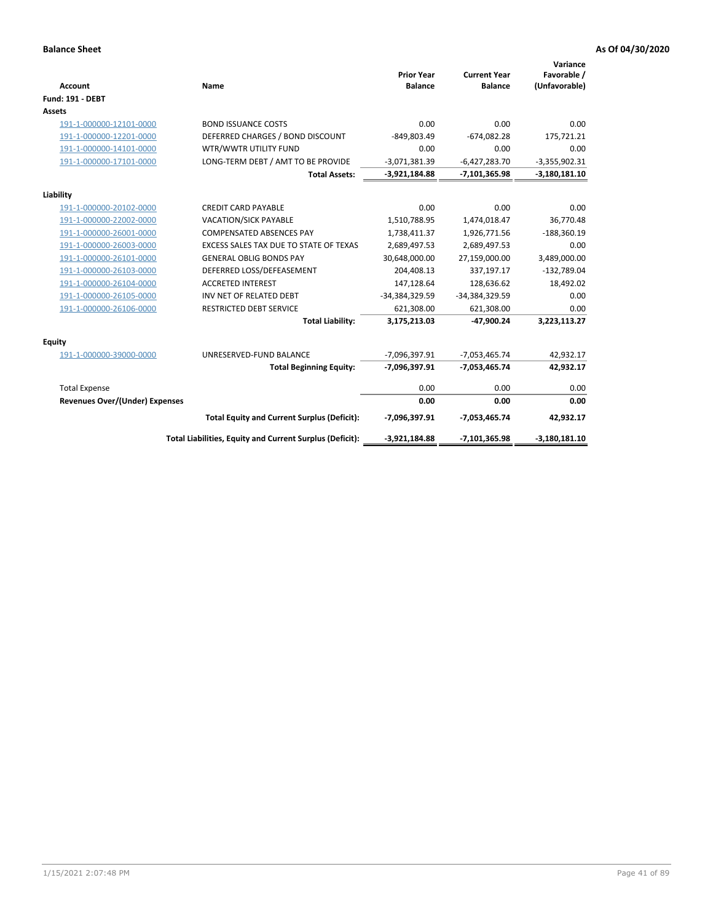| <b>Account</b>                 | Name                                                     | <b>Prior Year</b><br><b>Balance</b> | <b>Current Year</b><br><b>Balance</b> | Variance<br>Favorable /<br>(Unfavorable) |
|--------------------------------|----------------------------------------------------------|-------------------------------------|---------------------------------------|------------------------------------------|
| <b>Fund: 191 - DEBT</b>        |                                                          |                                     |                                       |                                          |
| <b>Assets</b>                  |                                                          |                                     |                                       |                                          |
| 191-1-000000-12101-0000        | <b>BOND ISSUANCE COSTS</b>                               | 0.00                                | 0.00                                  | 0.00                                     |
| 191-1-000000-12201-0000        | DEFERRED CHARGES / BOND DISCOUNT                         | -849,803.49                         | $-674,082.28$                         | 175,721.21                               |
| 191-1-000000-14101-0000        | WTR/WWTR UTILITY FUND                                    | 0.00                                | 0.00                                  | 0.00                                     |
| 191-1-000000-17101-0000        | LONG-TERM DEBT / AMT TO BE PROVIDE                       | $-3,071,381.39$                     | $-6,427,283.70$                       | $-3,355,902.31$                          |
|                                | <b>Total Assets:</b>                                     | $-3,921,184.88$                     | $-7,101,365.98$                       | $-3,180,181.10$                          |
| Liability                      |                                                          |                                     |                                       |                                          |
| 191-1-000000-20102-0000        | <b>CREDIT CARD PAYABLE</b>                               | 0.00                                | 0.00                                  | 0.00                                     |
| 191-1-000000-22002-0000        | VACATION/SICK PAYABLE                                    | 1,510,788.95                        | 1,474,018.47                          | 36,770.48                                |
| 191-1-000000-26001-0000        | <b>COMPENSATED ABSENCES PAY</b>                          | 1,738,411.37                        | 1,926,771.56                          | $-188,360.19$                            |
| 191-1-000000-26003-0000        | EXCESS SALES TAX DUE TO STATE OF TEXAS                   | 2,689,497.53                        | 2,689,497.53                          | 0.00                                     |
| 191-1-000000-26101-0000        | <b>GENERAL OBLIG BONDS PAY</b>                           | 30,648,000.00                       | 27,159,000.00                         | 3,489,000.00                             |
| 191-1-000000-26103-0000        | DEFERRED LOSS/DEFEASEMENT                                | 204,408.13                          | 337,197.17                            | $-132,789.04$                            |
| 191-1-000000-26104-0000        | <b>ACCRETED INTEREST</b>                                 | 147,128.64                          | 128,636.62                            | 18,492.02                                |
| 191-1-000000-26105-0000        | INV NET OF RELATED DEBT                                  | -34,384,329.59                      | -34,384,329.59                        | 0.00                                     |
| 191-1-000000-26106-0000        | <b>RESTRICTED DEBT SERVICE</b>                           | 621,308.00                          | 621,308.00                            | 0.00                                     |
|                                | <b>Total Liability:</b>                                  | 3,175,213.03                        | -47,900.24                            | 3,223,113.27                             |
| Equity                         |                                                          |                                     |                                       |                                          |
| 191-1-000000-39000-0000        | UNRESERVED-FUND BALANCE                                  | -7,096,397.91                       | $-7,053,465.74$                       | 42,932.17                                |
|                                | <b>Total Beginning Equity:</b>                           | -7,096,397.91                       | $-7,053,465.74$                       | 42,932.17                                |
| <b>Total Expense</b>           |                                                          | 0.00                                | 0.00                                  | 0.00                                     |
| Revenues Over/(Under) Expenses |                                                          | 0.00                                | 0.00                                  | 0.00                                     |
|                                | <b>Total Equity and Current Surplus (Deficit):</b>       | -7,096,397.91                       | $-7,053,465.74$                       | 42,932.17                                |
|                                | Total Liabilities, Equity and Current Surplus (Deficit): | $-3,921,184.88$                     | $-7,101,365.98$                       | $-3,180,181.10$                          |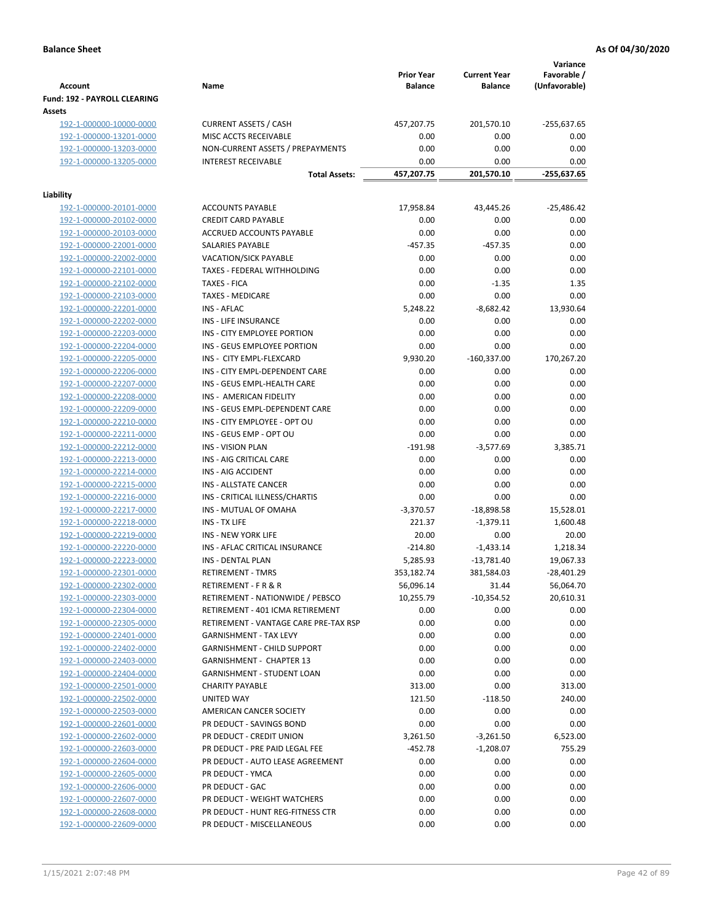| <b>Account</b>                         | Name                                  | <b>Prior Year</b><br><b>Balance</b> | <b>Current Year</b><br><b>Balance</b> | Variance<br>Favorable /<br>(Unfavorable) |
|----------------------------------------|---------------------------------------|-------------------------------------|---------------------------------------|------------------------------------------|
| Fund: 192 - PAYROLL CLEARING<br>Assets |                                       |                                     |                                       |                                          |
| 192-1-000000-10000-0000                | <b>CURRENT ASSETS / CASH</b>          | 457,207.75                          | 201,570.10                            | -255,637.65                              |
| 192-1-000000-13201-0000                | MISC ACCTS RECEIVABLE                 | 0.00                                | 0.00                                  | 0.00                                     |
| 192-1-000000-13203-0000                | NON-CURRENT ASSETS / PREPAYMENTS      | 0.00                                | 0.00                                  | 0.00                                     |
| 192-1-000000-13205-0000                | <b>INTEREST RECEIVABLE</b>            | 0.00                                | 0.00                                  | 0.00                                     |
|                                        | <b>Total Assets:</b>                  | 457,207.75                          | 201,570.10                            | -255,637.65                              |
| Liability                              |                                       |                                     |                                       |                                          |
| 192-1-000000-20101-0000                | <b>ACCOUNTS PAYABLE</b>               | 17,958.84                           | 43,445.26                             | $-25,486.42$                             |
| 192-1-000000-20102-0000                | <b>CREDIT CARD PAYABLE</b>            | 0.00                                | 0.00                                  | 0.00                                     |
| 192-1-000000-20103-0000                | ACCRUED ACCOUNTS PAYABLE              | 0.00                                | 0.00                                  | 0.00                                     |
| 192-1-000000-22001-0000                | SALARIES PAYABLE                      | $-457.35$                           | $-457.35$                             | 0.00                                     |
| 192-1-000000-22002-0000                | <b>VACATION/SICK PAYABLE</b>          | 0.00                                | 0.00                                  | 0.00                                     |
| 192-1-000000-22101-0000                | TAXES - FEDERAL WITHHOLDING           | 0.00                                | 0.00                                  | 0.00                                     |
| 192-1-000000-22102-0000                | <b>TAXES - FICA</b>                   | 0.00                                | $-1.35$                               | 1.35                                     |
| 192-1-000000-22103-0000                | <b>TAXES - MEDICARE</b>               | 0.00                                | 0.00                                  | 0.00                                     |
| 192-1-000000-22201-0000                | <b>INS - AFLAC</b>                    | 5,248.22                            | $-8,682.42$                           | 13,930.64                                |
| 192-1-000000-22202-0000                | INS - LIFE INSURANCE                  | 0.00                                | 0.00                                  | 0.00                                     |
| 192-1-000000-22203-0000                | INS - CITY EMPLOYEE PORTION           | 0.00                                | 0.00                                  | 0.00                                     |
| 192-1-000000-22204-0000                | INS - GEUS EMPLOYEE PORTION           | 0.00                                | 0.00                                  | 0.00                                     |
| 192-1-000000-22205-0000                | INS - CITY EMPL-FLEXCARD              | 9,930.20                            | $-160,337.00$                         | 170,267.20                               |
| 192-1-000000-22206-0000                | INS - CITY EMPL-DEPENDENT CARE        | 0.00                                | 0.00                                  | 0.00                                     |
| 192-1-000000-22207-0000                | INS - GEUS EMPL-HEALTH CARE           | 0.00                                | 0.00                                  | 0.00                                     |
| 192-1-000000-22208-0000                | INS - AMERICAN FIDELITY               | 0.00                                | 0.00                                  | 0.00                                     |
| 192-1-000000-22209-0000                | INS - GEUS EMPL-DEPENDENT CARE        | 0.00                                | 0.00                                  | 0.00                                     |
| 192-1-000000-22210-0000                | INS - CITY EMPLOYEE - OPT OU          | 0.00                                | 0.00                                  | 0.00                                     |
| 192-1-000000-22211-0000                | INS - GEUS EMP - OPT OU               | 0.00                                | 0.00                                  | 0.00                                     |
| 192-1-000000-22212-0000                | <b>INS - VISION PLAN</b>              | $-191.98$                           | $-3,577.69$                           | 3,385.71                                 |
| 192-1-000000-22213-0000                | INS - AIG CRITICAL CARE               | 0.00                                | 0.00                                  | 0.00                                     |
| 192-1-000000-22214-0000                | INS - AIG ACCIDENT                    | 0.00                                | 0.00                                  | 0.00                                     |
| 192-1-000000-22215-0000                | INS - ALLSTATE CANCER                 | 0.00                                | 0.00                                  | 0.00                                     |
| 192-1-000000-22216-0000                | INS - CRITICAL ILLNESS/CHARTIS        | 0.00                                | 0.00                                  | 0.00                                     |
| 192-1-000000-22217-0000                | INS - MUTUAL OF OMAHA                 | $-3,370.57$                         | $-18,898.58$                          | 15,528.01                                |
| 192-1-000000-22218-0000                | INS - TX LIFE                         | 221.37                              | $-1,379.11$                           | 1,600.48                                 |
| 192-1-000000-22219-0000                | <b>INS - NEW YORK LIFE</b>            | 20.00                               | 0.00                                  | 20.00                                    |
| 192-1-000000-22220-0000                | INS - AFLAC CRITICAL INSURANCE        | $-214.80$                           | $-1,433.14$                           | 1,218.34                                 |
| 192-1-000000-22223-0000                | INS - DENTAL PLAN                     | 5,285.93                            | $-13,781.40$                          | 19,067.33                                |
| <u>192-1-000000-22301-0000</u>         | RETIREMENT - TMRS                     | 353,182.74                          | 381,584.03                            | $-28,401.29$                             |
| 192-1-000000-22302-0000                | <b>RETIREMENT - F R &amp; R</b>       | 56,096.14                           | 31.44                                 | 56,064.70                                |
| 192-1-000000-22303-0000                | RETIREMENT - NATIONWIDE / PEBSCO      | 10,255.79                           | $-10,354.52$                          | 20,610.31                                |
| 192-1-000000-22304-0000                | RETIREMENT - 401 ICMA RETIREMENT      | 0.00                                | 0.00                                  | 0.00                                     |
| 192-1-000000-22305-0000                | RETIREMENT - VANTAGE CARE PRE-TAX RSP | 0.00                                | 0.00                                  | 0.00                                     |
| 192-1-000000-22401-0000                | <b>GARNISHMENT - TAX LEVY</b>         | 0.00                                | 0.00                                  | 0.00                                     |
| 192-1-000000-22402-0000                | GARNISHMENT - CHILD SUPPORT           | 0.00                                | 0.00                                  | 0.00                                     |
| 192-1-000000-22403-0000                | <b>GARNISHMENT - CHAPTER 13</b>       | 0.00                                | 0.00                                  | 0.00                                     |
| 192-1-000000-22404-0000                | GARNISHMENT - STUDENT LOAN            | 0.00                                | 0.00                                  | 0.00                                     |
| 192-1-000000-22501-0000                | <b>CHARITY PAYABLE</b>                | 313.00                              | 0.00                                  | 313.00                                   |
| 192-1-000000-22502-0000                | UNITED WAY                            | 121.50                              | $-118.50$                             | 240.00                                   |
| 192-1-000000-22503-0000                | AMERICAN CANCER SOCIETY               | 0.00                                | 0.00                                  | 0.00                                     |
| 192-1-000000-22601-0000                | PR DEDUCT - SAVINGS BOND              | 0.00                                | 0.00                                  | 0.00                                     |
| 192-1-000000-22602-0000                | PR DEDUCT - CREDIT UNION              | 3,261.50                            | $-3,261.50$                           | 6,523.00                                 |
| 192-1-000000-22603-0000                | PR DEDUCT - PRE PAID LEGAL FEE        | $-452.78$                           | $-1,208.07$                           | 755.29                                   |
| 192-1-000000-22604-0000                | PR DEDUCT - AUTO LEASE AGREEMENT      | 0.00                                | 0.00                                  | 0.00                                     |
| 192-1-000000-22605-0000                | PR DEDUCT - YMCA                      | 0.00                                | 0.00                                  | 0.00                                     |
| 192-1-000000-22606-0000                | PR DEDUCT - GAC                       | 0.00                                | 0.00                                  | 0.00                                     |
| 192-1-000000-22607-0000                | PR DEDUCT - WEIGHT WATCHERS           | 0.00                                | 0.00                                  | 0.00                                     |
| 192-1-000000-22608-0000                | PR DEDUCT - HUNT REG-FITNESS CTR      | 0.00                                | 0.00                                  | 0.00                                     |
| 192-1-000000-22609-0000                | PR DEDUCT - MISCELLANEOUS             | 0.00                                | 0.00                                  | 0.00                                     |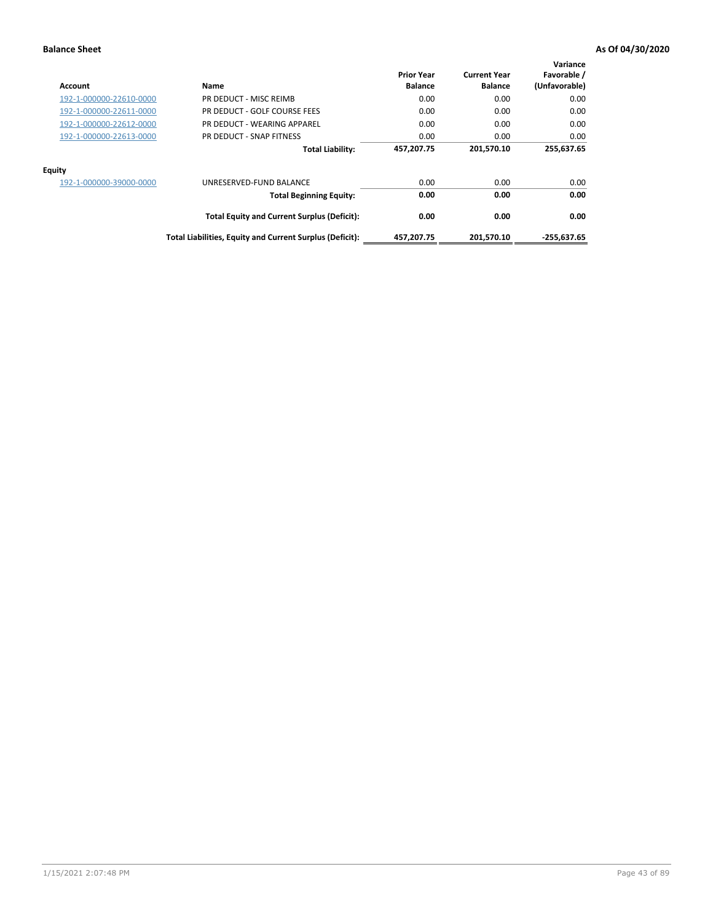| Account                 | Name                                                     | <b>Prior Year</b><br><b>Balance</b> | <b>Current Year</b><br><b>Balance</b> | Variance<br>Favorable /<br>(Unfavorable) |
|-------------------------|----------------------------------------------------------|-------------------------------------|---------------------------------------|------------------------------------------|
| 192-1-000000-22610-0000 | PR DEDUCT - MISC REIMB                                   | 0.00                                | 0.00                                  | 0.00                                     |
| 192-1-000000-22611-0000 | PR DEDUCT - GOLF COURSE FEES                             | 0.00                                | 0.00                                  | 0.00                                     |
| 192-1-000000-22612-0000 | PR DEDUCT - WEARING APPAREL                              | 0.00                                | 0.00                                  | 0.00                                     |
| 192-1-000000-22613-0000 | PR DEDUCT - SNAP FITNESS                                 | 0.00                                | 0.00                                  | 0.00                                     |
|                         | <b>Total Liability:</b>                                  | 457,207.75                          | 201,570.10                            | 255,637.65                               |
| <b>Equity</b>           |                                                          |                                     |                                       |                                          |
| 192-1-000000-39000-0000 | UNRESERVED-FUND BALANCE                                  | 0.00                                | 0.00                                  | 0.00                                     |
|                         | <b>Total Beginning Equity:</b>                           | 0.00                                | 0.00                                  | 0.00                                     |
|                         | <b>Total Equity and Current Surplus (Deficit):</b>       | 0.00                                | 0.00                                  | 0.00                                     |
|                         | Total Liabilities, Equity and Current Surplus (Deficit): | 457,207.75                          | 201,570.10                            | $-255,637.65$                            |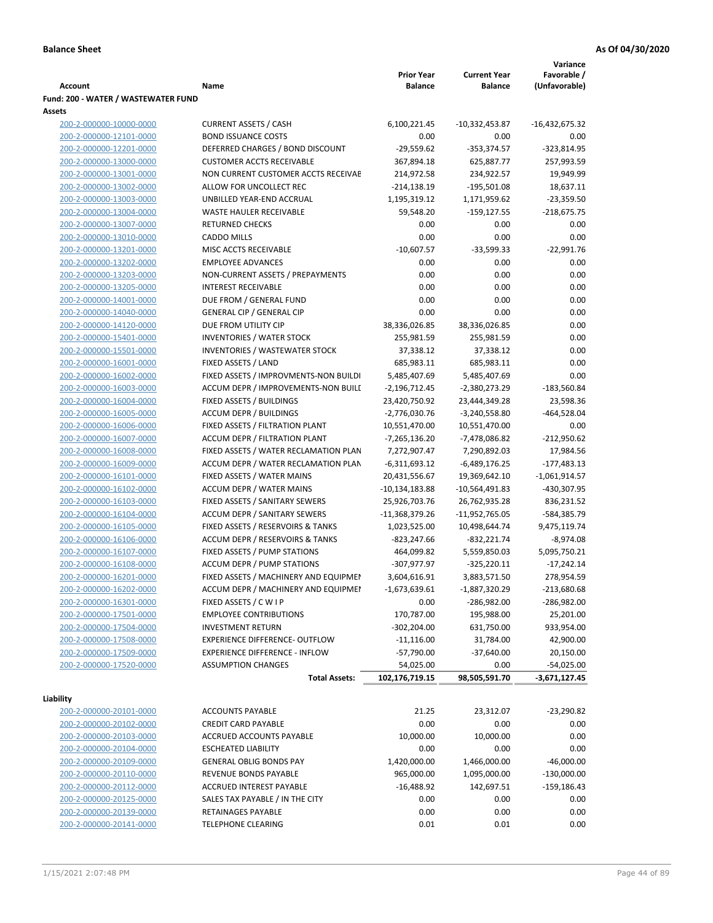|                                     |                                       |                   |                     | Variance         |
|-------------------------------------|---------------------------------------|-------------------|---------------------|------------------|
|                                     |                                       | <b>Prior Year</b> | <b>Current Year</b> | Favorable /      |
| <b>Account</b>                      | Name                                  | <b>Balance</b>    | <b>Balance</b>      | (Unfavorable)    |
| Fund: 200 - WATER / WASTEWATER FUND |                                       |                   |                     |                  |
| Assets                              |                                       |                   |                     |                  |
| 200-2-000000-10000-0000             | <b>CURRENT ASSETS / CASH</b>          | 6,100,221.45      | $-10,332,453.87$    | $-16,432,675.32$ |
| 200-2-000000-12101-0000             | <b>BOND ISSUANCE COSTS</b>            | 0.00              | 0.00                | 0.00             |
| 200-2-000000-12201-0000             | DEFERRED CHARGES / BOND DISCOUNT      | $-29,559.62$      | $-353,374.57$       | $-323,814.95$    |
| 200-2-000000-13000-0000             | <b>CUSTOMER ACCTS RECEIVABLE</b>      | 367,894.18        | 625,887.77          | 257,993.59       |
| 200-2-000000-13001-0000             | NON CURRENT CUSTOMER ACCTS RECEIVAE   | 214,972.58        | 234,922.57          | 19,949.99        |
| 200-2-000000-13002-0000             | ALLOW FOR UNCOLLECT REC               | $-214,138.19$     | $-195,501.08$       | 18,637.11        |
| 200-2-000000-13003-0000             | UNBILLED YEAR-END ACCRUAL             | 1,195,319.12      | 1,171,959.62        | $-23,359.50$     |
| 200-2-000000-13004-0000             | WASTE HAULER RECEIVABLE               | 59,548.20         | $-159, 127.55$      | $-218,675.75$    |
| 200-2-000000-13007-0000             | <b>RETURNED CHECKS</b>                | 0.00              | 0.00                | 0.00             |
| 200-2-000000-13010-0000             | <b>CADDO MILLS</b>                    | 0.00              | 0.00                | 0.00             |
| 200-2-000000-13201-0000             | MISC ACCTS RECEIVABLE                 | $-10,607.57$      | $-33,599.33$        | $-22,991.76$     |
| 200-2-000000-13202-0000             | <b>EMPLOYEE ADVANCES</b>              | 0.00              | 0.00                | 0.00             |
| 200-2-000000-13203-0000             | NON-CURRENT ASSETS / PREPAYMENTS      | 0.00              | 0.00                | 0.00             |
| 200-2-000000-13205-0000             | <b>INTEREST RECEIVABLE</b>            | 0.00              | 0.00                | 0.00             |
| 200-2-000000-14001-0000             | DUE FROM / GENERAL FUND               | 0.00              | 0.00                | 0.00             |
| 200-2-000000-14040-0000             | <b>GENERAL CIP / GENERAL CIP</b>      | 0.00              | 0.00                | 0.00             |
| 200-2-000000-14120-0000             | DUE FROM UTILITY CIP                  | 38,336,026.85     | 38,336,026.85       | 0.00             |
| 200-2-000000-15401-0000             | <b>INVENTORIES / WATER STOCK</b>      | 255,981.59        | 255,981.59          | 0.00             |
| 200-2-000000-15501-0000             | <b>INVENTORIES / WASTEWATER STOCK</b> | 37,338.12         | 37,338.12           | 0.00             |
| 200-2-000000-16001-0000             | FIXED ASSETS / LAND                   | 685,983.11        | 685,983.11          | 0.00             |
| 200-2-000000-16002-0000             | FIXED ASSETS / IMPROVMENTS-NON BUILDI | 5,485,407.69      | 5,485,407.69        | 0.00             |
| 200-2-000000-16003-0000             | ACCUM DEPR / IMPROVEMENTS-NON BUILL   | $-2,196,712.45$   | $-2,380,273.29$     | $-183,560.84$    |
| 200-2-000000-16004-0000             | FIXED ASSETS / BUILDINGS              | 23,420,750.92     | 23,444,349.28       | 23,598.36        |
| 200-2-000000-16005-0000             | <b>ACCUM DEPR / BUILDINGS</b>         | $-2,776,030.76$   | $-3,240,558.80$     | $-464,528.04$    |
| 200-2-000000-16006-0000             | FIXED ASSETS / FILTRATION PLANT       | 10,551,470.00     | 10,551,470.00       | 0.00             |
| 200-2-000000-16007-0000             | ACCUM DEPR / FILTRATION PLANT         | -7,265,136.20     | -7,478,086.82       | $-212,950.62$    |
| 200-2-000000-16008-0000             | FIXED ASSETS / WATER RECLAMATION PLAN | 7,272,907.47      | 7,290,892.03        | 17,984.56        |
| 200-2-000000-16009-0000             | ACCUM DEPR / WATER RECLAMATION PLAN   | $-6,311,693.12$   | $-6,489,176.25$     | $-177,483.13$    |
| 200-2-000000-16101-0000             | FIXED ASSETS / WATER MAINS            | 20,431,556.67     | 19,369,642.10       | $-1,061,914.57$  |
| 200-2-000000-16102-0000             | <b>ACCUM DEPR / WATER MAINS</b>       | -10,134,183.88    | -10,564,491.83      | -430,307.95      |
| 200-2-000000-16103-0000             | FIXED ASSETS / SANITARY SEWERS        | 25,926,703.76     | 26,762,935.28       | 836,231.52       |
| 200-2-000000-16104-0000             | <b>ACCUM DEPR / SANITARY SEWERS</b>   | -11,368,379.26    | -11,952,765.05      | -584,385.79      |
| 200-2-000000-16105-0000             | FIXED ASSETS / RESERVOIRS & TANKS     | 1,023,525.00      | 10,498,644.74       | 9,475,119.74     |
| 200-2-000000-16106-0000             | ACCUM DEPR / RESERVOIRS & TANKS       | -823,247.66       | $-832,221.74$       | $-8,974.08$      |
| 200-2-000000-16107-0000             | FIXED ASSETS / PUMP STATIONS          | 464,099.82        | 5,559,850.03        | 5,095,750.21     |
| 200-2-000000-16108-0000             | <b>ACCUM DEPR / PUMP STATIONS</b>     | -307,977.97       | $-325,220.11$       | $-17,242.14$     |
| 200-2-000000-16201-0000             | FIXED ASSETS / MACHINERY AND EQUIPMEN | 3,604,616.91      | 3,883,571.50        | 278,954.59       |
| 200-2-000000-16202-0000             | ACCUM DEPR / MACHINERY AND EQUIPMEI   | -1,673,639.61     | $-1,887,320.29$     | $-213,680.68$    |
| 200-2-000000-16301-0000             | FIXED ASSETS / C W I P                | 0.00              | -286,982.00         | $-286,982.00$    |
| 200-2-000000-17501-0000             | <b>EMPLOYEE CONTRIBUTIONS</b>         | 170,787.00        | 195,988.00          | 25,201.00        |
| 200-2-000000-17504-0000             | <b>INVESTMENT RETURN</b>              | $-302,204.00$     | 631,750.00          | 933,954.00       |
| 200-2-000000-17508-0000             | EXPERIENCE DIFFERENCE- OUTFLOW        | $-11,116.00$      | 31,784.00           | 42,900.00        |
| 200-2-000000-17509-0000             | <b>EXPERIENCE DIFFERENCE - INFLOW</b> | $-57,790.00$      | $-37,640.00$        | 20,150.00        |
| 200-2-000000-17520-0000             | <b>ASSUMPTION CHANGES</b>             | 54,025.00         | 0.00                | $-54,025.00$     |
|                                     | <b>Total Assets:</b>                  | 102,176,719.15    | 98,505,591.70       | $-3,671,127.45$  |
|                                     |                                       |                   |                     |                  |
| Liability                           |                                       |                   |                     |                  |
| 200-2-000000-20101-0000             | <b>ACCOUNTS PAYABLE</b>               | 21.25             | 23,312.07           | $-23,290.82$     |
| 200-2-000000-20102-0000             | <b>CREDIT CARD PAYABLE</b>            | 0.00              | 0.00                | 0.00             |
| 200-2-000000-20103-0000             | ACCRUED ACCOUNTS PAYABLE              | 10,000.00         | 10,000.00           | 0.00             |
| 200-2-000000-20104-0000             | <b>ESCHEATED LIABILITY</b>            | 0.00              | 0.00                | 0.00             |
| 200-2-000000-20109-0000             | <b>GENERAL OBLIG BONDS PAY</b>        | 1,420,000.00      | 1,466,000.00        | -46,000.00       |
| 200-2-000000-20110-0000             | REVENUE BONDS PAYABLE                 | 965,000.00        | 1,095,000.00        | $-130,000.00$    |
| 200-2-000000-20112-0000             | ACCRUED INTEREST PAYABLE              | $-16,488.92$      | 142,697.51          | -159,186.43      |
| 200-2-000000-20125-0000             | SALES TAX PAYABLE / IN THE CITY       | 0.00              | 0.00                | 0.00             |
| 200-2-000000-20139-0000             | RETAINAGES PAYABLE                    | 0.00              | 0.00                | 0.00             |
| 200-2-000000-20141-0000             | <b>TELEPHONE CLEARING</b>             | 0.01              | 0.01                | 0.00             |
|                                     |                                       |                   |                     |                  |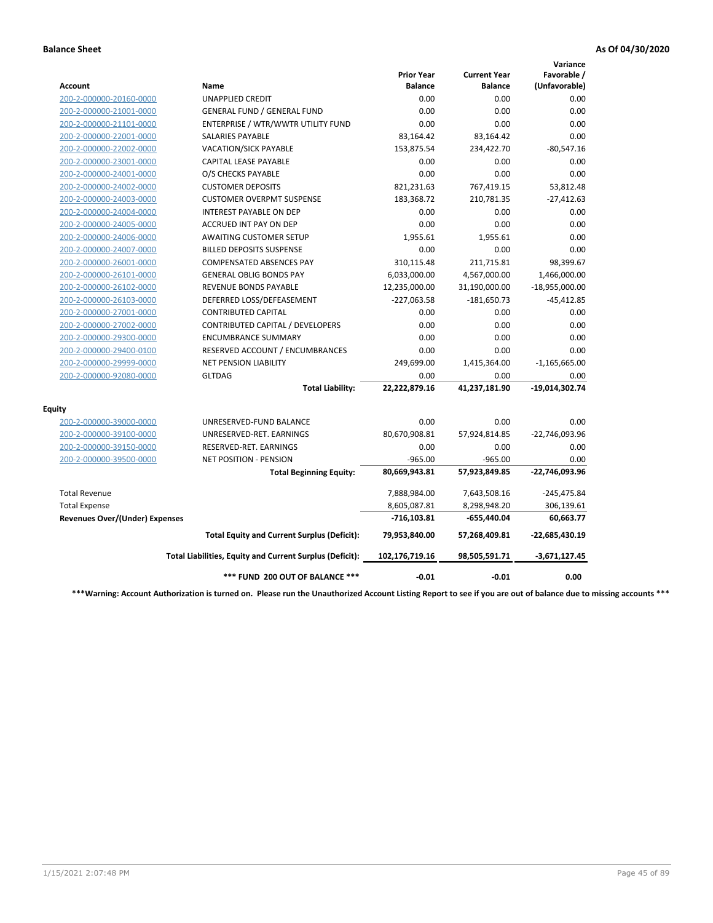|                                       |                                                          |                                     |                                       | Variance                     |
|---------------------------------------|----------------------------------------------------------|-------------------------------------|---------------------------------------|------------------------------|
| Account                               | Name                                                     | <b>Prior Year</b><br><b>Balance</b> | <b>Current Year</b><br><b>Balance</b> | Favorable /<br>(Unfavorable) |
| 200-2-000000-20160-0000               | <b>UNAPPLIED CREDIT</b>                                  | 0.00                                | 0.00                                  | 0.00                         |
| 200-2-000000-21001-0000               | <b>GENERAL FUND / GENERAL FUND</b>                       | 0.00                                | 0.00                                  | 0.00                         |
| 200-2-000000-21101-0000               | ENTERPRISE / WTR/WWTR UTILITY FUND                       | 0.00                                | 0.00                                  | 0.00                         |
| 200-2-000000-22001-0000               | <b>SALARIES PAYABLE</b>                                  | 83,164.42                           | 83,164.42                             | 0.00                         |
| 200-2-000000-22002-0000               | <b>VACATION/SICK PAYABLE</b>                             | 153,875.54                          | 234,422.70                            | $-80,547.16$                 |
| 200-2-000000-23001-0000               | CAPITAL LEASE PAYABLE                                    | 0.00                                | 0.00                                  | 0.00                         |
| 200-2-000000-24001-0000               | O/S CHECKS PAYABLE                                       | 0.00                                | 0.00                                  | 0.00                         |
| 200-2-000000-24002-0000               | <b>CUSTOMER DEPOSITS</b>                                 | 821,231.63                          | 767,419.15                            | 53,812.48                    |
| 200-2-000000-24003-0000               | <b>CUSTOMER OVERPMT SUSPENSE</b>                         | 183,368.72                          | 210,781.35                            | $-27,412.63$                 |
| 200-2-000000-24004-0000               | <b>INTEREST PAYABLE ON DEP</b>                           | 0.00                                | 0.00                                  | 0.00                         |
| 200-2-000000-24005-0000               | <b>ACCRUED INT PAY ON DEP</b>                            | 0.00                                | 0.00                                  | 0.00                         |
| 200-2-000000-24006-0000               | <b>AWAITING CUSTOMER SETUP</b>                           | 1.955.61                            | 1,955.61                              | 0.00                         |
| 200-2-000000-24007-0000               | <b>BILLED DEPOSITS SUSPENSE</b>                          | 0.00                                | 0.00                                  | 0.00                         |
| 200-2-000000-26001-0000               | <b>COMPENSATED ABSENCES PAY</b>                          | 310,115.48                          | 211,715.81                            | 98,399.67                    |
| 200-2-000000-26101-0000               | <b>GENERAL OBLIG BONDS PAY</b>                           | 6,033,000.00                        | 4,567,000.00                          | 1,466,000.00                 |
| 200-2-000000-26102-0000               | <b>REVENUE BONDS PAYABLE</b>                             | 12,235,000.00                       | 31,190,000.00                         | $-18,955,000.00$             |
| 200-2-000000-26103-0000               | DEFERRED LOSS/DEFEASEMENT                                | $-227,063.58$                       | $-181,650.73$                         | $-45,412.85$                 |
| 200-2-000000-27001-0000               | <b>CONTRIBUTED CAPITAL</b>                               | 0.00                                | 0.00                                  | 0.00                         |
| 200-2-000000-27002-0000               | CONTRIBUTED CAPITAL / DEVELOPERS                         | 0.00                                | 0.00                                  | 0.00                         |
| 200-2-000000-29300-0000               | <b>ENCUMBRANCE SUMMARY</b>                               | 0.00                                | 0.00                                  | 0.00                         |
| 200-2-000000-29400-0100               | RESERVED ACCOUNT / ENCUMBRANCES                          | 0.00                                | 0.00                                  | 0.00                         |
| 200-2-000000-29999-0000               | <b>NET PENSION LIABILITY</b>                             | 249,699.00                          | 1,415,364.00                          | $-1,165,665.00$              |
| 200-2-000000-92080-0000               | <b>GLTDAG</b>                                            | 0.00                                | 0.00                                  | 0.00                         |
|                                       | <b>Total Liability:</b>                                  | 22,222,879.16                       | 41,237,181.90                         | -19,014,302.74               |
| <b>Equity</b>                         |                                                          |                                     |                                       |                              |
| 200-2-000000-39000-0000               | UNRESERVED-FUND BALANCE                                  | 0.00                                | 0.00                                  | 0.00                         |
| 200-2-000000-39100-0000               | UNRESERVED-RET. EARNINGS                                 | 80,670,908.81                       | 57,924,814.85                         | -22,746,093.96               |
| 200-2-000000-39150-0000               | RESERVED-RET. EARNINGS                                   | 0.00                                | 0.00                                  | 0.00                         |
| 200-2-000000-39500-0000               | NET POSITION - PENSION                                   | $-965.00$                           | $-965.00$                             | 0.00                         |
|                                       | <b>Total Beginning Equity:</b>                           | 80,669,943.81                       | 57,923,849.85                         | -22,746,093.96               |
| <b>Total Revenue</b>                  |                                                          | 7,888,984.00                        | 7,643,508.16                          | $-245,475.84$                |
| <b>Total Expense</b>                  |                                                          | 8,605,087.81                        | 8,298,948.20                          | 306,139.61                   |
| <b>Revenues Over/(Under) Expenses</b> |                                                          | $-716, 103.81$                      | -655,440.04                           | 60,663.77                    |
|                                       | <b>Total Equity and Current Surplus (Deficit):</b>       | 79,953,840.00                       | 57,268,409.81                         | $-22,685,430.19$             |
|                                       | Total Liabilities, Equity and Current Surplus (Deficit): | 102,176,719.16                      | 98,505,591.71                         | $-3,671,127.45$              |
|                                       | *** FUND 200 OUT OF BALANCE ***                          | $-0.01$                             | $-0.01$                               | 0.00                         |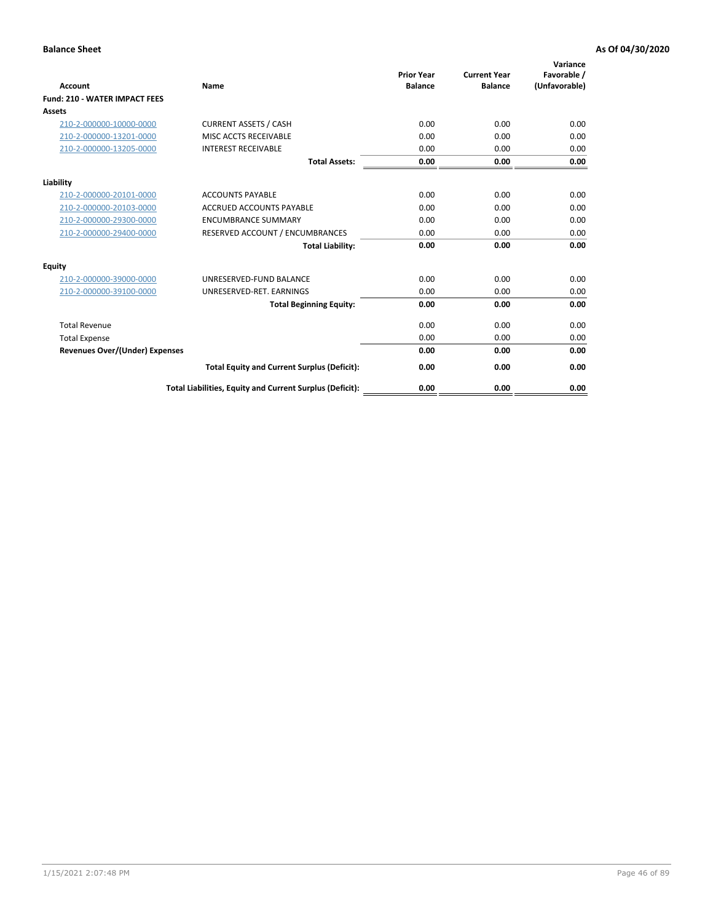| <b>Account</b>                        | Name                                                     | <b>Prior Year</b><br><b>Balance</b> | <b>Current Year</b><br><b>Balance</b> | Variance<br>Favorable /<br>(Unfavorable) |
|---------------------------------------|----------------------------------------------------------|-------------------------------------|---------------------------------------|------------------------------------------|
| <b>Fund: 210 - WATER IMPACT FEES</b>  |                                                          |                                     |                                       |                                          |
| <b>Assets</b>                         |                                                          |                                     |                                       |                                          |
| 210-2-000000-10000-0000               | <b>CURRENT ASSETS / CASH</b>                             | 0.00                                | 0.00                                  | 0.00                                     |
| 210-2-000000-13201-0000               | MISC ACCTS RECEIVABLE                                    | 0.00                                | 0.00                                  | 0.00                                     |
| 210-2-000000-13205-0000               | <b>INTEREST RECEIVABLE</b>                               | 0.00                                | 0.00                                  | 0.00                                     |
|                                       | <b>Total Assets:</b>                                     | 0.00                                | 0.00                                  | 0.00                                     |
| Liability                             |                                                          |                                     |                                       |                                          |
| 210-2-000000-20101-0000               | <b>ACCOUNTS PAYABLE</b>                                  | 0.00                                | 0.00                                  | 0.00                                     |
| 210-2-000000-20103-0000               | <b>ACCRUED ACCOUNTS PAYABLE</b>                          | 0.00                                | 0.00                                  | 0.00                                     |
| 210-2-000000-29300-0000               | <b>ENCUMBRANCE SUMMARY</b>                               | 0.00                                | 0.00                                  | 0.00                                     |
| 210-2-000000-29400-0000               | RESERVED ACCOUNT / ENCUMBRANCES                          | 0.00                                | 0.00                                  | 0.00                                     |
|                                       | <b>Total Liability:</b>                                  | 0.00                                | 0.00                                  | 0.00                                     |
| Equity                                |                                                          |                                     |                                       |                                          |
| 210-2-000000-39000-0000               | UNRESERVED-FUND BALANCE                                  | 0.00                                | 0.00                                  | 0.00                                     |
| 210-2-000000-39100-0000               | UNRESERVED-RET. EARNINGS                                 | 0.00                                | 0.00                                  | 0.00                                     |
|                                       | <b>Total Beginning Equity:</b>                           | 0.00                                | 0.00                                  | 0.00                                     |
| <b>Total Revenue</b>                  |                                                          | 0.00                                | 0.00                                  | 0.00                                     |
| <b>Total Expense</b>                  |                                                          | 0.00                                | 0.00                                  | 0.00                                     |
| <b>Revenues Over/(Under) Expenses</b> |                                                          | 0.00                                | 0.00                                  | 0.00                                     |
|                                       | <b>Total Equity and Current Surplus (Deficit):</b>       | 0.00                                | 0.00                                  | 0.00                                     |
|                                       | Total Liabilities, Equity and Current Surplus (Deficit): | 0.00                                | 0.00                                  | 0.00                                     |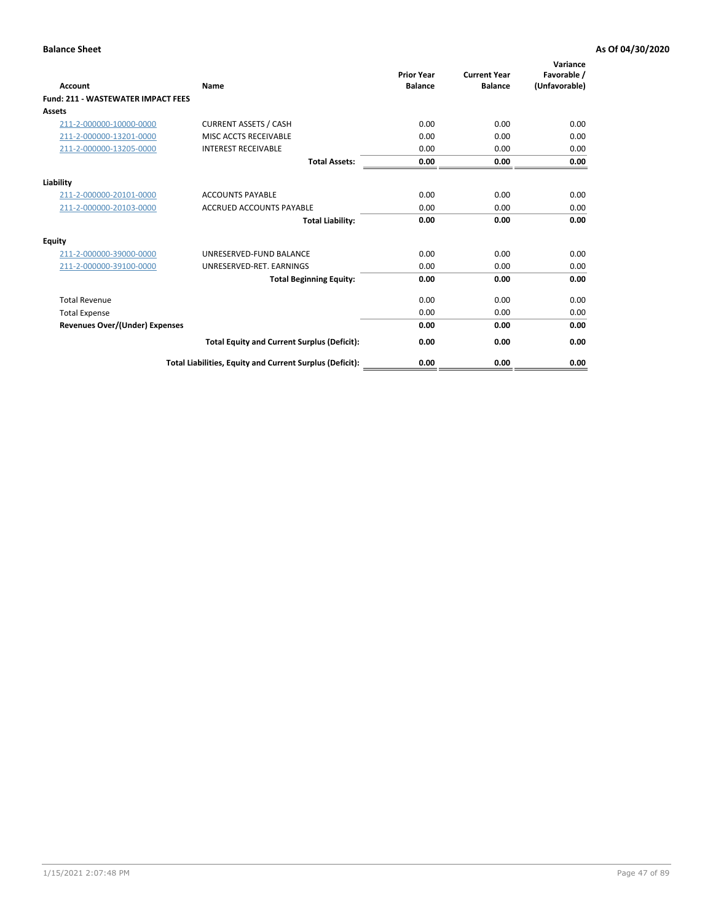| <b>Account</b>                        | <b>Name</b>                                              | <b>Prior Year</b><br><b>Balance</b> | <b>Current Year</b><br><b>Balance</b> | Variance<br>Favorable /<br>(Unfavorable) |
|---------------------------------------|----------------------------------------------------------|-------------------------------------|---------------------------------------|------------------------------------------|
| Fund: 211 - WASTEWATER IMPACT FEES    |                                                          |                                     |                                       |                                          |
| <b>Assets</b>                         |                                                          |                                     |                                       |                                          |
| 211-2-000000-10000-0000               | <b>CURRENT ASSETS / CASH</b>                             | 0.00                                | 0.00                                  | 0.00                                     |
| 211-2-000000-13201-0000               | MISC ACCTS RECEIVABLE                                    | 0.00                                | 0.00                                  | 0.00                                     |
| 211-2-000000-13205-0000               | <b>INTEREST RECEIVABLE</b>                               | 0.00                                | 0.00                                  | 0.00                                     |
|                                       | <b>Total Assets:</b>                                     | 0.00                                | 0.00                                  | 0.00                                     |
| Liability                             |                                                          |                                     |                                       |                                          |
| 211-2-000000-20101-0000               | <b>ACCOUNTS PAYABLE</b>                                  | 0.00                                | 0.00                                  | 0.00                                     |
| 211-2-000000-20103-0000               | <b>ACCRUED ACCOUNTS PAYABLE</b>                          | 0.00                                | 0.00                                  | 0.00                                     |
|                                       | <b>Total Liability:</b>                                  | 0.00                                | 0.00                                  | 0.00                                     |
| <b>Equity</b>                         |                                                          |                                     |                                       |                                          |
| 211-2-000000-39000-0000               | UNRESERVED-FUND BALANCE                                  | 0.00                                | 0.00                                  | 0.00                                     |
| 211-2-000000-39100-0000               | UNRESERVED-RET. EARNINGS                                 | 0.00                                | 0.00                                  | 0.00                                     |
|                                       | <b>Total Beginning Equity:</b>                           | 0.00                                | 0.00                                  | 0.00                                     |
| <b>Total Revenue</b>                  |                                                          | 0.00                                | 0.00                                  | 0.00                                     |
| <b>Total Expense</b>                  |                                                          | 0.00                                | 0.00                                  | 0.00                                     |
| <b>Revenues Over/(Under) Expenses</b> |                                                          | 0.00                                | 0.00                                  | 0.00                                     |
|                                       | <b>Total Equity and Current Surplus (Deficit):</b>       | 0.00                                | 0.00                                  | 0.00                                     |
|                                       | Total Liabilities, Equity and Current Surplus (Deficit): | 0.00                                | 0.00                                  | 0.00                                     |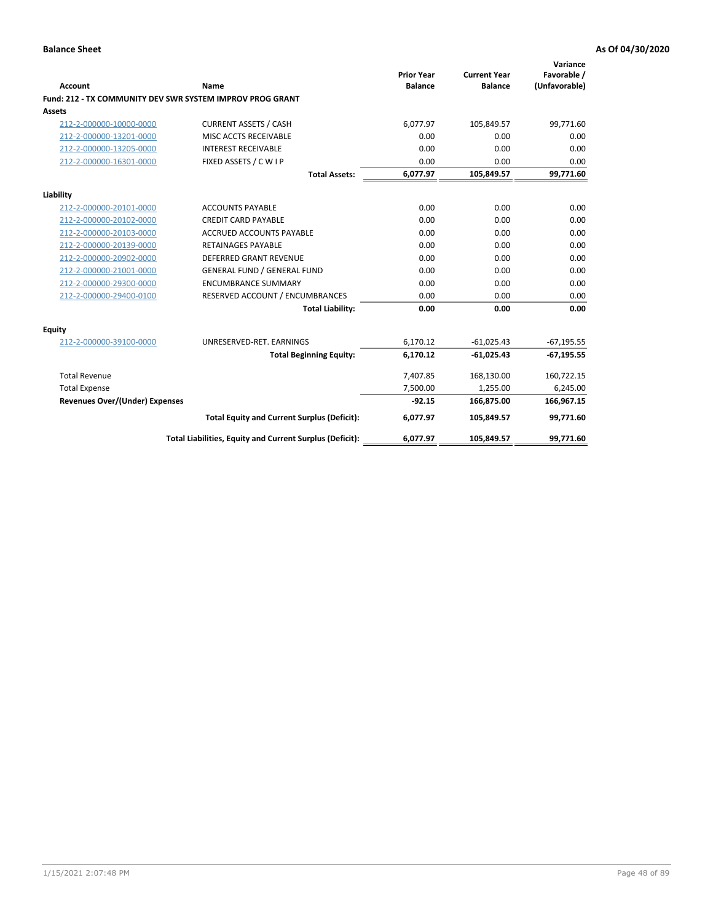| <b>Account</b>                 | <b>Name</b>                                               | <b>Prior Year</b><br><b>Balance</b> | <b>Current Year</b><br><b>Balance</b> | Variance<br>Favorable /<br>(Unfavorable) |
|--------------------------------|-----------------------------------------------------------|-------------------------------------|---------------------------------------|------------------------------------------|
|                                | Fund: 212 - TX COMMUNITY DEV SWR SYSTEM IMPROV PROG GRANT |                                     |                                       |                                          |
| Assets                         |                                                           |                                     |                                       |                                          |
| 212-2-000000-10000-0000        | <b>CURRENT ASSETS / CASH</b>                              | 6,077.97                            | 105,849.57                            | 99,771.60                                |
| 212-2-000000-13201-0000        | MISC ACCTS RECEIVABLE                                     | 0.00                                | 0.00                                  | 0.00                                     |
| 212-2-000000-13205-0000        | <b>INTEREST RECEIVABLE</b>                                | 0.00                                | 0.00                                  | 0.00                                     |
| 212-2-000000-16301-0000        | FIXED ASSETS / C W I P                                    | 0.00                                | 0.00                                  | 0.00                                     |
|                                | <b>Total Assets:</b>                                      | 6,077.97                            | 105,849.57                            | 99,771.60                                |
| Liability                      |                                                           |                                     |                                       |                                          |
| 212-2-000000-20101-0000        | <b>ACCOUNTS PAYABLE</b>                                   | 0.00                                | 0.00                                  | 0.00                                     |
| 212-2-000000-20102-0000        | <b>CREDIT CARD PAYABLE</b>                                | 0.00                                | 0.00                                  | 0.00                                     |
| 212-2-000000-20103-0000        | <b>ACCRUED ACCOUNTS PAYABLE</b>                           | 0.00                                | 0.00                                  | 0.00                                     |
| 212-2-000000-20139-0000        | <b>RETAINAGES PAYABLE</b>                                 | 0.00                                | 0.00                                  | 0.00                                     |
| 212-2-000000-20902-0000        | <b>DEFERRED GRANT REVENUE</b>                             | 0.00                                | 0.00                                  | 0.00                                     |
| 212-2-000000-21001-0000        | <b>GENERAL FUND / GENERAL FUND</b>                        | 0.00                                | 0.00                                  | 0.00                                     |
| 212-2-000000-29300-0000        | <b>ENCUMBRANCE SUMMARY</b>                                | 0.00                                | 0.00                                  | 0.00                                     |
| 212-2-000000-29400-0100        | RESERVED ACCOUNT / ENCUMBRANCES                           | 0.00                                | 0.00                                  | 0.00                                     |
|                                | <b>Total Liability:</b>                                   | 0.00                                | 0.00                                  | 0.00                                     |
| <b>Equity</b>                  |                                                           |                                     |                                       |                                          |
| 212-2-000000-39100-0000        | UNRESERVED-RET. EARNINGS                                  | 6,170.12                            | $-61,025.43$                          | $-67,195.55$                             |
|                                | <b>Total Beginning Equity:</b>                            | 6,170.12                            | $-61,025.43$                          | $-67,195.55$                             |
| <b>Total Revenue</b>           |                                                           | 7,407.85                            | 168,130.00                            | 160,722.15                               |
| <b>Total Expense</b>           |                                                           | 7,500.00                            | 1,255.00                              | 6,245.00                                 |
| Revenues Over/(Under) Expenses |                                                           | $-92.15$                            | 166,875.00                            | 166,967.15                               |
|                                | <b>Total Equity and Current Surplus (Deficit):</b>        | 6,077.97                            | 105,849.57                            | 99,771.60                                |
|                                | Total Liabilities, Equity and Current Surplus (Deficit):  | 6,077.97                            | 105,849.57                            | 99,771.60                                |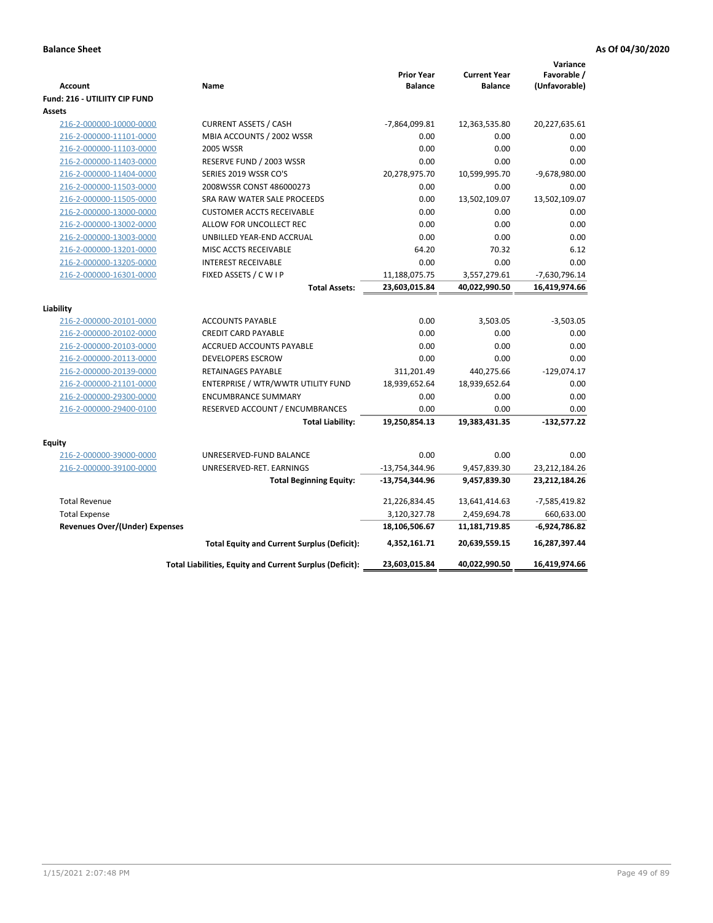| <b>Account</b>                                 | Name                                                     | <b>Prior Year</b><br><b>Balance</b> | <b>Current Year</b><br><b>Balance</b> | Variance<br>Favorable /<br>(Unfavorable) |
|------------------------------------------------|----------------------------------------------------------|-------------------------------------|---------------------------------------|------------------------------------------|
| Fund: 216 - UTILIITY CIP FUND<br><b>Assets</b> |                                                          |                                     |                                       |                                          |
| 216-2-000000-10000-0000                        | <b>CURRENT ASSETS / CASH</b>                             | $-7,864,099.81$                     | 12,363,535.80                         | 20,227,635.61                            |
| 216-2-000000-11101-0000                        | MBIA ACCOUNTS / 2002 WSSR                                | 0.00                                | 0.00                                  | 0.00                                     |
| 216-2-000000-11103-0000                        | 2005 WSSR                                                | 0.00                                | 0.00                                  | 0.00                                     |
| 216-2-000000-11403-0000                        | RESERVE FUND / 2003 WSSR                                 | 0.00                                | 0.00                                  | 0.00                                     |
| 216-2-000000-11404-0000                        | SERIES 2019 WSSR CO'S                                    | 20,278,975.70                       | 10,599,995.70                         | $-9,678,980.00$                          |
| 216-2-000000-11503-0000                        | 2008WSSR CONST 486000273                                 | 0.00                                | 0.00                                  | 0.00                                     |
| 216-2-000000-11505-0000                        | SRA RAW WATER SALE PROCEEDS                              | 0.00                                | 13,502,109.07                         | 13,502,109.07                            |
| 216-2-000000-13000-0000                        | <b>CUSTOMER ACCTS RECEIVABLE</b>                         | 0.00                                | 0.00                                  | 0.00                                     |
| 216-2-000000-13002-0000                        | ALLOW FOR UNCOLLECT REC                                  | 0.00                                | 0.00                                  | 0.00                                     |
| 216-2-000000-13003-0000                        | UNBILLED YEAR-END ACCRUAL                                | 0.00                                | 0.00                                  | 0.00                                     |
| 216-2-000000-13201-0000                        | MISC ACCTS RECEIVABLE                                    | 64.20                               | 70.32                                 | 6.12                                     |
| 216-2-000000-13205-0000                        | <b>INTEREST RECEIVABLE</b>                               | 0.00                                | 0.00                                  | 0.00                                     |
| 216-2-000000-16301-0000                        | FIXED ASSETS / C W I P                                   | 11,188,075.75                       | 3,557,279.61                          | -7,630,796.14                            |
|                                                | <b>Total Assets:</b>                                     | 23,603,015.84                       | 40,022,990.50                         | 16,419,974.66                            |
|                                                |                                                          |                                     |                                       |                                          |
| Liability<br>216-2-000000-20101-0000           | <b>ACCOUNTS PAYABLE</b>                                  | 0.00                                | 3,503.05                              | $-3,503.05$                              |
| 216-2-000000-20102-0000                        | <b>CREDIT CARD PAYABLE</b>                               | 0.00                                | 0.00                                  | 0.00                                     |
| 216-2-000000-20103-0000                        | ACCRUED ACCOUNTS PAYABLE                                 | 0.00                                | 0.00                                  | 0.00                                     |
| 216-2-000000-20113-0000                        | DEVELOPERS ESCROW                                        | 0.00                                | 0.00                                  | 0.00                                     |
| 216-2-000000-20139-0000                        | <b>RETAINAGES PAYABLE</b>                                | 311,201.49                          | 440,275.66                            | $-129,074.17$                            |
| 216-2-000000-21101-0000                        | ENTERPRISE / WTR/WWTR UTILITY FUND                       | 18,939,652.64                       | 18,939,652.64                         | 0.00                                     |
| 216-2-000000-29300-0000                        | <b>ENCUMBRANCE SUMMARY</b>                               | 0.00                                | 0.00                                  | 0.00                                     |
| 216-2-000000-29400-0100                        | RESERVED ACCOUNT / ENCUMBRANCES                          | 0.00                                | 0.00                                  | 0.00                                     |
|                                                | <b>Total Liability:</b>                                  | 19,250,854.13                       | 19,383,431.35                         | $-132,577.22$                            |
|                                                |                                                          |                                     |                                       |                                          |
| <b>Equity</b>                                  |                                                          |                                     |                                       |                                          |
| 216-2-000000-39000-0000                        | UNRESERVED-FUND BALANCE                                  | 0.00                                | 0.00                                  | 0.00                                     |
| 216-2-000000-39100-0000                        | UNRESERVED-RET. EARNINGS                                 | $-13,754,344.96$                    | 9,457,839.30                          | 23,212,184.26                            |
|                                                | <b>Total Beginning Equity:</b>                           | $-13,754,344.96$                    | 9,457,839.30                          | 23,212,184.26                            |
| <b>Total Revenue</b>                           |                                                          | 21,226,834.45                       | 13,641,414.63                         | $-7,585,419.82$                          |
| <b>Total Expense</b>                           |                                                          | 3,120,327.78                        | 2,459,694.78                          | 660,633.00                               |
| Revenues Over/(Under) Expenses                 |                                                          | 18,106,506.67                       | 11,181,719.85                         | $-6,924,786.82$                          |
|                                                | <b>Total Equity and Current Surplus (Deficit):</b>       | 4,352,161.71                        | 20,639,559.15                         | 16,287,397.44                            |
|                                                | Total Liabilities, Equity and Current Surplus (Deficit): | 23,603,015.84                       | 40,022,990.50                         | 16,419,974.66                            |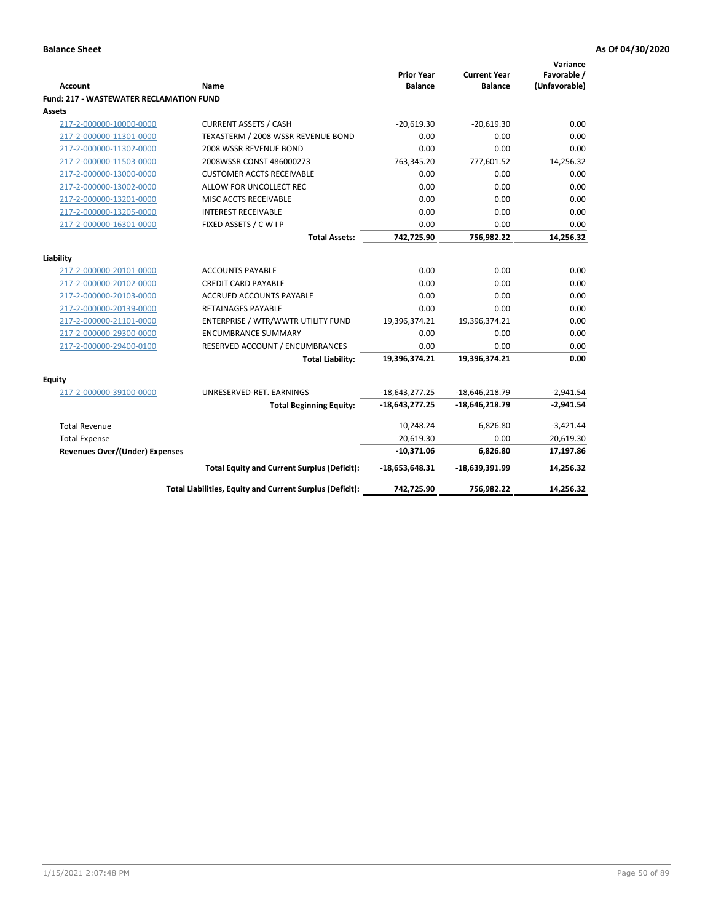|                                                |                                                          | <b>Prior Year</b> | <b>Current Year</b> | Variance<br>Favorable / |
|------------------------------------------------|----------------------------------------------------------|-------------------|---------------------|-------------------------|
| <b>Account</b>                                 | Name                                                     | <b>Balance</b>    | <b>Balance</b>      | (Unfavorable)           |
| <b>Fund: 217 - WASTEWATER RECLAMATION FUND</b> |                                                          |                   |                     |                         |
| <b>Assets</b>                                  |                                                          |                   |                     |                         |
| 217-2-000000-10000-0000                        | <b>CURRENT ASSETS / CASH</b>                             | $-20,619.30$      | $-20,619.30$        | 0.00                    |
| 217-2-000000-11301-0000                        | TEXASTERM / 2008 WSSR REVENUE BOND                       | 0.00              | 0.00                | 0.00                    |
| 217-2-000000-11302-0000                        | 2008 WSSR REVENUE BOND                                   | 0.00              | 0.00                | 0.00                    |
| 217-2-000000-11503-0000                        | 2008WSSR CONST 486000273                                 | 763,345.20        | 777,601.52          | 14,256.32               |
| 217-2-000000-13000-0000                        | <b>CUSTOMER ACCTS RECEIVABLE</b>                         | 0.00              | 0.00                | 0.00                    |
| 217-2-000000-13002-0000                        | ALLOW FOR UNCOLLECT REC                                  | 0.00              | 0.00                | 0.00                    |
| 217-2-000000-13201-0000                        | MISC ACCTS RECEIVABLE                                    | 0.00              | 0.00                | 0.00                    |
| 217-2-000000-13205-0000                        | <b>INTEREST RECEIVABLE</b>                               | 0.00              | 0.00                | 0.00                    |
| 217-2-000000-16301-0000                        | FIXED ASSETS / C W I P                                   | 0.00              | 0.00                | 0.00                    |
|                                                | <b>Total Assets:</b>                                     | 742,725.90        | 756,982.22          | 14,256.32               |
|                                                |                                                          |                   |                     |                         |
| Liability                                      |                                                          |                   |                     |                         |
| 217-2-000000-20101-0000                        | <b>ACCOUNTS PAYABLE</b>                                  | 0.00              | 0.00                | 0.00                    |
| 217-2-000000-20102-0000                        | <b>CREDIT CARD PAYABLE</b>                               | 0.00              | 0.00                | 0.00                    |
| 217-2-000000-20103-0000                        | ACCRUED ACCOUNTS PAYABLE                                 | 0.00              | 0.00                | 0.00                    |
| 217-2-000000-20139-0000                        | <b>RETAINAGES PAYABLE</b>                                | 0.00              | 0.00                | 0.00                    |
| 217-2-000000-21101-0000                        | ENTERPRISE / WTR/WWTR UTILITY FUND                       | 19,396,374.21     | 19,396,374.21       | 0.00                    |
| 217-2-000000-29300-0000                        | <b>ENCUMBRANCE SUMMARY</b>                               | 0.00              | 0.00                | 0.00                    |
| 217-2-000000-29400-0100                        | RESERVED ACCOUNT / ENCUMBRANCES                          | 0.00              | 0.00                | 0.00                    |
|                                                | <b>Total Liability:</b>                                  | 19,396,374.21     | 19,396,374.21       | 0.00                    |
| <b>Equity</b>                                  |                                                          |                   |                     |                         |
| 217-2-000000-39100-0000                        | UNRESERVED-RET. EARNINGS                                 | $-18,643,277.25$  | $-18,646,218.79$    | $-2,941.54$             |
|                                                | <b>Total Beginning Equity:</b>                           | -18,643,277.25    | $-18,646,218.79$    | $-2,941.54$             |
| <b>Total Revenue</b>                           |                                                          | 10,248.24         | 6,826.80            | $-3,421.44$             |
| <b>Total Expense</b>                           |                                                          | 20,619.30         | 0.00                | 20,619.30               |
| <b>Revenues Over/(Under) Expenses</b>          |                                                          | $-10,371.06$      | 6,826.80            | 17,197.86               |
|                                                | <b>Total Equity and Current Surplus (Deficit):</b>       | $-18,653,648.31$  | -18,639,391.99      | 14,256.32               |
|                                                | Total Liabilities, Equity and Current Surplus (Deficit): | 742,725.90        | 756,982.22          | 14,256.32               |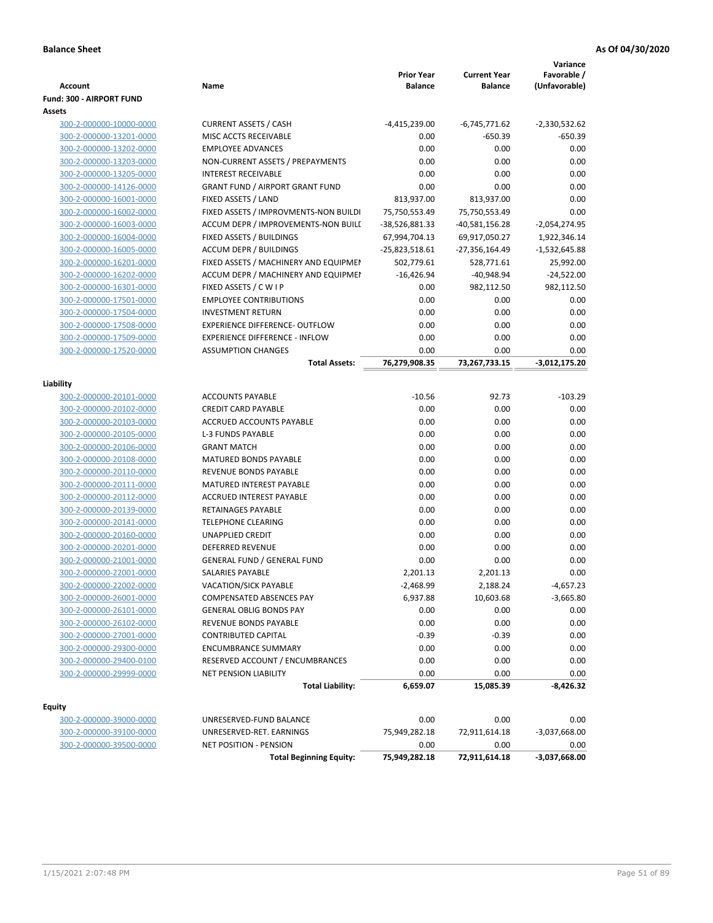| <b>Account</b>           | Name                                   | <b>Prior Year</b><br><b>Balance</b> | <b>Current Year</b><br><b>Balance</b> | Variance<br>Favorable /<br>(Unfavorable) |
|--------------------------|----------------------------------------|-------------------------------------|---------------------------------------|------------------------------------------|
| Fund: 300 - AIRPORT FUND |                                        |                                     |                                       |                                          |
| Assets                   |                                        |                                     |                                       |                                          |
| 300-2-000000-10000-0000  | <b>CURRENT ASSETS / CASH</b>           | -4,415,239.00                       | -6,745,771.62                         | $-2,330,532.62$                          |
| 300-2-000000-13201-0000  | MISC ACCTS RECEIVABLE                  | 0.00                                | $-650.39$                             | -650.39                                  |
| 300-2-000000-13202-0000  | <b>EMPLOYEE ADVANCES</b>               | 0.00                                | 0.00                                  | 0.00                                     |
| 300-2-000000-13203-0000  | NON-CURRENT ASSETS / PREPAYMENTS       | 0.00                                | 0.00                                  | 0.00                                     |
| 300-2-000000-13205-0000  | <b>INTEREST RECEIVABLE</b>             | 0.00                                | 0.00                                  | 0.00                                     |
| 300-2-000000-14126-0000  | <b>GRANT FUND / AIRPORT GRANT FUND</b> | 0.00                                | 0.00                                  | 0.00                                     |
| 300-2-000000-16001-0000  | FIXED ASSETS / LAND                    | 813,937.00                          | 813,937.00                            | 0.00                                     |
| 300-2-000000-16002-0000  | FIXED ASSETS / IMPROVMENTS-NON BUILDI  | 75,750,553.49                       | 75,750,553.49                         | 0.00                                     |
| 300-2-000000-16003-0000  | ACCUM DEPR / IMPROVEMENTS-NON BUILI    | -38,526,881.33                      | $-40,581,156.28$                      | $-2,054,274.95$                          |
| 300-2-000000-16004-0000  | FIXED ASSETS / BUILDINGS               | 67,994,704.13                       | 69,917,050.27                         | 1,922,346.14                             |
| 300-2-000000-16005-0000  | <b>ACCUM DEPR / BUILDINGS</b>          | -25,823,518.61                      | -27,356,164.49                        | $-1,532,645.88$                          |
| 300-2-000000-16201-0000  | FIXED ASSETS / MACHINERY AND EQUIPMEN  | 502,779.61                          | 528,771.61                            | 25,992.00                                |
| 300-2-000000-16202-0000  | ACCUM DEPR / MACHINERY AND EQUIPMEI    | $-16,426.94$                        | $-40,948.94$                          | $-24,522.00$                             |
| 300-2-000000-16301-0000  | FIXED ASSETS / C W I P                 | 0.00                                | 982,112.50                            | 982,112.50                               |
| 300-2-000000-17501-0000  | <b>EMPLOYEE CONTRIBUTIONS</b>          | 0.00                                | 0.00                                  | 0.00                                     |
| 300-2-000000-17504-0000  | <b>INVESTMENT RETURN</b>               | 0.00                                | 0.00                                  | 0.00                                     |
| 300-2-000000-17508-0000  | EXPERIENCE DIFFERENCE- OUTFLOW         | 0.00                                | 0.00                                  | 0.00                                     |
| 300-2-000000-17509-0000  | <b>EXPERIENCE DIFFERENCE - INFLOW</b>  | 0.00                                | 0.00                                  | 0.00                                     |
| 300-2-000000-17520-0000  | <b>ASSUMPTION CHANGES</b>              | 0.00                                | 0.00                                  | 0.00                                     |
|                          | <b>Total Assets:</b>                   | 76,279,908.35                       | 73,267,733.15                         | $-3,012,175.20$                          |
|                          |                                        |                                     |                                       |                                          |
| Liability                |                                        |                                     |                                       |                                          |
| 300-2-000000-20101-0000  | <b>ACCOUNTS PAYABLE</b>                | $-10.56$                            | 92.73                                 | $-103.29$                                |
| 300-2-000000-20102-0000  | <b>CREDIT CARD PAYABLE</b>             | 0.00                                | 0.00                                  | 0.00                                     |
| 300-2-000000-20103-0000  | ACCRUED ACCOUNTS PAYABLE               | 0.00                                | 0.00                                  | 0.00                                     |
| 300-2-000000-20105-0000  | <b>L-3 FUNDS PAYABLE</b>               | 0.00                                | 0.00                                  | 0.00                                     |
| 300-2-000000-20106-0000  | <b>GRANT MATCH</b>                     | 0.00                                | 0.00                                  | 0.00                                     |
| 300-2-000000-20108-0000  | <b>MATURED BONDS PAYABLE</b>           | 0.00                                | 0.00                                  | 0.00                                     |
| 300-2-000000-20110-0000  | REVENUE BONDS PAYABLE                  | 0.00                                | 0.00                                  | 0.00                                     |
| 300-2-000000-20111-0000  | MATURED INTEREST PAYABLE               | 0.00                                | 0.00                                  | 0.00                                     |
| 300-2-000000-20112-0000  | <b>ACCRUED INTEREST PAYABLE</b>        | 0.00                                | 0.00                                  | 0.00                                     |
| 300-2-000000-20139-0000  | RETAINAGES PAYABLE                     | 0.00                                | 0.00                                  | 0.00                                     |
| 300-2-000000-20141-0000  | <b>TELEPHONE CLEARING</b>              | 0.00                                | 0.00                                  | 0.00                                     |
| 300-2-000000-20160-0000  | <b>UNAPPLIED CREDIT</b>                | 0.00                                | 0.00                                  | 0.00                                     |
| 300-2-000000-20201-0000  | <b>DEFERRED REVENUE</b>                | 0.00                                | 0.00                                  | 0.00                                     |
| 300-2-000000-21001-0000  | <b>GENERAL FUND / GENERAL FUND</b>     | 0.00                                | 0.00                                  | 0.00                                     |
| 300-2-000000-22001-0000  | SALARIES PAYABLE                       | 2,201.13                            | 2,201.13                              | 0.00                                     |
| 300-2-000000-22002-0000  | <b>VACATION/SICK PAYABLE</b>           | $-2,468.99$                         | 2,188.24                              | $-4,657.23$                              |
| 300-2-000000-26001-0000  | COMPENSATED ABSENCES PAY               | 6,937.88                            | 10,603.68                             | $-3,665.80$                              |
| 300-2-000000-26101-0000  | <b>GENERAL OBLIG BONDS PAY</b>         | 0.00                                | 0.00                                  | 0.00                                     |
| 300-2-000000-26102-0000  | REVENUE BONDS PAYABLE                  | 0.00                                | 0.00                                  | 0.00                                     |
| 300-2-000000-27001-0000  | <b>CONTRIBUTED CAPITAL</b>             | $-0.39$                             | $-0.39$                               | 0.00                                     |
| 300-2-000000-29300-0000  | <b>ENCUMBRANCE SUMMARY</b>             | 0.00                                | 0.00                                  | 0.00                                     |
| 300-2-000000-29400-0100  | RESERVED ACCOUNT / ENCUMBRANCES        | 0.00                                | 0.00                                  | 0.00                                     |
| 300-2-000000-29999-0000  | NET PENSION LIABILITY                  | 0.00                                | 0.00                                  | 0.00                                     |
|                          | <b>Total Liability:</b>                | 6,659.07                            | 15,085.39                             | $-8,426.32$                              |
|                          |                                        |                                     |                                       |                                          |
| Equity                   |                                        |                                     |                                       |                                          |
| 300-2-000000-39000-0000  | UNRESERVED-FUND BALANCE                | 0.00                                | 0.00                                  | 0.00                                     |
| 300-2-000000-39100-0000  | UNRESERVED-RET. EARNINGS               | 75,949,282.18                       | 72,911,614.18                         | $-3,037,668.00$                          |
| 300-2-000000-39500-0000  | <b>NET POSITION - PENSION</b>          | 0.00                                | 0.00                                  | 0.00                                     |
|                          | <b>Total Beginning Equity:</b>         | 75,949,282.18                       | 72,911,614.18                         | $-3,037,668.00$                          |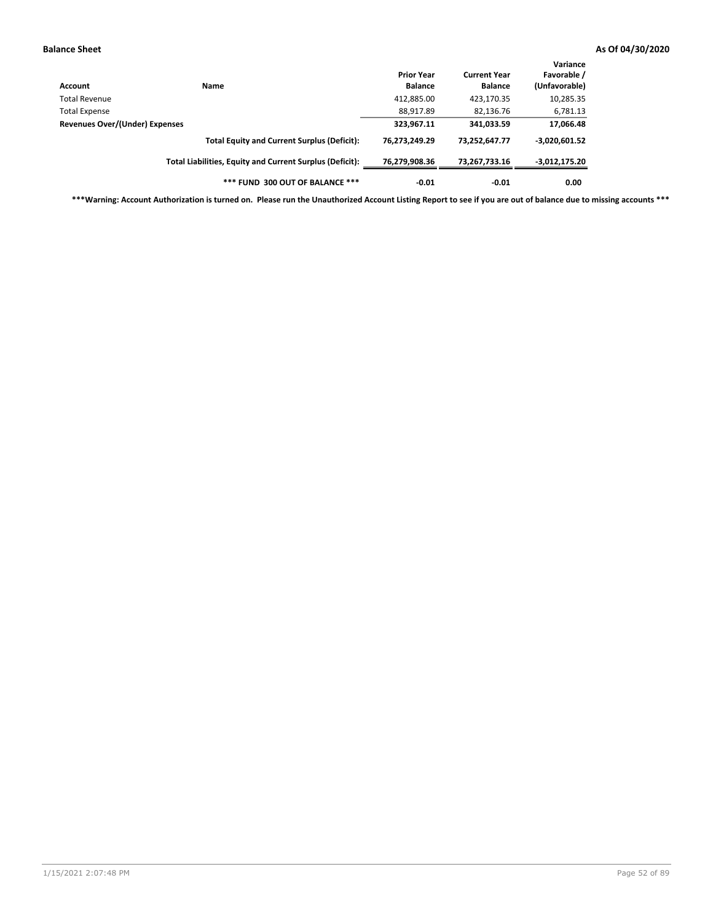| Account                        | Name                                                     | <b>Prior Year</b><br><b>Balance</b> | <b>Current Year</b><br><b>Balance</b> | Variance<br>Favorable /<br>(Unfavorable) |
|--------------------------------|----------------------------------------------------------|-------------------------------------|---------------------------------------|------------------------------------------|
| <b>Total Revenue</b>           |                                                          | 412,885.00                          | 423,170.35                            | 10,285.35                                |
| <b>Total Expense</b>           |                                                          | 88,917.89                           | 82,136.76                             | 6,781.13                                 |
| Revenues Over/(Under) Expenses |                                                          | 323,967.11                          | 341,033.59                            | 17,066.48                                |
|                                | <b>Total Equity and Current Surplus (Deficit):</b>       | 76.273.249.29                       | 73.252.647.77                         | $-3,020,601.52$                          |
|                                | Total Liabilities, Equity and Current Surplus (Deficit): | 76,279,908.36                       | 73,267,733.16                         | $-3,012,175.20$                          |
|                                | *** FUND 300 OUT OF BALANCE ***                          | $-0.01$                             | $-0.01$                               | 0.00                                     |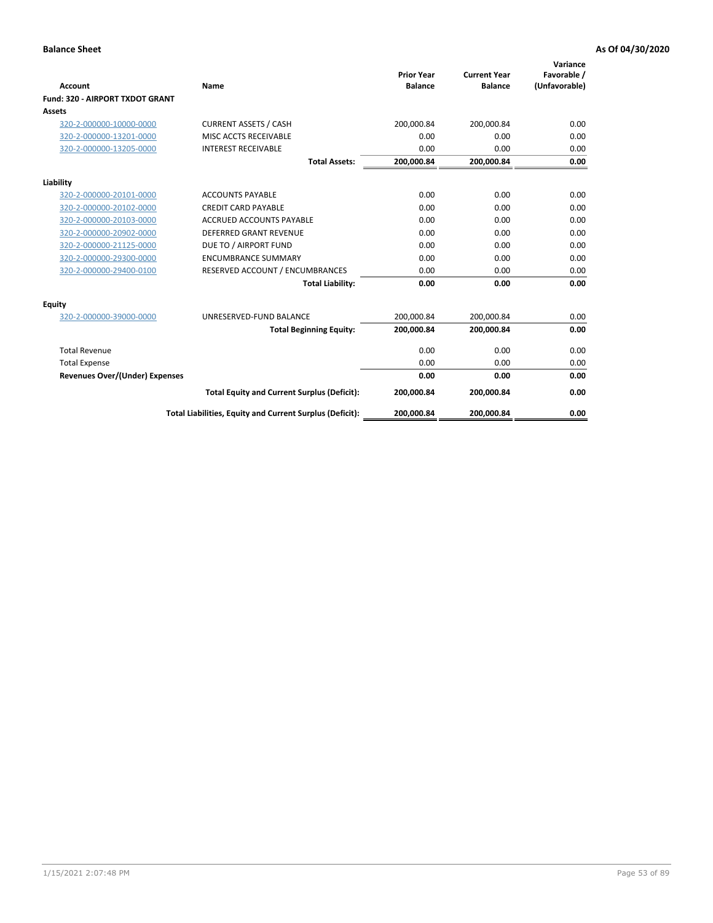|                                       |                                                          | <b>Prior Year</b> | <b>Current Year</b> | Variance<br>Favorable / |
|---------------------------------------|----------------------------------------------------------|-------------------|---------------------|-------------------------|
| <b>Account</b>                        | Name                                                     | <b>Balance</b>    | <b>Balance</b>      | (Unfavorable)           |
| Fund: 320 - AIRPORT TXDOT GRANT       |                                                          |                   |                     |                         |
| <b>Assets</b>                         |                                                          |                   |                     |                         |
| 320-2-000000-10000-0000               | <b>CURRENT ASSETS / CASH</b>                             | 200,000.84        | 200,000.84          | 0.00                    |
| 320-2-000000-13201-0000               | MISC ACCTS RECEIVABLE                                    | 0.00              | 0.00                | 0.00                    |
| 320-2-000000-13205-0000               | <b>INTEREST RECEIVABLE</b>                               | 0.00              | 0.00                | 0.00                    |
|                                       | <b>Total Assets:</b>                                     | 200,000.84        | 200,000.84          | 0.00                    |
| Liability                             |                                                          |                   |                     |                         |
| 320-2-000000-20101-0000               | <b>ACCOUNTS PAYABLE</b>                                  | 0.00              | 0.00                | 0.00                    |
| 320-2-000000-20102-0000               | <b>CREDIT CARD PAYABLE</b>                               | 0.00              | 0.00                | 0.00                    |
| 320-2-000000-20103-0000               | <b>ACCRUED ACCOUNTS PAYABLE</b>                          | 0.00              | 0.00                | 0.00                    |
| 320-2-000000-20902-0000               | <b>DEFERRED GRANT REVENUE</b>                            | 0.00              | 0.00                | 0.00                    |
| 320-2-000000-21125-0000               | DUE TO / AIRPORT FUND                                    | 0.00              | 0.00                | 0.00                    |
| 320-2-000000-29300-0000               | <b>ENCUMBRANCE SUMMARY</b>                               | 0.00              | 0.00                | 0.00                    |
| 320-2-000000-29400-0100               | RESERVED ACCOUNT / ENCUMBRANCES                          | 0.00              | 0.00                | 0.00                    |
|                                       | <b>Total Liability:</b>                                  | 0.00              | 0.00                | 0.00                    |
| <b>Equity</b>                         |                                                          |                   |                     |                         |
| 320-2-000000-39000-0000               | UNRESERVED-FUND BALANCE                                  | 200,000.84        | 200,000.84          | 0.00                    |
|                                       | <b>Total Beginning Equity:</b>                           | 200,000.84        | 200,000.84          | 0.00                    |
| <b>Total Revenue</b>                  |                                                          | 0.00              | 0.00                | 0.00                    |
| <b>Total Expense</b>                  |                                                          | 0.00              | 0.00                | 0.00                    |
| <b>Revenues Over/(Under) Expenses</b> |                                                          | 0.00              | 0.00                | 0.00                    |
|                                       | <b>Total Equity and Current Surplus (Deficit):</b>       | 200,000.84        | 200,000.84          | 0.00                    |
|                                       | Total Liabilities, Equity and Current Surplus (Deficit): | 200,000.84        | 200,000.84          | 0.00                    |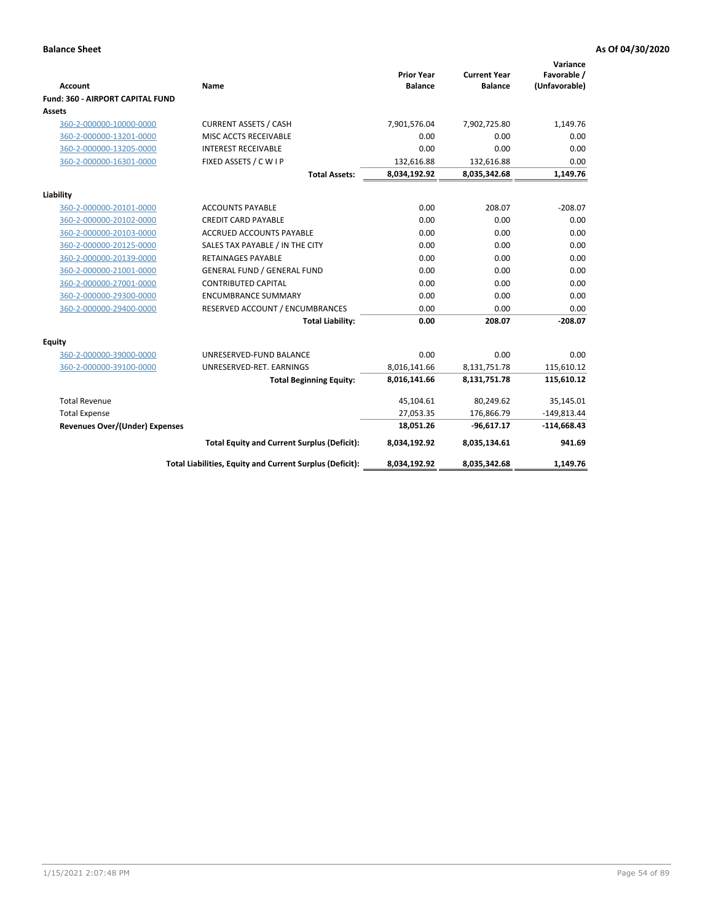| <b>Account</b>                        | Name                                                     | <b>Prior Year</b><br><b>Balance</b> | <b>Current Year</b><br><b>Balance</b> | Variance<br>Favorable /<br>(Unfavorable) |
|---------------------------------------|----------------------------------------------------------|-------------------------------------|---------------------------------------|------------------------------------------|
| Fund: 360 - AIRPORT CAPITAL FUND      |                                                          |                                     |                                       |                                          |
| Assets                                |                                                          |                                     |                                       |                                          |
| 360-2-000000-10000-0000               | <b>CURRENT ASSETS / CASH</b>                             | 7,901,576.04                        | 7,902,725.80                          | 1,149.76                                 |
| 360-2-000000-13201-0000               | MISC ACCTS RECEIVABLE                                    | 0.00                                | 0.00                                  | 0.00                                     |
| 360-2-000000-13205-0000               | <b>INTEREST RECEIVABLE</b>                               | 0.00                                | 0.00                                  | 0.00                                     |
| 360-2-000000-16301-0000               | FIXED ASSETS / C W I P                                   | 132,616.88                          | 132,616.88                            | 0.00                                     |
|                                       | <b>Total Assets:</b>                                     | 8,034,192.92                        | 8,035,342.68                          | 1,149.76                                 |
| Liability                             |                                                          |                                     |                                       |                                          |
| 360-2-000000-20101-0000               | <b>ACCOUNTS PAYABLE</b>                                  | 0.00                                | 208.07                                | $-208.07$                                |
| 360-2-000000-20102-0000               | <b>CREDIT CARD PAYABLE</b>                               | 0.00                                | 0.00                                  | 0.00                                     |
| 360-2-000000-20103-0000               | <b>ACCRUED ACCOUNTS PAYABLE</b>                          | 0.00                                | 0.00                                  | 0.00                                     |
| 360-2-000000-20125-0000               | SALES TAX PAYABLE / IN THE CITY                          | 0.00                                | 0.00                                  | 0.00                                     |
| 360-2-000000-20139-0000               | <b>RETAINAGES PAYABLE</b>                                | 0.00                                | 0.00                                  | 0.00                                     |
| 360-2-000000-21001-0000               | <b>GENERAL FUND / GENERAL FUND</b>                       | 0.00                                | 0.00                                  | 0.00                                     |
| 360-2-000000-27001-0000               | <b>CONTRIBUTED CAPITAL</b>                               | 0.00                                | 0.00                                  | 0.00                                     |
| 360-2-000000-29300-0000               | <b>ENCUMBRANCE SUMMARY</b>                               | 0.00                                | 0.00                                  | 0.00                                     |
| 360-2-000000-29400-0000               | RESERVED ACCOUNT / ENCUMBRANCES                          | 0.00                                | 0.00                                  | 0.00                                     |
|                                       | <b>Total Liability:</b>                                  | 0.00                                | 208.07                                | $-208.07$                                |
| Equity                                |                                                          |                                     |                                       |                                          |
| 360-2-000000-39000-0000               | UNRESERVED-FUND BALANCE                                  | 0.00                                | 0.00                                  | 0.00                                     |
| 360-2-000000-39100-0000               | UNRESERVED-RET. EARNINGS                                 | 8,016,141.66                        | 8,131,751.78                          | 115,610.12                               |
|                                       | <b>Total Beginning Equity:</b>                           | 8,016,141.66                        | 8,131,751.78                          | 115,610.12                               |
| <b>Total Revenue</b>                  |                                                          | 45,104.61                           | 80,249.62                             | 35,145.01                                |
| <b>Total Expense</b>                  |                                                          | 27,053.35                           | 176,866.79                            | $-149,813.44$                            |
| <b>Revenues Over/(Under) Expenses</b> |                                                          | 18,051.26                           | $-96,617.17$                          | $-114,668.43$                            |
|                                       | <b>Total Equity and Current Surplus (Deficit):</b>       | 8,034,192.92                        | 8,035,134.61                          | 941.69                                   |
|                                       | Total Liabilities, Equity and Current Surplus (Deficit): | 8,034,192.92                        | 8,035,342.68                          | 1,149.76                                 |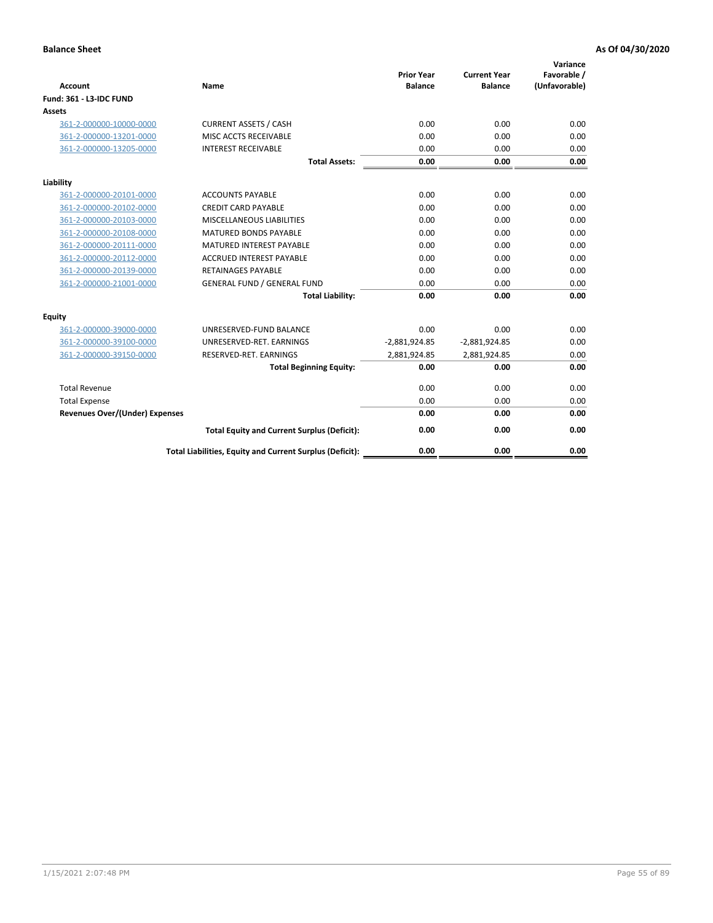| <b>Account</b>                        | <b>Name</b>                                              | <b>Prior Year</b><br><b>Balance</b> | <b>Current Year</b><br><b>Balance</b> | Variance<br>Favorable /<br>(Unfavorable) |
|---------------------------------------|----------------------------------------------------------|-------------------------------------|---------------------------------------|------------------------------------------|
| <b>Fund: 361 - L3-IDC FUND</b>        |                                                          |                                     |                                       |                                          |
| Assets                                |                                                          |                                     |                                       |                                          |
| 361-2-000000-10000-0000               | <b>CURRENT ASSETS / CASH</b>                             | 0.00                                | 0.00                                  | 0.00                                     |
| 361-2-000000-13201-0000               | MISC ACCTS RECEIVABLE                                    | 0.00                                | 0.00                                  | 0.00                                     |
| 361-2-000000-13205-0000               | <b>INTEREST RECEIVABLE</b>                               | 0.00                                | 0.00                                  | 0.00                                     |
|                                       | <b>Total Assets:</b>                                     | 0.00                                | 0.00                                  | 0.00                                     |
| Liability                             |                                                          |                                     |                                       |                                          |
| 361-2-000000-20101-0000               | <b>ACCOUNTS PAYABLE</b>                                  | 0.00                                | 0.00                                  | 0.00                                     |
| 361-2-000000-20102-0000               | <b>CREDIT CARD PAYABLE</b>                               | 0.00                                | 0.00                                  | 0.00                                     |
| 361-2-000000-20103-0000               | MISCELLANEOUS LIABILITIES                                | 0.00                                | 0.00                                  | 0.00                                     |
| 361-2-000000-20108-0000               | <b>MATURED BONDS PAYABLE</b>                             | 0.00                                | 0.00                                  | 0.00                                     |
| 361-2-000000-20111-0000               | <b>MATURED INTEREST PAYABLE</b>                          | 0.00                                | 0.00                                  | 0.00                                     |
| 361-2-000000-20112-0000               | <b>ACCRUED INTEREST PAYABLE</b>                          | 0.00                                | 0.00                                  | 0.00                                     |
| 361-2-000000-20139-0000               | <b>RETAINAGES PAYABLE</b>                                | 0.00                                | 0.00                                  | 0.00                                     |
| 361-2-000000-21001-0000               | <b>GENERAL FUND / GENERAL FUND</b>                       | 0.00                                | 0.00                                  | 0.00                                     |
|                                       | <b>Total Liability:</b>                                  | 0.00                                | 0.00                                  | 0.00                                     |
| Equity                                |                                                          |                                     |                                       |                                          |
| 361-2-000000-39000-0000               | UNRESERVED-FUND BALANCE                                  | 0.00                                | 0.00                                  | 0.00                                     |
| 361-2-000000-39100-0000               | UNRESERVED-RET. EARNINGS                                 | $-2,881,924.85$                     | $-2,881,924.85$                       | 0.00                                     |
| 361-2-000000-39150-0000               | RESERVED-RET. EARNINGS                                   | 2,881,924.85                        | 2,881,924.85                          | 0.00                                     |
|                                       | <b>Total Beginning Equity:</b>                           | 0.00                                | 0.00                                  | 0.00                                     |
| <b>Total Revenue</b>                  |                                                          | 0.00                                | 0.00                                  | 0.00                                     |
| <b>Total Expense</b>                  |                                                          | 0.00                                | 0.00                                  | 0.00                                     |
| <b>Revenues Over/(Under) Expenses</b> |                                                          | 0.00                                | 0.00                                  | 0.00                                     |
|                                       | <b>Total Equity and Current Surplus (Deficit):</b>       | 0.00                                | 0.00                                  | 0.00                                     |
|                                       | Total Liabilities, Equity and Current Surplus (Deficit): | 0.00                                | 0.00                                  | 0.00                                     |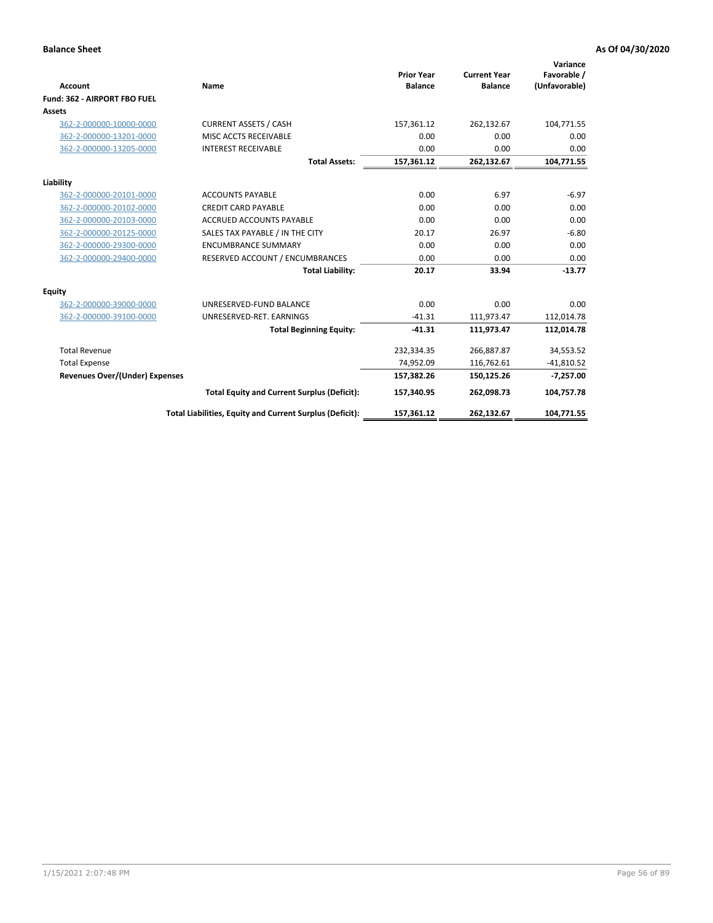|                                       |                                                          |                                     |                                       | Variance                     |
|---------------------------------------|----------------------------------------------------------|-------------------------------------|---------------------------------------|------------------------------|
| <b>Account</b>                        | Name                                                     | <b>Prior Year</b><br><b>Balance</b> | <b>Current Year</b><br><b>Balance</b> | Favorable /<br>(Unfavorable) |
| Fund: 362 - AIRPORT FBO FUEL          |                                                          |                                     |                                       |                              |
| <b>Assets</b>                         |                                                          |                                     |                                       |                              |
| 362-2-000000-10000-0000               | <b>CURRENT ASSETS / CASH</b>                             | 157,361.12                          | 262,132.67                            | 104,771.55                   |
| 362-2-000000-13201-0000               | MISC ACCTS RECEIVABLE                                    | 0.00                                | 0.00                                  | 0.00                         |
| 362-2-000000-13205-0000               | <b>INTEREST RECEIVABLE</b>                               | 0.00                                | 0.00                                  | 0.00                         |
|                                       | <b>Total Assets:</b>                                     | 157,361.12                          | 262,132.67                            | 104,771.55                   |
| Liability                             |                                                          |                                     |                                       |                              |
| 362-2-000000-20101-0000               | <b>ACCOUNTS PAYABLE</b>                                  | 0.00                                | 6.97                                  | $-6.97$                      |
| 362-2-000000-20102-0000               | <b>CREDIT CARD PAYABLE</b>                               | 0.00                                | 0.00                                  | 0.00                         |
| 362-2-000000-20103-0000               | <b>ACCRUED ACCOUNTS PAYABLE</b>                          | 0.00                                | 0.00                                  | 0.00                         |
| 362-2-000000-20125-0000               | SALES TAX PAYABLE / IN THE CITY                          | 20.17                               | 26.97                                 | $-6.80$                      |
| 362-2-000000-29300-0000               | <b>ENCUMBRANCE SUMMARY</b>                               | 0.00                                | 0.00                                  | 0.00                         |
| 362-2-000000-29400-0000               | RESERVED ACCOUNT / ENCUMBRANCES                          | 0.00                                | 0.00                                  | 0.00                         |
|                                       | <b>Total Liability:</b>                                  | 20.17                               | 33.94                                 | $-13.77$                     |
| <b>Equity</b>                         |                                                          |                                     |                                       |                              |
| 362-2-000000-39000-0000               | UNRESERVED-FUND BALANCE                                  | 0.00                                | 0.00                                  | 0.00                         |
| 362-2-000000-39100-0000               | UNRESERVED-RET. EARNINGS                                 | $-41.31$                            | 111,973.47                            | 112,014.78                   |
|                                       | <b>Total Beginning Equity:</b>                           | $-41.31$                            | 111,973.47                            | 112,014.78                   |
| <b>Total Revenue</b>                  |                                                          | 232,334.35                          | 266,887.87                            | 34,553.52                    |
| <b>Total Expense</b>                  |                                                          | 74,952.09                           | 116,762.61                            | $-41,810.52$                 |
| <b>Revenues Over/(Under) Expenses</b> |                                                          | 157,382.26                          | 150,125.26                            | $-7,257.00$                  |
|                                       | <b>Total Equity and Current Surplus (Deficit):</b>       | 157,340.95                          | 262,098.73                            | 104,757.78                   |
|                                       | Total Liabilities, Equity and Current Surplus (Deficit): | 157,361.12                          | 262,132.67                            | 104,771.55                   |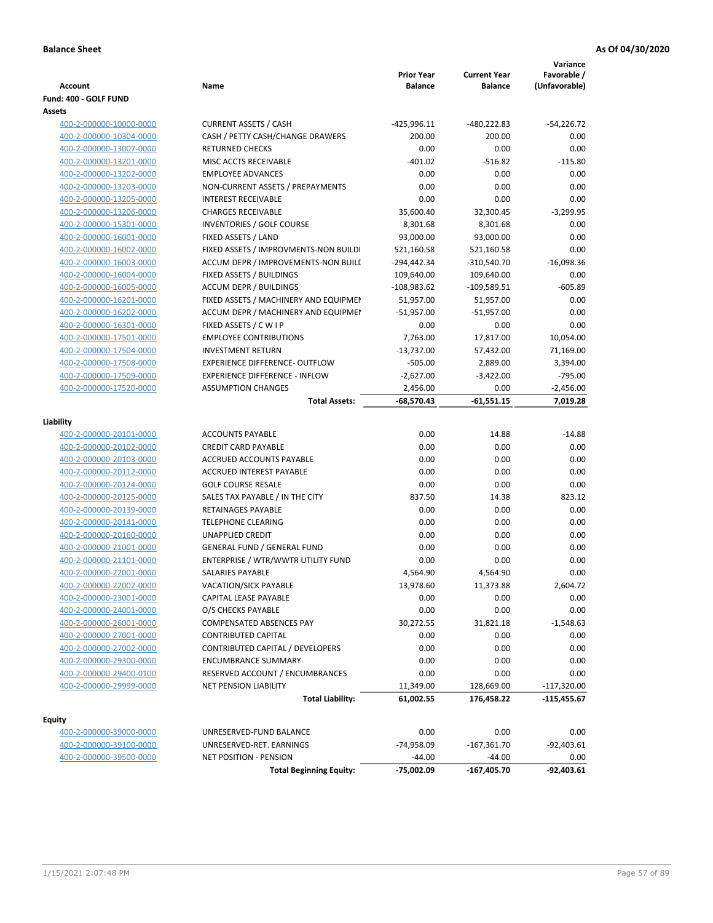| <b>Account</b><br>Fund: 400 - GOLF FUND            | Name                                    | <b>Prior Year</b><br><b>Balance</b> | <b>Current Year</b><br><b>Balance</b> | Variance<br>Favorable /<br>(Unfavorable) |
|----------------------------------------------------|-----------------------------------------|-------------------------------------|---------------------------------------|------------------------------------------|
| Assets                                             |                                         |                                     |                                       |                                          |
| 400-2-000000-10000-0000                            | <b>CURRENT ASSETS / CASH</b>            | $-425,996.11$                       | -480,222.83                           | $-54,226.72$                             |
| 400-2-000000-10304-0000                            | CASH / PETTY CASH/CHANGE DRAWERS        | 200.00                              | 200.00                                | 0.00                                     |
| 400-2-000000-13007-0000                            | <b>RETURNED CHECKS</b>                  | 0.00                                | 0.00                                  | 0.00                                     |
| 400-2-000000-13201-0000                            | MISC ACCTS RECEIVABLE                   | $-401.02$                           | $-516.82$                             | $-115.80$                                |
| 400-2-000000-13202-0000                            | <b>EMPLOYEE ADVANCES</b>                | 0.00                                | 0.00                                  | 0.00                                     |
| 400-2-000000-13203-0000                            | NON-CURRENT ASSETS / PREPAYMENTS        | 0.00                                | 0.00                                  | 0.00                                     |
| 400-2-000000-13205-0000                            | <b>INTEREST RECEIVABLE</b>              | 0.00                                | 0.00                                  | 0.00                                     |
| 400-2-000000-13206-0000                            | <b>CHARGES RECEIVABLE</b>               | 35,600.40                           | 32,300.45                             | $-3,299.95$                              |
| 400-2-000000-15301-0000                            | INVENTORIES / GOLF COURSE               | 8,301.68                            | 8,301.68                              | 0.00                                     |
| 400-2-000000-16001-0000                            | FIXED ASSETS / LAND                     | 93,000.00                           | 93,000.00                             | 0.00                                     |
| 400-2-000000-16002-0000                            | FIXED ASSETS / IMPROVMENTS-NON BUILDI   | 521,160.58                          | 521,160.58                            | 0.00                                     |
| 400-2-000000-16003-0000                            | ACCUM DEPR / IMPROVEMENTS-NON BUILI     | -294,442.34                         | -310,540.70                           | $-16,098.36$                             |
| 400-2-000000-16004-0000                            | FIXED ASSETS / BUILDINGS                | 109,640.00                          | 109,640.00                            | 0.00                                     |
| 400-2-000000-16005-0000                            | <b>ACCUM DEPR / BUILDINGS</b>           | $-108,983.62$                       | $-109,589.51$                         | $-605.89$                                |
| 400-2-000000-16201-0000                            | FIXED ASSETS / MACHINERY AND EQUIPMEN   | 51,957.00                           | 51,957.00                             | 0.00                                     |
| 400-2-000000-16202-0000                            | ACCUM DEPR / MACHINERY AND EQUIPMEI     | $-51,957.00$                        | $-51,957.00$                          | 0.00                                     |
| 400-2-000000-16301-0000                            | FIXED ASSETS / C W I P                  | 0.00                                | 0.00                                  | 0.00                                     |
| 400-2-000000-17501-0000                            | <b>EMPLOYEE CONTRIBUTIONS</b>           | 7,763.00                            | 17,817.00                             | 10,054.00                                |
| 400-2-000000-17504-0000                            | <b>INVESTMENT RETURN</b>                | $-13,737.00$                        | 57,432.00                             | 71,169.00                                |
| 400-2-000000-17508-0000                            | <b>EXPERIENCE DIFFERENCE- OUTFLOW</b>   | $-505.00$                           | 2,889.00                              | 3,394.00                                 |
| 400-2-000000-17509-0000                            | <b>EXPERIENCE DIFFERENCE - INFLOW</b>   | $-2,627.00$                         | $-3,422.00$                           | $-795.00$                                |
| 400-2-000000-17520-0000                            | <b>ASSUMPTION CHANGES</b>               | 2,456.00                            | 0.00                                  | $-2,456.00$                              |
|                                                    | <b>Total Assets:</b>                    | $-68,570.43$                        | $-61,551.15$                          | 7,019.28                                 |
| Liability                                          |                                         |                                     |                                       |                                          |
|                                                    | <b>ACCOUNTS PAYABLE</b>                 | 0.00                                | 14.88                                 | $-14.88$                                 |
| 400-2-000000-20101-0000<br>400-2-000000-20102-0000 | <b>CREDIT CARD PAYABLE</b>              | 0.00                                | 0.00                                  | 0.00                                     |
| 400-2-000000-20103-0000                            | ACCRUED ACCOUNTS PAYABLE                | 0.00                                | 0.00                                  | 0.00                                     |
| 400-2-000000-20112-0000                            | <b>ACCRUED INTEREST PAYABLE</b>         | 0.00                                | 0.00                                  | 0.00                                     |
| 400-2-000000-20124-0000                            | <b>GOLF COURSE RESALE</b>               | 0.00                                | 0.00                                  | 0.00                                     |
| 400-2-000000-20125-0000                            | SALES TAX PAYABLE / IN THE CITY         | 837.50                              | 14.38                                 | 823.12                                   |
| 400-2-000000-20139-0000                            | RETAINAGES PAYABLE                      | 0.00                                | 0.00                                  | 0.00                                     |
| 400-2-000000-20141-0000                            | <b>TELEPHONE CLEARING</b>               | 0.00                                | 0.00                                  | 0.00                                     |
| 400-2-000000-20160-0000                            | <b>UNAPPLIED CREDIT</b>                 | 0.00                                | 0.00                                  | 0.00                                     |
| 400-2-000000-21001-0000                            | <b>GENERAL FUND / GENERAL FUND</b>      | 0.00                                | 0.00                                  | 0.00                                     |
| 400-2-000000-21101-0000                            | ENTERPRISE / WTR/WWTR UTILITY FUND      | 0.00                                | 0.00                                  | 0.00                                     |
| 400-2-000000-22001-0000                            | <b>SALARIES PAYABLE</b>                 | 4,564.90                            | 4,564.90                              | 0.00                                     |
| 400-2-000000-22002-0000                            | VACATION/SICK PAYABLE                   | 13,978.60                           | 11,373.88                             | 2,604.72                                 |
| 400-2-000000-23001-0000                            | CAPITAL LEASE PAYABLE                   | 0.00                                | 0.00                                  | 0.00                                     |
| 400-2-000000-24001-0000                            | O/S CHECKS PAYABLE                      | 0.00                                | 0.00                                  | 0.00                                     |
| 400-2-000000-26001-0000                            | <b>COMPENSATED ABSENCES PAY</b>         | 30,272.55                           | 31,821.18                             | $-1,548.63$                              |
| 400-2-000000-27001-0000                            | <b>CONTRIBUTED CAPITAL</b>              | 0.00                                | 0.00                                  | 0.00                                     |
| 400-2-000000-27002-0000                            | <b>CONTRIBUTED CAPITAL / DEVELOPERS</b> | 0.00                                | 0.00                                  | 0.00                                     |
| 400-2-000000-29300-0000                            | <b>ENCUMBRANCE SUMMARY</b>              | 0.00                                | 0.00                                  | 0.00                                     |
| 400-2-000000-29400-0100                            | RESERVED ACCOUNT / ENCUMBRANCES         | 0.00                                | 0.00                                  | 0.00                                     |
| 400-2-000000-29999-0000                            | <b>NET PENSION LIABILITY</b>            | 11,349.00                           | 128,669.00                            | $-117,320.00$                            |
|                                                    | <b>Total Liability:</b>                 | 61,002.55                           | 176,458.22                            | -115,455.67                              |
|                                                    |                                         |                                     |                                       |                                          |
| <b>Equity</b>                                      |                                         |                                     |                                       |                                          |
| 400-2-000000-39000-0000                            | UNRESERVED-FUND BALANCE                 | 0.00                                | 0.00                                  | 0.00                                     |
| 400-2-000000-39100-0000                            | UNRESERVED-RET. EARNINGS                | -74,958.09                          | $-167,361.70$                         | $-92,403.61$                             |
| 400-2-000000-39500-0000                            | <b>NET POSITION - PENSION</b>           | $-44.00$                            | $-44.00$                              | 0.00                                     |
|                                                    | <b>Total Beginning Equity:</b>          | -75,002.09                          | -167,405.70                           | $-92,403.61$                             |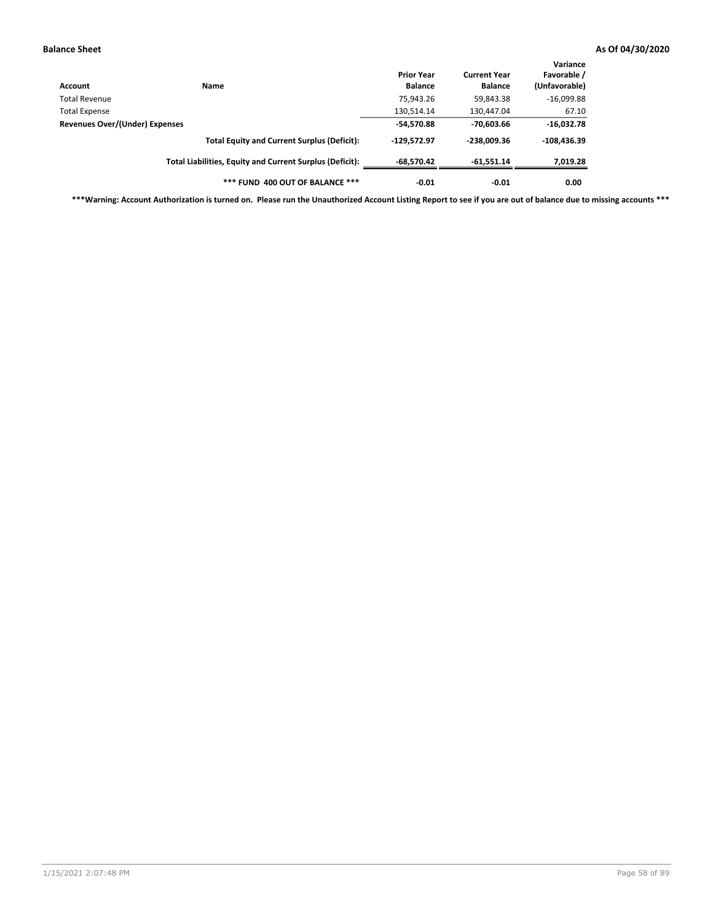| Account                        | <b>Name</b>                                              | <b>Prior Year</b><br><b>Balance</b> | <b>Current Year</b><br><b>Balance</b> | Variance<br>Favorable /<br>(Unfavorable) |
|--------------------------------|----------------------------------------------------------|-------------------------------------|---------------------------------------|------------------------------------------|
| Total Revenue                  |                                                          | 75,943.26                           | 59,843.38                             | $-16,099.88$                             |
| <b>Total Expense</b>           |                                                          | 130,514.14                          | 130,447.04                            | 67.10                                    |
| Revenues Over/(Under) Expenses | $-54,570.88$                                             | $-70.603.66$                        | $-16,032.78$                          |                                          |
|                                | <b>Total Equity and Current Surplus (Deficit):</b>       | $-129.572.97$                       | $-238.009.36$                         | $-108,436.39$                            |
|                                | Total Liabilities, Equity and Current Surplus (Deficit): | $-68,570.42$                        | $-61,551.14$                          | 7,019.28                                 |
|                                | *** FUND 400 OUT OF BALANCE ***                          | $-0.01$                             | $-0.01$                               | 0.00                                     |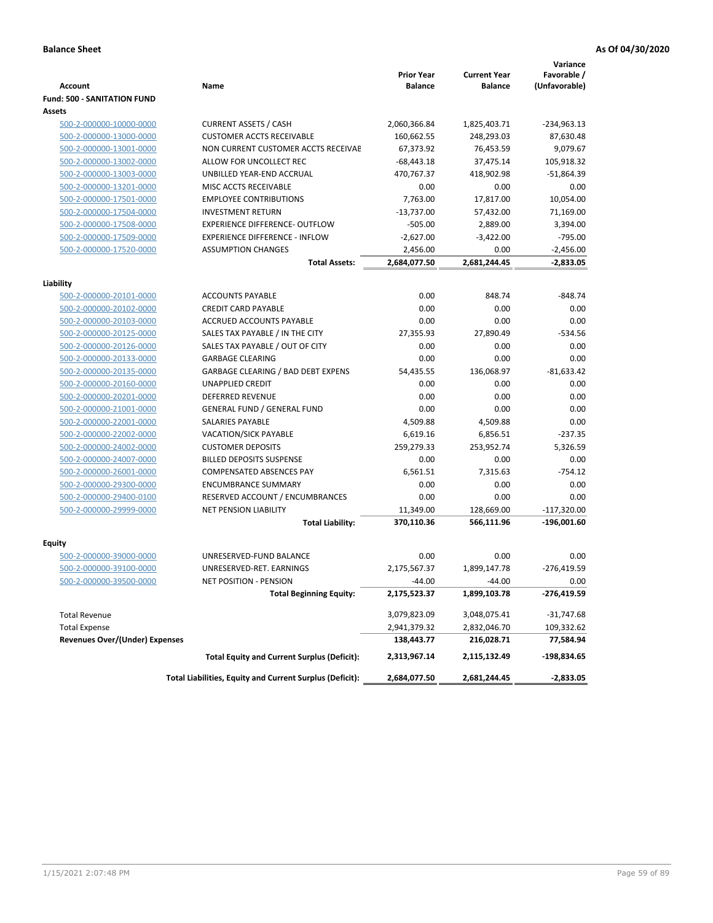|                                    |                                                          | <b>Prior Year</b> | <b>Current Year</b> | Variance<br>Favorable / |
|------------------------------------|----------------------------------------------------------|-------------------|---------------------|-------------------------|
| <b>Account</b>                     | Name                                                     | <b>Balance</b>    | <b>Balance</b>      | (Unfavorable)           |
| <b>Fund: 500 - SANITATION FUND</b> |                                                          |                   |                     |                         |
| Assets                             |                                                          |                   |                     |                         |
| 500-2-000000-10000-0000            | <b>CURRENT ASSETS / CASH</b>                             | 2,060,366.84      | 1,825,403.71        | $-234,963.13$           |
| 500-2-000000-13000-0000            | <b>CUSTOMER ACCTS RECEIVABLE</b>                         | 160,662.55        | 248,293.03          | 87,630.48               |
| 500-2-000000-13001-0000            | NON CURRENT CUSTOMER ACCTS RECEIVAE                      | 67,373.92         | 76,453.59           | 9,079.67                |
| 500-2-000000-13002-0000            | ALLOW FOR UNCOLLECT REC                                  | $-68,443.18$      | 37,475.14           | 105,918.32              |
| 500-2-000000-13003-0000            | UNBILLED YEAR-END ACCRUAL                                | 470,767.37        | 418,902.98          | $-51,864.39$            |
| 500-2-000000-13201-0000            | MISC ACCTS RECEIVABLE                                    | 0.00              | 0.00                | 0.00                    |
| 500-2-000000-17501-0000            | <b>EMPLOYEE CONTRIBUTIONS</b>                            | 7.763.00          | 17,817.00           | 10,054.00               |
| 500-2-000000-17504-0000            | <b>INVESTMENT RETURN</b>                                 | $-13,737.00$      | 57,432.00           | 71,169.00               |
| 500-2-000000-17508-0000            | <b>EXPERIENCE DIFFERENCE- OUTFLOW</b>                    | $-505.00$         | 2,889.00            | 3,394.00                |
| 500-2-000000-17509-0000            | <b>EXPERIENCE DIFFERENCE - INFLOW</b>                    | $-2,627.00$       | $-3,422.00$         | $-795.00$               |
| 500-2-000000-17520-0000            | <b>ASSUMPTION CHANGES</b>                                | 2,456.00          | 0.00                | $-2,456.00$             |
|                                    | <b>Total Assets:</b>                                     | 2,684,077.50      | 2,681,244.45        | $-2,833.05$             |
|                                    |                                                          |                   |                     |                         |
| Liability                          |                                                          |                   |                     |                         |
| 500-2-000000-20101-0000            | <b>ACCOUNTS PAYABLE</b>                                  | 0.00              | 848.74              | $-848.74$               |
| 500-2-000000-20102-0000            | <b>CREDIT CARD PAYABLE</b>                               | 0.00              | 0.00                | 0.00                    |
| 500-2-000000-20103-0000            | <b>ACCRUED ACCOUNTS PAYABLE</b>                          | 0.00              | 0.00                | 0.00                    |
| 500-2-000000-20125-0000            | SALES TAX PAYABLE / IN THE CITY                          | 27,355.93         | 27,890.49           | $-534.56$               |
| 500-2-000000-20126-0000            | SALES TAX PAYABLE / OUT OF CITY                          | 0.00              | 0.00                | 0.00                    |
| 500-2-000000-20133-0000            | <b>GARBAGE CLEARING</b>                                  | 0.00              | 0.00                | 0.00                    |
| 500-2-000000-20135-0000            | GARBAGE CLEARING / BAD DEBT EXPENS                       | 54,435.55         | 136,068.97          | $-81,633.42$            |
| 500-2-000000-20160-0000            | <b>UNAPPLIED CREDIT</b>                                  | 0.00              | 0.00                | 0.00                    |
| 500-2-000000-20201-0000            | <b>DEFERRED REVENUE</b>                                  | 0.00              | 0.00                | 0.00                    |
| 500-2-000000-21001-0000            | <b>GENERAL FUND / GENERAL FUND</b>                       | 0.00              | 0.00                | 0.00                    |
| 500-2-000000-22001-0000            | SALARIES PAYABLE                                         | 4,509.88          | 4,509.88            | 0.00                    |
| 500-2-000000-22002-0000            | <b>VACATION/SICK PAYABLE</b>                             | 6,619.16          | 6,856.51            | $-237.35$               |
| 500-2-000000-24002-0000            | <b>CUSTOMER DEPOSITS</b>                                 | 259,279.33        | 253,952.74          | 5,326.59                |
| 500-2-000000-24007-0000            | <b>BILLED DEPOSITS SUSPENSE</b>                          | 0.00              | 0.00                | 0.00                    |
| 500-2-000000-26001-0000            | <b>COMPENSATED ABSENCES PAY</b>                          | 6,561.51          | 7,315.63            | $-754.12$               |
| 500-2-000000-29300-0000            | <b>ENCUMBRANCE SUMMARY</b>                               | 0.00              | 0.00                | 0.00                    |
| 500-2-000000-29400-0100            | RESERVED ACCOUNT / ENCUMBRANCES                          | 0.00              | 0.00                | 0.00                    |
| 500-2-000000-29999-0000            | <b>NET PENSION LIABILITY</b>                             | 11,349.00         | 128,669.00          | $-117,320.00$           |
|                                    | <b>Total Liability:</b>                                  | 370,110.36        | 566,111.96          | $-196,001.60$           |
| Equity                             |                                                          |                   |                     |                         |
| 500-2-000000-39000-0000            | UNRESERVED-FUND BALANCE                                  | 0.00              | 0.00                | 0.00                    |
| 500-2-000000-39100-0000            | UNRESERVED-RET. EARNINGS                                 | 2,175,567.37      | 1,899,147.78        | $-276,419.59$           |
| 500-2-000000-39500-0000            | NET POSITION - PENSION                                   | $-44.00$          | $-44.00$            | 0.00                    |
|                                    | <b>Total Beginning Equity:</b>                           | 2,175,523.37      | 1,899,103.78        | -276,419.59             |
|                                    |                                                          |                   |                     |                         |
| <b>Total Revenue</b>               |                                                          | 3,079,823.09      | 3,048,075.41        | $-31,747.68$            |
| <b>Total Expense</b>               |                                                          | 2,941,379.32      | 2,832,046.70        | 109,332.62              |
| Revenues Over/(Under) Expenses     |                                                          | 138,443.77        | 216,028.71          | 77,584.94               |
|                                    | <b>Total Equity and Current Surplus (Deficit):</b>       | 2,313,967.14      | 2,115,132.49        | -198,834.65             |
|                                    | Total Liabilities, Equity and Current Surplus (Deficit): | 2,684,077.50      | 2,681,244.45        | $-2,833.05$             |
|                                    |                                                          |                   |                     |                         |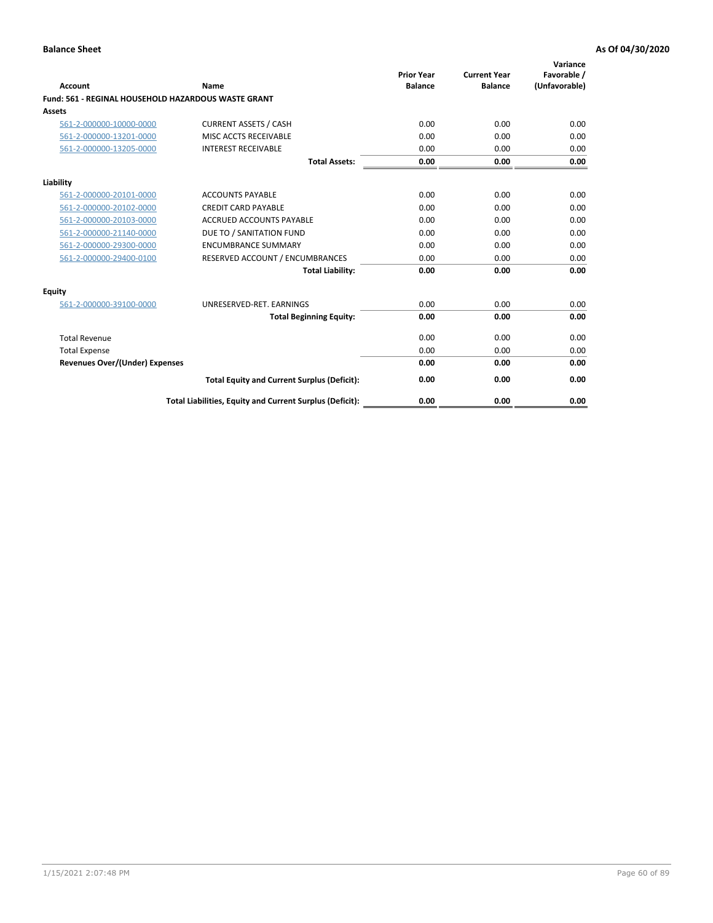| Account                                                    | Name                                                     | <b>Prior Year</b><br><b>Balance</b> | <b>Current Year</b><br><b>Balance</b> | Variance<br>Favorable /<br>(Unfavorable) |
|------------------------------------------------------------|----------------------------------------------------------|-------------------------------------|---------------------------------------|------------------------------------------|
| <b>Fund: 561 - REGINAL HOUSEHOLD HAZARDOUS WASTE GRANT</b> |                                                          |                                     |                                       |                                          |
| <b>Assets</b>                                              |                                                          |                                     |                                       |                                          |
| 561-2-000000-10000-0000                                    | <b>CURRENT ASSETS / CASH</b>                             | 0.00                                | 0.00                                  | 0.00                                     |
| 561-2-000000-13201-0000                                    | MISC ACCTS RECEIVABLE                                    | 0.00                                | 0.00                                  | 0.00                                     |
| 561-2-000000-13205-0000                                    | <b>INTEREST RECEIVABLE</b>                               | 0.00                                | 0.00                                  | 0.00                                     |
|                                                            | <b>Total Assets:</b>                                     | 0.00                                | 0.00                                  | 0.00                                     |
| Liability                                                  |                                                          |                                     |                                       |                                          |
| 561-2-000000-20101-0000                                    | <b>ACCOUNTS PAYABLE</b>                                  | 0.00                                | 0.00                                  | 0.00                                     |
| 561-2-000000-20102-0000                                    | <b>CREDIT CARD PAYABLE</b>                               | 0.00                                | 0.00                                  | 0.00                                     |
| 561-2-000000-20103-0000                                    | <b>ACCRUED ACCOUNTS PAYABLE</b>                          | 0.00                                | 0.00                                  | 0.00                                     |
| 561-2-000000-21140-0000                                    | DUE TO / SANITATION FUND                                 | 0.00                                | 0.00                                  | 0.00                                     |
| 561-2-000000-29300-0000                                    | <b>ENCUMBRANCE SUMMARY</b>                               | 0.00                                | 0.00                                  | 0.00                                     |
| 561-2-000000-29400-0100                                    | RESERVED ACCOUNT / ENCUMBRANCES                          | 0.00                                | 0.00                                  | 0.00                                     |
|                                                            | <b>Total Liability:</b>                                  | 0.00                                | 0.00                                  | 0.00                                     |
| <b>Equity</b>                                              |                                                          |                                     |                                       |                                          |
| 561-2-000000-39100-0000                                    | UNRESERVED-RET. EARNINGS                                 | 0.00                                | 0.00                                  | 0.00                                     |
|                                                            | <b>Total Beginning Equity:</b>                           | 0.00                                | 0.00                                  | 0.00                                     |
| <b>Total Revenue</b>                                       |                                                          | 0.00                                | 0.00                                  | 0.00                                     |
| <b>Total Expense</b>                                       |                                                          | 0.00                                | 0.00                                  | 0.00                                     |
| <b>Revenues Over/(Under) Expenses</b>                      |                                                          | 0.00                                | 0.00                                  | 0.00                                     |
|                                                            | <b>Total Equity and Current Surplus (Deficit):</b>       | 0.00                                | 0.00                                  | 0.00                                     |
|                                                            | Total Liabilities, Equity and Current Surplus (Deficit): | 0.00                                | 0.00                                  | 0.00                                     |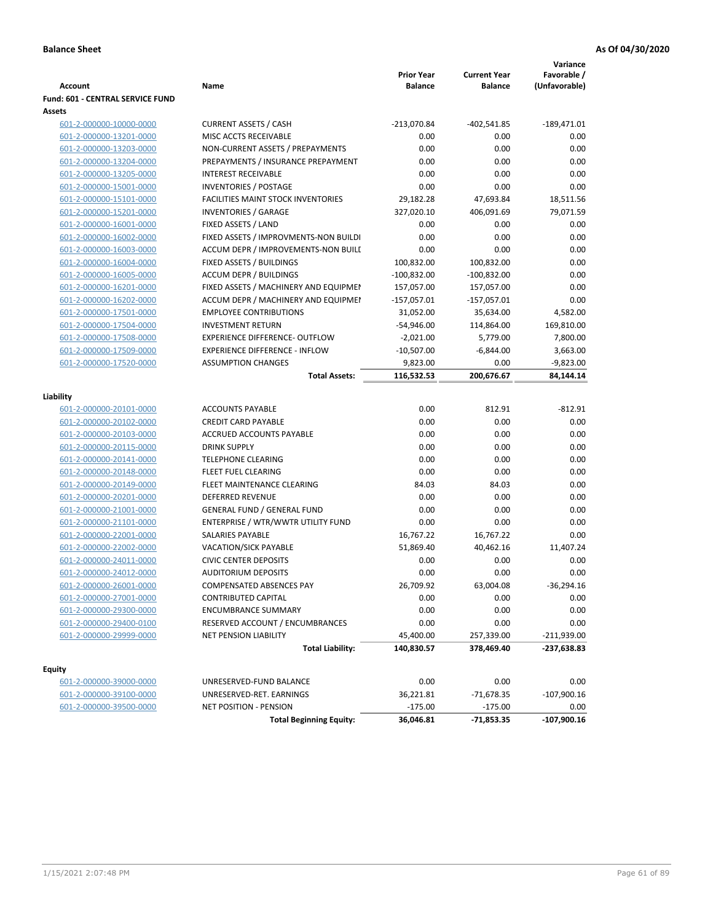|                                          |                                           |                                     |                                       | Variance                     |
|------------------------------------------|-------------------------------------------|-------------------------------------|---------------------------------------|------------------------------|
| <b>Account</b>                           | Name                                      | <b>Prior Year</b><br><b>Balance</b> | <b>Current Year</b><br><b>Balance</b> | Favorable /<br>(Unfavorable) |
| Fund: 601 - CENTRAL SERVICE FUND         |                                           |                                     |                                       |                              |
| Assets                                   |                                           |                                     |                                       |                              |
| 601-2-000000-10000-0000                  | <b>CURRENT ASSETS / CASH</b>              | $-213,070.84$                       | $-402,541.85$                         | $-189,471.01$                |
| 601-2-000000-13201-0000                  | MISC ACCTS RECEIVABLE                     | 0.00                                | 0.00                                  | 0.00                         |
| 601-2-000000-13203-0000                  | NON-CURRENT ASSETS / PREPAYMENTS          | 0.00                                | 0.00                                  | 0.00                         |
| 601-2-000000-13204-0000                  | PREPAYMENTS / INSURANCE PREPAYMENT        | 0.00                                | 0.00                                  | 0.00                         |
| 601-2-000000-13205-0000                  | <b>INTEREST RECEIVABLE</b>                | 0.00                                | 0.00                                  | 0.00                         |
| 601-2-000000-15001-0000                  | <b>INVENTORIES / POSTAGE</b>              | 0.00                                | 0.00                                  | 0.00                         |
| 601-2-000000-15101-0000                  | <b>FACILITIES MAINT STOCK INVENTORIES</b> | 29,182.28                           | 47,693.84                             | 18,511.56                    |
| 601-2-000000-15201-0000                  | <b>INVENTORIES / GARAGE</b>               | 327,020.10                          | 406,091.69                            | 79,071.59                    |
| 601-2-000000-16001-0000                  | FIXED ASSETS / LAND                       | 0.00                                | 0.00                                  | 0.00                         |
| 601-2-000000-16002-0000                  | FIXED ASSETS / IMPROVMENTS-NON BUILDI     | 0.00                                | 0.00                                  | 0.00                         |
| 601-2-000000-16003-0000                  | ACCUM DEPR / IMPROVEMENTS-NON BUILI       | 0.00                                | 0.00                                  | 0.00                         |
| 601-2-000000-16004-0000                  | FIXED ASSETS / BUILDINGS                  | 100,832.00                          | 100,832.00                            | 0.00                         |
| 601-2-000000-16005-0000                  | <b>ACCUM DEPR / BUILDINGS</b>             | $-100,832.00$                       | $-100,832.00$                         | 0.00                         |
| 601-2-000000-16201-0000                  | FIXED ASSETS / MACHINERY AND EQUIPMEN     | 157,057.00                          | 157,057.00                            | 0.00                         |
| 601-2-000000-16202-0000                  | ACCUM DEPR / MACHINERY AND EQUIPMEI       | $-157,057.01$                       | $-157,057.01$                         | 0.00                         |
| 601-2-000000-17501-0000                  | <b>EMPLOYEE CONTRIBUTIONS</b>             | 31,052.00                           | 35,634.00                             | 4,582.00                     |
| 601-2-000000-17504-0000                  | <b>INVESTMENT RETURN</b>                  | $-54,946.00$                        | 114,864.00                            | 169,810.00                   |
| 601-2-000000-17508-0000                  | <b>EXPERIENCE DIFFERENCE- OUTFLOW</b>     | $-2,021.00$                         | 5,779.00                              | 7,800.00                     |
| 601-2-000000-17509-0000                  | <b>EXPERIENCE DIFFERENCE - INFLOW</b>     | $-10,507.00$                        | $-6,844.00$                           | 3,663.00                     |
| 601-2-000000-17520-0000                  | <b>ASSUMPTION CHANGES</b>                 | 9,823.00                            | 0.00                                  | $-9,823.00$                  |
|                                          | <b>Total Assets:</b>                      | 116,532.53                          | 200,676.67                            | 84,144.14                    |
|                                          |                                           |                                     |                                       |                              |
| Liability                                |                                           |                                     |                                       |                              |
| 601-2-000000-20101-0000                  | <b>ACCOUNTS PAYABLE</b>                   | 0.00                                | 812.91                                | $-812.91$                    |
| 601-2-000000-20102-0000                  | <b>CREDIT CARD PAYABLE</b>                | 0.00                                | 0.00                                  | 0.00                         |
| 601-2-000000-20103-0000                  | ACCRUED ACCOUNTS PAYABLE                  | 0.00                                | 0.00                                  | 0.00                         |
| 601-2-000000-20115-0000                  | <b>DRINK SUPPLY</b>                       | 0.00                                | 0.00                                  | 0.00                         |
| 601-2-000000-20141-0000                  | <b>TELEPHONE CLEARING</b>                 | 0.00                                | 0.00                                  | 0.00                         |
| 601-2-000000-20148-0000                  | FLEET FUEL CLEARING                       | 0.00                                | 0.00                                  | 0.00                         |
| 601-2-000000-20149-0000                  | FLEET MAINTENANCE CLEARING                | 84.03                               | 84.03                                 | 0.00                         |
| 601-2-000000-20201-0000                  | <b>DEFERRED REVENUE</b>                   | 0.00                                | 0.00                                  | 0.00                         |
| 601-2-000000-21001-0000                  | <b>GENERAL FUND / GENERAL FUND</b>        | 0.00                                | 0.00                                  | 0.00                         |
| 601-2-000000-21101-0000                  | ENTERPRISE / WTR/WWTR UTILITY FUND        | 0.00                                | 0.00                                  | 0.00                         |
| 601-2-000000-22001-0000                  | <b>SALARIES PAYABLE</b>                   | 16,767.22                           | 16,767.22                             | 0.00                         |
| 601-2-000000-22002-0000                  | <b>VACATION/SICK PAYABLE</b>              | 51,869.40                           | 40,462.16                             | 11,407.24                    |
| 601-2-000000-24011-0000                  | <b>CIVIC CENTER DEPOSITS</b>              | 0.00                                | 0.00                                  | 0.00                         |
| 601-2-000000-24012-0000                  | <b>AUDITORIUM DEPOSITS</b>                | 0.00                                | 0.00                                  | 0.00                         |
| 601-2-000000-26001-0000                  | COMPENSATED ABSENCES PAY                  | 26,709.92                           | 63,004.08                             | $-36,294.16$                 |
| 601-2-000000-27001-0000                  | CONTRIBUTED CAPITAL                       | 0.00                                | 0.00                                  | 0.00                         |
| 601-2-000000-29300-0000                  | <b>ENCUMBRANCE SUMMARY</b>                | 0.00                                | 0.00                                  | 0.00                         |
| 601-2-000000-29400-0100                  | RESERVED ACCOUNT / ENCUMBRANCES           | 0.00                                | 0.00                                  | 0.00                         |
| 601-2-000000-29999-0000                  | NET PENSION LIABILITY                     | 45,400.00                           | 257,339.00                            | $-211,939.00$                |
|                                          | <b>Total Liability:</b>                   | 140,830.57                          | 378,469.40                            | -237,638.83                  |
|                                          |                                           |                                     |                                       |                              |
| <b>Equity</b><br>601-2-000000-39000-0000 | UNRESERVED-FUND BALANCE                   | 0.00                                | 0.00                                  | 0.00                         |
| 601-2-000000-39100-0000                  | UNRESERVED-RET. EARNINGS                  | 36,221.81                           | $-71,678.35$                          | $-107,900.16$                |
| 601-2-000000-39500-0000                  | NET POSITION - PENSION                    | $-175.00$                           | $-175.00$                             | 0.00                         |
|                                          | <b>Total Beginning Equity:</b>            | 36,046.81                           | -71,853.35                            | $-107,900.16$                |
|                                          |                                           |                                     |                                       |                              |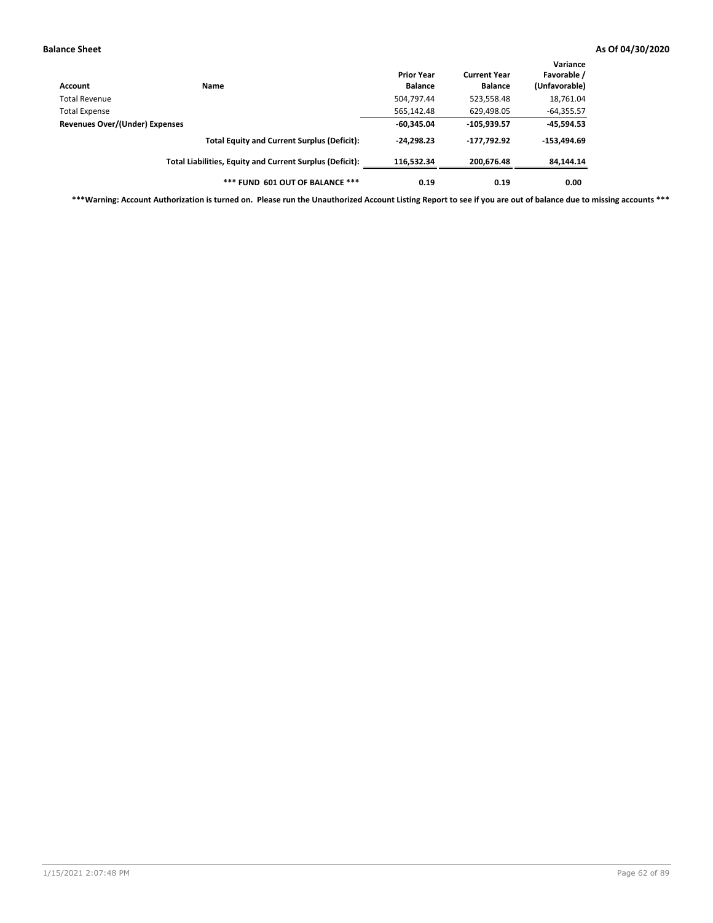| Account                        | <b>Name</b>                                              | <b>Prior Year</b><br><b>Balance</b> | <b>Current Year</b><br><b>Balance</b> | Variance<br>Favorable /<br>(Unfavorable) |
|--------------------------------|----------------------------------------------------------|-------------------------------------|---------------------------------------|------------------------------------------|
| Total Revenue                  |                                                          | 504,797.44                          | 523,558.48                            | 18,761.04                                |
| <b>Total Expense</b>           |                                                          | 565,142.48                          | 629,498.05                            | $-64,355.57$                             |
| Revenues Over/(Under) Expenses |                                                          | $-60,345.04$                        | $-105,939.57$                         | $-45,594.53$                             |
|                                | <b>Total Equity and Current Surplus (Deficit):</b>       | $-24,298.23$                        | -177,792.92                           | $-153,494.69$                            |
|                                | Total Liabilities, Equity and Current Surplus (Deficit): | 116.532.34                          | 200.676.48                            | 84,144.14                                |
|                                | *** FUND 601 OUT OF BALANCE ***                          | 0.19                                | 0.19                                  | 0.00                                     |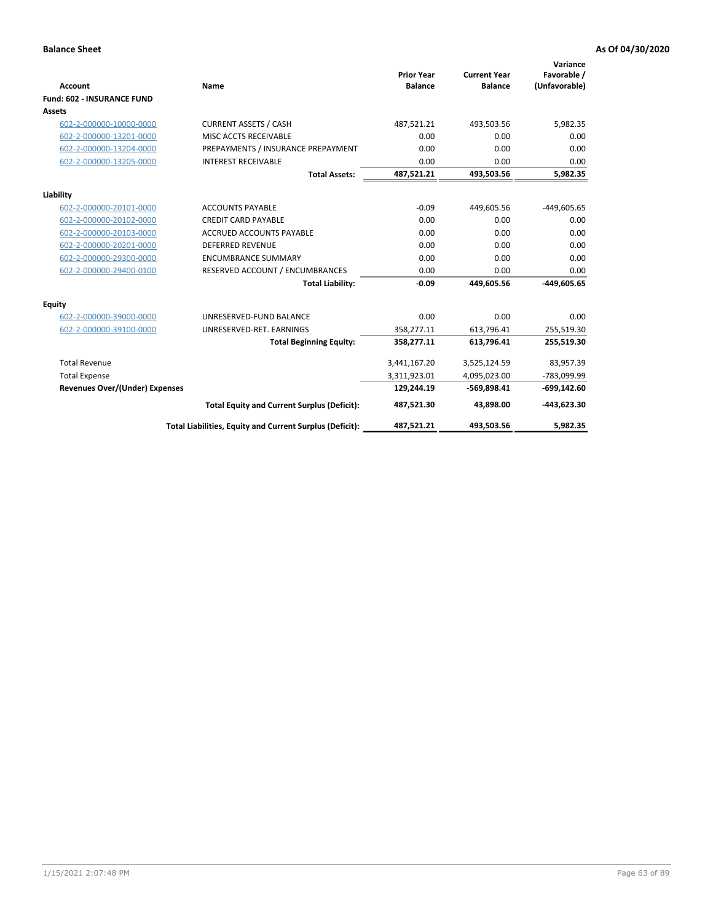| <b>Account</b>                        | Name                                                     | <b>Prior Year</b><br><b>Balance</b> | <b>Current Year</b><br><b>Balance</b> | Variance<br>Favorable /<br>(Unfavorable) |
|---------------------------------------|----------------------------------------------------------|-------------------------------------|---------------------------------------|------------------------------------------|
| <b>Fund: 602 - INSURANCE FUND</b>     |                                                          |                                     |                                       |                                          |
| <b>Assets</b>                         |                                                          |                                     |                                       |                                          |
| 602-2-000000-10000-0000               | <b>CURRENT ASSETS / CASH</b>                             | 487,521.21                          | 493,503.56                            | 5,982.35                                 |
| 602-2-000000-13201-0000               | MISC ACCTS RECEIVABLE                                    | 0.00                                | 0.00                                  | 0.00                                     |
| 602-2-000000-13204-0000               | PREPAYMENTS / INSURANCE PREPAYMENT                       | 0.00                                | 0.00                                  | 0.00                                     |
| 602-2-000000-13205-0000               | <b>INTEREST RECEIVABLE</b>                               | 0.00                                | 0.00                                  | 0.00                                     |
|                                       | <b>Total Assets:</b>                                     | 487,521.21                          | 493,503.56                            | 5,982.35                                 |
| Liability                             |                                                          |                                     |                                       |                                          |
| 602-2-000000-20101-0000               | <b>ACCOUNTS PAYABLE</b>                                  | $-0.09$                             | 449,605.56                            | $-449,605.65$                            |
| 602-2-000000-20102-0000               | <b>CREDIT CARD PAYABLE</b>                               | 0.00                                | 0.00                                  | 0.00                                     |
| 602-2-000000-20103-0000               | ACCRUED ACCOUNTS PAYABLE                                 | 0.00                                | 0.00                                  | 0.00                                     |
| 602-2-000000-20201-0000               | <b>DEFERRED REVENUE</b>                                  | 0.00                                | 0.00                                  | 0.00                                     |
| 602-2-000000-29300-0000               | <b>ENCUMBRANCE SUMMARY</b>                               | 0.00                                | 0.00                                  | 0.00                                     |
| 602-2-000000-29400-0100               | RESERVED ACCOUNT / ENCUMBRANCES                          | 0.00                                | 0.00                                  | 0.00                                     |
|                                       | <b>Total Liability:</b>                                  | $-0.09$                             | 449,605.56                            | -449,605.65                              |
| <b>Equity</b>                         |                                                          |                                     |                                       |                                          |
| 602-2-000000-39000-0000               | UNRESERVED-FUND BALANCE                                  | 0.00                                | 0.00                                  | 0.00                                     |
| 602-2-000000-39100-0000               | UNRESERVED-RET. EARNINGS                                 | 358,277.11                          | 613,796.41                            | 255,519.30                               |
|                                       | <b>Total Beginning Equity:</b>                           | 358,277.11                          | 613,796.41                            | 255,519.30                               |
| <b>Total Revenue</b>                  |                                                          | 3,441,167.20                        | 3,525,124.59                          | 83,957.39                                |
| <b>Total Expense</b>                  |                                                          | 3,311,923.01                        | 4,095,023.00                          | -783,099.99                              |
| <b>Revenues Over/(Under) Expenses</b> |                                                          | 129,244.19                          | $-569,898.41$                         | $-699,142.60$                            |
|                                       | <b>Total Equity and Current Surplus (Deficit):</b>       | 487,521.30                          | 43,898.00                             | $-443,623.30$                            |
|                                       | Total Liabilities, Equity and Current Surplus (Deficit): | 487,521.21                          | 493,503.56                            | 5.982.35                                 |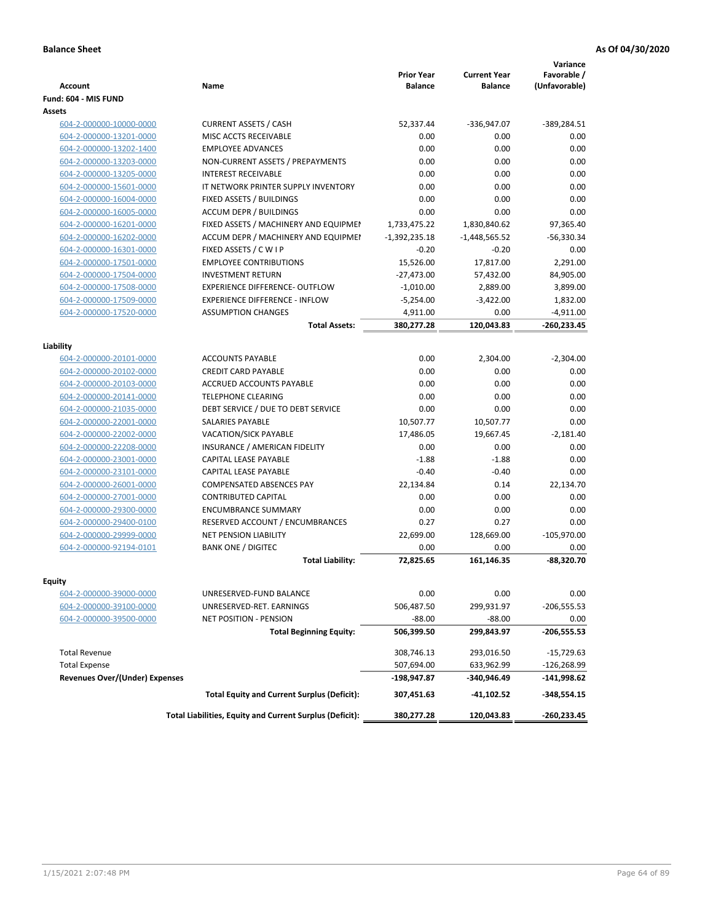| <b>Account</b>                        | <b>Name</b>                                              | <b>Prior Year</b><br><b>Balance</b> | <b>Current Year</b><br><b>Balance</b> | Variance<br>Favorable /<br>(Unfavorable) |
|---------------------------------------|----------------------------------------------------------|-------------------------------------|---------------------------------------|------------------------------------------|
| Fund: 604 - MIS FUND                  |                                                          |                                     |                                       |                                          |
| Assets                                |                                                          |                                     |                                       |                                          |
| 604-2-000000-10000-0000               | <b>CURRENT ASSETS / CASH</b>                             | 52,337.44                           | -336,947.07                           | $-389,284.51$                            |
| 604-2-000000-13201-0000               | <b>MISC ACCTS RECEIVABLE</b>                             | 0.00                                | 0.00                                  | 0.00                                     |
| 604-2-000000-13202-1400               | <b>EMPLOYEE ADVANCES</b>                                 | 0.00                                | 0.00                                  | 0.00                                     |
| 604-2-000000-13203-0000               | NON-CURRENT ASSETS / PREPAYMENTS                         | 0.00                                | 0.00                                  | 0.00                                     |
| 604-2-000000-13205-0000               | <b>INTEREST RECEIVABLE</b>                               | 0.00                                | 0.00                                  | 0.00                                     |
| 604-2-000000-15601-0000               | IT NETWORK PRINTER SUPPLY INVENTORY                      | 0.00                                | 0.00                                  | 0.00                                     |
| 604-2-000000-16004-0000               | FIXED ASSETS / BUILDINGS                                 | 0.00                                | 0.00                                  | 0.00                                     |
| 604-2-000000-16005-0000               | <b>ACCUM DEPR / BUILDINGS</b>                            | 0.00                                | 0.00                                  | 0.00                                     |
| 604-2-000000-16201-0000               | FIXED ASSETS / MACHINERY AND EQUIPMEN                    | 1,733,475.22                        | 1,830,840.62                          | 97,365.40                                |
| 604-2-000000-16202-0000               | ACCUM DEPR / MACHINERY AND EQUIPMEI                      | $-1,392,235.18$                     | $-1,448,565.52$                       | $-56,330.34$                             |
| 604-2-000000-16301-0000               | FIXED ASSETS / C W I P                                   | $-0.20$                             | $-0.20$                               | 0.00                                     |
| 604-2-000000-17501-0000               | <b>EMPLOYEE CONTRIBUTIONS</b>                            | 15,526.00                           | 17,817.00                             | 2,291.00                                 |
| 604-2-000000-17504-0000               | <b>INVESTMENT RETURN</b>                                 | $-27,473.00$                        | 57,432.00                             | 84,905.00                                |
| 604-2-000000-17508-0000               | <b>EXPERIENCE DIFFERENCE- OUTFLOW</b>                    | $-1,010.00$                         | 2,889.00                              | 3,899.00                                 |
| 604-2-000000-17509-0000               | <b>EXPERIENCE DIFFERENCE - INFLOW</b>                    | $-5,254.00$                         | $-3,422.00$                           | 1,832.00                                 |
| 604-2-000000-17520-0000               | <b>ASSUMPTION CHANGES</b>                                | 4,911.00                            | 0.00                                  | $-4,911.00$                              |
|                                       | <b>Total Assets:</b>                                     | 380,277.28                          | 120,043.83                            | $-260,233.45$                            |
|                                       |                                                          |                                     |                                       |                                          |
| Liability                             |                                                          |                                     |                                       |                                          |
| 604-2-000000-20101-0000               | <b>ACCOUNTS PAYABLE</b>                                  | 0.00                                | 2,304.00                              | $-2,304.00$                              |
| 604-2-000000-20102-0000               | <b>CREDIT CARD PAYABLE</b>                               | 0.00                                | 0.00                                  | 0.00                                     |
| 604-2-000000-20103-0000               | <b>ACCRUED ACCOUNTS PAYABLE</b>                          | 0.00                                | 0.00                                  | 0.00                                     |
| 604-2-000000-20141-0000               | <b>TELEPHONE CLEARING</b>                                | 0.00                                | 0.00                                  | 0.00                                     |
| 604-2-000000-21035-0000               | DEBT SERVICE / DUE TO DEBT SERVICE                       | 0.00                                | 0.00                                  | 0.00                                     |
| 604-2-000000-22001-0000               | SALARIES PAYABLE                                         | 10,507.77                           | 10,507.77                             | 0.00                                     |
| 604-2-000000-22002-0000               | VACATION/SICK PAYABLE                                    | 17,486.05                           | 19,667.45                             | $-2,181.40$                              |
| 604-2-000000-22208-0000               | INSURANCE / AMERICAN FIDELITY                            | 0.00                                | 0.00                                  | 0.00                                     |
| 604-2-000000-23001-0000               | CAPITAL LEASE PAYABLE                                    | $-1.88$                             | $-1.88$                               | 0.00                                     |
| 604-2-000000-23101-0000               | CAPITAL LEASE PAYABLE                                    | $-0.40$                             | $-0.40$                               | 0.00                                     |
| 604-2-000000-26001-0000               | <b>COMPENSATED ABSENCES PAY</b>                          | 22,134.84                           | 0.14                                  | 22,134.70                                |
| 604-2-000000-27001-0000               | <b>CONTRIBUTED CAPITAL</b>                               | 0.00                                | 0.00                                  | 0.00                                     |
| 604-2-000000-29300-0000               | <b>ENCUMBRANCE SUMMARY</b>                               | 0.00                                | 0.00                                  | 0.00                                     |
| 604-2-000000-29400-0100               | RESERVED ACCOUNT / ENCUMBRANCES                          | 0.27                                | 0.27                                  | 0.00                                     |
| 604-2-000000-29999-0000               | <b>NET PENSION LIABILITY</b>                             | 22,699.00                           | 128,669.00                            | $-105,970.00$                            |
| 604-2-000000-92194-0101               | <b>BANK ONE / DIGITEC</b>                                | 0.00                                | 0.00                                  | 0.00                                     |
|                                       | <b>Total Liability:</b>                                  | 72.825.65                           | 161,146.35                            | -88,320.70                               |
| Equity                                |                                                          |                                     |                                       |                                          |
| 604-2-000000-39000-0000               | UNRESERVED-FUND BALANCE                                  | 0.00                                | 0.00                                  | 0.00                                     |
| 604-2-000000-39100-0000               | UNRESERVED-RET. EARNINGS                                 | 506,487.50                          | 299,931.97                            | $-206,555.53$                            |
| 604-2-000000-39500-0000               | NET POSITION - PENSION                                   | $-88.00$                            | $-88.00$                              | 0.00                                     |
|                                       | <b>Total Beginning Equity:</b>                           | 506,399.50                          | 299,843.97                            | $-206,555.53$                            |
|                                       |                                                          |                                     |                                       |                                          |
| <b>Total Revenue</b>                  |                                                          | 308,746.13                          | 293,016.50                            | $-15,729.63$                             |
| <b>Total Expense</b>                  |                                                          | 507,694.00                          | 633,962.99                            | $-126,268.99$                            |
| <b>Revenues Over/(Under) Expenses</b> |                                                          | -198,947.87                         | -340,946.49                           | $-141,998.62$                            |
|                                       | <b>Total Equity and Current Surplus (Deficit):</b>       | 307,451.63                          | $-41,102.52$                          | -348,554.15                              |
|                                       | Total Liabilities, Equity and Current Surplus (Deficit): | 380,277.28                          | 120,043.83                            | -260,233.45                              |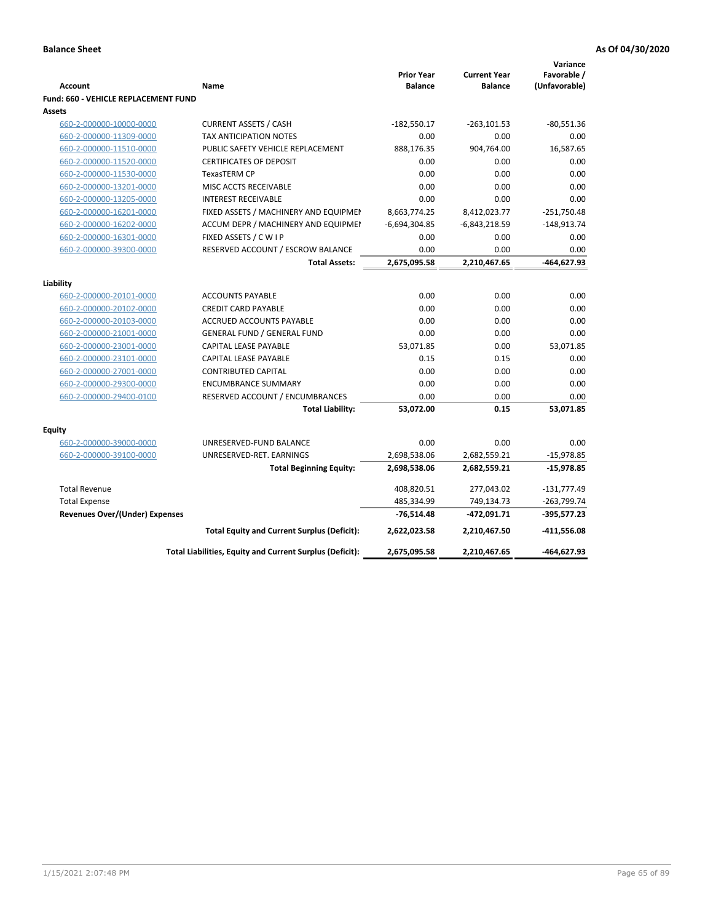|                                             |                                                          |                                     |                                       | Variance                     |
|---------------------------------------------|----------------------------------------------------------|-------------------------------------|---------------------------------------|------------------------------|
| <b>Account</b>                              | Name                                                     | <b>Prior Year</b><br><b>Balance</b> | <b>Current Year</b><br><b>Balance</b> | Favorable /<br>(Unfavorable) |
| <b>Fund: 660 - VEHICLE REPLACEMENT FUND</b> |                                                          |                                     |                                       |                              |
| Assets                                      |                                                          |                                     |                                       |                              |
| 660-2-000000-10000-0000                     | <b>CURRENT ASSETS / CASH</b>                             | $-182,550.17$                       | $-263, 101.53$                        | $-80,551.36$                 |
| 660-2-000000-11309-0000                     | TAX ANTICIPATION NOTES                                   | 0.00                                | 0.00                                  | 0.00                         |
| 660-2-000000-11510-0000                     | PUBLIC SAFETY VEHICLE REPLACEMENT                        | 888,176.35                          | 904,764.00                            | 16,587.65                    |
| 660-2-000000-11520-0000                     | <b>CERTIFICATES OF DEPOSIT</b>                           | 0.00                                | 0.00                                  | 0.00                         |
| 660-2-000000-11530-0000                     | TexasTERM CP                                             | 0.00                                | 0.00                                  | 0.00                         |
| 660-2-000000-13201-0000                     | MISC ACCTS RECEIVABLE                                    | 0.00                                | 0.00                                  | 0.00                         |
| 660-2-000000-13205-0000                     | <b>INTEREST RECEIVABLE</b>                               | 0.00                                | 0.00                                  | 0.00                         |
| 660-2-000000-16201-0000                     | FIXED ASSETS / MACHINERY AND EQUIPMEN                    | 8,663,774.25                        | 8,412,023.77                          | $-251,750.48$                |
| 660-2-000000-16202-0000                     | ACCUM DEPR / MACHINERY AND EQUIPMEI                      | $-6,694,304.85$                     | $-6,843,218.59$                       | $-148,913.74$                |
| 660-2-000000-16301-0000                     | FIXED ASSETS / C W I P                                   | 0.00                                | 0.00                                  | 0.00                         |
| 660-2-000000-39300-0000                     | RESERVED ACCOUNT / ESCROW BALANCE                        | 0.00                                | 0.00                                  | 0.00                         |
|                                             | <b>Total Assets:</b>                                     | 2,675,095.58                        | 2,210,467.65                          | -464,627.93                  |
|                                             |                                                          |                                     |                                       |                              |
| Liability                                   |                                                          |                                     |                                       |                              |
| 660-2-000000-20101-0000                     | <b>ACCOUNTS PAYABLE</b>                                  | 0.00                                | 0.00                                  | 0.00                         |
| 660-2-000000-20102-0000                     | <b>CREDIT CARD PAYABLE</b>                               | 0.00                                | 0.00                                  | 0.00                         |
| 660-2-000000-20103-0000                     | <b>ACCRUED ACCOUNTS PAYABLE</b>                          | 0.00                                | 0.00                                  | 0.00                         |
| 660-2-000000-21001-0000                     | <b>GENERAL FUND / GENERAL FUND</b>                       | 0.00                                | 0.00                                  | 0.00                         |
| 660-2-000000-23001-0000                     | <b>CAPITAL LEASE PAYABLE</b>                             | 53,071.85                           | 0.00                                  | 53,071.85                    |
| 660-2-000000-23101-0000                     | <b>CAPITAL LEASE PAYABLE</b>                             | 0.15                                | 0.15                                  | 0.00                         |
| 660-2-000000-27001-0000                     | <b>CONTRIBUTED CAPITAL</b>                               | 0.00                                | 0.00                                  | 0.00                         |
| 660-2-000000-29300-0000                     | <b>ENCUMBRANCE SUMMARY</b>                               | 0.00                                | 0.00                                  | 0.00                         |
| 660-2-000000-29400-0100                     | RESERVED ACCOUNT / ENCUMBRANCES                          | 0.00                                | 0.00                                  | 0.00                         |
|                                             | <b>Total Liability:</b>                                  | 53,072.00                           | 0.15                                  | 53,071.85                    |
| <b>Equity</b>                               |                                                          |                                     |                                       |                              |
| 660-2-000000-39000-0000                     | UNRESERVED-FUND BALANCE                                  | 0.00                                | 0.00                                  | 0.00                         |
| 660-2-000000-39100-0000                     | UNRESERVED-RET. EARNINGS                                 | 2,698,538.06                        | 2,682,559.21                          | $-15,978.85$                 |
|                                             | <b>Total Beginning Equity:</b>                           | 2,698,538.06                        | 2,682,559.21                          | $-15,978.85$                 |
|                                             |                                                          |                                     |                                       |                              |
| <b>Total Revenue</b>                        |                                                          | 408,820.51                          | 277,043.02                            | $-131,777.49$                |
| <b>Total Expense</b>                        |                                                          | 485,334.99                          | 749,134.73                            | $-263,799.74$                |
| <b>Revenues Over/(Under) Expenses</b>       |                                                          | $-76,514.48$                        | -472,091.71                           | $-395,577.23$                |
|                                             | <b>Total Equity and Current Surplus (Deficit):</b>       | 2,622,023.58                        | 2,210,467.50                          | -411,556.08                  |
|                                             | Total Liabilities, Equity and Current Surplus (Deficit): | 2,675,095.58                        | 2,210,467.65                          | -464,627.93                  |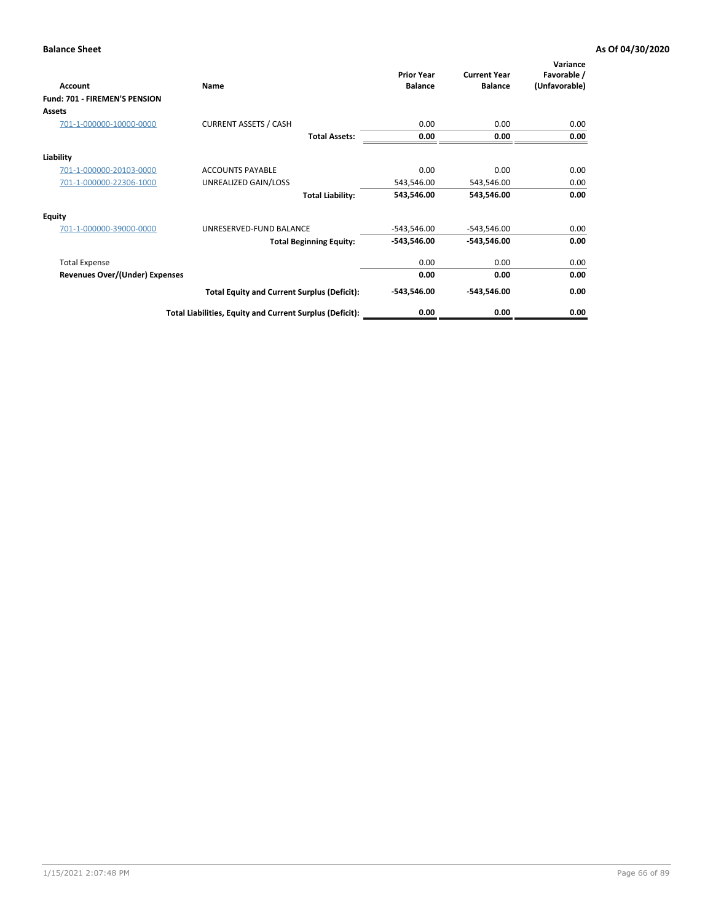| Account                               | Name                                                     | <b>Prior Year</b><br><b>Balance</b> | <b>Current Year</b><br><b>Balance</b> | Variance<br>Favorable /<br>(Unfavorable) |
|---------------------------------------|----------------------------------------------------------|-------------------------------------|---------------------------------------|------------------------------------------|
| Fund: 701 - FIREMEN'S PENSION         |                                                          |                                     |                                       |                                          |
| <b>Assets</b>                         |                                                          |                                     |                                       |                                          |
| 701-1-000000-10000-0000               | <b>CURRENT ASSETS / CASH</b>                             | 0.00                                | 0.00                                  | 0.00                                     |
|                                       | <b>Total Assets:</b>                                     | 0.00                                | 0.00                                  | 0.00                                     |
| Liability                             |                                                          |                                     |                                       |                                          |
| 701-1-000000-20103-0000               | <b>ACCOUNTS PAYABLE</b>                                  | 0.00                                | 0.00                                  | 0.00                                     |
| 701-1-000000-22306-1000               | UNREALIZED GAIN/LOSS                                     | 543,546.00                          | 543,546.00                            | 0.00                                     |
|                                       | <b>Total Liability:</b>                                  | 543,546.00                          | 543,546.00                            | 0.00                                     |
| <b>Equity</b>                         |                                                          |                                     |                                       |                                          |
| 701-1-000000-39000-0000               | UNRESERVED-FUND BALANCE                                  | $-543,546.00$                       | $-543,546.00$                         | 0.00                                     |
|                                       | <b>Total Beginning Equity:</b>                           | $-543,546.00$                       | $-543,546.00$                         | 0.00                                     |
| <b>Total Expense</b>                  |                                                          | 0.00                                | 0.00                                  | 0.00                                     |
| <b>Revenues Over/(Under) Expenses</b> |                                                          | 0.00                                | 0.00                                  | 0.00                                     |
|                                       | <b>Total Equity and Current Surplus (Deficit):</b>       | $-543,546.00$                       | $-543,546.00$                         | 0.00                                     |
|                                       | Total Liabilities, Equity and Current Surplus (Deficit): | 0.00                                | 0.00                                  | 0.00                                     |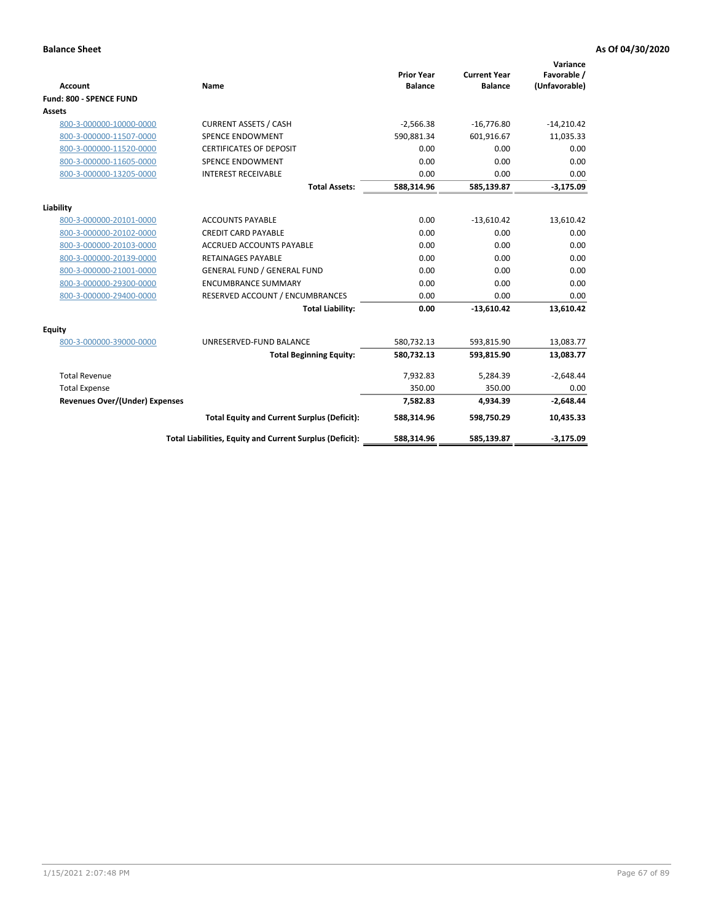| <b>Account</b>                        | <b>Name</b>                                              | <b>Prior Year</b><br><b>Balance</b> | <b>Current Year</b><br><b>Balance</b> | Variance<br>Favorable /<br>(Unfavorable) |
|---------------------------------------|----------------------------------------------------------|-------------------------------------|---------------------------------------|------------------------------------------|
| Fund: 800 - SPENCE FUND               |                                                          |                                     |                                       |                                          |
| Assets                                |                                                          |                                     |                                       |                                          |
| 800-3-000000-10000-0000               | <b>CURRENT ASSETS / CASH</b>                             | $-2,566.38$                         | $-16,776.80$                          | $-14,210.42$                             |
| 800-3-000000-11507-0000               | <b>SPENCE ENDOWMENT</b>                                  | 590,881.34                          | 601,916.67                            | 11,035.33                                |
| 800-3-000000-11520-0000               | <b>CERTIFICATES OF DEPOSIT</b>                           | 0.00                                | 0.00                                  | 0.00                                     |
| 800-3-000000-11605-0000               | <b>SPENCE ENDOWMENT</b>                                  | 0.00                                | 0.00                                  | 0.00                                     |
| 800-3-000000-13205-0000               | <b>INTEREST RECEIVABLE</b>                               | 0.00                                | 0.00                                  | 0.00                                     |
|                                       | <b>Total Assets:</b>                                     | 588,314.96                          | 585,139.87                            | $-3,175.09$                              |
| Liability                             |                                                          |                                     |                                       |                                          |
| 800-3-000000-20101-0000               | <b>ACCOUNTS PAYABLE</b>                                  | 0.00                                | $-13,610.42$                          | 13,610.42                                |
| 800-3-000000-20102-0000               | <b>CREDIT CARD PAYABLE</b>                               | 0.00                                | 0.00                                  | 0.00                                     |
| 800-3-000000-20103-0000               | <b>ACCRUED ACCOUNTS PAYABLE</b>                          | 0.00                                | 0.00                                  | 0.00                                     |
| 800-3-000000-20139-0000               | <b>RETAINAGES PAYABLE</b>                                | 0.00                                | 0.00                                  | 0.00                                     |
| 800-3-000000-21001-0000               | <b>GENERAL FUND / GENERAL FUND</b>                       | 0.00                                | 0.00                                  | 0.00                                     |
| 800-3-000000-29300-0000               | <b>ENCUMBRANCE SUMMARY</b>                               | 0.00                                | 0.00                                  | 0.00                                     |
| 800-3-000000-29400-0000               | RESERVED ACCOUNT / ENCUMBRANCES                          | 0.00                                | 0.00                                  | 0.00                                     |
|                                       | <b>Total Liability:</b>                                  | 0.00                                | $-13,610.42$                          | 13,610.42                                |
| <b>Equity</b>                         |                                                          |                                     |                                       |                                          |
| 800-3-000000-39000-0000               | UNRESERVED-FUND BALANCE                                  | 580,732.13                          | 593,815.90                            | 13,083.77                                |
|                                       | <b>Total Beginning Equity:</b>                           | 580,732.13                          | 593,815.90                            | 13,083.77                                |
| <b>Total Revenue</b>                  |                                                          | 7,932.83                            | 5,284.39                              | $-2,648.44$                              |
| <b>Total Expense</b>                  |                                                          | 350.00                              | 350.00                                | 0.00                                     |
| <b>Revenues Over/(Under) Expenses</b> |                                                          | 7,582.83                            | 4,934.39                              | $-2,648.44$                              |
|                                       | <b>Total Equity and Current Surplus (Deficit):</b>       | 588,314.96                          | 598,750.29                            | 10,435.33                                |
|                                       | Total Liabilities, Equity and Current Surplus (Deficit): | 588,314.96                          | 585,139.87                            | $-3,175.09$                              |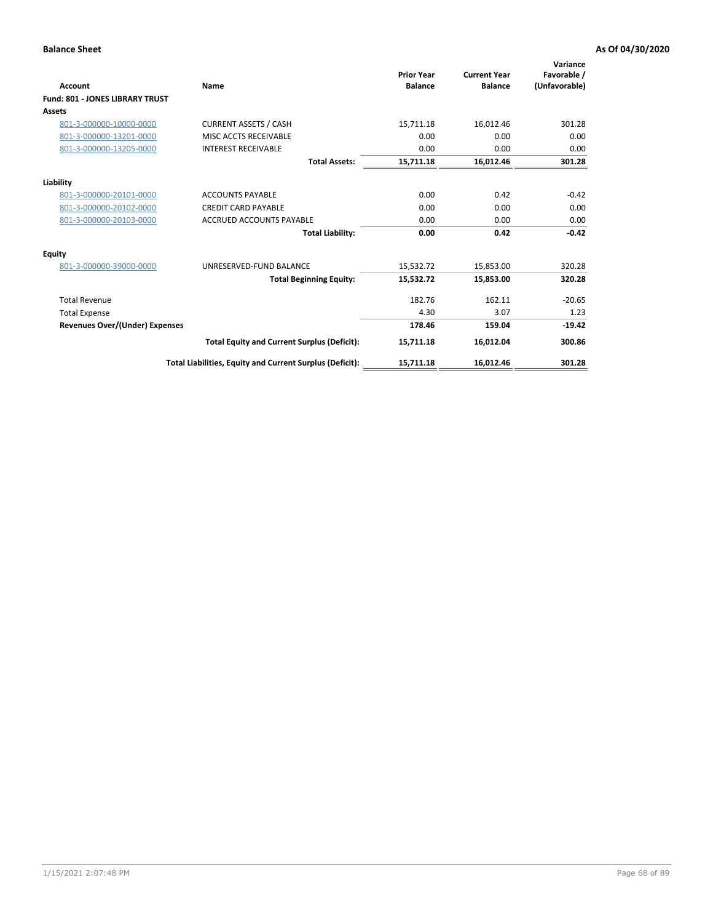| <b>Account</b>                         | Name                                                     | <b>Prior Year</b><br><b>Balance</b> | <b>Current Year</b><br><b>Balance</b> | Variance<br>Favorable /<br>(Unfavorable) |
|----------------------------------------|----------------------------------------------------------|-------------------------------------|---------------------------------------|------------------------------------------|
| <b>Fund: 801 - JONES LIBRARY TRUST</b> |                                                          |                                     |                                       |                                          |
| Assets                                 |                                                          |                                     |                                       |                                          |
| 801-3-000000-10000-0000                | <b>CURRENT ASSETS / CASH</b>                             | 15,711.18                           | 16,012.46                             | 301.28                                   |
| 801-3-000000-13201-0000                | MISC ACCTS RECEIVABLE                                    | 0.00                                | 0.00                                  | 0.00                                     |
| 801-3-000000-13205-0000                | <b>INTEREST RECEIVABLE</b>                               | 0.00                                | 0.00                                  | 0.00                                     |
|                                        | <b>Total Assets:</b>                                     | 15,711.18                           | 16,012.46                             | 301.28                                   |
| Liability                              |                                                          |                                     |                                       |                                          |
| 801-3-000000-20101-0000                | <b>ACCOUNTS PAYABLE</b>                                  | 0.00                                | 0.42                                  | $-0.42$                                  |
| 801-3-000000-20102-0000                | <b>CREDIT CARD PAYABLE</b>                               | 0.00                                | 0.00                                  | 0.00                                     |
| 801-3-000000-20103-0000                | <b>ACCRUED ACCOUNTS PAYABLE</b>                          | 0.00                                | 0.00                                  | 0.00                                     |
|                                        | <b>Total Liability:</b>                                  | 0.00                                | 0.42                                  | $-0.42$                                  |
| Equity                                 |                                                          |                                     |                                       |                                          |
| 801-3-000000-39000-0000                | UNRESERVED-FUND BALANCE                                  | 15,532.72                           | 15,853.00                             | 320.28                                   |
|                                        | <b>Total Beginning Equity:</b>                           | 15,532.72                           | 15,853.00                             | 320.28                                   |
| <b>Total Revenue</b>                   |                                                          | 182.76                              | 162.11                                | $-20.65$                                 |
| <b>Total Expense</b>                   |                                                          | 4.30                                | 3.07                                  | 1.23                                     |
| <b>Revenues Over/(Under) Expenses</b>  |                                                          | 178.46                              | 159.04                                | $-19.42$                                 |
|                                        | <b>Total Equity and Current Surplus (Deficit):</b>       | 15,711.18                           | 16,012.04                             | 300.86                                   |
|                                        | Total Liabilities, Equity and Current Surplus (Deficit): | 15,711.18                           | 16,012.46                             | 301.28                                   |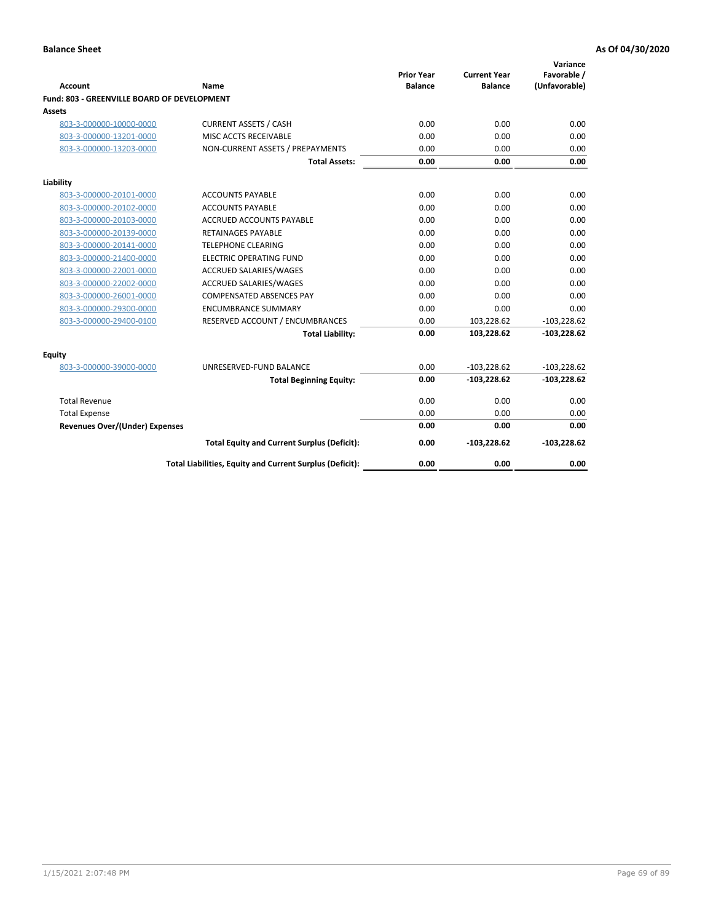| <b>Account</b>                              | Name                                                     | <b>Prior Year</b><br><b>Balance</b> | <b>Current Year</b><br><b>Balance</b> | Variance<br>Favorable /<br>(Unfavorable) |
|---------------------------------------------|----------------------------------------------------------|-------------------------------------|---------------------------------------|------------------------------------------|
| Fund: 803 - GREENVILLE BOARD OF DEVELOPMENT |                                                          |                                     |                                       |                                          |
| Assets                                      |                                                          |                                     |                                       |                                          |
| 803-3-000000-10000-0000                     | <b>CURRENT ASSETS / CASH</b>                             | 0.00                                | 0.00                                  | 0.00                                     |
| 803-3-000000-13201-0000                     | MISC ACCTS RECEIVABLE                                    | 0.00                                | 0.00                                  | 0.00                                     |
| 803-3-000000-13203-0000                     | NON-CURRENT ASSETS / PREPAYMENTS                         | 0.00                                | 0.00                                  | 0.00                                     |
|                                             | <b>Total Assets:</b>                                     | 0.00                                | 0.00                                  | 0.00                                     |
| Liability                                   |                                                          |                                     |                                       |                                          |
| 803-3-000000-20101-0000                     | <b>ACCOUNTS PAYABLE</b>                                  | 0.00                                | 0.00                                  | 0.00                                     |
| 803-3-000000-20102-0000                     | <b>ACCOUNTS PAYABLE</b>                                  | 0.00                                | 0.00                                  | 0.00                                     |
| 803-3-000000-20103-0000                     | <b>ACCRUED ACCOUNTS PAYABLE</b>                          | 0.00                                | 0.00                                  | 0.00                                     |
| 803-3-000000-20139-0000                     | <b>RETAINAGES PAYABLE</b>                                | 0.00                                | 0.00                                  | 0.00                                     |
| 803-3-000000-20141-0000                     | <b>TELEPHONE CLEARING</b>                                | 0.00                                | 0.00                                  | 0.00                                     |
| 803-3-000000-21400-0000                     | <b>ELECTRIC OPERATING FUND</b>                           | 0.00                                | 0.00                                  | 0.00                                     |
| 803-3-000000-22001-0000                     | ACCRUED SALARIES/WAGES                                   | 0.00                                | 0.00                                  | 0.00                                     |
| 803-3-000000-22002-0000                     | <b>ACCRUED SALARIES/WAGES</b>                            | 0.00                                | 0.00                                  | 0.00                                     |
| 803-3-000000-26001-0000                     | <b>COMPENSATED ABSENCES PAY</b>                          | 0.00                                | 0.00                                  | 0.00                                     |
| 803-3-000000-29300-0000                     | <b>ENCUMBRANCE SUMMARY</b>                               | 0.00                                | 0.00                                  | 0.00                                     |
| 803-3-000000-29400-0100                     | RESERVED ACCOUNT / ENCUMBRANCES                          | 0.00                                | 103,228.62                            | $-103,228.62$                            |
|                                             | <b>Total Liability:</b>                                  | 0.00                                | 103,228.62                            | $-103,228.62$                            |
| Equity                                      |                                                          |                                     |                                       |                                          |
| 803-3-000000-39000-0000                     | UNRESERVED-FUND BALANCE                                  | 0.00                                | $-103,228.62$                         | $-103,228.62$                            |
|                                             | <b>Total Beginning Equity:</b>                           | 0.00                                | $-103,228.62$                         | $-103,228.62$                            |
| <b>Total Revenue</b>                        |                                                          | 0.00                                | 0.00                                  | 0.00                                     |
| <b>Total Expense</b>                        |                                                          | 0.00                                | 0.00                                  | 0.00                                     |
| <b>Revenues Over/(Under) Expenses</b>       |                                                          | 0.00                                | 0.00                                  | 0.00                                     |
|                                             | <b>Total Equity and Current Surplus (Deficit):</b>       | 0.00                                | $-103,228.62$                         | $-103,228.62$                            |
|                                             | Total Liabilities, Equity and Current Surplus (Deficit): | 0.00                                | 0.00                                  | 0.00                                     |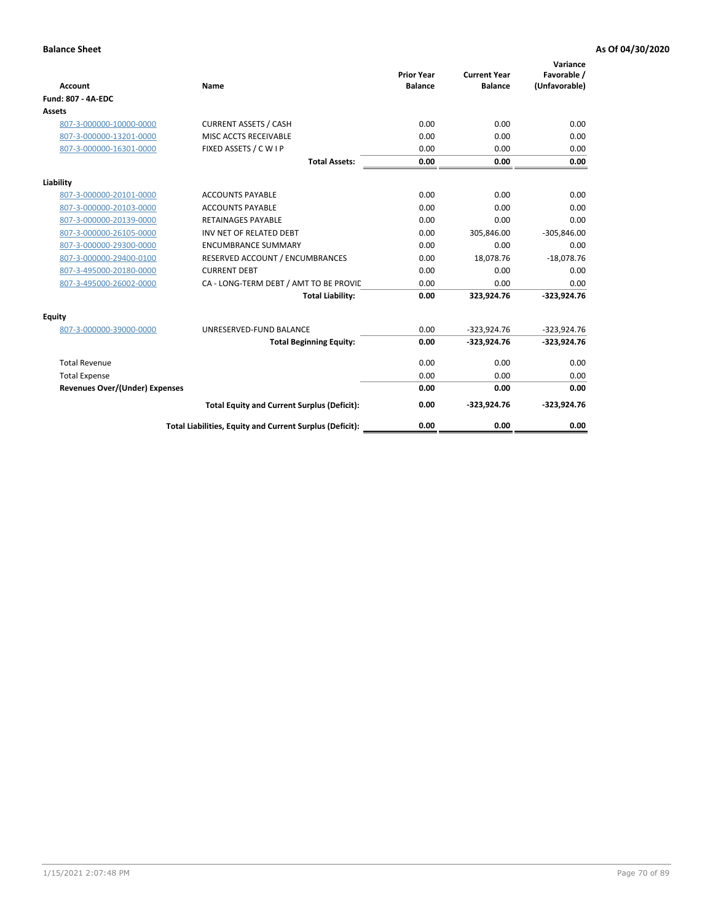| <b>Account</b>                        | Name                                                     | <b>Prior Year</b><br><b>Balance</b> | <b>Current Year</b><br><b>Balance</b> | Variance<br>Favorable /<br>(Unfavorable) |
|---------------------------------------|----------------------------------------------------------|-------------------------------------|---------------------------------------|------------------------------------------|
| <b>Fund: 807 - 4A-EDC</b>             |                                                          |                                     |                                       |                                          |
| <b>Assets</b>                         |                                                          |                                     |                                       |                                          |
| 807-3-000000-10000-0000               | <b>CURRENT ASSETS / CASH</b>                             | 0.00                                | 0.00                                  | 0.00                                     |
| 807-3-000000-13201-0000               | MISC ACCTS RECEIVABLE                                    | 0.00                                | 0.00                                  | 0.00                                     |
| 807-3-000000-16301-0000               | FIXED ASSETS / C W I P                                   | 0.00                                | 0.00                                  | 0.00                                     |
|                                       | <b>Total Assets:</b>                                     | 0.00                                | 0.00                                  | 0.00                                     |
| Liability                             |                                                          |                                     |                                       |                                          |
| 807-3-000000-20101-0000               | <b>ACCOUNTS PAYABLE</b>                                  | 0.00                                | 0.00                                  | 0.00                                     |
| 807-3-000000-20103-0000               | <b>ACCOUNTS PAYABLE</b>                                  | 0.00                                | 0.00                                  | 0.00                                     |
| 807-3-000000-20139-0000               | <b>RETAINAGES PAYABLE</b>                                | 0.00                                | 0.00                                  | 0.00                                     |
| 807-3-000000-26105-0000               | INV NET OF RELATED DEBT                                  | 0.00                                | 305,846.00                            | $-305,846.00$                            |
| 807-3-000000-29300-0000               | <b>ENCUMBRANCE SUMMARY</b>                               | 0.00                                | 0.00                                  | 0.00                                     |
| 807-3-000000-29400-0100               | RESERVED ACCOUNT / ENCUMBRANCES                          | 0.00                                | 18,078.76                             | $-18,078.76$                             |
| 807-3-495000-20180-0000               | <b>CURRENT DEBT</b>                                      | 0.00                                | 0.00                                  | 0.00                                     |
| 807-3-495000-26002-0000               | CA - LONG-TERM DEBT / AMT TO BE PROVIL                   | 0.00                                | 0.00                                  | 0.00                                     |
|                                       | <b>Total Liability:</b>                                  | 0.00                                | 323,924.76                            | $-323,924.76$                            |
| Equity                                |                                                          |                                     |                                       |                                          |
| 807-3-000000-39000-0000               | UNRESERVED-FUND BALANCE                                  | 0.00                                | $-323,924.76$                         | $-323,924.76$                            |
|                                       | <b>Total Beginning Equity:</b>                           | 0.00                                | $-323,924.76$                         | $-323,924.76$                            |
| <b>Total Revenue</b>                  |                                                          | 0.00                                | 0.00                                  | 0.00                                     |
| <b>Total Expense</b>                  |                                                          | 0.00                                | 0.00                                  | 0.00                                     |
| <b>Revenues Over/(Under) Expenses</b> |                                                          | 0.00                                | 0.00                                  | 0.00                                     |
|                                       | <b>Total Equity and Current Surplus (Deficit):</b>       | 0.00                                | $-323,924.76$                         | $-323,924.76$                            |
|                                       | Total Liabilities, Equity and Current Surplus (Deficit): | 0.00                                | 0.00                                  | 0.00                                     |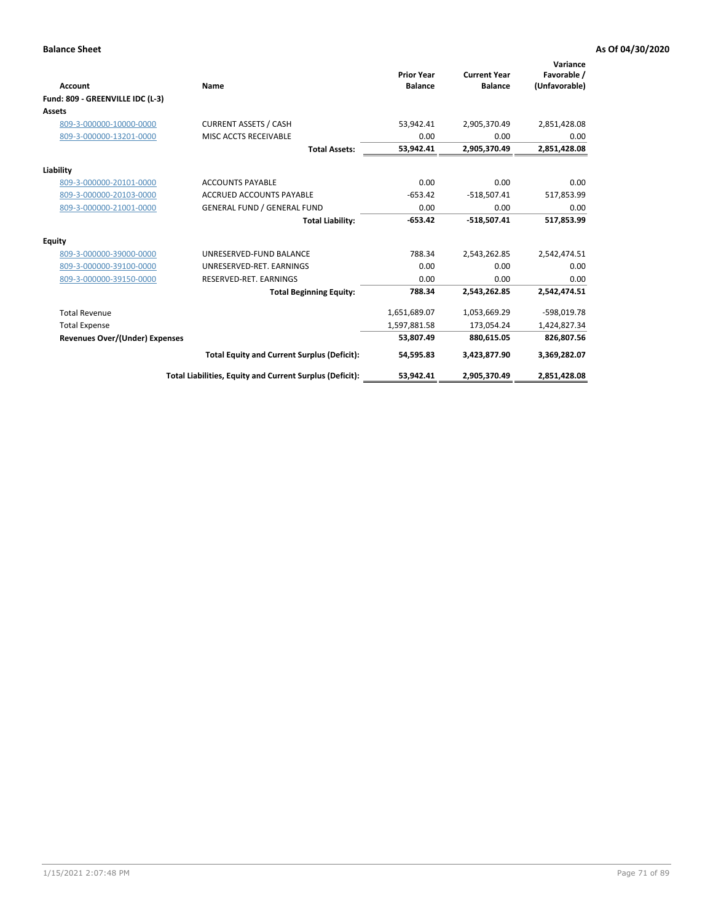| <b>Account</b>                   | Name                                                     | <b>Prior Year</b><br><b>Balance</b> | <b>Current Year</b><br><b>Balance</b> | Variance<br>Favorable /<br>(Unfavorable) |
|----------------------------------|----------------------------------------------------------|-------------------------------------|---------------------------------------|------------------------------------------|
| Fund: 809 - GREENVILLE IDC (L-3) |                                                          |                                     |                                       |                                          |
| <b>Assets</b>                    |                                                          |                                     |                                       |                                          |
| 809-3-000000-10000-0000          | <b>CURRENT ASSETS / CASH</b>                             | 53,942.41                           | 2,905,370.49                          | 2,851,428.08                             |
| 809-3-000000-13201-0000          | MISC ACCTS RECEIVABLE                                    | 0.00                                | 0.00                                  | 0.00                                     |
|                                  | <b>Total Assets:</b>                                     | 53,942.41                           | 2,905,370.49                          | 2,851,428.08                             |
| Liability                        |                                                          |                                     |                                       |                                          |
| 809-3-000000-20101-0000          | <b>ACCOUNTS PAYABLE</b>                                  | 0.00                                | 0.00                                  | 0.00                                     |
| 809-3-000000-20103-0000          | <b>ACCRUED ACCOUNTS PAYABLE</b>                          | $-653.42$                           | $-518,507.41$                         | 517,853.99                               |
| 809-3-000000-21001-0000          | <b>GENERAL FUND / GENERAL FUND</b>                       | 0.00                                | 0.00                                  | 0.00                                     |
|                                  | <b>Total Liability:</b>                                  | $-653.42$                           | $-518,507.41$                         | 517,853.99                               |
| <b>Equity</b>                    |                                                          |                                     |                                       |                                          |
| 809-3-000000-39000-0000          | UNRESERVED-FUND BALANCE                                  | 788.34                              | 2,543,262.85                          | 2,542,474.51                             |
| 809-3-000000-39100-0000          | UNRESERVED-RET, EARNINGS                                 | 0.00                                | 0.00                                  | 0.00                                     |
| 809-3-000000-39150-0000          | RESERVED-RET. EARNINGS                                   | 0.00                                | 0.00                                  | 0.00                                     |
|                                  | <b>Total Beginning Equity:</b>                           | 788.34                              | 2,543,262.85                          | 2,542,474.51                             |
| <b>Total Revenue</b>             |                                                          | 1,651,689.07                        | 1,053,669.29                          | -598,019.78                              |
| <b>Total Expense</b>             |                                                          | 1,597,881.58                        | 173,054.24                            | 1,424,827.34                             |
| Revenues Over/(Under) Expenses   |                                                          | 53,807.49                           | 880,615.05                            | 826,807.56                               |
|                                  | <b>Total Equity and Current Surplus (Deficit):</b>       | 54,595.83                           | 3,423,877.90                          | 3,369,282.07                             |
|                                  | Total Liabilities, Equity and Current Surplus (Deficit): | 53,942.41                           | 2,905,370.49                          | 2,851,428.08                             |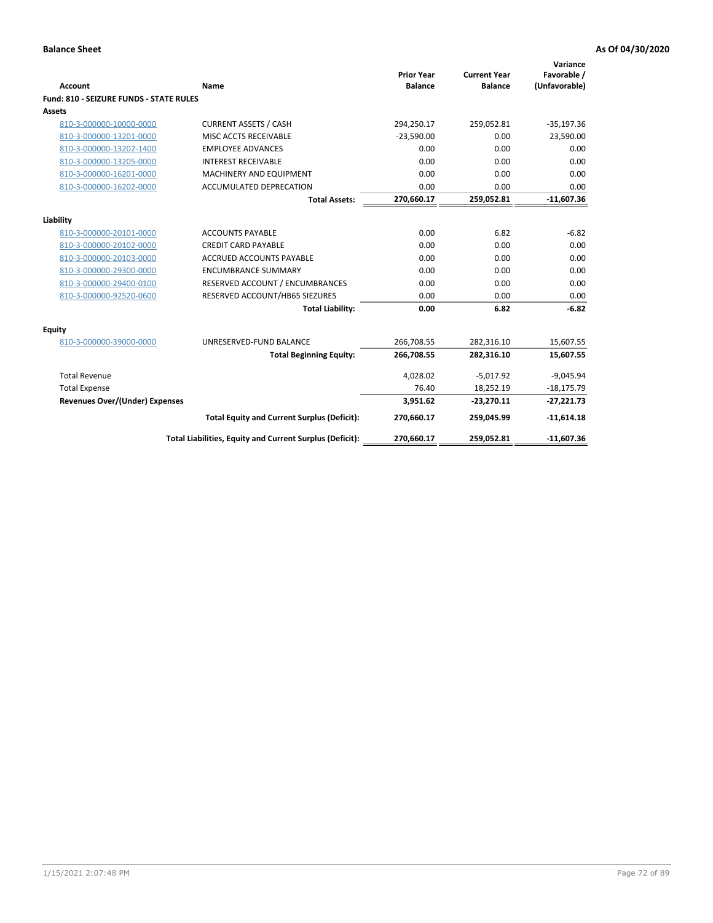| <b>Account</b>                          | <b>Name</b>                                              | <b>Prior Year</b><br><b>Balance</b> | <b>Current Year</b><br><b>Balance</b> | Variance<br>Favorable /<br>(Unfavorable) |
|-----------------------------------------|----------------------------------------------------------|-------------------------------------|---------------------------------------|------------------------------------------|
| Fund: 810 - SEIZURE FUNDS - STATE RULES |                                                          |                                     |                                       |                                          |
| Assets                                  |                                                          |                                     |                                       |                                          |
| 810-3-000000-10000-0000                 | <b>CURRENT ASSETS / CASH</b>                             | 294,250.17                          | 259,052.81                            | $-35,197.36$                             |
| 810-3-000000-13201-0000                 | MISC ACCTS RECEIVABLE                                    | $-23,590.00$                        | 0.00                                  | 23,590.00                                |
| 810-3-000000-13202-1400                 | <b>EMPLOYEE ADVANCES</b>                                 | 0.00                                | 0.00                                  | 0.00                                     |
| 810-3-000000-13205-0000                 | <b>INTEREST RECEIVABLE</b>                               | 0.00                                | 0.00                                  | 0.00                                     |
| 810-3-000000-16201-0000                 | MACHINERY AND EQUIPMENT                                  | 0.00                                | 0.00                                  | 0.00                                     |
| 810-3-000000-16202-0000                 | <b>ACCUMULATED DEPRECATION</b>                           | 0.00                                | 0.00                                  | 0.00                                     |
|                                         | <b>Total Assets:</b>                                     | 270,660.17                          | 259,052.81                            | $-11,607.36$                             |
|                                         |                                                          |                                     |                                       |                                          |
| Liability                               |                                                          |                                     |                                       |                                          |
| 810-3-000000-20101-0000                 | <b>ACCOUNTS PAYABLE</b>                                  | 0.00                                | 6.82                                  | $-6.82$                                  |
| 810-3-000000-20102-0000                 | <b>CREDIT CARD PAYABLE</b>                               | 0.00                                | 0.00                                  | 0.00                                     |
| 810-3-000000-20103-0000                 | <b>ACCRUED ACCOUNTS PAYABLE</b>                          | 0.00                                | 0.00                                  | 0.00                                     |
| 810-3-000000-29300-0000                 | <b>ENCUMBRANCE SUMMARY</b>                               | 0.00                                | 0.00                                  | 0.00                                     |
| 810-3-000000-29400-0100                 | RESERVED ACCOUNT / ENCUMBRANCES                          | 0.00                                | 0.00                                  | 0.00                                     |
| 810-3-000000-92520-0600                 | RESERVED ACCOUNT/HB65 SIEZURES                           | 0.00                                | 0.00                                  | 0.00                                     |
|                                         | <b>Total Liability:</b>                                  | 0.00                                | 6.82                                  | $-6.82$                                  |
| <b>Equity</b>                           |                                                          |                                     |                                       |                                          |
| 810-3-000000-39000-0000                 | UNRESERVED-FUND BALANCE                                  | 266,708.55                          | 282,316.10                            | 15,607.55                                |
|                                         | <b>Total Beginning Equity:</b>                           | 266,708.55                          | 282,316.10                            | 15,607.55                                |
| <b>Total Revenue</b>                    |                                                          | 4,028.02                            | $-5,017.92$                           | $-9,045.94$                              |
| <b>Total Expense</b>                    |                                                          | 76.40                               | 18,252.19                             | $-18,175.79$                             |
| <b>Revenues Over/(Under) Expenses</b>   |                                                          | 3,951.62                            | $-23,270.11$                          | $-27,221.73$                             |
|                                         | <b>Total Equity and Current Surplus (Deficit):</b>       | 270,660.17                          | 259,045.99                            | $-11,614.18$                             |
|                                         | Total Liabilities, Equity and Current Surplus (Deficit): | 270,660.17                          | 259,052.81                            | $-11,607.36$                             |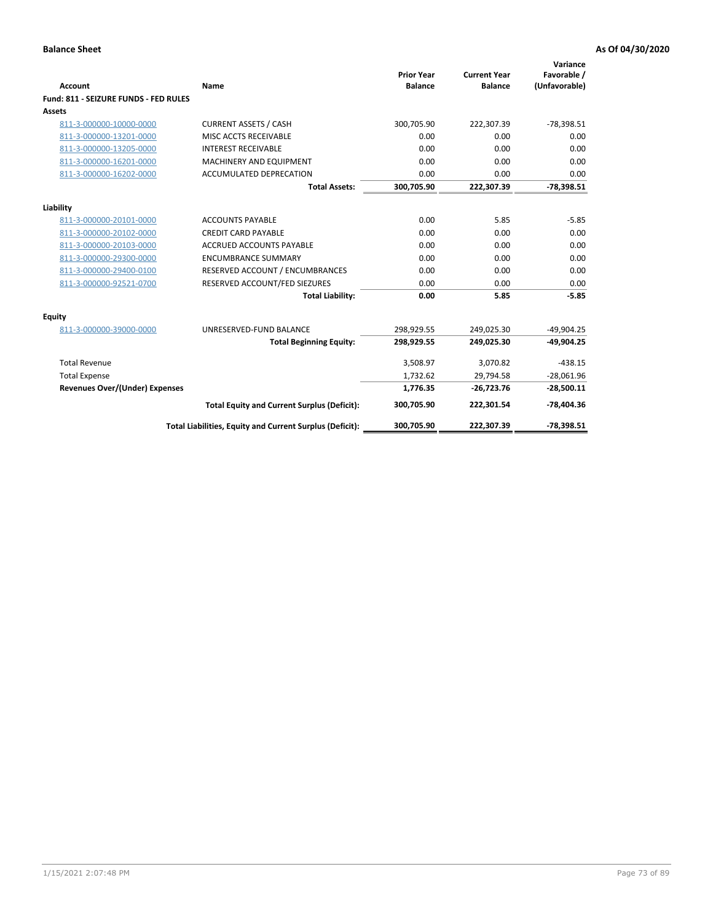| Account                               | Name                                                     | <b>Prior Year</b><br><b>Balance</b> | <b>Current Year</b><br><b>Balance</b> | Variance<br>Favorable /<br>(Unfavorable) |
|---------------------------------------|----------------------------------------------------------|-------------------------------------|---------------------------------------|------------------------------------------|
| Fund: 811 - SEIZURE FUNDS - FED RULES |                                                          |                                     |                                       |                                          |
| <b>Assets</b>                         |                                                          |                                     |                                       |                                          |
| 811-3-000000-10000-0000               | <b>CURRENT ASSETS / CASH</b>                             | 300,705.90                          | 222,307.39                            | $-78,398.51$                             |
| 811-3-000000-13201-0000               | MISC ACCTS RECEIVABLE                                    | 0.00                                | 0.00                                  | 0.00                                     |
| 811-3-000000-13205-0000               | <b>INTEREST RECEIVABLE</b>                               | 0.00                                | 0.00                                  | 0.00                                     |
| 811-3-000000-16201-0000               | <b>MACHINERY AND EQUIPMENT</b>                           | 0.00                                | 0.00                                  | 0.00                                     |
| 811-3-000000-16202-0000               | <b>ACCUMULATED DEPRECATION</b>                           | 0.00                                | 0.00                                  | 0.00                                     |
|                                       | <b>Total Assets:</b>                                     | 300,705.90                          | 222,307.39                            | $-78,398.51$                             |
| Liability                             |                                                          |                                     |                                       |                                          |
| 811-3-000000-20101-0000               | <b>ACCOUNTS PAYABLE</b>                                  | 0.00                                | 5.85                                  | $-5.85$                                  |
| 811-3-000000-20102-0000               | <b>CREDIT CARD PAYABLE</b>                               | 0.00                                | 0.00                                  | 0.00                                     |
| 811-3-000000-20103-0000               | <b>ACCRUED ACCOUNTS PAYABLE</b>                          | 0.00                                | 0.00                                  | 0.00                                     |
| 811-3-000000-29300-0000               | <b>ENCUMBRANCE SUMMARY</b>                               | 0.00                                | 0.00                                  | 0.00                                     |
| 811-3-000000-29400-0100               | RESERVED ACCOUNT / ENCUMBRANCES                          | 0.00                                | 0.00                                  | 0.00                                     |
| 811-3-000000-92521-0700               | RESERVED ACCOUNT/FED SIEZURES                            | 0.00                                | 0.00                                  | 0.00                                     |
|                                       | <b>Total Liability:</b>                                  | 0.00                                | 5.85                                  | $-5.85$                                  |
| <b>Equity</b>                         |                                                          |                                     |                                       |                                          |
| 811-3-000000-39000-0000               | UNRESERVED-FUND BALANCE                                  | 298,929.55                          | 249,025.30                            | $-49,904.25$                             |
|                                       | <b>Total Beginning Equity:</b>                           | 298,929.55                          | 249,025.30                            | $-49.904.25$                             |
| <b>Total Revenue</b>                  |                                                          | 3,508.97                            | 3,070.82                              | $-438.15$                                |
| <b>Total Expense</b>                  |                                                          | 1,732.62                            | 29,794.58                             | $-28,061.96$                             |
| Revenues Over/(Under) Expenses        |                                                          | 1,776.35                            | $-26,723.76$                          | $-28,500.11$                             |
|                                       | <b>Total Equity and Current Surplus (Deficit):</b>       | 300,705.90                          | 222,301.54                            | $-78,404.36$                             |
|                                       | Total Liabilities, Equity and Current Surplus (Deficit): | 300,705.90                          | 222,307.39                            | $-78,398.51$                             |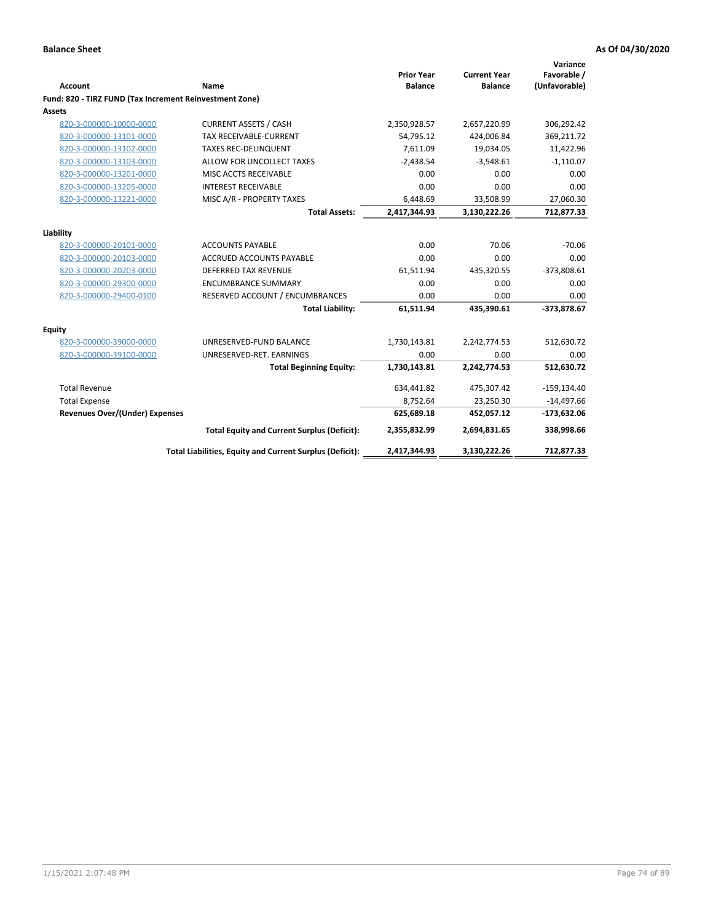| <b>Account</b>                                          |                                                          | <b>Prior Year</b><br><b>Balance</b> | <b>Current Year</b><br><b>Balance</b> | Variance<br>Favorable /<br>(Unfavorable) |
|---------------------------------------------------------|----------------------------------------------------------|-------------------------------------|---------------------------------------|------------------------------------------|
| Fund: 820 - TIRZ FUND (Tax Increment Reinvestment Zone) | Name                                                     |                                     |                                       |                                          |
| Assets                                                  |                                                          |                                     |                                       |                                          |
| 820-3-000000-10000-0000                                 | <b>CURRENT ASSETS / CASH</b>                             | 2,350,928.57                        | 2,657,220.99                          | 306,292.42                               |
| 820-3-000000-13101-0000                                 | TAX RECEIVABLE-CURRENT                                   | 54,795.12                           | 424,006.84                            | 369,211.72                               |
| 820-3-000000-13102-0000                                 | <b>TAXES REC-DELINQUENT</b>                              | 7,611.09                            | 19,034.05                             | 11,422.96                                |
| 820-3-000000-13103-0000                                 | ALLOW FOR UNCOLLECT TAXES                                | $-2,438.54$                         | $-3,548.61$                           | $-1,110.07$                              |
| 820-3-000000-13201-0000                                 | MISC ACCTS RECEIVABLE                                    | 0.00                                | 0.00                                  | 0.00                                     |
| 820-3-000000-13205-0000                                 | <b>INTEREST RECEIVABLE</b>                               | 0.00                                | 0.00                                  | 0.00                                     |
| 820-3-000000-13221-0000                                 | MISC A/R - PROPERTY TAXES                                | 6,448.69                            | 33,508.99                             | 27,060.30                                |
|                                                         | <b>Total Assets:</b>                                     | 2,417,344.93                        | 3,130,222.26                          | 712,877.33                               |
|                                                         |                                                          |                                     |                                       |                                          |
| Liability                                               |                                                          |                                     |                                       |                                          |
| 820-3-000000-20101-0000                                 | <b>ACCOUNTS PAYABLE</b>                                  | 0.00                                | 70.06                                 | $-70.06$                                 |
| 820-3-000000-20103-0000                                 | <b>ACCRUED ACCOUNTS PAYABLE</b>                          | 0.00                                | 0.00                                  | 0.00                                     |
| 820-3-000000-20203-0000                                 | <b>DEFERRED TAX REVENUE</b>                              | 61,511.94                           | 435,320.55                            | $-373,808.61$                            |
| 820-3-000000-29300-0000                                 | <b>ENCUMBRANCE SUMMARY</b>                               | 0.00                                | 0.00                                  | 0.00                                     |
| 820-3-000000-29400-0100                                 | RESERVED ACCOUNT / ENCUMBRANCES                          | 0.00                                | 0.00                                  | 0.00                                     |
|                                                         | <b>Total Liability:</b>                                  | 61,511.94                           | 435,390.61                            | -373,878.67                              |
| Equity                                                  |                                                          |                                     |                                       |                                          |
| 820-3-000000-39000-0000                                 | UNRESERVED-FUND BALANCE                                  | 1,730,143.81                        | 2,242,774.53                          | 512,630.72                               |
| 820-3-000000-39100-0000                                 | UNRESERVED-RET. EARNINGS                                 | 0.00                                | 0.00                                  | 0.00                                     |
|                                                         | <b>Total Beginning Equity:</b>                           | 1,730,143.81                        | 2,242,774.53                          | 512,630.72                               |
| <b>Total Revenue</b>                                    |                                                          | 634,441.82                          | 475,307.42                            | $-159, 134.40$                           |
| <b>Total Expense</b>                                    |                                                          | 8,752.64                            | 23,250.30                             | $-14,497.66$                             |
| <b>Revenues Over/(Under) Expenses</b>                   |                                                          | 625,689.18                          | 452,057.12                            | $-173,632.06$                            |
|                                                         | <b>Total Equity and Current Surplus (Deficit):</b>       | 2,355,832.99                        | 2,694,831.65                          | 338,998.66                               |
|                                                         | Total Liabilities, Equity and Current Surplus (Deficit): | 2,417,344.93                        | 3,130,222.26                          | 712,877.33                               |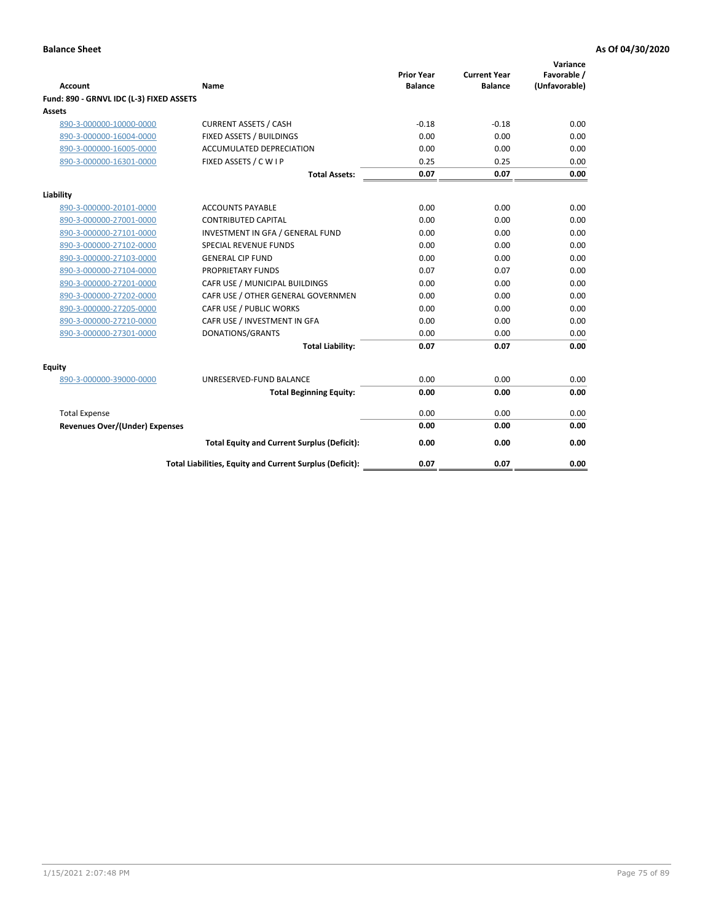| <b>Account</b>                           | Name                                                     | <b>Prior Year</b><br><b>Balance</b> | <b>Current Year</b><br><b>Balance</b> | Variance<br>Favorable /<br>(Unfavorable) |
|------------------------------------------|----------------------------------------------------------|-------------------------------------|---------------------------------------|------------------------------------------|
| Fund: 890 - GRNVL IDC (L-3) FIXED ASSETS |                                                          |                                     |                                       |                                          |
| <b>Assets</b>                            |                                                          |                                     |                                       |                                          |
| 890-3-000000-10000-0000                  | <b>CURRENT ASSETS / CASH</b>                             | $-0.18$                             | $-0.18$                               | 0.00                                     |
| 890-3-000000-16004-0000                  | FIXED ASSETS / BUILDINGS                                 | 0.00                                | 0.00                                  | 0.00                                     |
| 890-3-000000-16005-0000                  | <b>ACCUMULATED DEPRECIATION</b>                          | 0.00                                | 0.00                                  | 0.00                                     |
| 890-3-000000-16301-0000                  | FIXED ASSETS / C W I P                                   | 0.25                                | 0.25                                  | 0.00                                     |
|                                          | <b>Total Assets:</b>                                     | 0.07                                | 0.07                                  | 0.00                                     |
| Liability                                |                                                          |                                     |                                       |                                          |
| 890-3-000000-20101-0000                  | <b>ACCOUNTS PAYABLE</b>                                  | 0.00                                | 0.00                                  | 0.00                                     |
| 890-3-000000-27001-0000                  | <b>CONTRIBUTED CAPITAL</b>                               | 0.00                                | 0.00                                  | 0.00                                     |
| 890-3-000000-27101-0000                  | INVESTMENT IN GFA / GENERAL FUND                         | 0.00                                | 0.00                                  | 0.00                                     |
| 890-3-000000-27102-0000                  | <b>SPECIAL REVENUE FUNDS</b>                             | 0.00                                | 0.00                                  | 0.00                                     |
| 890-3-000000-27103-0000                  | <b>GENERAL CIP FUND</b>                                  | 0.00                                | 0.00                                  | 0.00                                     |
| 890-3-000000-27104-0000                  | PROPRIETARY FUNDS                                        | 0.07                                | 0.07                                  | 0.00                                     |
| 890-3-000000-27201-0000                  | CAFR USE / MUNICIPAL BUILDINGS                           | 0.00                                | 0.00                                  | 0.00                                     |
| 890-3-000000-27202-0000                  | CAFR USE / OTHER GENERAL GOVERNMEN                       | 0.00                                | 0.00                                  | 0.00                                     |
| 890-3-000000-27205-0000                  | CAFR USE / PUBLIC WORKS                                  | 0.00                                | 0.00                                  | 0.00                                     |
| 890-3-000000-27210-0000                  | CAFR USE / INVESTMENT IN GFA                             | 0.00                                | 0.00                                  | 0.00                                     |
| 890-3-000000-27301-0000                  | DONATIONS/GRANTS                                         | 0.00                                | 0.00                                  | 0.00                                     |
|                                          | <b>Total Liability:</b>                                  | 0.07                                | 0.07                                  | 0.00                                     |
| Equity                                   |                                                          |                                     |                                       |                                          |
| 890-3-000000-39000-0000                  | UNRESERVED-FUND BALANCE                                  | 0.00                                | 0.00                                  | 0.00                                     |
|                                          | <b>Total Beginning Equity:</b>                           | 0.00                                | 0.00                                  | 0.00                                     |
| <b>Total Expense</b>                     |                                                          | 0.00                                | 0.00                                  | 0.00                                     |
| Revenues Over/(Under) Expenses           |                                                          | 0.00                                | 0.00                                  | 0.00                                     |
|                                          |                                                          |                                     |                                       |                                          |
|                                          | <b>Total Equity and Current Surplus (Deficit):</b>       | 0.00                                | 0.00                                  | 0.00                                     |
|                                          | Total Liabilities, Equity and Current Surplus (Deficit): | 0.07                                | 0.07                                  | 0.00                                     |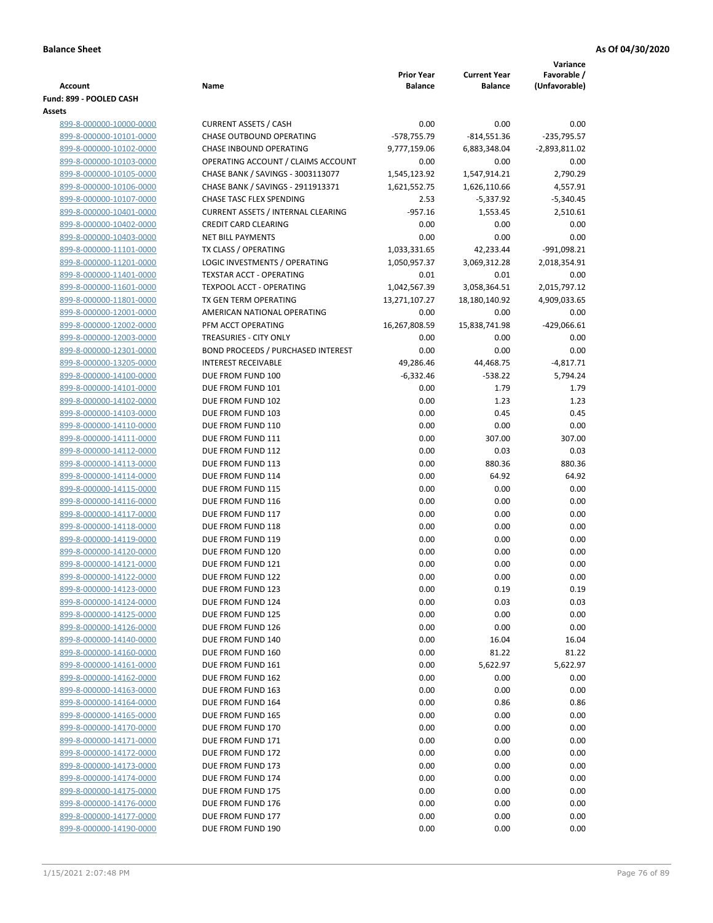|                                                    |                                           |                     |                     | Variance         |
|----------------------------------------------------|-------------------------------------------|---------------------|---------------------|------------------|
|                                                    |                                           | <b>Prior Year</b>   | <b>Current Year</b> | Favorable /      |
| Account                                            | Name                                      | <b>Balance</b>      | <b>Balance</b>      | (Unfavorable)    |
| Fund: 899 - POOLED CASH<br><b>Assets</b>           |                                           |                     |                     |                  |
| 899-8-000000-10000-0000                            | <b>CURRENT ASSETS / CASH</b>              | 0.00                | 0.00                | 0.00             |
| 899-8-000000-10101-0000                            | <b>CHASE OUTBOUND OPERATING</b>           | $-578,755.79$       | $-814,551.36$       | $-235,795.57$    |
| 899-8-000000-10102-0000                            | <b>CHASE INBOUND OPERATING</b>            | 9,777,159.06        | 6,883,348.04        | $-2,893,811.02$  |
| 899-8-000000-10103-0000                            | OPERATING ACCOUNT / CLAIMS ACCOUNT        | 0.00                | 0.00                | 0.00             |
| 899-8-000000-10105-0000                            | CHASE BANK / SAVINGS - 3003113077         | 1,545,123.92        | 1,547,914.21        | 2,790.29         |
| 899-8-000000-10106-0000                            | CHASE BANK / SAVINGS - 2911913371         | 1,621,552.75        | 1,626,110.66        | 4,557.91         |
| 899-8-000000-10107-0000                            | CHASE TASC FLEX SPENDING                  | 2.53                | $-5,337.92$         | $-5,340.45$      |
| 899-8-000000-10401-0000                            | <b>CURRENT ASSETS / INTERNAL CLEARING</b> | $-957.16$           | 1,553.45            | 2,510.61         |
| 899-8-000000-10402-0000                            | <b>CREDIT CARD CLEARING</b>               | 0.00                | 0.00                | 0.00             |
| 899-8-000000-10403-0000                            | <b>NET BILL PAYMENTS</b>                  | 0.00                | 0.00                | 0.00             |
| 899-8-000000-11101-0000                            | TX CLASS / OPERATING                      | 1,033,331.65        | 42,233.44           | -991,098.21      |
| 899-8-000000-11201-0000                            | LOGIC INVESTMENTS / OPERATING             | 1,050,957.37        | 3,069,312.28        | 2,018,354.91     |
| 899-8-000000-11401-0000                            | <b>TEXSTAR ACCT - OPERATING</b>           | 0.01                | 0.01                | 0.00             |
| 899-8-000000-11601-0000                            | <b>TEXPOOL ACCT - OPERATING</b>           | 1,042,567.39        | 3,058,364.51        | 2,015,797.12     |
| 899-8-000000-11801-0000                            | TX GEN TERM OPERATING                     | 13,271,107.27       | 18,180,140.92       | 4,909,033.65     |
| 899-8-000000-12001-0000                            | AMERICAN NATIONAL OPERATING               | 0.00                | 0.00                | 0.00             |
| 899-8-000000-12002-0000                            | PFM ACCT OPERATING                        | 16,267,808.59       | 15,838,741.98       | $-429,066.61$    |
| 899-8-000000-12003-0000                            | TREASURIES - CITY ONLY                    | 0.00                | 0.00                | 0.00             |
| 899-8-000000-12301-0000                            | <b>BOND PROCEEDS / PURCHASED INTEREST</b> | 0.00                | 0.00                | 0.00             |
| 899-8-000000-13205-0000                            | <b>INTEREST RECEIVABLE</b>                | 49,286.46           | 44,468.75           | $-4,817.71$      |
| 899-8-000000-14100-0000<br>899-8-000000-14101-0000 | DUE FROM FUND 100<br>DUE FROM FUND 101    | $-6,332.46$<br>0.00 | $-538.22$<br>1.79   | 5,794.24<br>1.79 |
| 899-8-000000-14102-0000                            | DUE FROM FUND 102                         | 0.00                | 1.23                | 1.23             |
| 899-8-000000-14103-0000                            | DUE FROM FUND 103                         | 0.00                | 0.45                | 0.45             |
| 899-8-000000-14110-0000                            | DUE FROM FUND 110                         | 0.00                | 0.00                | 0.00             |
| 899-8-000000-14111-0000                            | DUE FROM FUND 111                         | 0.00                | 307.00              | 307.00           |
| 899-8-000000-14112-0000                            | DUE FROM FUND 112                         | 0.00                | 0.03                | 0.03             |
| 899-8-000000-14113-0000                            | DUE FROM FUND 113                         | 0.00                | 880.36              | 880.36           |
| 899-8-000000-14114-0000                            | DUE FROM FUND 114                         | 0.00                | 64.92               | 64.92            |
| 899-8-000000-14115-0000                            | DUE FROM FUND 115                         | 0.00                | 0.00                | 0.00             |
| 899-8-000000-14116-0000                            | DUE FROM FUND 116                         | 0.00                | 0.00                | 0.00             |
| 899-8-000000-14117-0000                            | DUE FROM FUND 117                         | 0.00                | 0.00                | 0.00             |
| 899-8-000000-14118-0000                            | DUE FROM FUND 118                         | 0.00                | 0.00                | 0.00             |
| 899-8-000000-14119-0000                            | DUE FROM FUND 119                         | 0.00                | 0.00                | 0.00             |
| 899-8-000000-14120-0000                            | DUE FROM FUND 120                         | 0.00                | 0.00                | 0.00             |
| 899-8-000000-14121-0000                            | DUE FROM FUND 121                         | 0.00                | 0.00                | 0.00             |
| 899-8-000000-14122-0000                            | DUE FROM FUND 122                         | 0.00                | 0.00                | 0.00             |
| 899-8-000000-14123-0000                            | DUE FROM FUND 123                         | 0.00                | 0.19                | 0.19             |
| 899-8-000000-14124-0000                            | DUE FROM FUND 124                         | 0.00                | 0.03                | 0.03             |
| 899-8-000000-14125-0000                            | DUE FROM FUND 125                         | 0.00                | 0.00                | 0.00             |
| 899-8-000000-14126-0000<br>899-8-000000-14140-0000 | DUE FROM FUND 126<br>DUE FROM FUND 140    | 0.00<br>0.00        | 0.00<br>16.04       | 0.00<br>16.04    |
| 899-8-000000-14160-0000                            | DUE FROM FUND 160                         | 0.00                | 81.22               | 81.22            |
| 899-8-000000-14161-0000                            | DUE FROM FUND 161                         | 0.00                | 5,622.97            | 5,622.97         |
| 899-8-000000-14162-0000                            | DUE FROM FUND 162                         | 0.00                | 0.00                | 0.00             |
| 899-8-000000-14163-0000                            | DUE FROM FUND 163                         | 0.00                | 0.00                | 0.00             |
| 899-8-000000-14164-0000                            | DUE FROM FUND 164                         | 0.00                | 0.86                | 0.86             |
| 899-8-000000-14165-0000                            | DUE FROM FUND 165                         | 0.00                | 0.00                | 0.00             |
| 899-8-000000-14170-0000                            | DUE FROM FUND 170                         | 0.00                | 0.00                | 0.00             |
| 899-8-000000-14171-0000                            | DUE FROM FUND 171                         | 0.00                | 0.00                | 0.00             |
| 899-8-000000-14172-0000                            | DUE FROM FUND 172                         | 0.00                | 0.00                | 0.00             |
| 899-8-000000-14173-0000                            | DUE FROM FUND 173                         | 0.00                | 0.00                | 0.00             |
| 899-8-000000-14174-0000                            | DUE FROM FUND 174                         | 0.00                | 0.00                | 0.00             |
| 899-8-000000-14175-0000                            | DUE FROM FUND 175                         | 0.00                | 0.00                | 0.00             |
| 899-8-000000-14176-0000                            | DUE FROM FUND 176                         | 0.00                | 0.00                | 0.00             |
| 899-8-000000-14177-0000                            | DUE FROM FUND 177                         | 0.00                | 0.00                | 0.00             |
| 899-8-000000-14190-0000                            | DUE FROM FUND 190                         | 0.00                | 0.00                | 0.00             |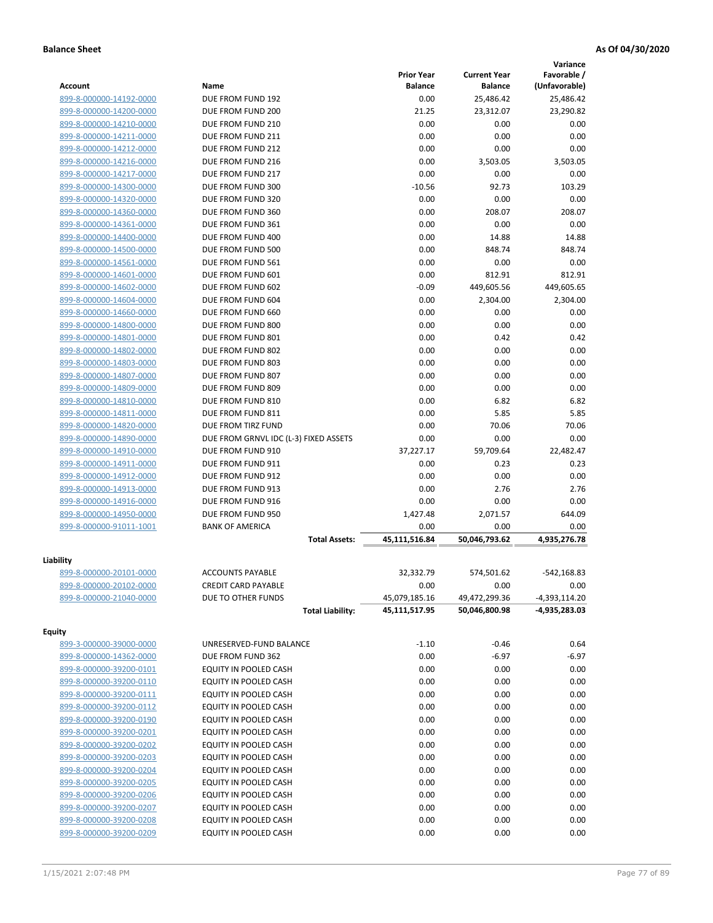|                                                    |                                       |                   |                     | Variance        |
|----------------------------------------------------|---------------------------------------|-------------------|---------------------|-----------------|
|                                                    |                                       | <b>Prior Year</b> | <b>Current Year</b> | Favorable /     |
| <b>Account</b>                                     | Name                                  | <b>Balance</b>    | <b>Balance</b>      | (Unfavorable)   |
| 899-8-000000-14192-0000                            | DUE FROM FUND 192                     | 0.00              | 25,486.42           | 25,486.42       |
| 899-8-000000-14200-0000                            | DUE FROM FUND 200                     | 21.25             | 23,312.07           | 23,290.82       |
| 899-8-000000-14210-0000                            | DUE FROM FUND 210                     | 0.00              | 0.00                | 0.00            |
| 899-8-000000-14211-0000                            | DUE FROM FUND 211                     | 0.00              | 0.00                | 0.00            |
| 899-8-000000-14212-0000                            | DUE FROM FUND 212                     | 0.00              | 0.00                | 0.00            |
| 899-8-000000-14216-0000                            | DUE FROM FUND 216                     | 0.00              | 3,503.05            | 3,503.05        |
| 899-8-000000-14217-0000                            | DUE FROM FUND 217                     | 0.00              | 0.00                | 0.00            |
| 899-8-000000-14300-0000                            | DUE FROM FUND 300                     | $-10.56$          | 92.73               | 103.29          |
| 899-8-000000-14320-0000                            | DUE FROM FUND 320                     | 0.00              | 0.00                | 0.00            |
| 899-8-000000-14360-0000                            | DUE FROM FUND 360                     | 0.00              | 208.07              | 208.07          |
| 899-8-000000-14361-0000                            | DUE FROM FUND 361                     | 0.00              | 0.00                | 0.00            |
| 899-8-000000-14400-0000                            | DUE FROM FUND 400                     | 0.00              | 14.88               | 14.88           |
| 899-8-000000-14500-0000                            | DUE FROM FUND 500                     | 0.00              | 848.74              | 848.74          |
| 899-8-000000-14561-0000                            | DUE FROM FUND 561                     | 0.00              | 0.00                | 0.00            |
| 899-8-000000-14601-0000                            | DUE FROM FUND 601                     | 0.00              | 812.91              | 812.91          |
| 899-8-000000-14602-0000                            | DUE FROM FUND 602                     | $-0.09$           | 449,605.56          | 449,605.65      |
| 899-8-000000-14604-0000                            | DUE FROM FUND 604                     | 0.00              | 2,304.00            | 2,304.00        |
| 899-8-000000-14660-0000                            | DUE FROM FUND 660                     | 0.00              | 0.00                | 0.00            |
| 899-8-000000-14800-0000                            | DUE FROM FUND 800                     | 0.00              | 0.00                | 0.00            |
| 899-8-000000-14801-0000                            | DUE FROM FUND 801                     | 0.00              | 0.42                | 0.42            |
| 899-8-000000-14802-0000                            | DUE FROM FUND 802                     | 0.00              | 0.00                | 0.00            |
| 899-8-000000-14803-0000                            | DUE FROM FUND 803                     | 0.00              | 0.00                | 0.00            |
| 899-8-000000-14807-0000                            | DUE FROM FUND 807                     | 0.00              | 0.00                | 0.00            |
| 899-8-000000-14809-0000                            | DUE FROM FUND 809                     | 0.00              | 0.00                | 0.00            |
| 899-8-000000-14810-0000                            | DUE FROM FUND 810                     | 0.00              | 6.82                | 6.82            |
| 899-8-000000-14811-0000                            | DUE FROM FUND 811                     | 0.00              | 5.85                | 5.85            |
| 899-8-000000-14820-0000                            | DUE FROM TIRZ FUND                    | 0.00              | 70.06               | 70.06           |
| 899-8-000000-14890-0000                            | DUE FROM GRNVL IDC (L-3) FIXED ASSETS | 0.00              | 0.00                | 0.00            |
| 899-8-000000-14910-0000                            | DUE FROM FUND 910                     | 37,227.17         | 59,709.64           | 22,482.47       |
| 899-8-000000-14911-0000                            | DUE FROM FUND 911                     | 0.00              | 0.23                | 0.23            |
| 899-8-000000-14912-0000                            | DUE FROM FUND 912                     | 0.00              | 0.00                | 0.00            |
| 899-8-000000-14913-0000                            | DUE FROM FUND 913                     | 0.00              | 2.76                | 2.76            |
| 899-8-000000-14916-0000                            | DUE FROM FUND 916                     | 0.00              | 0.00                | 0.00            |
| 899-8-000000-14950-0000                            | DUE FROM FUND 950                     | 1,427.48          | 2,071.57            | 644.09          |
| 899-8-000000-91011-1001                            | <b>BANK OF AMERICA</b>                | 0.00              | 0.00                | 0.00            |
|                                                    | <b>Total Assets:</b>                  | 45,111,516.84     | 50,046,793.62       | 4,935,276.78    |
|                                                    |                                       |                   |                     |                 |
| Liability                                          |                                       |                   |                     |                 |
| 899-8-000000-20101-0000                            | <b>ACCOUNTS PAYABLE</b>               | 32,332.79         | 574,501.62          | $-542,168.83$   |
| 899-8-000000-20102-0000                            | <b>CREDIT CARD PAYABLE</b>            | 0.00              | 0.00                | 0.00            |
| 899-8-000000-21040-0000                            | DUE TO OTHER FUNDS                    | 45,079,185.16     | 49,472,299.36       | $-4,393,114.20$ |
|                                                    | <b>Total Liability:</b>               | 45,111,517.95     | 50,046,800.98       | -4,935,283.03   |
| <b>Equity</b>                                      |                                       |                   |                     |                 |
| 899-3-000000-39000-0000                            | UNRESERVED-FUND BALANCE               | $-1.10$           | $-0.46$             | 0.64            |
| 899-8-000000-14362-0000                            | DUE FROM FUND 362                     | 0.00              | $-6.97$             | $-6.97$         |
| 899-8-000000-39200-0101                            | EQUITY IN POOLED CASH                 | 0.00              | 0.00                | 0.00            |
|                                                    | EQUITY IN POOLED CASH                 | 0.00              | 0.00                | 0.00            |
| 899-8-000000-39200-0110<br>899-8-000000-39200-0111 |                                       |                   |                     |                 |
|                                                    | EQUITY IN POOLED CASH                 | 0.00              | 0.00                | 0.00            |
| 899-8-000000-39200-0112                            | EQUITY IN POOLED CASH                 | 0.00              | 0.00                | 0.00            |
| 899-8-000000-39200-0190                            | EQUITY IN POOLED CASH                 | 0.00              | 0.00                | 0.00            |
| 899-8-000000-39200-0201                            | EQUITY IN POOLED CASH                 | 0.00              | 0.00                | 0.00            |
| 899-8-000000-39200-0202                            | EQUITY IN POOLED CASH                 | 0.00              | 0.00                | 0.00            |
| 899-8-000000-39200-0203                            | EQUITY IN POOLED CASH                 | 0.00              | 0.00                | 0.00            |
| 899-8-000000-39200-0204                            | EQUITY IN POOLED CASH                 | 0.00              | 0.00                | 0.00            |
| 899-8-000000-39200-0205                            | EQUITY IN POOLED CASH                 | 0.00              | 0.00                | 0.00            |
| 899-8-000000-39200-0206                            | EQUITY IN POOLED CASH                 | 0.00              | 0.00                | 0.00            |
| 899-8-000000-39200-0207                            | EQUITY IN POOLED CASH                 | 0.00              | 0.00                | 0.00            |
| 899-8-000000-39200-0208                            | EQUITY IN POOLED CASH                 | 0.00              | 0.00                | 0.00            |
| 899-8-000000-39200-0209                            | EQUITY IN POOLED CASH                 | 0.00              | 0.00                | 0.00            |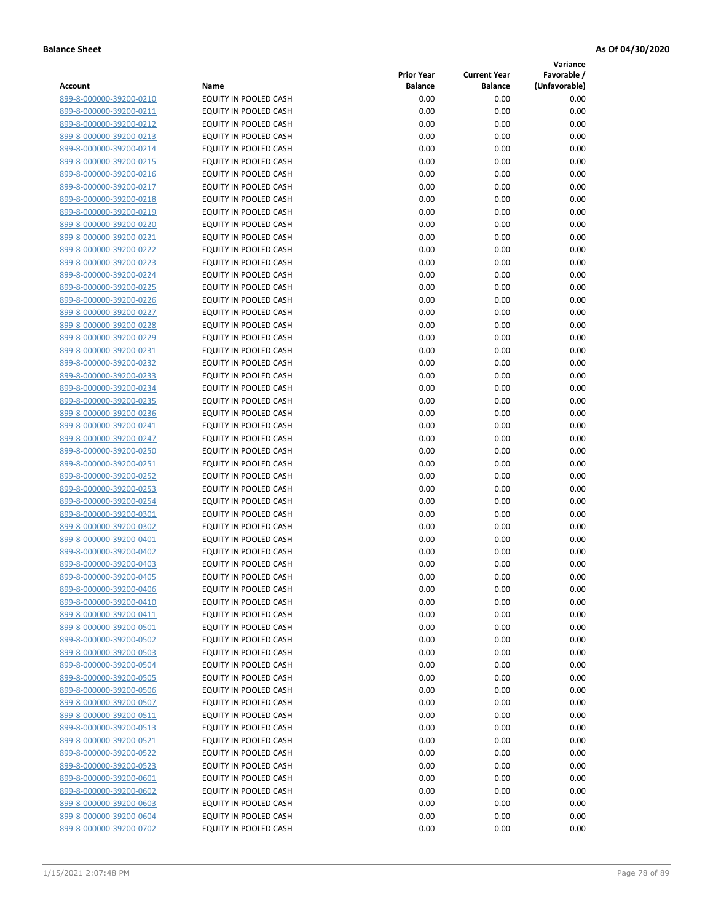**Variance**

|                         |                              | <b>Prior Year</b> | <b>Current Year</b> | Favorable /   |
|-------------------------|------------------------------|-------------------|---------------------|---------------|
| Account                 | Name                         | <b>Balance</b>    | <b>Balance</b>      | (Unfavorable) |
| 899-8-000000-39200-0210 | EQUITY IN POOLED CASH        | 0.00              | 0.00                | 0.00          |
| 899-8-000000-39200-0211 | EQUITY IN POOLED CASH        | 0.00              | 0.00                | 0.00          |
| 899-8-000000-39200-0212 | EQUITY IN POOLED CASH        | 0.00              | 0.00                | 0.00          |
| 899-8-000000-39200-0213 | EQUITY IN POOLED CASH        | 0.00              | 0.00                | 0.00          |
| 899-8-000000-39200-0214 | <b>EQUITY IN POOLED CASH</b> | 0.00              | 0.00                | 0.00          |
| 899-8-000000-39200-0215 | EQUITY IN POOLED CASH        | 0.00              | 0.00                | 0.00          |
| 899-8-000000-39200-0216 | EQUITY IN POOLED CASH        | 0.00              | 0.00                | 0.00          |
| 899-8-000000-39200-0217 | EQUITY IN POOLED CASH        | 0.00              | 0.00                | 0.00          |
| 899-8-000000-39200-0218 | EQUITY IN POOLED CASH        | 0.00              | 0.00                | 0.00          |
| 899-8-000000-39200-0219 | <b>EQUITY IN POOLED CASH</b> | 0.00              | 0.00                | 0.00          |
| 899-8-000000-39200-0220 | EQUITY IN POOLED CASH        | 0.00              | 0.00                | 0.00          |
| 899-8-000000-39200-0221 | EQUITY IN POOLED CASH        | 0.00              | 0.00                | 0.00          |
| 899-8-000000-39200-0222 | EQUITY IN POOLED CASH        | 0.00              | 0.00                | 0.00          |
| 899-8-000000-39200-0223 | EQUITY IN POOLED CASH        | 0.00              | 0.00                | 0.00          |
| 899-8-000000-39200-0224 | EQUITY IN POOLED CASH        | 0.00              | 0.00                | 0.00          |
| 899-8-000000-39200-0225 | EQUITY IN POOLED CASH        | 0.00              | 0.00                | 0.00          |
| 899-8-000000-39200-0226 | EQUITY IN POOLED CASH        | 0.00              | 0.00                | 0.00          |
| 899-8-000000-39200-0227 | EQUITY IN POOLED CASH        | 0.00              | 0.00                | 0.00          |
| 899-8-000000-39200-0228 | <b>EQUITY IN POOLED CASH</b> | 0.00              | 0.00                | 0.00          |
| 899-8-000000-39200-0229 | <b>EQUITY IN POOLED CASH</b> | 0.00              | 0.00                | 0.00          |
| 899-8-000000-39200-0231 | EQUITY IN POOLED CASH        | 0.00              | 0.00                | 0.00          |
| 899-8-000000-39200-0232 | EQUITY IN POOLED CASH        | 0.00              | 0.00                | 0.00          |
| 899-8-000000-39200-0233 | EQUITY IN POOLED CASH        | 0.00              | 0.00                | 0.00          |
| 899-8-000000-39200-0234 | EQUITY IN POOLED CASH        | 0.00              | 0.00                | 0.00          |
| 899-8-000000-39200-0235 | EQUITY IN POOLED CASH        | 0.00              | 0.00                | 0.00          |
| 899-8-000000-39200-0236 | EQUITY IN POOLED CASH        | 0.00              | 0.00                | 0.00          |
| 899-8-000000-39200-0241 | EQUITY IN POOLED CASH        | 0.00              | 0.00                | 0.00          |
| 899-8-000000-39200-0247 | EQUITY IN POOLED CASH        | 0.00              | 0.00                | 0.00          |
| 899-8-000000-39200-0250 | EQUITY IN POOLED CASH        | 0.00              | 0.00                | 0.00          |
| 899-8-000000-39200-0251 | EQUITY IN POOLED CASH        | 0.00              | 0.00                | 0.00          |
| 899-8-000000-39200-0252 | EQUITY IN POOLED CASH        | 0.00              | 0.00                | 0.00          |
| 899-8-000000-39200-0253 | EQUITY IN POOLED CASH        | 0.00              | 0.00                | 0.00          |
| 899-8-000000-39200-0254 | EQUITY IN POOLED CASH        | 0.00              | 0.00                | 0.00          |
| 899-8-000000-39200-0301 | EQUITY IN POOLED CASH        | 0.00              | 0.00                | 0.00          |
| 899-8-000000-39200-0302 | EQUITY IN POOLED CASH        | 0.00              | 0.00                | 0.00          |
| 899-8-000000-39200-0401 | EQUITY IN POOLED CASH        | 0.00              | 0.00                | 0.00          |
| 899-8-000000-39200-0402 | EQUITY IN POOLED CASH        | 0.00              | 0.00                | 0.00          |
| 899-8-000000-39200-0403 | EQUITY IN POOLED CASH        | 0.00              | 0.00                | 0.00          |
| 899-8-000000-39200-0405 | <b>EQUITY IN POOLED CASH</b> | 0.00              | 0.00                | 0.00          |
| 899-8-000000-39200-0406 | <b>EQUITY IN POOLED CASH</b> | 0.00              | 0.00                | 0.00          |
| 899-8-000000-39200-0410 | EQUITY IN POOLED CASH        | 0.00              | 0.00                | 0.00          |
| 899-8-000000-39200-0411 | EQUITY IN POOLED CASH        | 0.00              | 0.00                | 0.00          |
| 899-8-000000-39200-0501 | EQUITY IN POOLED CASH        | 0.00              | 0.00                | 0.00          |
| 899-8-000000-39200-0502 | EQUITY IN POOLED CASH        | 0.00              | 0.00                | 0.00          |
| 899-8-000000-39200-0503 | EQUITY IN POOLED CASH        | 0.00              | 0.00                | 0.00          |
| 899-8-000000-39200-0504 | EQUITY IN POOLED CASH        | 0.00              | 0.00                | 0.00          |
| 899-8-000000-39200-0505 | EQUITY IN POOLED CASH        | 0.00              | 0.00                | 0.00          |
| 899-8-000000-39200-0506 | EQUITY IN POOLED CASH        | 0.00              | 0.00                | 0.00          |
| 899-8-000000-39200-0507 | EQUITY IN POOLED CASH        | 0.00              | 0.00                | 0.00          |
| 899-8-000000-39200-0511 | <b>EQUITY IN POOLED CASH</b> | 0.00              | 0.00                | 0.00          |
| 899-8-000000-39200-0513 | EQUITY IN POOLED CASH        | 0.00              | 0.00                | 0.00          |
| 899-8-000000-39200-0521 | EQUITY IN POOLED CASH        | 0.00              | 0.00                | 0.00          |
| 899-8-000000-39200-0522 | EQUITY IN POOLED CASH        | 0.00              | 0.00                | 0.00          |
| 899-8-000000-39200-0523 | EQUITY IN POOLED CASH        | 0.00              | 0.00                | 0.00          |
| 899-8-000000-39200-0601 | EQUITY IN POOLED CASH        | 0.00              | 0.00                | 0.00          |
| 899-8-000000-39200-0602 | EQUITY IN POOLED CASH        | 0.00              | 0.00                | 0.00          |
| 899-8-000000-39200-0603 | EQUITY IN POOLED CASH        | 0.00              | 0.00                | 0.00          |
| 899-8-000000-39200-0604 | EQUITY IN POOLED CASH        | 0.00              | 0.00                | 0.00          |
| 899-8-000000-39200-0702 | EQUITY IN POOLED CASH        | 0.00              | 0.00                | 0.00          |
|                         |                              |                   |                     |               |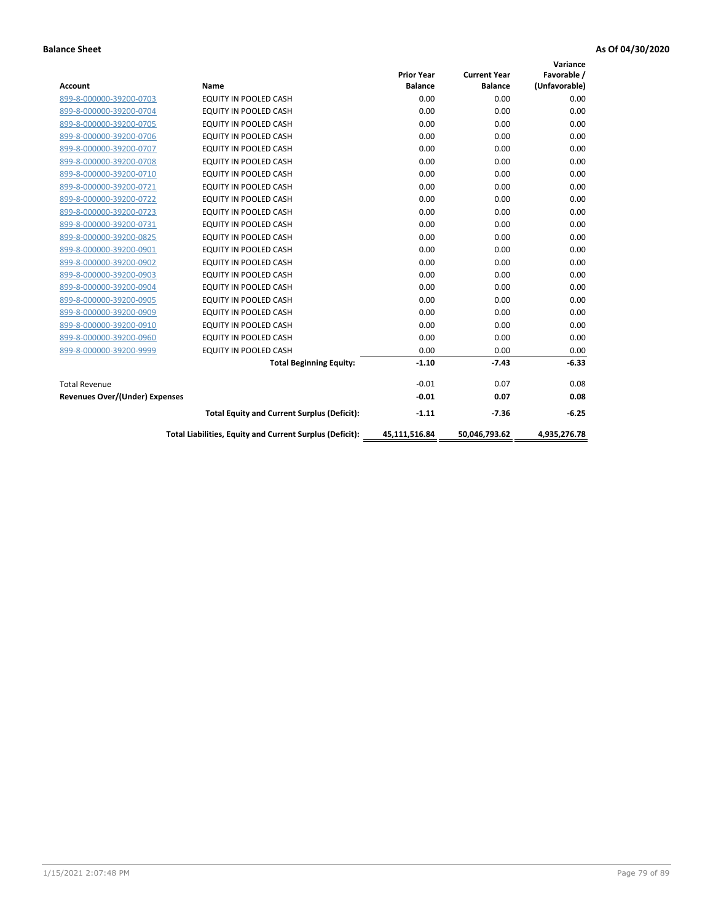|                                       |                                                          |                   |                     | Variance      |
|---------------------------------------|----------------------------------------------------------|-------------------|---------------------|---------------|
|                                       |                                                          | <b>Prior Year</b> | <b>Current Year</b> | Favorable /   |
| <b>Account</b>                        | <b>Name</b>                                              | <b>Balance</b>    | <b>Balance</b>      | (Unfavorable) |
| 899-8-000000-39200-0703               | <b>EQUITY IN POOLED CASH</b>                             | 0.00              | 0.00                | 0.00          |
| 899-8-000000-39200-0704               | <b>EQUITY IN POOLED CASH</b>                             | 0.00              | 0.00                | 0.00          |
| 899-8-000000-39200-0705               | <b>EQUITY IN POOLED CASH</b>                             | 0.00              | 0.00                | 0.00          |
| 899-8-000000-39200-0706               | <b>EQUITY IN POOLED CASH</b>                             | 0.00              | 0.00                | 0.00          |
| 899-8-000000-39200-0707               | <b>EQUITY IN POOLED CASH</b>                             | 0.00              | 0.00                | 0.00          |
| 899-8-000000-39200-0708               | <b>EQUITY IN POOLED CASH</b>                             | 0.00              | 0.00                | 0.00          |
| 899-8-000000-39200-0710               | <b>EQUITY IN POOLED CASH</b>                             | 0.00              | 0.00                | 0.00          |
| 899-8-000000-39200-0721               | <b>EQUITY IN POOLED CASH</b>                             | 0.00              | 0.00                | 0.00          |
| 899-8-000000-39200-0722               | EQUITY IN POOLED CASH                                    | 0.00              | 0.00                | 0.00          |
| 899-8-000000-39200-0723               | EQUITY IN POOLED CASH                                    | 0.00              | 0.00                | 0.00          |
| 899-8-000000-39200-0731               | <b>EQUITY IN POOLED CASH</b>                             | 0.00              | 0.00                | 0.00          |
| 899-8-000000-39200-0825               | EQUITY IN POOLED CASH                                    | 0.00              | 0.00                | 0.00          |
| 899-8-000000-39200-0901               | EQUITY IN POOLED CASH                                    | 0.00              | 0.00                | 0.00          |
| 899-8-000000-39200-0902               | EQUITY IN POOLED CASH                                    | 0.00              | 0.00                | 0.00          |
| 899-8-000000-39200-0903               | <b>EQUITY IN POOLED CASH</b>                             | 0.00              | 0.00                | 0.00          |
| 899-8-000000-39200-0904               | <b>EQUITY IN POOLED CASH</b>                             | 0.00              | 0.00                | 0.00          |
| 899-8-000000-39200-0905               | EQUITY IN POOLED CASH                                    | 0.00              | 0.00                | 0.00          |
| 899-8-000000-39200-0909               | EQUITY IN POOLED CASH                                    | 0.00              | 0.00                | 0.00          |
| 899-8-000000-39200-0910               | <b>EQUITY IN POOLED CASH</b>                             | 0.00              | 0.00                | 0.00          |
| 899-8-000000-39200-0960               | <b>EQUITY IN POOLED CASH</b>                             | 0.00              | 0.00                | 0.00          |
| 899-8-000000-39200-9999               | EQUITY IN POOLED CASH                                    | 0.00              | 0.00                | 0.00          |
|                                       | <b>Total Beginning Equity:</b>                           | $-1.10$           | $-7.43$             | $-6.33$       |
| <b>Total Revenue</b>                  |                                                          | $-0.01$           | 0.07                | 0.08          |
| <b>Revenues Over/(Under) Expenses</b> |                                                          | $-0.01$           | 0.07                | 0.08          |
|                                       | <b>Total Equity and Current Surplus (Deficit):</b>       | $-1.11$           | $-7.36$             | $-6.25$       |
|                                       | Total Liabilities, Equity and Current Surplus (Deficit): | 45,111,516.84     | 50,046,793.62       | 4.935.276.78  |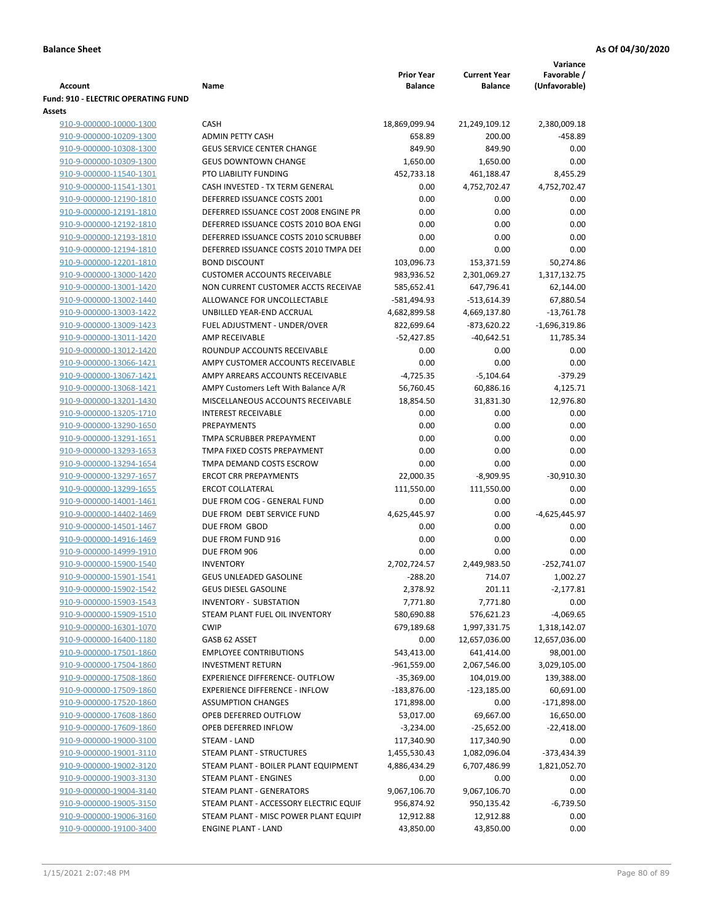|                                     |                                        |                   |                     | Variance        |
|-------------------------------------|----------------------------------------|-------------------|---------------------|-----------------|
|                                     |                                        | <b>Prior Year</b> | <b>Current Year</b> | Favorable /     |
| Account                             | Name                                   | <b>Balance</b>    | <b>Balance</b>      | (Unfavorable)   |
| Fund: 910 - ELECTRIC OPERATING FUND |                                        |                   |                     |                 |
| <b>Assets</b>                       |                                        |                   |                     |                 |
| 910-9-000000-10000-1300             | <b>CASH</b>                            | 18,869,099.94     | 21,249,109.12       | 2,380,009.18    |
| 910-9-000000-10209-1300             | <b>ADMIN PETTY CASH</b>                | 658.89            | 200.00              | $-458.89$       |
| 910-9-000000-10308-1300             | <b>GEUS SERVICE CENTER CHANGE</b>      | 849.90            | 849.90              | 0.00            |
| 910-9-000000-10309-1300             | <b>GEUS DOWNTOWN CHANGE</b>            | 1,650.00          | 1,650.00            | 0.00            |
| 910-9-000000-11540-1301             | PTO LIABILITY FUNDING                  | 452,733.18        | 461,188.47          | 8,455.29        |
| 910-9-000000-11541-1301             | CASH INVESTED - TX TERM GENERAL        | 0.00              | 4,752,702.47        | 4,752,702.47    |
| 910-9-000000-12190-1810             | DEFERRED ISSUANCE COSTS 2001           | 0.00              | 0.00                | 0.00            |
| 910-9-000000-12191-1810             | DEFERRED ISSUANCE COST 2008 ENGINE PR  | 0.00              | 0.00                | 0.00            |
| 910-9-000000-12192-1810             | DEFERRED ISSUANCE COSTS 2010 BOA ENGI  | 0.00              | 0.00                | 0.00            |
| 910-9-000000-12193-1810             | DEFERRED ISSUANCE COSTS 2010 SCRUBBEI  | 0.00              | 0.00                | 0.00            |
| 910-9-000000-12194-1810             | DEFERRED ISSUANCE COSTS 2010 TMPA DEI  | 0.00              | 0.00                | 0.00            |
| 910-9-000000-12201-1810             | <b>BOND DISCOUNT</b>                   | 103,096.73        | 153,371.59          | 50,274.86       |
| 910-9-000000-13000-1420             | <b>CUSTOMER ACCOUNTS RECEIVABLE</b>    | 983,936.52        | 2,301,069.27        | 1,317,132.75    |
| 910-9-000000-13001-1420             | NON CURRENT CUSTOMER ACCTS RECEIVAE    | 585,652.41        | 647,796.41          | 62,144.00       |
| 910-9-000000-13002-1440             | ALLOWANCE FOR UNCOLLECTABLE            | $-581,494.93$     | $-513,614.39$       | 67,880.54       |
| 910-9-000000-13003-1422             |                                        |                   |                     |                 |
|                                     | UNBILLED YEAR-END ACCRUAL              | 4,682,899.58      | 4,669,137.80        | $-13,761.78$    |
| 910-9-000000-13009-1423             | FUEL ADJUSTMENT - UNDER/OVER           | 822,699.64        | $-873,620.22$       | $-1,696,319.86$ |
| 910-9-000000-13011-1420             | AMP RECEIVABLE                         | $-52,427.85$      | $-40,642.51$        | 11,785.34       |
| 910-9-000000-13012-1420             | ROUNDUP ACCOUNTS RECEIVABLE            | 0.00              | 0.00                | 0.00            |
| 910-9-000000-13066-1421             | AMPY CUSTOMER ACCOUNTS RECEIVABLE      | 0.00              | 0.00                | 0.00            |
| 910-9-000000-13067-1421             | AMPY ARREARS ACCOUNTS RECEIVABLE       | $-4,725.35$       | $-5,104.64$         | $-379.29$       |
| 910-9-000000-13068-1421             | AMPY Customers Left With Balance A/R   | 56,760.45         | 60,886.16           | 4,125.71        |
| 910-9-000000-13201-1430             | MISCELLANEOUS ACCOUNTS RECEIVABLE      | 18,854.50         | 31,831.30           | 12,976.80       |
| 910-9-000000-13205-1710             | <b>INTEREST RECEIVABLE</b>             | 0.00              | 0.00                | 0.00            |
| 910-9-000000-13290-1650             | PREPAYMENTS                            | 0.00              | 0.00                | 0.00            |
| 910-9-000000-13291-1651             | TMPA SCRUBBER PREPAYMENT               | 0.00              | 0.00                | 0.00            |
| 910-9-000000-13293-1653             | TMPA FIXED COSTS PREPAYMENT            | 0.00              | 0.00                | 0.00            |
| 910-9-000000-13294-1654             | TMPA DEMAND COSTS ESCROW               | 0.00              | 0.00                | 0.00            |
| 910-9-000000-13297-1657             | <b>ERCOT CRR PREPAYMENTS</b>           | 22,000.35         | $-8,909.95$         | $-30,910.30$    |
| 910-9-000000-13299-1655             | <b>ERCOT COLLATERAL</b>                | 111,550.00        | 111,550.00          | 0.00            |
| 910-9-000000-14001-1461             | DUE FROM COG - GENERAL FUND            | 0.00              | 0.00                | 0.00            |
| 910-9-000000-14402-1469             | DUE FROM DEBT SERVICE FUND             | 4,625,445.97      | 0.00                | -4,625,445.97   |
| 910-9-000000-14501-1467             | DUE FROM GBOD                          | 0.00              | 0.00                | 0.00            |
| 910-9-000000-14916-1469             | DUE FROM FUND 916                      | 0.00              | 0.00                | 0.00            |
| 910-9-000000-14999-1910             | DUE FROM 906                           | 0.00              | 0.00                | 0.00            |
| 910-9-000000-15900-1540             | <b>INVENTORY</b>                       | 2,702,724.57      | 2,449,983.50        | $-252,741.07$   |
| 910-9-000000-15901-1541             | <b>GEUS UNLEADED GASOLINE</b>          | $-288.20$         | 714.07              | 1,002.27        |
| 910-9-000000-15902-1542             | <b>GEUS DIESEL GASOLINE</b>            | 2,378.92          | 201.11              | $-2,177.81$     |
| 910-9-000000-15903-1543             | INVENTORY - SUBSTATION                 | 7,771.80          | 7,771.80            | 0.00            |
| 910-9-000000-15909-1510             | STEAM PLANT FUEL OIL INVENTORY         | 580,690.88        | 576,621.23          | $-4,069.65$     |
| 910-9-000000-16301-1070             | <b>CWIP</b>                            | 679,189.68        | 1,997,331.75        | 1,318,142.07    |
|                                     |                                        |                   |                     |                 |
| 910-9-000000-16400-1180             | GASB 62 ASSET                          | 0.00              | 12,657,036.00       | 12,657,036.00   |
| 910-9-000000-17501-1860             | <b>EMPLOYEE CONTRIBUTIONS</b>          | 543,413.00        | 641,414.00          | 98,001.00       |
| 910-9-000000-17504-1860             | <b>INVESTMENT RETURN</b>               | $-961,559.00$     | 2,067,546.00        | 3,029,105.00    |
| 910-9-000000-17508-1860             | EXPERIENCE DIFFERENCE- OUTFLOW         | $-35,369.00$      | 104,019.00          | 139,388.00      |
| 910-9-000000-17509-1860             | <b>EXPERIENCE DIFFERENCE - INFLOW</b>  | $-183,876.00$     | $-123,185.00$       | 60,691.00       |
| 910-9-000000-17520-1860             | <b>ASSUMPTION CHANGES</b>              | 171,898.00        | 0.00                | $-171,898.00$   |
| 910-9-000000-17608-1860             | OPEB DEFERRED OUTFLOW                  | 53,017.00         | 69,667.00           | 16,650.00       |
| 910-9-000000-17609-1860             | OPEB DEFERRED INFLOW                   | $-3,234.00$       | $-25,652.00$        | $-22,418.00$    |
| 910-9-000000-19000-3100             | STEAM - LAND                           | 117,340.90        | 117,340.90          | 0.00            |
| 910-9-000000-19001-3110             | STEAM PLANT - STRUCTURES               | 1,455,530.43      | 1,082,096.04        | -373,434.39     |
| 910-9-000000-19002-3120             | STEAM PLANT - BOILER PLANT EQUIPMENT   | 4,886,434.29      | 6,707,486.99        | 1,821,052.70    |
| 910-9-000000-19003-3130             | STEAM PLANT - ENGINES                  | 0.00              | 0.00                | 0.00            |
| 910-9-000000-19004-3140             | STEAM PLANT - GENERATORS               | 9,067,106.70      | 9,067,106.70        | 0.00            |
| 910-9-000000-19005-3150             | STEAM PLANT - ACCESSORY ELECTRIC EQUIF | 956,874.92        | 950,135.42          | $-6,739.50$     |
| 910-9-000000-19006-3160             | STEAM PLANT - MISC POWER PLANT EQUIPI  | 12,912.88         | 12,912.88           | 0.00            |
| 910-9-000000-19100-3400             | <b>ENGINE PLANT - LAND</b>             | 43,850.00         | 43,850.00           | 0.00            |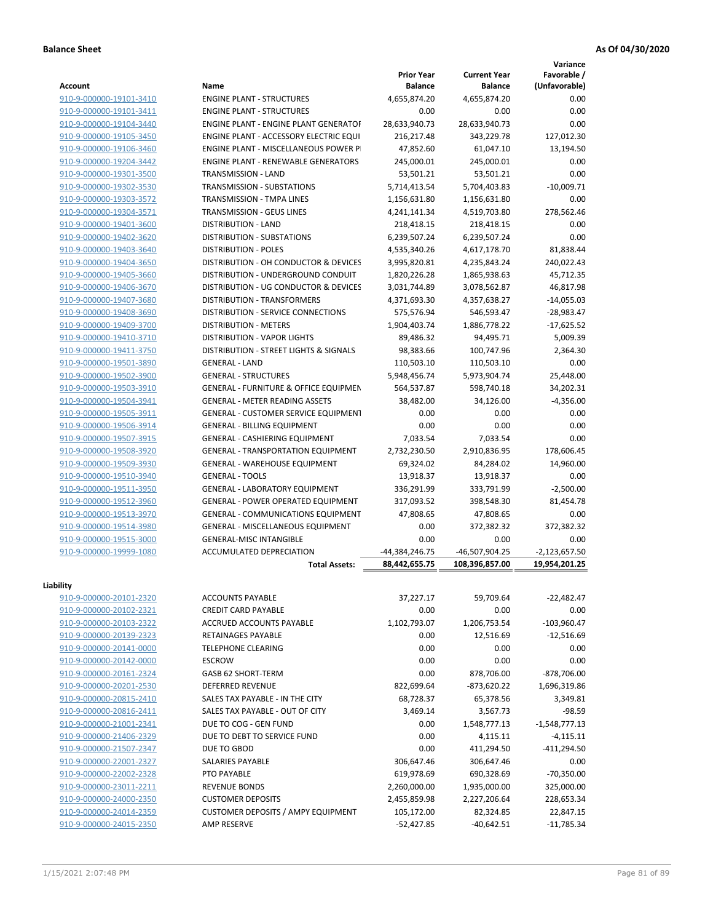**Variance**

| <b>Account</b>          | Name                                             | <b>Prior Year</b><br><b>Balance</b> | <b>Current Year</b><br><b>Balance</b> | Favorable /<br>(Unfavorable) |
|-------------------------|--------------------------------------------------|-------------------------------------|---------------------------------------|------------------------------|
| 910-9-000000-19101-3410 | <b>ENGINE PLANT - STRUCTURES</b>                 | 4,655,874.20                        | 4,655,874.20                          | 0.00                         |
| 910-9-000000-19101-3411 | <b>ENGINE PLANT - STRUCTURES</b>                 | 0.00                                | 0.00                                  | 0.00                         |
| 910-9-000000-19104-3440 | ENGINE PLANT - ENGINE PLANT GENERATOF            | 28,633,940.73                       | 28,633,940.73                         | 0.00                         |
| 910-9-000000-19105-3450 | <b>ENGINE PLANT - ACCESSORY ELECTRIC EQUI</b>    | 216,217.48                          | 343,229.78                            | 127,012.30                   |
| 910-9-000000-19106-3460 | <b>ENGINE PLANT - MISCELLANEOUS POWER P</b>      | 47,852.60                           | 61,047.10                             | 13,194.50                    |
| 910-9-000000-19204-3442 | <b>ENGINE PLANT - RENEWABLE GENERATORS</b>       | 245,000.01                          | 245,000.01                            | 0.00                         |
| 910-9-000000-19301-3500 | TRANSMISSION - LAND                              | 53,501.21                           | 53,501.21                             | 0.00                         |
| 910-9-000000-19302-3530 | TRANSMISSION - SUBSTATIONS                       | 5,714,413.54                        | 5,704,403.83                          | $-10,009.71$                 |
| 910-9-000000-19303-3572 | TRANSMISSION - TMPA LINES                        | 1,156,631.80                        | 1,156,631.80                          | 0.00                         |
| 910-9-000000-19304-3571 | <b>TRANSMISSION - GEUS LINES</b>                 | 4,241,141.34                        | 4,519,703.80                          | 278,562.46                   |
| 910-9-000000-19401-3600 | <b>DISTRIBUTION - LAND</b>                       | 218,418.15                          | 218,418.15                            | 0.00                         |
| 910-9-000000-19402-3620 | <b>DISTRIBUTION - SUBSTATIONS</b>                | 6,239,507.24                        | 6,239,507.24                          | 0.00                         |
| 910-9-000000-19403-3640 | <b>DISTRIBUTION - POLES</b>                      | 4,535,340.26                        | 4,617,178.70                          | 81,838.44                    |
| 910-9-000000-19404-3650 | DISTRIBUTION - OH CONDUCTOR & DEVICES            | 3,995,820.81                        | 4,235,843.24                          | 240,022.43                   |
| 910-9-000000-19405-3660 | DISTRIBUTION - UNDERGROUND CONDUIT               | 1,820,226.28                        | 1,865,938.63                          | 45,712.35                    |
| 910-9-000000-19406-3670 | DISTRIBUTION - UG CONDUCTOR & DEVICES            | 3,031,744.89                        | 3,078,562.87                          | 46,817.98                    |
| 910-9-000000-19407-3680 | <b>DISTRIBUTION - TRANSFORMERS</b>               | 4,371,693.30                        | 4,357,638.27                          | $-14,055.03$                 |
| 910-9-000000-19408-3690 | DISTRIBUTION - SERVICE CONNECTIONS               | 575,576.94                          | 546,593.47                            | $-28,983.47$                 |
| 910-9-000000-19409-3700 | <b>DISTRIBUTION - METERS</b>                     | 1,904,403.74                        | 1,886,778.22                          | $-17,625.52$                 |
| 910-9-000000-19410-3710 | <b>DISTRIBUTION - VAPOR LIGHTS</b>               | 89,486.32                           | 94,495.71                             | 5,009.39                     |
| 910-9-000000-19411-3750 | DISTRIBUTION - STREET LIGHTS & SIGNALS           | 98,383.66                           | 100,747.96                            | 2,364.30                     |
| 910-9-000000-19501-3890 | <b>GENERAL - LAND</b>                            | 110,503.10                          | 110,503.10                            | 0.00                         |
| 910-9-000000-19502-3900 | <b>GENERAL - STRUCTURES</b>                      | 5,948,456.74                        | 5,973,904.74                          | 25,448.00                    |
| 910-9-000000-19503-3910 | <b>GENERAL - FURNITURE &amp; OFFICE EQUIPMEN</b> | 564,537.87                          | 598,740.18                            | 34,202.31                    |
| 910-9-000000-19504-3941 | <b>GENERAL - METER READING ASSETS</b>            | 38,482.00                           | 34,126.00                             | $-4,356.00$                  |
| 910-9-000000-19505-3911 | GENERAL - CUSTOMER SERVICE EQUIPMENT             | 0.00                                | 0.00                                  | 0.00                         |
| 910-9-000000-19506-3914 | <b>GENERAL - BILLING EQUIPMENT</b>               | 0.00                                | 0.00                                  | 0.00                         |
| 910-9-000000-19507-3915 | GENERAL - CASHIERING EQUIPMENT                   | 7,033.54                            | 7,033.54                              | 0.00                         |
| 910-9-000000-19508-3920 | <b>GENERAL - TRANSPORTATION EQUIPMENT</b>        | 2,732,230.50                        | 2,910,836.95                          | 178,606.45                   |
| 910-9-000000-19509-3930 | GENERAL - WAREHOUSE EQUIPMENT                    | 69,324.02                           | 84,284.02                             | 14,960.00                    |
| 910-9-000000-19510-3940 | <b>GENERAL - TOOLS</b>                           | 13,918.37                           | 13,918.37                             | 0.00                         |
| 910-9-000000-19511-3950 | <b>GENERAL - LABORATORY EQUIPMENT</b>            | 336,291.99                          | 333,791.99                            | $-2,500.00$                  |
| 910-9-000000-19512-3960 | <b>GENERAL - POWER OPERATED EQUIPMENT</b>        | 317,093.52                          | 398,548.30                            | 81,454.78                    |
| 910-9-000000-19513-3970 | GENERAL - COMMUNICATIONS EQUIPMENT               | 47,808.65                           | 47,808.65                             | 0.00                         |
| 910-9-000000-19514-3980 | <b>GENERAL - MISCELLANEOUS EQUIPMENT</b>         | 0.00                                | 372,382.32                            | 372,382.32                   |
| 910-9-000000-19515-3000 | <b>GENERAL-MISC INTANGIBLE</b>                   | 0.00                                | 0.00                                  | 0.00                         |
| 910-9-000000-19999-1080 | <b>ACCUMULATED DEPRECIATION</b>                  | -44,384,246.75                      | -46,507,904.25                        | $-2,123,657.50$              |
|                         | <b>Total Assets:</b>                             | 88.442.655.75                       | 108,396,857.00                        | 19,954,201.25                |
| Liability               |                                                  |                                     |                                       |                              |
| 910-9-000000-20101-2320 | <b>ACCOUNTS PAYABLE</b>                          | 37,227.17                           | 59,709.64                             | $-22,482.47$                 |
| 910-9-000000-20102-2321 | <b>CREDIT CARD PAYABLE</b>                       | 0.00                                | 0.00                                  | 0.00                         |
| 910-9-000000-20103-2322 | ACCRUED ACCOUNTS PAYABLE                         | 1,102,793.07                        | 1,206,753.54                          | $-103,960.47$                |
| 910-9-000000-20139-2323 | RETAINAGES PAYABLE                               | 0.00                                | 12,516.69                             | $-12,516.69$                 |
| 910-9-000000-20141-0000 | <b>TELEPHONE CLEARING</b>                        | 0.00                                | 0.00                                  | 0.00                         |
| 910-9-000000-20142-0000 | <b>ESCROW</b>                                    | 0.00                                | 0.00                                  | 0.00                         |
| 910-9-000000-20161-2324 | GASB 62 SHORT-TERM                               | 0.00                                | 878,706.00                            | $-878,706.00$                |
| 910-9-000000-20201-2530 | <b>DEFERRED REVENUE</b>                          | 822,699.64                          | $-873,620.22$                         | 1,696,319.86                 |
| 910-9-000000-20815-2410 | SALES TAX PAYABLE - IN THE CITY                  | 68,728.37                           | 65,378.56                             | 3,349.81                     |
| 910-9-000000-20816-2411 | SALES TAX PAYABLE - OUT OF CITY                  | 3,469.14                            | 3,567.73                              | $-98.59$                     |
| 910-9-000000-21001-2341 | DUE TO COG - GEN FUND                            | 0.00                                | 1,548,777.13                          | $-1,548,777.13$              |
| 910-9-000000-21406-2329 | DUE TO DEBT TO SERVICE FUND                      | 0.00                                | 4,115.11                              | $-4,115.11$                  |
| 910-9-000000-21507-2347 | DUE TO GBOD                                      | 0.00                                | 411,294.50                            | $-411,294.50$                |
| 910-9-000000-22001-2327 | SALARIES PAYABLE                                 | 306,647.46                          | 306,647.46                            | 0.00                         |
| 910-9-000000-22002-2328 | PTO PAYABLE                                      | 619,978.69                          | 690,328.69                            | $-70,350.00$                 |
| 910-9-000000-23011-2211 | <b>REVENUE BONDS</b>                             | 2,260,000.00                        | 1,935,000.00                          | 325,000.00                   |
| 910-9-000000-24000-2350 | <b>CUSTOMER DEPOSITS</b>                         | 2,455,859.98                        | 2,227,206.64                          | 228,653.34                   |
| 910-9-000000-24014-2359 | <b>CUSTOMER DEPOSITS / AMPY EQUIPMENT</b>        | 105,172.00                          | 82,324.85                             | 22,847.15                    |
| 910-9-000000-24015-2350 | AMP RESERVE                                      | $-52,427.85$                        | $-40,642.51$                          | $-11,785.34$                 |
|                         |                                                  |                                     |                                       |                              |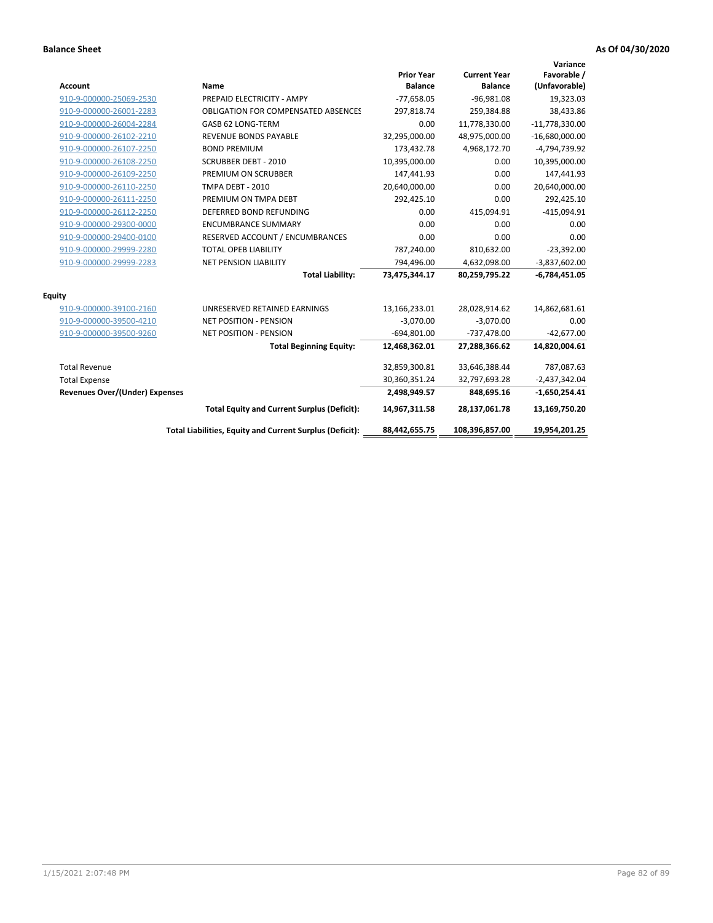| <b>Account</b>                        | <b>Name</b>                                              | <b>Prior Year</b><br><b>Balance</b> | <b>Current Year</b><br><b>Balance</b> | Variance<br>Favorable /<br>(Unfavorable) |
|---------------------------------------|----------------------------------------------------------|-------------------------------------|---------------------------------------|------------------------------------------|
| 910-9-000000-25069-2530               | PREPAID ELECTRICITY - AMPY                               | $-77,658.05$                        | $-96,981.08$                          | 19,323.03                                |
| 910-9-000000-26001-2283               | <b>OBLIGATION FOR COMPENSATED ABSENCES</b>               | 297,818.74                          | 259,384.88                            | 38,433.86                                |
| 910-9-000000-26004-2284               | GASB 62 LONG-TERM                                        | 0.00                                | 11,778,330.00                         | $-11,778,330.00$                         |
| 910-9-000000-26102-2210               | REVENUE BONDS PAYABLE                                    | 32,295,000.00                       | 48,975,000.00                         | $-16,680,000.00$                         |
| 910-9-000000-26107-2250               | <b>BOND PREMIUM</b>                                      | 173,432.78                          | 4,968,172.70                          | -4,794,739.92                            |
| 910-9-000000-26108-2250               | <b>SCRUBBER DEBT - 2010</b>                              | 10,395,000.00                       | 0.00                                  | 10,395,000.00                            |
| 910-9-000000-26109-2250               | PREMIUM ON SCRUBBER                                      | 147,441.93                          | 0.00                                  | 147,441.93                               |
| 910-9-000000-26110-2250               | <b>TMPA DEBT - 2010</b>                                  | 20,640,000.00                       | 0.00                                  | 20,640,000.00                            |
| 910-9-000000-26111-2250               | PREMIUM ON TMPA DEBT                                     | 292,425.10                          | 0.00                                  | 292,425.10                               |
| 910-9-000000-26112-2250               | DEFERRED BOND REFUNDING                                  | 0.00                                | 415,094.91                            | $-415,094.91$                            |
| 910-9-000000-29300-0000               | <b>ENCUMBRANCE SUMMARY</b>                               | 0.00                                | 0.00                                  | 0.00                                     |
| 910-9-000000-29400-0100               | RESERVED ACCOUNT / ENCUMBRANCES                          | 0.00                                | 0.00                                  | 0.00                                     |
| 910-9-000000-29999-2280               | <b>TOTAL OPEB LIABILITY</b>                              | 787,240.00                          | 810,632.00                            | $-23,392.00$                             |
| 910-9-000000-29999-2283               | <b>NET PENSION LIABILITY</b>                             | 794,496.00                          | 4,632,098.00                          | $-3,837,602.00$                          |
|                                       | <b>Total Liability:</b>                                  | 73,475,344.17                       | 80,259,795.22                         | $-6,784,451.05$                          |
| <b>Equity</b>                         |                                                          |                                     |                                       |                                          |
| 910-9-000000-39100-2160               | UNRESERVED RETAINED EARNINGS                             | 13,166,233.01                       | 28,028,914.62                         | 14,862,681.61                            |
| 910-9-000000-39500-4210               | <b>NET POSITION - PENSION</b>                            | $-3,070.00$                         | $-3,070.00$                           | 0.00                                     |
| 910-9-000000-39500-9260               | <b>NET POSITION - PENSION</b>                            | $-694,801.00$                       | $-737,478.00$                         | $-42,677.00$                             |
|                                       | <b>Total Beginning Equity:</b>                           | 12,468,362.01                       | 27,288,366.62                         | 14,820,004.61                            |
| <b>Total Revenue</b>                  |                                                          | 32,859,300.81                       | 33,646,388.44                         | 787,087.63                               |
| <b>Total Expense</b>                  |                                                          | 30,360,351.24                       | 32,797,693.28                         | $-2,437,342.04$                          |
| <b>Revenues Over/(Under) Expenses</b> |                                                          | 2,498,949.57                        | 848,695.16                            | $-1,650,254.41$                          |
|                                       | <b>Total Equity and Current Surplus (Deficit):</b>       | 14,967,311.58                       | 28,137,061.78                         | 13,169,750.20                            |
|                                       | Total Liabilities, Equity and Current Surplus (Deficit): | 88,442,655.75                       | 108,396,857.00                        | 19,954,201.25                            |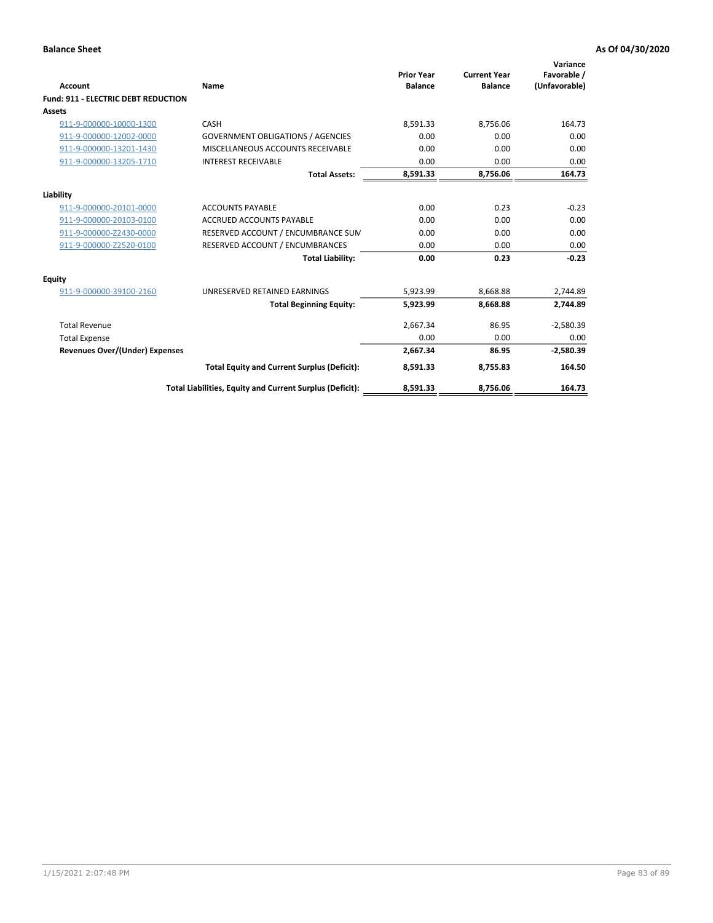| <b>Account</b>                        | Name                                                     | <b>Prior Year</b><br><b>Balance</b> | <b>Current Year</b><br><b>Balance</b> | Variance<br>Favorable /<br>(Unfavorable) |
|---------------------------------------|----------------------------------------------------------|-------------------------------------|---------------------------------------|------------------------------------------|
| Fund: 911 - ELECTRIC DEBT REDUCTION   |                                                          |                                     |                                       |                                          |
| Assets                                |                                                          |                                     |                                       |                                          |
| 911-9-000000-10000-1300               | CASH                                                     | 8,591.33                            | 8,756.06                              | 164.73                                   |
| 911-9-000000-12002-0000               | <b>GOVERNMENT OBLIGATIONS / AGENCIES</b>                 | 0.00                                | 0.00                                  | 0.00                                     |
| 911-9-000000-13201-1430               | MISCELLANEOUS ACCOUNTS RECEIVABLE                        | 0.00                                | 0.00                                  | 0.00                                     |
| 911-9-000000-13205-1710               | <b>INTEREST RECEIVABLE</b>                               | 0.00                                | 0.00                                  | 0.00                                     |
|                                       | <b>Total Assets:</b>                                     | 8,591.33                            | 8,756.06                              | 164.73                                   |
| Liability                             |                                                          |                                     |                                       |                                          |
| 911-9-000000-20101-0000               | <b>ACCOUNTS PAYABLE</b>                                  | 0.00                                | 0.23                                  | $-0.23$                                  |
| 911-9-000000-20103-0100               | <b>ACCRUED ACCOUNTS PAYABLE</b>                          | 0.00                                | 0.00                                  | 0.00                                     |
| 911-9-000000-Z2430-0000               | RESERVED ACCOUNT / ENCUMBRANCE SUM                       | 0.00                                | 0.00                                  | 0.00                                     |
| 911-9-000000-Z2520-0100               | RESERVED ACCOUNT / ENCUMBRANCES                          | 0.00                                | 0.00                                  | 0.00                                     |
|                                       | <b>Total Liability:</b>                                  | 0.00                                | 0.23                                  | $-0.23$                                  |
| Equity                                |                                                          |                                     |                                       |                                          |
| 911-9-000000-39100-2160               | UNRESERVED RETAINED EARNINGS                             | 5,923.99                            | 8,668.88                              | 2,744.89                                 |
|                                       | <b>Total Beginning Equity:</b>                           | 5,923.99                            | 8,668.88                              | 2,744.89                                 |
| <b>Total Revenue</b>                  |                                                          | 2,667.34                            | 86.95                                 | $-2,580.39$                              |
| <b>Total Expense</b>                  |                                                          | 0.00                                | 0.00                                  | 0.00                                     |
| <b>Revenues Over/(Under) Expenses</b> |                                                          | 2,667.34                            | 86.95                                 | $-2,580.39$                              |
|                                       | <b>Total Equity and Current Surplus (Deficit):</b>       | 8,591.33                            | 8,755.83                              | 164.50                                   |
|                                       | Total Liabilities, Equity and Current Surplus (Deficit): | 8,591.33                            | 8,756.06                              | 164.73                                   |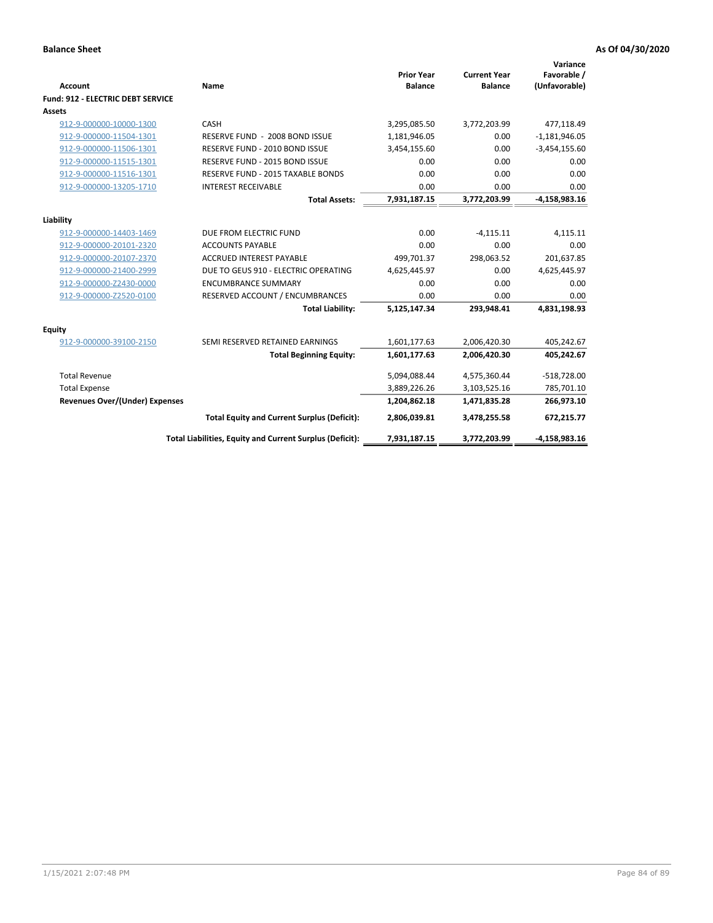| <b>Account</b>                    | Name                                                     | <b>Prior Year</b><br><b>Balance</b> | <b>Current Year</b><br><b>Balance</b> | Variance<br>Favorable /<br>(Unfavorable) |
|-----------------------------------|----------------------------------------------------------|-------------------------------------|---------------------------------------|------------------------------------------|
| Fund: 912 - ELECTRIC DEBT SERVICE |                                                          |                                     |                                       |                                          |
| <b>Assets</b>                     |                                                          |                                     |                                       |                                          |
| 912-9-000000-10000-1300           | CASH                                                     | 3,295,085.50                        | 3,772,203.99                          | 477,118.49                               |
| 912-9-000000-11504-1301           | RESERVE FUND - 2008 BOND ISSUE                           | 1,181,946.05                        | 0.00                                  | $-1,181,946.05$                          |
| 912-9-000000-11506-1301           | RESERVE FUND - 2010 BOND ISSUE                           | 3,454,155.60                        | 0.00                                  | $-3,454,155.60$                          |
| 912-9-000000-11515-1301           | RESERVE FUND - 2015 BOND ISSUE                           | 0.00                                | 0.00                                  | 0.00                                     |
| 912-9-000000-11516-1301           | RESERVE FUND - 2015 TAXABLE BONDS                        | 0.00                                | 0.00                                  | 0.00                                     |
| 912-9-000000-13205-1710           | <b>INTEREST RECEIVABLE</b>                               | 0.00                                | 0.00                                  | 0.00                                     |
|                                   | <b>Total Assets:</b>                                     | 7,931,187.15                        | 3,772,203.99                          | $-4,158,983.16$                          |
|                                   |                                                          |                                     |                                       |                                          |
| Liability                         |                                                          |                                     |                                       |                                          |
| 912-9-000000-14403-1469           | DUE FROM ELECTRIC FUND                                   | 0.00                                | $-4,115.11$                           | 4,115.11                                 |
| 912-9-000000-20101-2320           | <b>ACCOUNTS PAYABLE</b>                                  | 0.00                                | 0.00                                  | 0.00                                     |
| 912-9-000000-20107-2370           | <b>ACCRUED INTEREST PAYABLE</b>                          | 499,701.37                          | 298,063.52                            | 201,637.85                               |
| 912-9-000000-21400-2999           | DUE TO GEUS 910 - ELECTRIC OPERATING                     | 4,625,445.97                        | 0.00                                  | 4,625,445.97                             |
| 912-9-000000-Z2430-0000           | <b>ENCUMBRANCE SUMMARY</b>                               | 0.00                                | 0.00                                  | 0.00                                     |
| 912-9-000000-Z2520-0100           | RESERVED ACCOUNT / ENCUMBRANCES                          | 0.00                                | 0.00                                  | 0.00                                     |
|                                   | <b>Total Liability:</b>                                  | 5,125,147.34                        | 293,948.41                            | 4,831,198.93                             |
| Equity                            |                                                          |                                     |                                       |                                          |
| 912-9-000000-39100-2150           | SEMI RESERVED RETAINED EARNINGS                          | 1,601,177.63                        | 2,006,420.30                          | 405,242.67                               |
|                                   | <b>Total Beginning Equity:</b>                           | 1,601,177.63                        | 2,006,420.30                          | 405,242.67                               |
| <b>Total Revenue</b>              |                                                          | 5,094,088.44                        | 4,575,360.44                          | $-518,728.00$                            |
| <b>Total Expense</b>              |                                                          | 3,889,226.26                        | 3,103,525.16                          | 785,701.10                               |
| Revenues Over/(Under) Expenses    |                                                          | 1,204,862.18                        | 1,471,835.28                          | 266,973.10                               |
|                                   | <b>Total Equity and Current Surplus (Deficit):</b>       | 2,806,039.81                        | 3,478,255.58                          | 672,215.77                               |
|                                   | Total Liabilities, Equity and Current Surplus (Deficit): | 7,931,187.15                        | 3,772,203.99                          | $-4,158,983.16$                          |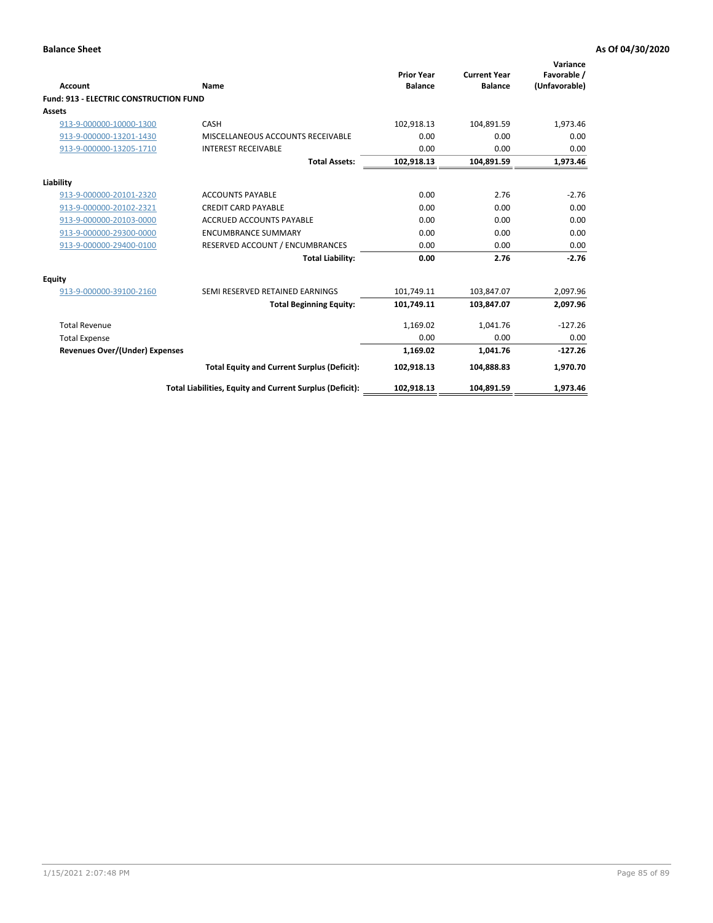| Account                                       | Name                                                     | <b>Prior Year</b><br><b>Balance</b> | <b>Current Year</b><br><b>Balance</b> | Variance<br>Favorable /<br>(Unfavorable) |
|-----------------------------------------------|----------------------------------------------------------|-------------------------------------|---------------------------------------|------------------------------------------|
| <b>Fund: 913 - ELECTRIC CONSTRUCTION FUND</b> |                                                          |                                     |                                       |                                          |
| <b>Assets</b>                                 |                                                          |                                     |                                       |                                          |
| 913-9-000000-10000-1300                       | CASH                                                     | 102,918.13                          | 104,891.59                            | 1,973.46                                 |
| 913-9-000000-13201-1430                       | MISCELLANEOUS ACCOUNTS RECEIVABLE                        | 0.00                                | 0.00                                  | 0.00                                     |
| 913-9-000000-13205-1710                       | <b>INTEREST RECEIVABLE</b>                               | 0.00                                | 0.00                                  | 0.00                                     |
|                                               | <b>Total Assets:</b>                                     | 102,918.13                          | 104,891.59                            | 1,973.46                                 |
| Liability                                     |                                                          |                                     |                                       |                                          |
| 913-9-000000-20101-2320                       | <b>ACCOUNTS PAYABLE</b>                                  | 0.00                                | 2.76                                  | $-2.76$                                  |
| 913-9-000000-20102-2321                       | <b>CREDIT CARD PAYABLE</b>                               | 0.00                                | 0.00                                  | 0.00                                     |
| 913-9-000000-20103-0000                       | <b>ACCRUED ACCOUNTS PAYABLE</b>                          | 0.00                                | 0.00                                  | 0.00                                     |
| 913-9-000000-29300-0000                       | <b>ENCUMBRANCE SUMMARY</b>                               | 0.00                                | 0.00                                  | 0.00                                     |
| 913-9-000000-29400-0100                       | RESERVED ACCOUNT / ENCUMBRANCES                          | 0.00                                | 0.00                                  | 0.00                                     |
|                                               | <b>Total Liability:</b>                                  | 0.00                                | 2.76                                  | $-2.76$                                  |
| <b>Equity</b>                                 |                                                          |                                     |                                       |                                          |
| 913-9-000000-39100-2160                       | SEMI RESERVED RETAINED EARNINGS                          | 101,749.11                          | 103,847.07                            | 2,097.96                                 |
|                                               | <b>Total Beginning Equity:</b>                           | 101,749.11                          | 103,847.07                            | 2,097.96                                 |
| <b>Total Revenue</b>                          |                                                          | 1,169.02                            | 1,041.76                              | $-127.26$                                |
| <b>Total Expense</b>                          |                                                          | 0.00                                | 0.00                                  | 0.00                                     |
| Revenues Over/(Under) Expenses                |                                                          | 1,169.02                            | 1,041.76                              | $-127.26$                                |
|                                               | <b>Total Equity and Current Surplus (Deficit):</b>       | 102,918.13                          | 104,888.83                            | 1,970.70                                 |
|                                               | Total Liabilities, Equity and Current Surplus (Deficit): | 102,918.13                          | 104,891.59                            | 1,973.46                                 |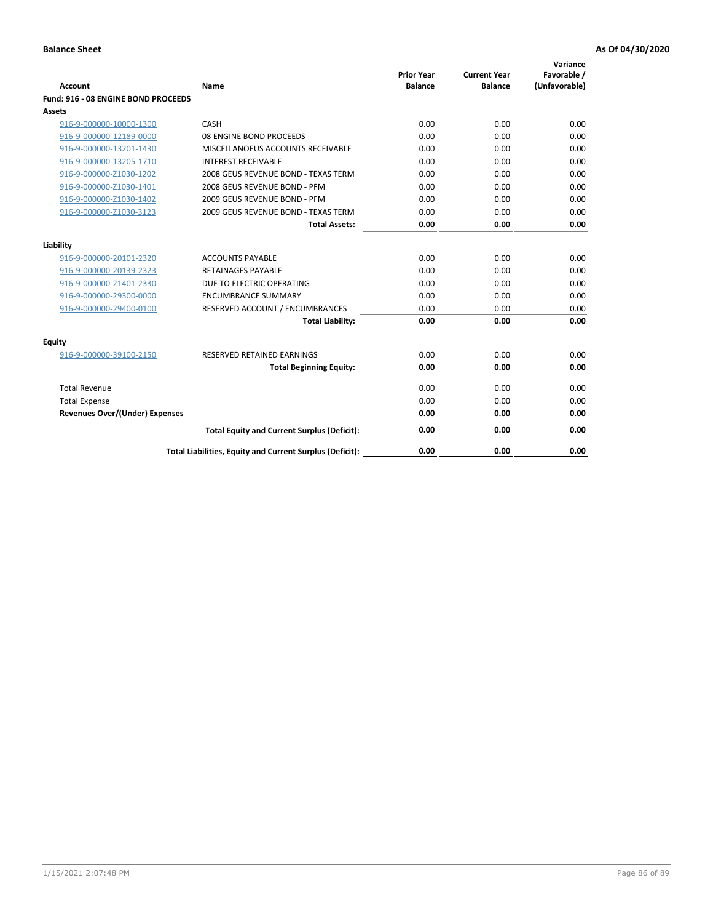| <b>Account</b>                        | Name                                                     | <b>Prior Year</b><br><b>Balance</b> | <b>Current Year</b><br><b>Balance</b> | Variance<br>Favorable /<br>(Unfavorable) |
|---------------------------------------|----------------------------------------------------------|-------------------------------------|---------------------------------------|------------------------------------------|
| Fund: 916 - 08 ENGINE BOND PROCEEDS   |                                                          |                                     |                                       |                                          |
| Assets                                |                                                          |                                     |                                       |                                          |
| 916-9-000000-10000-1300               | CASH                                                     | 0.00                                | 0.00                                  | 0.00                                     |
| 916-9-000000-12189-0000               | 08 ENGINE BOND PROCEEDS                                  | 0.00                                | 0.00                                  | 0.00                                     |
| 916-9-000000-13201-1430               | MISCELLANOEUS ACCOUNTS RECEIVABLE                        | 0.00                                | 0.00                                  | 0.00                                     |
| 916-9-000000-13205-1710               | <b>INTEREST RECEIVABLE</b>                               | 0.00                                | 0.00                                  | 0.00                                     |
| 916-9-000000-Z1030-1202               | 2008 GEUS REVENUE BOND - TEXAS TERM                      | 0.00                                | 0.00                                  | 0.00                                     |
| 916-9-000000-Z1030-1401               | 2008 GEUS REVENUE BOND - PFM                             | 0.00                                | 0.00                                  | 0.00                                     |
| 916-9-000000-Z1030-1402               | 2009 GEUS REVENUE BOND - PFM                             | 0.00                                | 0.00                                  | 0.00                                     |
| 916-9-000000-Z1030-3123               | 2009 GEUS REVENUE BOND - TEXAS TERM                      | 0.00                                | 0.00                                  | 0.00                                     |
|                                       | <b>Total Assets:</b>                                     | 0.00                                | 0.00                                  | 0.00                                     |
| Liability                             |                                                          |                                     |                                       |                                          |
| 916-9-000000-20101-2320               | <b>ACCOUNTS PAYABLE</b>                                  | 0.00                                | 0.00                                  | 0.00                                     |
| 916-9-000000-20139-2323               | <b>RETAINAGES PAYABLE</b>                                | 0.00                                | 0.00                                  | 0.00                                     |
| 916-9-000000-21401-2330               | DUE TO ELECTRIC OPERATING                                | 0.00                                | 0.00                                  | 0.00                                     |
| 916-9-000000-29300-0000               | <b>ENCUMBRANCE SUMMARY</b>                               | 0.00                                | 0.00                                  | 0.00                                     |
| 916-9-000000-29400-0100               | RESERVED ACCOUNT / ENCUMBRANCES                          | 0.00                                | 0.00                                  | 0.00                                     |
|                                       | <b>Total Liability:</b>                                  | 0.00                                | 0.00                                  | 0.00                                     |
|                                       |                                                          |                                     |                                       |                                          |
| Equity                                |                                                          |                                     |                                       |                                          |
| 916-9-000000-39100-2150               | <b>RESERVED RETAINED EARNINGS</b>                        | 0.00                                | 0.00                                  | 0.00                                     |
|                                       | <b>Total Beginning Equity:</b>                           | 0.00                                | 0.00                                  | 0.00                                     |
| <b>Total Revenue</b>                  |                                                          | 0.00                                | 0.00                                  | 0.00                                     |
| <b>Total Expense</b>                  |                                                          | 0.00                                | 0.00                                  | 0.00                                     |
| <b>Revenues Over/(Under) Expenses</b> |                                                          | 0.00                                | 0.00                                  | 0.00                                     |
|                                       | <b>Total Equity and Current Surplus (Deficit):</b>       | 0.00                                | 0.00                                  | 0.00                                     |
|                                       | Total Liabilities, Equity and Current Surplus (Deficit): | 0.00                                | 0.00                                  | 0.00                                     |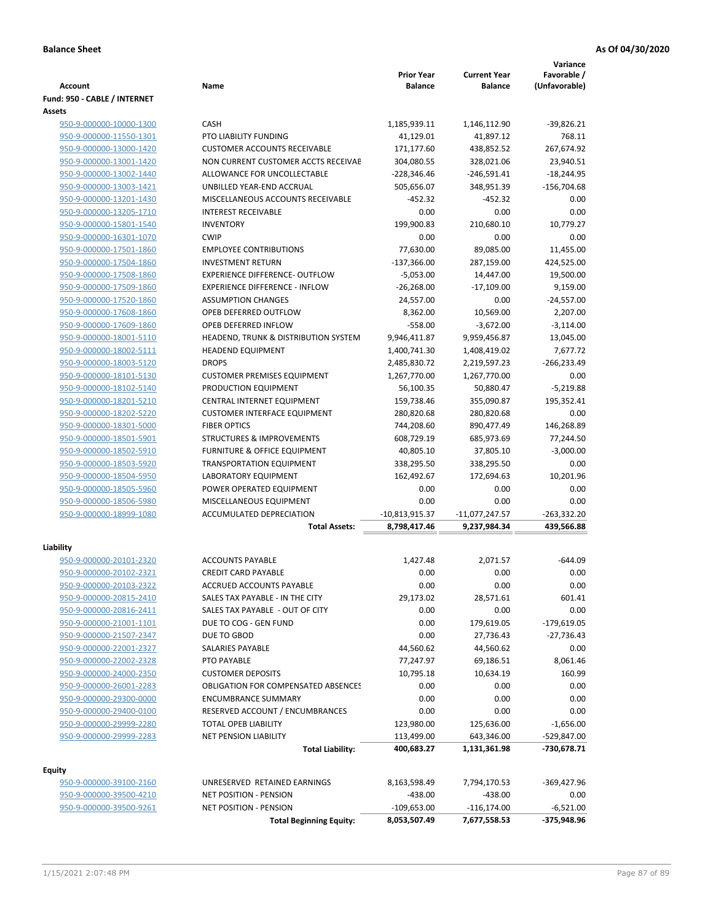|                                                    |                                                                    | <b>Prior Year</b>           | <b>Current Year</b>         | Variance<br>Favorable /   |
|----------------------------------------------------|--------------------------------------------------------------------|-----------------------------|-----------------------------|---------------------------|
| <b>Account</b>                                     | Name                                                               | <b>Balance</b>              | <b>Balance</b>              | (Unfavorable)             |
| Fund: 950 - CABLE / INTERNET                       |                                                                    |                             |                             |                           |
| <b>Assets</b>                                      |                                                                    |                             |                             |                           |
| 950-9-000000-10000-1300                            | <b>CASH</b>                                                        | 1,185,939.11                | 1,146,112.90                | $-39,826.21$              |
| 950-9-000000-11550-1301<br>950-9-000000-13000-1420 | PTO LIABILITY FUNDING                                              | 41,129.01                   | 41,897.12                   | 768.11                    |
|                                                    | <b>CUSTOMER ACCOUNTS RECEIVABLE</b>                                | 171,177.60                  | 438,852.52                  | 267,674.92                |
| 950-9-000000-13001-1420<br>950-9-000000-13002-1440 | NON CURRENT CUSTOMER ACCTS RECEIVAE<br>ALLOWANCE FOR UNCOLLECTABLE | 304,080.55<br>$-228,346.46$ | 328,021.06<br>$-246,591.41$ | 23,940.51<br>$-18,244.95$ |
| 950-9-000000-13003-1421                            | UNBILLED YEAR-END ACCRUAL                                          | 505,656.07                  | 348,951.39                  | $-156,704.68$             |
| 950-9-000000-13201-1430                            | MISCELLANEOUS ACCOUNTS RECEIVABLE                                  | $-452.32$                   | $-452.32$                   | 0.00                      |
| 950-9-000000-13205-1710                            | <b>INTEREST RECEIVABLE</b>                                         | 0.00                        | 0.00                        | 0.00                      |
| 950-9-000000-15801-1540                            | <b>INVENTORY</b>                                                   | 199,900.83                  | 210,680.10                  | 10,779.27                 |
| 950-9-000000-16301-1070                            | <b>CWIP</b>                                                        | 0.00                        | 0.00                        | 0.00                      |
| 950-9-000000-17501-1860                            | <b>EMPLOYEE CONTRIBUTIONS</b>                                      | 77,630.00                   | 89,085.00                   | 11,455.00                 |
| 950-9-000000-17504-1860                            | <b>INVESTMENT RETURN</b>                                           | $-137,366.00$               | 287,159.00                  | 424,525.00                |
| 950-9-000000-17508-1860                            | <b>EXPERIENCE DIFFERENCE- OUTFLOW</b>                              | $-5,053.00$                 | 14,447.00                   | 19,500.00                 |
| 950-9-000000-17509-1860                            | <b>EXPERIENCE DIFFERENCE - INFLOW</b>                              | $-26,268.00$                | $-17,109.00$                | 9,159.00                  |
| 950-9-000000-17520-1860                            | <b>ASSUMPTION CHANGES</b>                                          | 24,557.00                   | 0.00                        | $-24,557.00$              |
| 950-9-000000-17608-1860                            | OPEB DEFERRED OUTFLOW                                              | 8,362.00                    | 10,569.00                   | 2,207.00                  |
| 950-9-000000-17609-1860                            | OPEB DEFERRED INFLOW                                               | $-558.00$                   | $-3,672.00$                 | $-3,114.00$               |
| 950-9-000000-18001-5110                            | HEADEND, TRUNK & DISTRIBUTION SYSTEM                               | 9,946,411.87                | 9,959,456.87                | 13,045.00                 |
| 950-9-000000-18002-5111                            | <b>HEADEND EQUIPMENT</b>                                           | 1,400,741.30                | 1,408,419.02                | 7,677.72                  |
| 950-9-000000-18003-5120                            | <b>DROPS</b>                                                       | 2,485,830.72                | 2,219,597.23                | $-266,233.49$             |
| 950-9-000000-18101-5130                            | <b>CUSTOMER PREMISES EQUIPMENT</b>                                 | 1,267,770.00                | 1,267,770.00                | 0.00                      |
| 950-9-000000-18102-5140                            | PRODUCTION EQUIPMENT                                               | 56,100.35                   | 50,880.47                   | $-5,219.88$               |
| 950-9-000000-18201-5210                            | CENTRAL INTERNET EQUIPMENT                                         | 159,738.46                  | 355,090.87                  | 195,352.41                |
| 950-9-000000-18202-5220                            | <b>CUSTOMER INTERFACE EQUIPMENT</b>                                | 280,820.68                  | 280,820.68                  | 0.00                      |
| 950-9-000000-18301-5000                            | <b>FIBER OPTICS</b>                                                | 744,208.60                  | 890,477.49                  | 146,268.89                |
| 950-9-000000-18501-5901                            | <b>STRUCTURES &amp; IMPROVEMENTS</b>                               | 608,729.19                  | 685,973.69                  | 77,244.50                 |
| 950-9-000000-18502-5910                            | <b>FURNITURE &amp; OFFICE EQUIPMENT</b>                            | 40,805.10                   | 37,805.10                   | $-3,000.00$               |
| 950-9-000000-18503-5920                            | <b>TRANSPORTATION EQUIPMENT</b>                                    | 338,295.50                  | 338,295.50                  | 0.00                      |
| 950-9-000000-18504-5950                            | LABORATORY EQUIPMENT                                               | 162,492.67                  | 172,694.63                  | 10,201.96                 |
| 950-9-000000-18505-5960                            | POWER OPERATED EQUIPMENT                                           | 0.00                        | 0.00                        | 0.00                      |
| 950-9-000000-18506-5980                            | MISCELLANEOUS EQUIPMENT                                            | 0.00                        | 0.00                        | 0.00                      |
| 950-9-000000-18999-1080                            | <b>ACCUMULATED DEPRECIATION</b>                                    | -10,813,915.37              | $-11,077,247.57$            | $-263,332.20$             |
|                                                    | <b>Total Assets:</b>                                               | 8,798,417.46                | 9,237,984.34                | 439,566.88                |
|                                                    |                                                                    |                             |                             |                           |
| Liability                                          |                                                                    |                             |                             |                           |
| 950-9-000000-20101-2320                            | <b>ACCOUNTS PAYABLE</b>                                            | 1.427.48                    | 2,071.57                    | $-644.09$                 |
| 950-9-000000-20102-2321                            | <b>CREDIT CARD PAYABLE</b>                                         | 0.00                        | 0.00                        | 0.00                      |
| 950-9-000000-20103-2322                            | ACCRUED ACCOUNTS PAYABLE                                           | 0.00                        | 0.00                        | 0.00                      |
| 950-9-000000-20815-2410                            | SALES TAX PAYABLE - IN THE CITY                                    | 29,173.02                   | 28,571.61                   | 601.41                    |
| 950-9-000000-20816-2411                            | SALES TAX PAYABLE - OUT OF CITY                                    | 0.00                        | 0.00                        | 0.00                      |
| 950-9-000000-21001-1101                            | DUE TO COG - GEN FUND                                              | 0.00                        | 179,619.05                  | $-179,619.05$             |
| 950-9-000000-21507-2347                            | DUE TO GBOD                                                        | 0.00                        | 27,736.43                   | $-27,736.43$              |
| 950-9-000000-22001-2327                            | SALARIES PAYABLE                                                   | 44,560.62                   | 44,560.62                   | 0.00                      |
| 950-9-000000-22002-2328                            | PTO PAYABLE                                                        | 77,247.97                   | 69,186.51                   | 8,061.46                  |
| 950-9-000000-24000-2350                            | <b>CUSTOMER DEPOSITS</b>                                           | 10,795.18                   | 10,634.19                   | 160.99                    |
| 950-9-000000-26001-2283                            | <b>OBLIGATION FOR COMPENSATED ABSENCES</b>                         | 0.00                        | 0.00                        | 0.00                      |
| 950-9-000000-29300-0000                            | <b>ENCUMBRANCE SUMMARY</b>                                         | 0.00                        | 0.00                        | 0.00                      |
| 950-9-000000-29400-0100                            | RESERVED ACCOUNT / ENCUMBRANCES                                    | 0.00                        | 0.00                        | 0.00                      |
| 950-9-000000-29999-2280                            | TOTAL OPEB LIABILITY                                               | 123,980.00                  | 125,636.00                  | $-1,656.00$               |
| 950-9-000000-29999-2283                            | <b>NET PENSION LIABILITY</b>                                       | 113,499.00                  | 643,346.00                  | -529,847.00               |
|                                                    | <b>Total Liability:</b>                                            | 400,683.27                  | 1,131,361.98                | -730,678.71               |
| <b>Equity</b>                                      |                                                                    |                             |                             |                           |
| 950-9-000000-39100-2160                            | UNRESERVED RETAINED EARNINGS                                       | 8,163,598.49                | 7,794,170.53                | -369,427.96               |
| 950-9-000000-39500-4210                            | NET POSITION - PENSION                                             | $-438.00$                   | $-438.00$                   | 0.00                      |
| 950-9-000000-39500-9261                            | <b>NET POSITION - PENSION</b>                                      | $-109,653.00$               | $-116, 174.00$              | $-6,521.00$               |
|                                                    | <b>Total Beginning Equity:</b>                                     | 8,053,507.49                | 7,677,558.53                | -375,948.96               |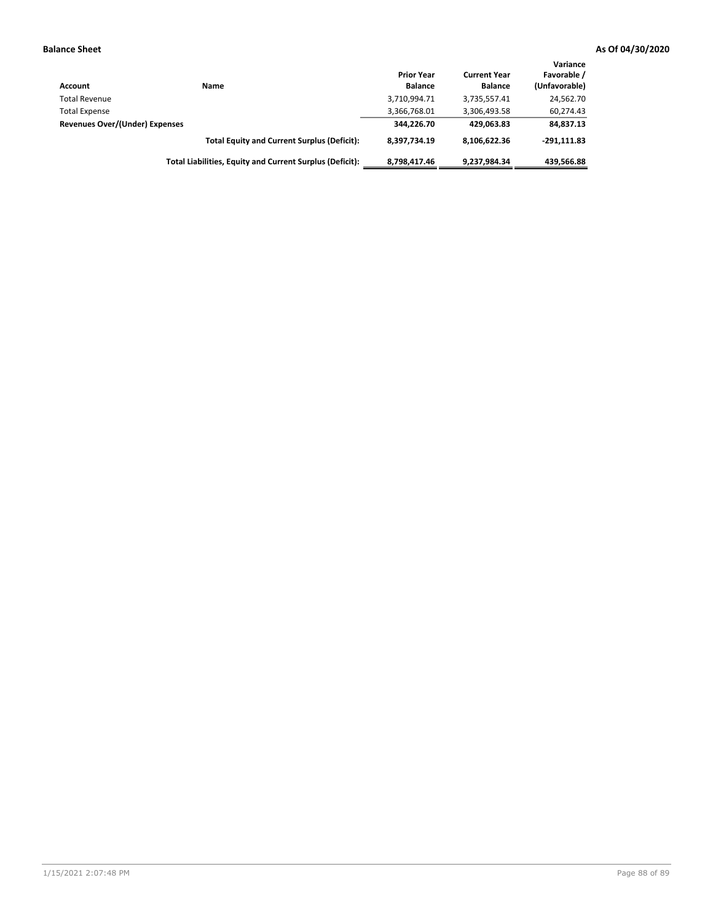| Account                        | Name                                                     | <b>Prior Year</b><br><b>Balance</b> | <b>Current Year</b><br><b>Balance</b> | Variance<br>Favorable /<br>(Unfavorable) |
|--------------------------------|----------------------------------------------------------|-------------------------------------|---------------------------------------|------------------------------------------|
| <b>Total Revenue</b>           |                                                          | 3,710,994.71                        | 3,735,557.41                          | 24,562.70                                |
| <b>Total Expense</b>           |                                                          | 3,366,768.01                        | 3,306,493.58                          | 60,274.43                                |
| Revenues Over/(Under) Expenses |                                                          | 344,226.70                          | 429.063.83                            | 84,837.13                                |
|                                | <b>Total Equity and Current Surplus (Deficit):</b>       | 8.397.734.19                        | 8,106,622.36                          | $-291.111.83$                            |
|                                | Total Liabilities, Equity and Current Surplus (Deficit): | 8,798,417.46                        | 9,237,984.34                          | 439.566.88                               |